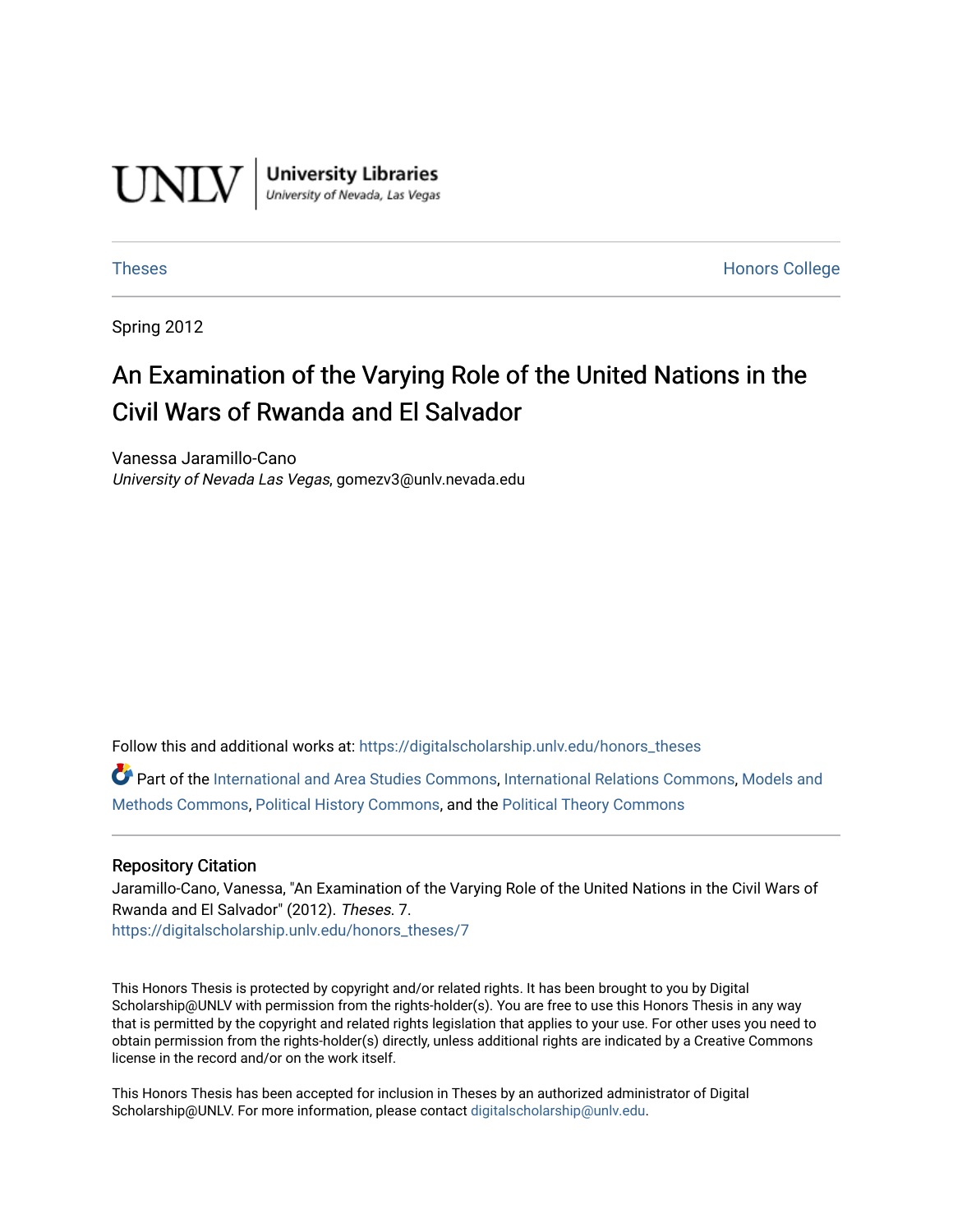

**University Libraries**<br>University of Nevada, Las Vegas

[Theses](https://digitalscholarship.unlv.edu/honors_theses) **Honors College** [Honors College](https://digitalscholarship.unlv.edu/honors) **Honors College** 

Spring 2012

# An Examination of the Varying Role of the United Nations in the Civil Wars of Rwanda and El Salvador

Vanessa Jaramillo-Cano University of Nevada Las Vegas, gomezv3@unlv.nevada.edu

Follow this and additional works at: [https://digitalscholarship.unlv.edu/honors\\_theses](https://digitalscholarship.unlv.edu/honors_theses?utm_source=digitalscholarship.unlv.edu%2Fhonors_theses%2F7&utm_medium=PDF&utm_campaign=PDFCoverPages) 

Part of the [International and Area Studies Commons,](http://network.bepress.com/hgg/discipline/360?utm_source=digitalscholarship.unlv.edu%2Fhonors_theses%2F7&utm_medium=PDF&utm_campaign=PDFCoverPages) [International Relations Commons](http://network.bepress.com/hgg/discipline/389?utm_source=digitalscholarship.unlv.edu%2Fhonors_theses%2F7&utm_medium=PDF&utm_campaign=PDFCoverPages), [Models and](http://network.bepress.com/hgg/discipline/390?utm_source=digitalscholarship.unlv.edu%2Fhonors_theses%2F7&utm_medium=PDF&utm_campaign=PDFCoverPages)  [Methods Commons,](http://network.bepress.com/hgg/discipline/390?utm_source=digitalscholarship.unlv.edu%2Fhonors_theses%2F7&utm_medium=PDF&utm_campaign=PDFCoverPages) [Political History Commons,](http://network.bepress.com/hgg/discipline/505?utm_source=digitalscholarship.unlv.edu%2Fhonors_theses%2F7&utm_medium=PDF&utm_campaign=PDFCoverPages) and the [Political Theory Commons](http://network.bepress.com/hgg/discipline/391?utm_source=digitalscholarship.unlv.edu%2Fhonors_theses%2F7&utm_medium=PDF&utm_campaign=PDFCoverPages)

#### Repository Citation

Jaramillo-Cano, Vanessa, "An Examination of the Varying Role of the United Nations in the Civil Wars of Rwanda and El Salvador" (2012). Theses. 7. [https://digitalscholarship.unlv.edu/honors\\_theses/7](https://digitalscholarship.unlv.edu/honors_theses/7?utm_source=digitalscholarship.unlv.edu%2Fhonors_theses%2F7&utm_medium=PDF&utm_campaign=PDFCoverPages) 

This Honors Thesis is protected by copyright and/or related rights. It has been brought to you by Digital Scholarship@UNLV with permission from the rights-holder(s). You are free to use this Honors Thesis in any way that is permitted by the copyright and related rights legislation that applies to your use. For other uses you need to obtain permission from the rights-holder(s) directly, unless additional rights are indicated by a Creative Commons license in the record and/or on the work itself.

This Honors Thesis has been accepted for inclusion in Theses by an authorized administrator of Digital Scholarship@UNLV. For more information, please contact [digitalscholarship@unlv.edu.](mailto:digitalscholarship@unlv.edu)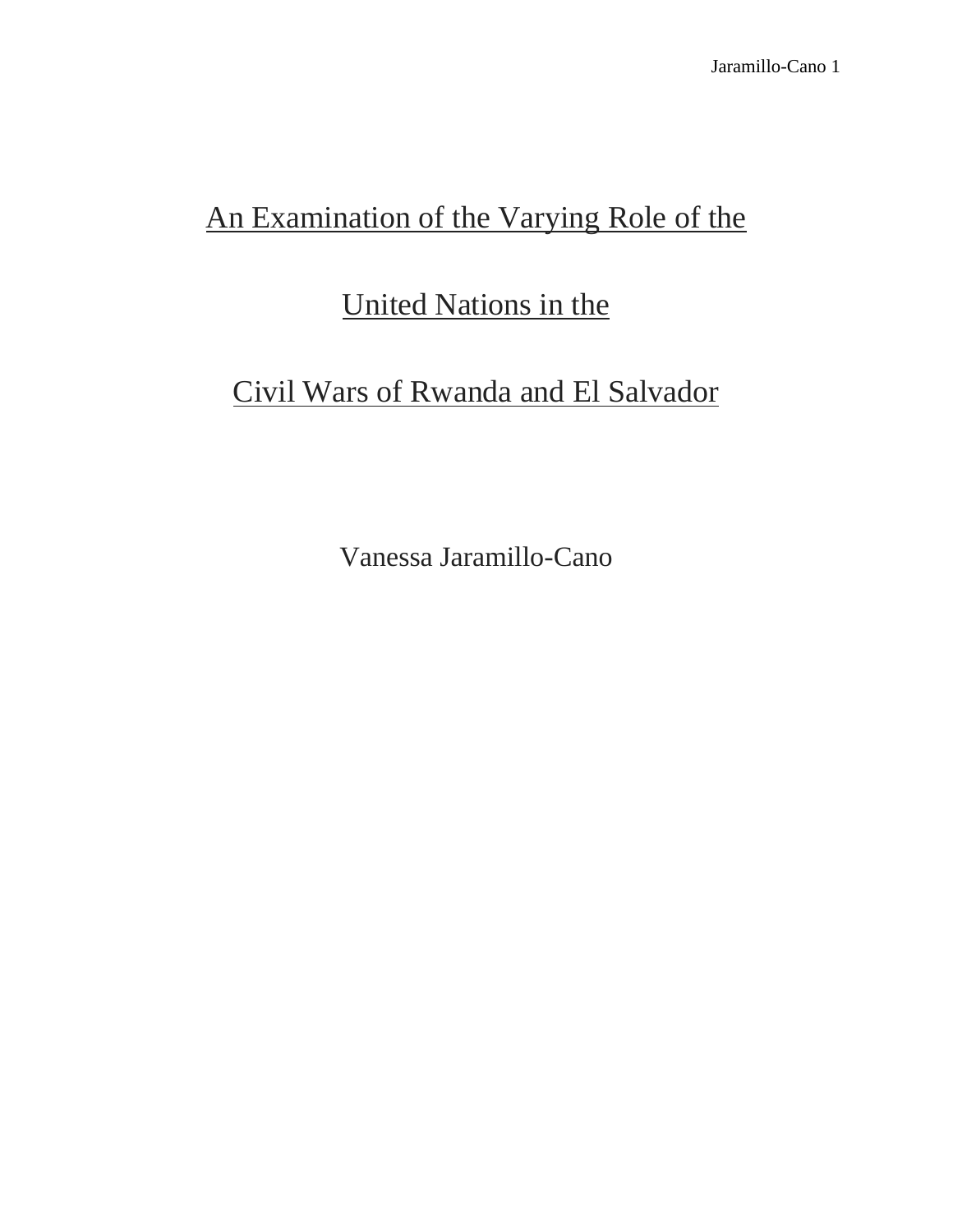# An Examination of the Varying Role of the

# United Nations in the

# Civil Wars of Rwanda and El Salvador

Vanessa Jaramillo-Cano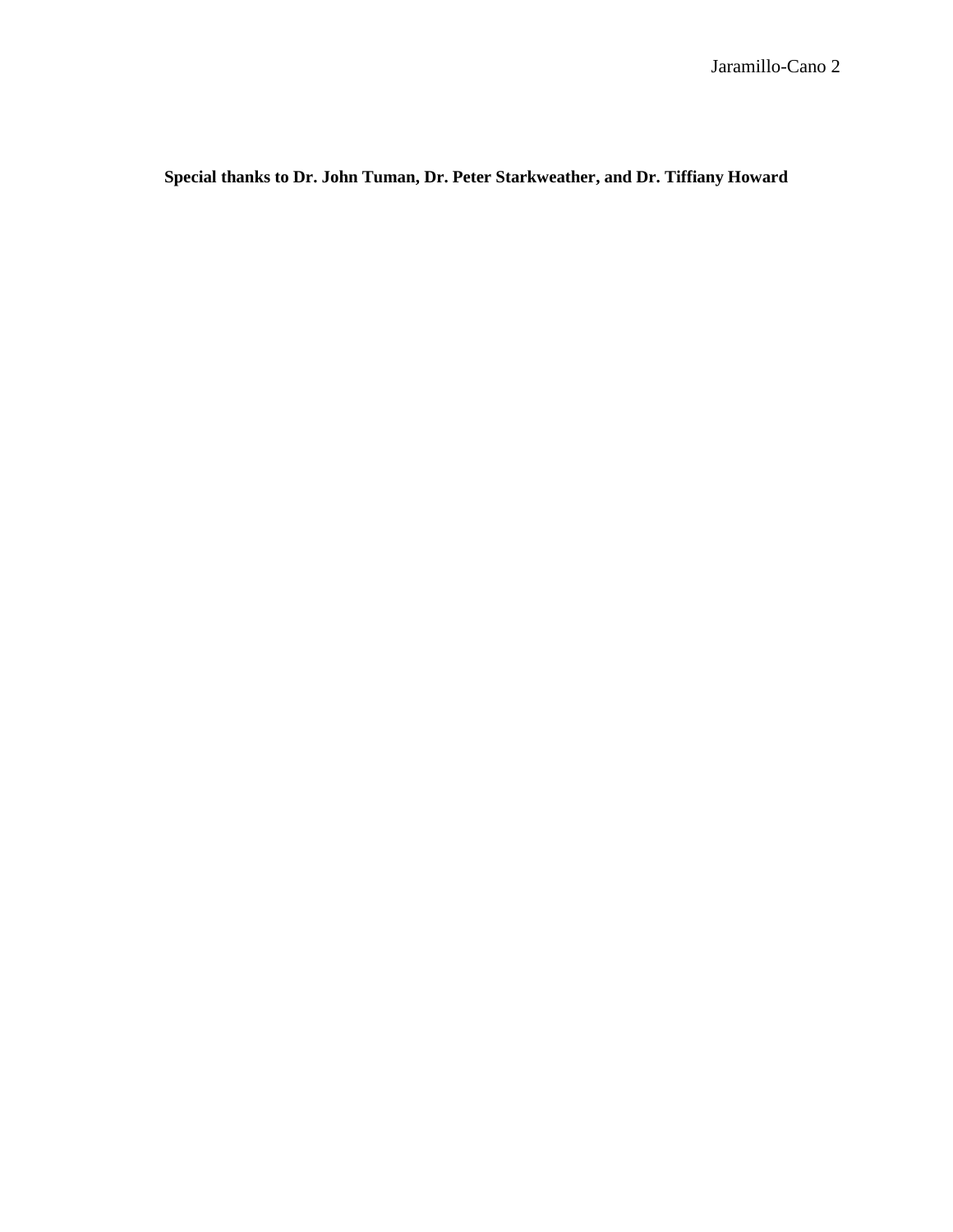**Special thanks to Dr. John Tuman, Dr. Peter Starkweather, and Dr. Tiffiany Howard**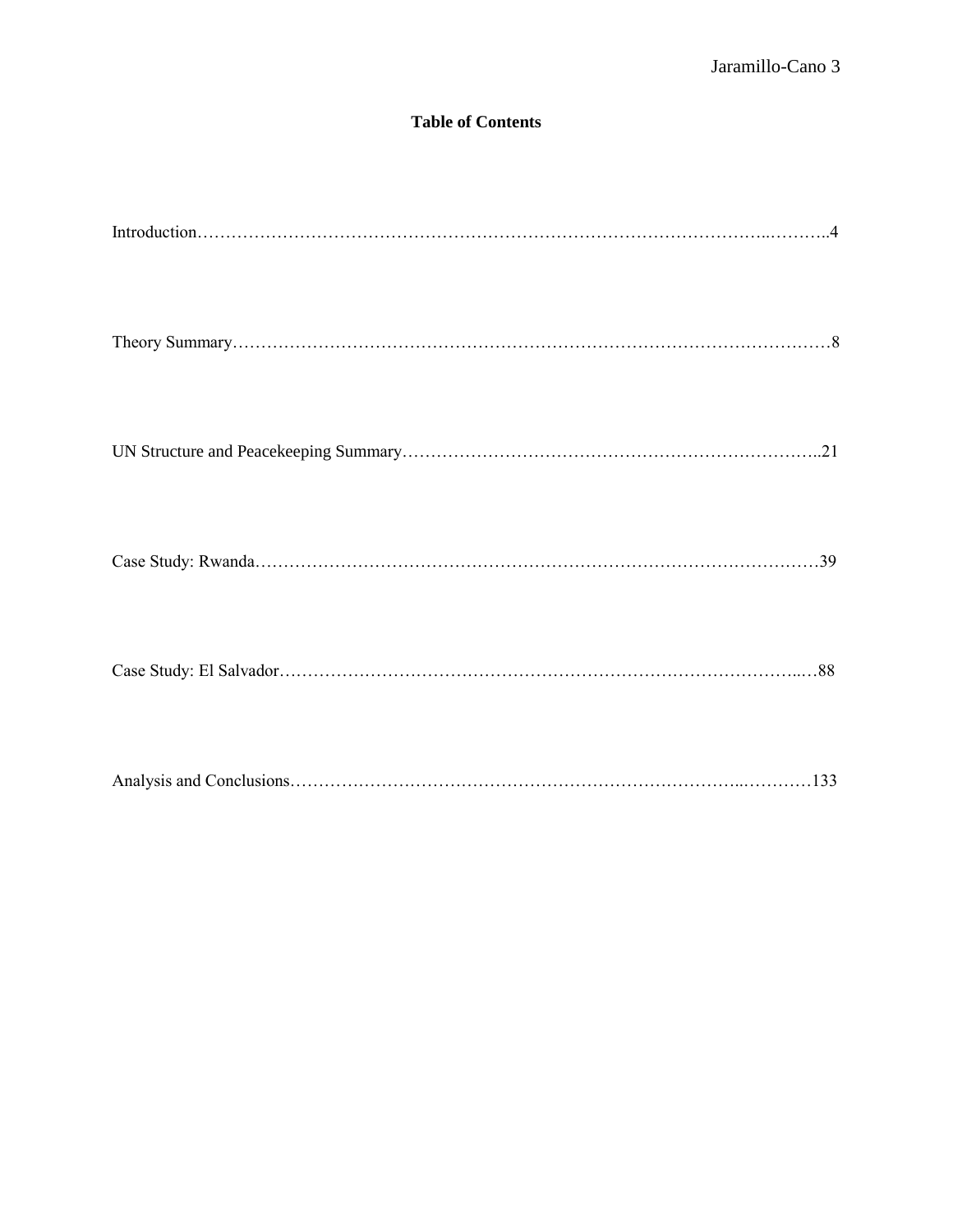# **Table of Contents**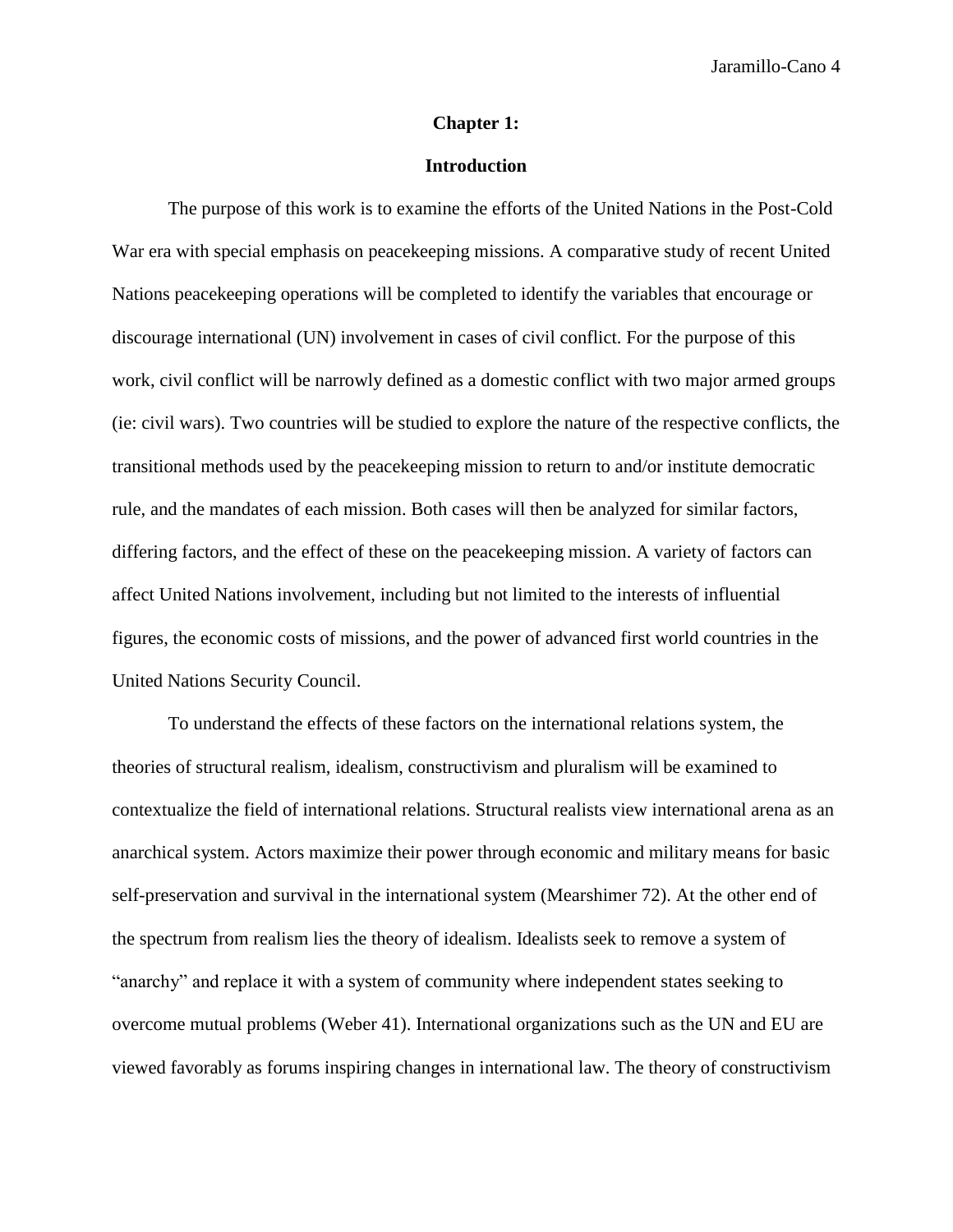#### **Chapter 1:**

# **Introduction**

The purpose of this work is to examine the efforts of the United Nations in the Post-Cold War era with special emphasis on peacekeeping missions. A comparative study of recent United Nations peacekeeping operations will be completed to identify the variables that encourage or discourage international (UN) involvement in cases of civil conflict. For the purpose of this work, civil conflict will be narrowly defined as a domestic conflict with two major armed groups (ie: civil wars). Two countries will be studied to explore the nature of the respective conflicts, the transitional methods used by the peacekeeping mission to return to and/or institute democratic rule, and the mandates of each mission. Both cases will then be analyzed for similar factors, differing factors, and the effect of these on the peacekeeping mission. A variety of factors can affect United Nations involvement, including but not limited to the interests of influential figures, the economic costs of missions, and the power of advanced first world countries in the United Nations Security Council.

To understand the effects of these factors on the international relations system, the theories of structural realism, idealism, constructivism and pluralism will be examined to contextualize the field of international relations. Structural realists view international arena as an anarchical system. Actors maximize their power through economic and military means for basic self-preservation and survival in the international system (Mearshimer 72). At the other end of the spectrum from realism lies the theory of idealism. Idealists seek to remove a system of "anarchy" and replace it with a system of community where independent states seeking to overcome mutual problems (Weber 41). International organizations such as the UN and EU are viewed favorably as forums inspiring changes in international law. The theory of constructivism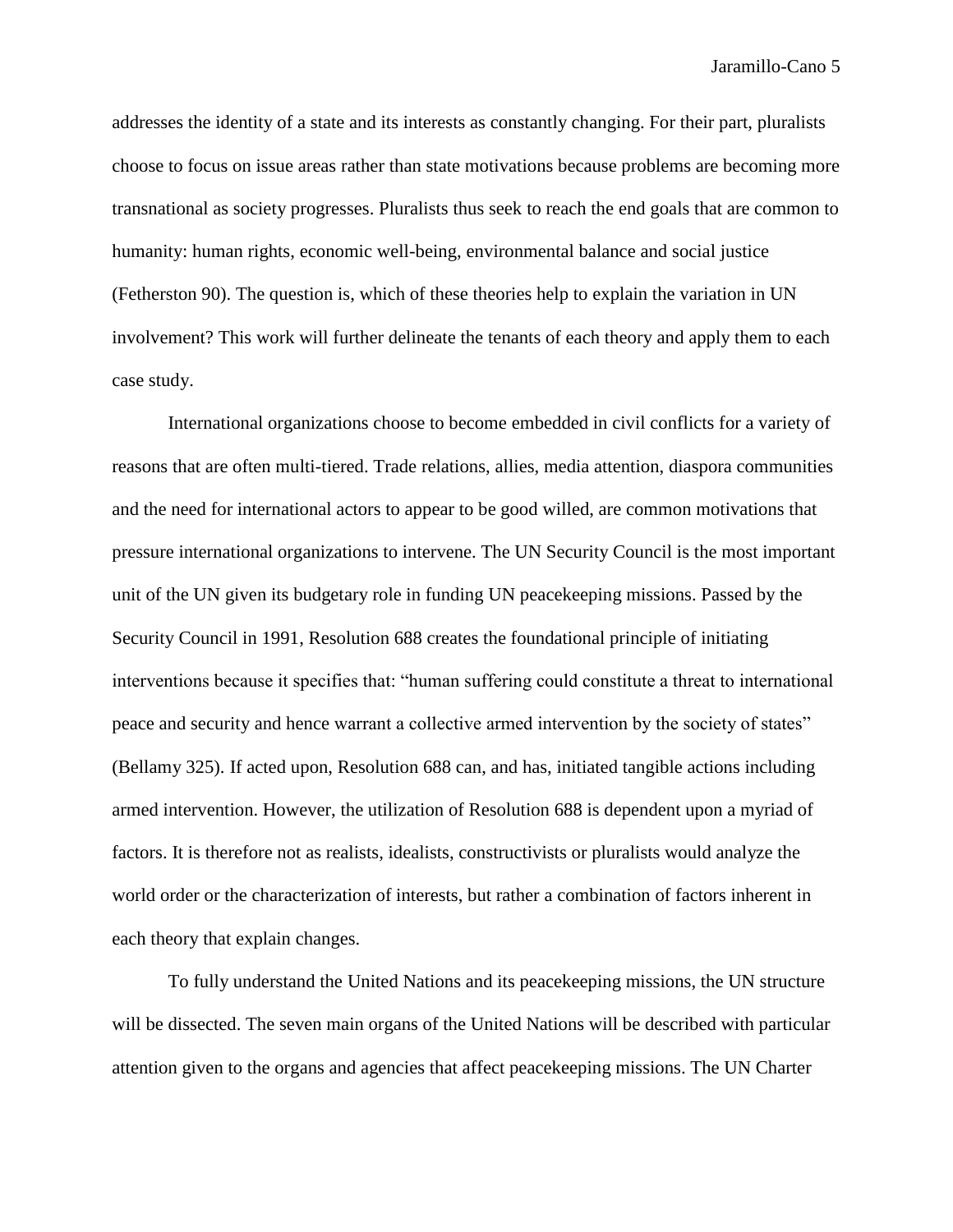addresses the identity of a state and its interests as constantly changing. For their part, pluralists choose to focus on issue areas rather than state motivations because problems are becoming more transnational as society progresses. Pluralists thus seek to reach the end goals that are common to humanity: human rights, economic well-being, environmental balance and social justice (Fetherston 90). The question is, which of these theories help to explain the variation in UN involvement? This work will further delineate the tenants of each theory and apply them to each case study.

International organizations choose to become embedded in civil conflicts for a variety of reasons that are often multi-tiered. Trade relations, allies, media attention, diaspora communities and the need for international actors to appear to be good willed, are common motivations that pressure international organizations to intervene. The UN Security Council is the most important unit of the UN given its budgetary role in funding UN peacekeeping missions. Passed by the Security Council in 1991, Resolution 688 creates the foundational principle of initiating interventions because it specifies that: "human suffering could constitute a threat to international peace and security and hence warrant a collective armed intervention by the society of states" (Bellamy 325). If acted upon, Resolution 688 can, and has, initiated tangible actions including armed intervention. However, the utilization of Resolution 688 is dependent upon a myriad of factors. It is therefore not as realists, idealists, constructivists or pluralists would analyze the world order or the characterization of interests, but rather a combination of factors inherent in each theory that explain changes.

To fully understand the United Nations and its peacekeeping missions, the UN structure will be dissected. The seven main organs of the United Nations will be described with particular attention given to the organs and agencies that affect peacekeeping missions. The UN Charter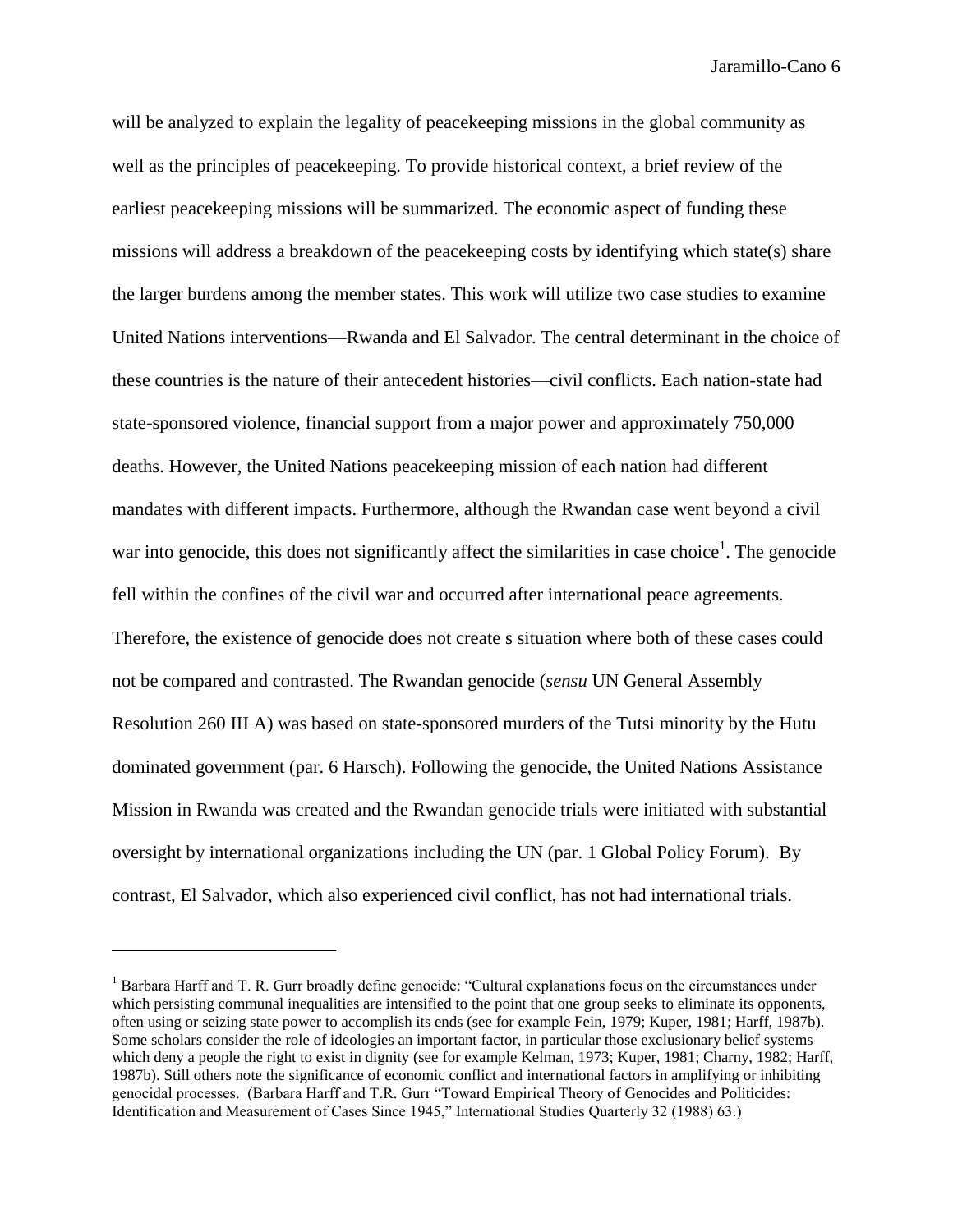will be analyzed to explain the legality of peacekeeping missions in the global community as well as the principles of peacekeeping. To provide historical context, a brief review of the earliest peacekeeping missions will be summarized. The economic aspect of funding these missions will address a breakdown of the peacekeeping costs by identifying which state(s) share the larger burdens among the member states. This work will utilize two case studies to examine United Nations interventions—Rwanda and El Salvador. The central determinant in the choice of these countries is the nature of their antecedent histories—civil conflicts. Each nation-state had state-sponsored violence, financial support from a major power and approximately 750,000 deaths. However, the United Nations peacekeeping mission of each nation had different mandates with different impacts. Furthermore, although the Rwandan case went beyond a civil war into genocide, this does not significantly affect the similarities in case choice<sup>1</sup>. The genocide fell within the confines of the civil war and occurred after international peace agreements. Therefore, the existence of genocide does not create s situation where both of these cases could not be compared and contrasted. The Rwandan genocide (*sensu* UN General Assembly Resolution 260 III A) was based on state-sponsored murders of the Tutsi minority by the Hutu dominated government (par. 6 Harsch). Following the genocide, the United Nations Assistance Mission in Rwanda was created and the Rwandan genocide trials were initiated with substantial oversight by international organizations including the UN (par. 1 Global Policy Forum). By contrast, El Salvador, which also experienced civil conflict, has not had international trials.

l

<sup>&</sup>lt;sup>1</sup> Barbara Harff and T. R. Gurr broadly define genocide: "Cultural explanations focus on the circumstances under which persisting communal inequalities are intensified to the point that one group seeks to eliminate its opponents, often using or seizing state power to accomplish its ends (see for example Fein, 1979; Kuper, 1981; Harff, 1987b). Some scholars consider the role of ideologies an important factor, in particular those exclusionary belief systems which deny a people the right to exist in dignity (see for example Kelman, 1973; Kuper, 1981; Charny, 1982; Harff, 1987b). Still others note the significance of economic conflict and international factors in amplifying or inhibiting genocidal processes. (Barbara Harff and T.R. Gurr "Toward Empirical Theory of Genocides and Politicides: Identification and Measurement of Cases Since 1945," International Studies Quarterly 32 (1988) 63.)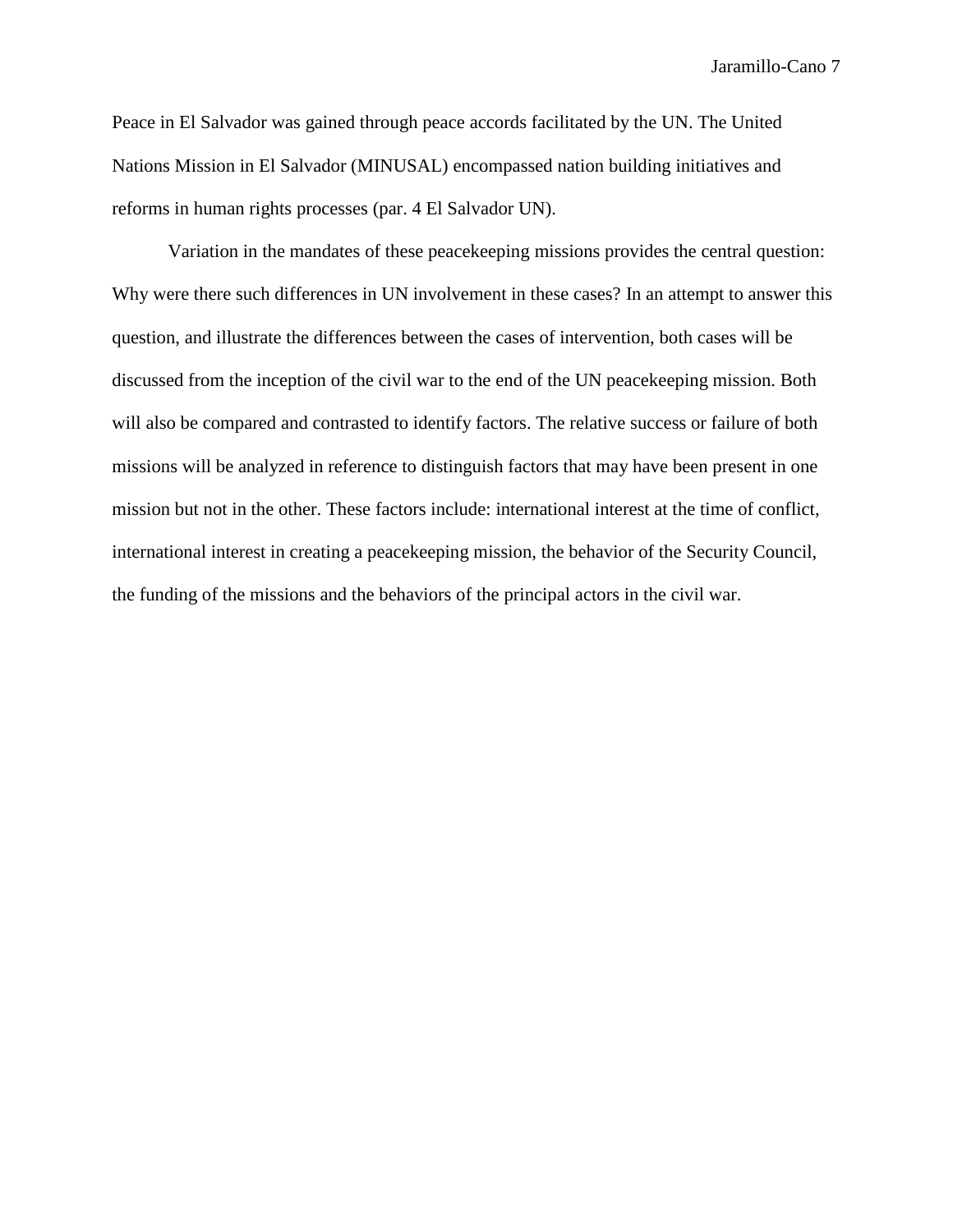Peace in El Salvador was gained through peace accords facilitated by the UN. The United Nations Mission in El Salvador (MINUSAL) encompassed nation building initiatives and reforms in human rights processes (par. 4 El Salvador UN).

Variation in the mandates of these peacekeeping missions provides the central question: Why were there such differences in UN involvement in these cases? In an attempt to answer this question, and illustrate the differences between the cases of intervention, both cases will be discussed from the inception of the civil war to the end of the UN peacekeeping mission. Both will also be compared and contrasted to identify factors. The relative success or failure of both missions will be analyzed in reference to distinguish factors that may have been present in one mission but not in the other. These factors include: international interest at the time of conflict, international interest in creating a peacekeeping mission, the behavior of the Security Council, the funding of the missions and the behaviors of the principal actors in the civil war.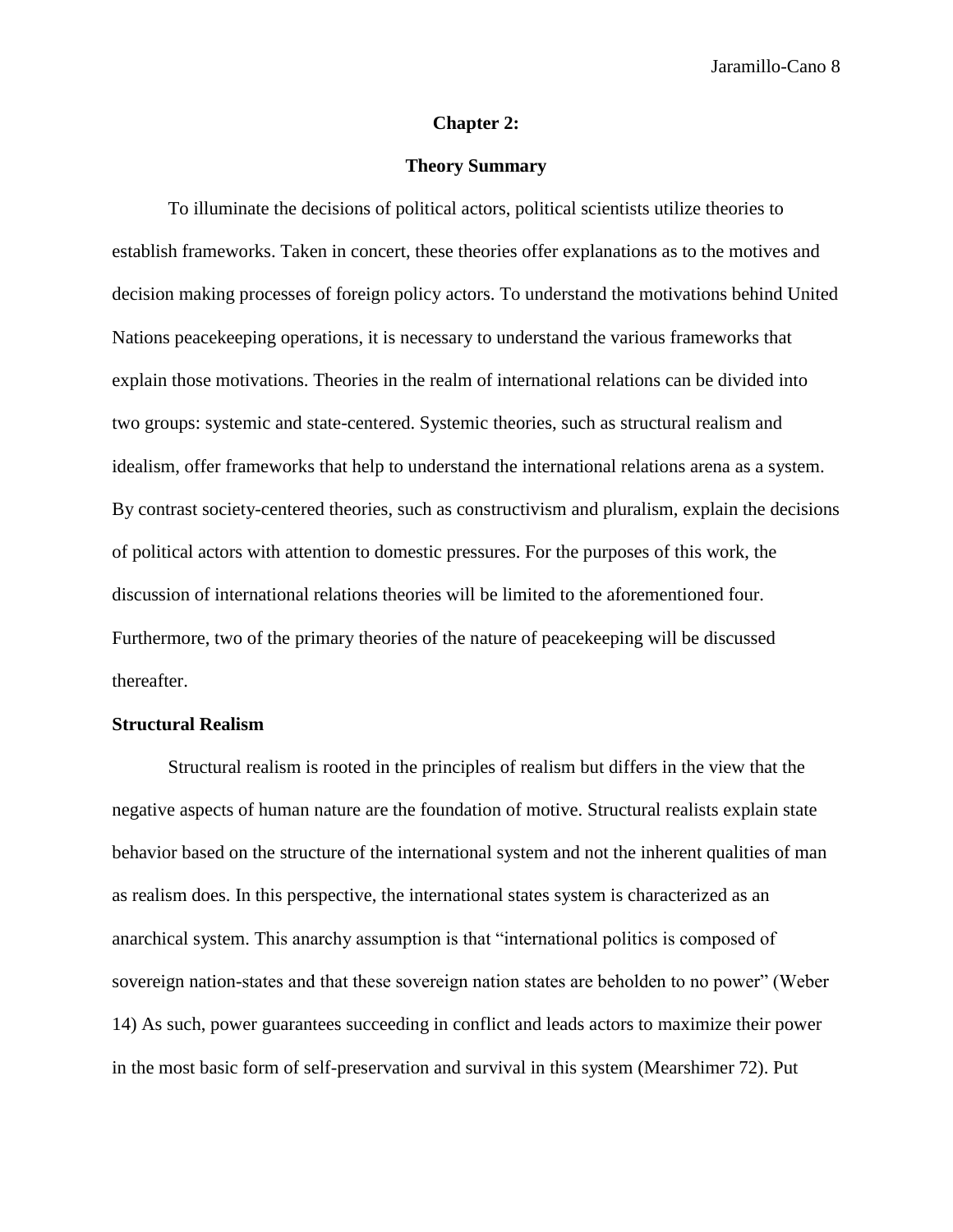#### **Chapter 2:**

# **Theory Summary**

To illuminate the decisions of political actors, political scientists utilize theories to establish frameworks. Taken in concert, these theories offer explanations as to the motives and decision making processes of foreign policy actors. To understand the motivations behind United Nations peacekeeping operations, it is necessary to understand the various frameworks that explain those motivations. Theories in the realm of international relations can be divided into two groups: systemic and state-centered. Systemic theories, such as structural realism and idealism, offer frameworks that help to understand the international relations arena as a system. By contrast society-centered theories, such as constructivism and pluralism, explain the decisions of political actors with attention to domestic pressures. For the purposes of this work, the discussion of international relations theories will be limited to the aforementioned four. Furthermore, two of the primary theories of the nature of peacekeeping will be discussed thereafter.

# **Structural Realism**

Structural realism is rooted in the principles of realism but differs in the view that the negative aspects of human nature are the foundation of motive. Structural realists explain state behavior based on the structure of the international system and not the inherent qualities of man as realism does. In this perspective, the international states system is characterized as an anarchical system. This anarchy assumption is that "international politics is composed of sovereign nation-states and that these sovereign nation states are beholden to no power" (Weber 14) As such, power guarantees succeeding in conflict and leads actors to maximize their power in the most basic form of self-preservation and survival in this system (Mearshimer 72). Put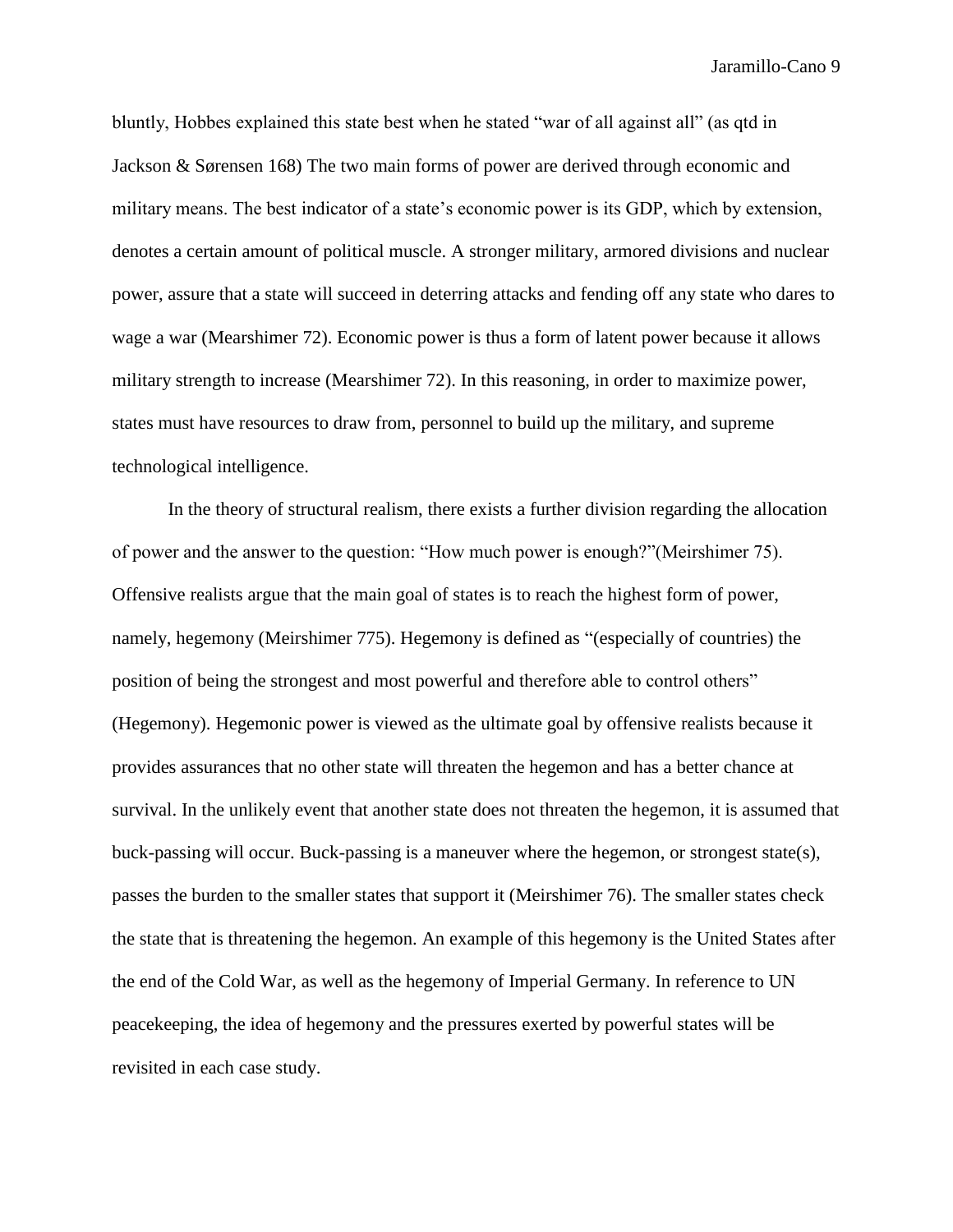bluntly, Hobbes explained this state best when he stated "war of all against all" (as qtd in Jackson & Sørensen 168) The two main forms of power are derived through economic and military means. The best indicator of a state's economic power is its GDP, which by extension, denotes a certain amount of political muscle. A stronger military, armored divisions and nuclear power, assure that a state will succeed in deterring attacks and fending off any state who dares to wage a war (Mearshimer 72). Economic power is thus a form of latent power because it allows military strength to increase (Mearshimer 72). In this reasoning, in order to maximize power, states must have resources to draw from, personnel to build up the military, and supreme technological intelligence.

In the theory of structural realism, there exists a further division regarding the allocation of power and the answer to the question: "How much power is enough?"(Meirshimer 75). Offensive realists argue that the main goal of states is to reach the highest form of power, namely, hegemony (Meirshimer 775). Hegemony is defined as "(especially of countries) the position of being the strongest and most powerful and therefore able to control others" (Hegemony). Hegemonic power is viewed as the ultimate goal by offensive realists because it provides assurances that no other state will threaten the hegemon and has a better chance at survival. In the unlikely event that another state does not threaten the hegemon, it is assumed that buck-passing will occur. Buck-passing is a maneuver where the hegemon, or strongest state(s), passes the burden to the smaller states that support it (Meirshimer 76). The smaller states check the state that is threatening the hegemon. An example of this hegemony is the United States after the end of the Cold War, as well as the hegemony of Imperial Germany. In reference to UN peacekeeping, the idea of hegemony and the pressures exerted by powerful states will be revisited in each case study.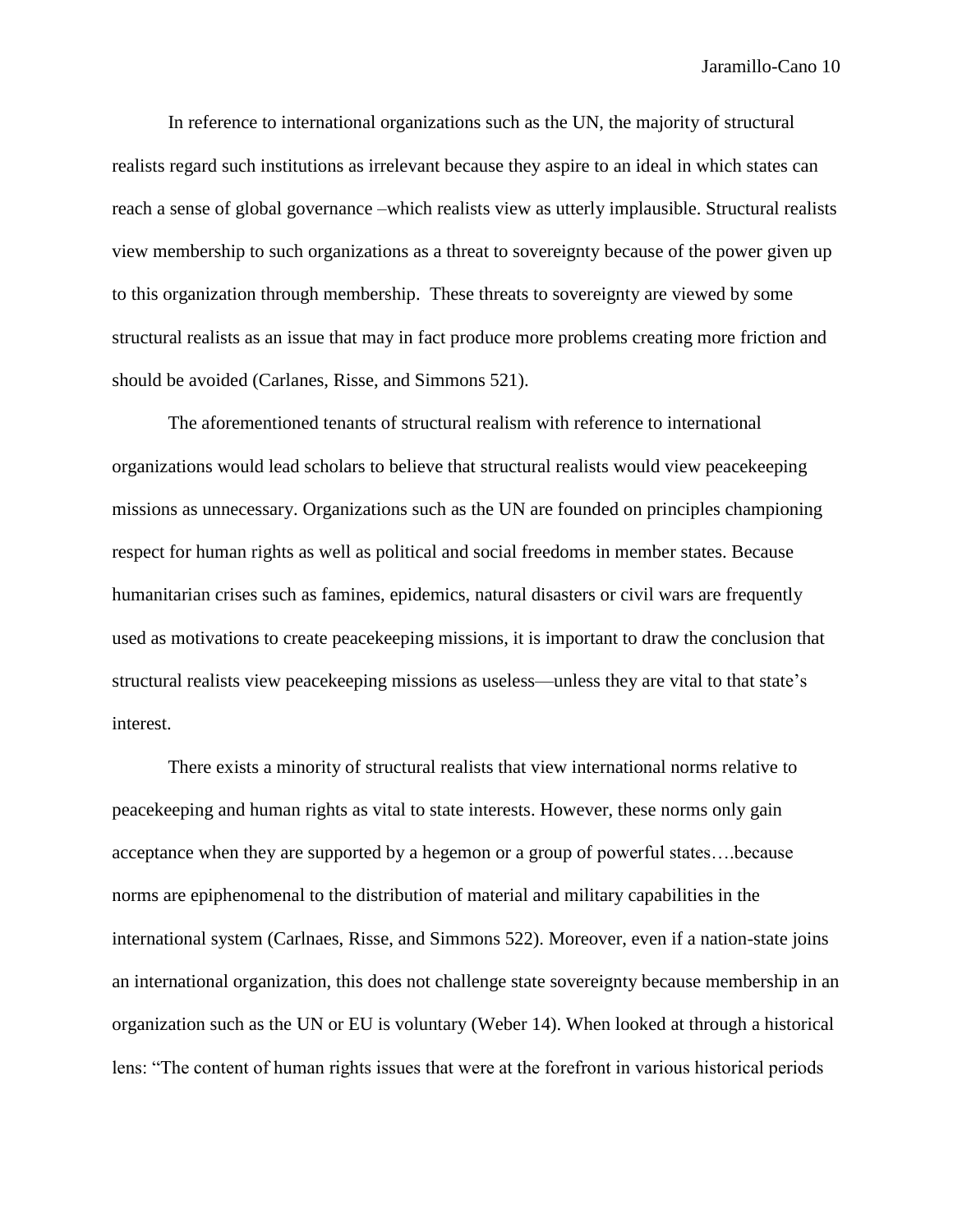In reference to international organizations such as the UN, the majority of structural realists regard such institutions as irrelevant because they aspire to an ideal in which states can reach a sense of global governance –which realists view as utterly implausible. Structural realists view membership to such organizations as a threat to sovereignty because of the power given up to this organization through membership. These threats to sovereignty are viewed by some structural realists as an issue that may in fact produce more problems creating more friction and should be avoided (Carlanes, Risse, and Simmons 521).

The aforementioned tenants of structural realism with reference to international organizations would lead scholars to believe that structural realists would view peacekeeping missions as unnecessary. Organizations such as the UN are founded on principles championing respect for human rights as well as political and social freedoms in member states. Because humanitarian crises such as famines, epidemics, natural disasters or civil wars are frequently used as motivations to create peacekeeping missions, it is important to draw the conclusion that structural realists view peacekeeping missions as useless—unless they are vital to that state's interest.

There exists a minority of structural realists that view international norms relative to peacekeeping and human rights as vital to state interests. However, these norms only gain acceptance when they are supported by a hegemon or a group of powerful states….because norms are epiphenomenal to the distribution of material and military capabilities in the international system (Carlnaes, Risse, and Simmons 522). Moreover, even if a nation-state joins an international organization, this does not challenge state sovereignty because membership in an organization such as the UN or EU is voluntary (Weber 14). When looked at through a historical lens: "The content of human rights issues that were at the forefront in various historical periods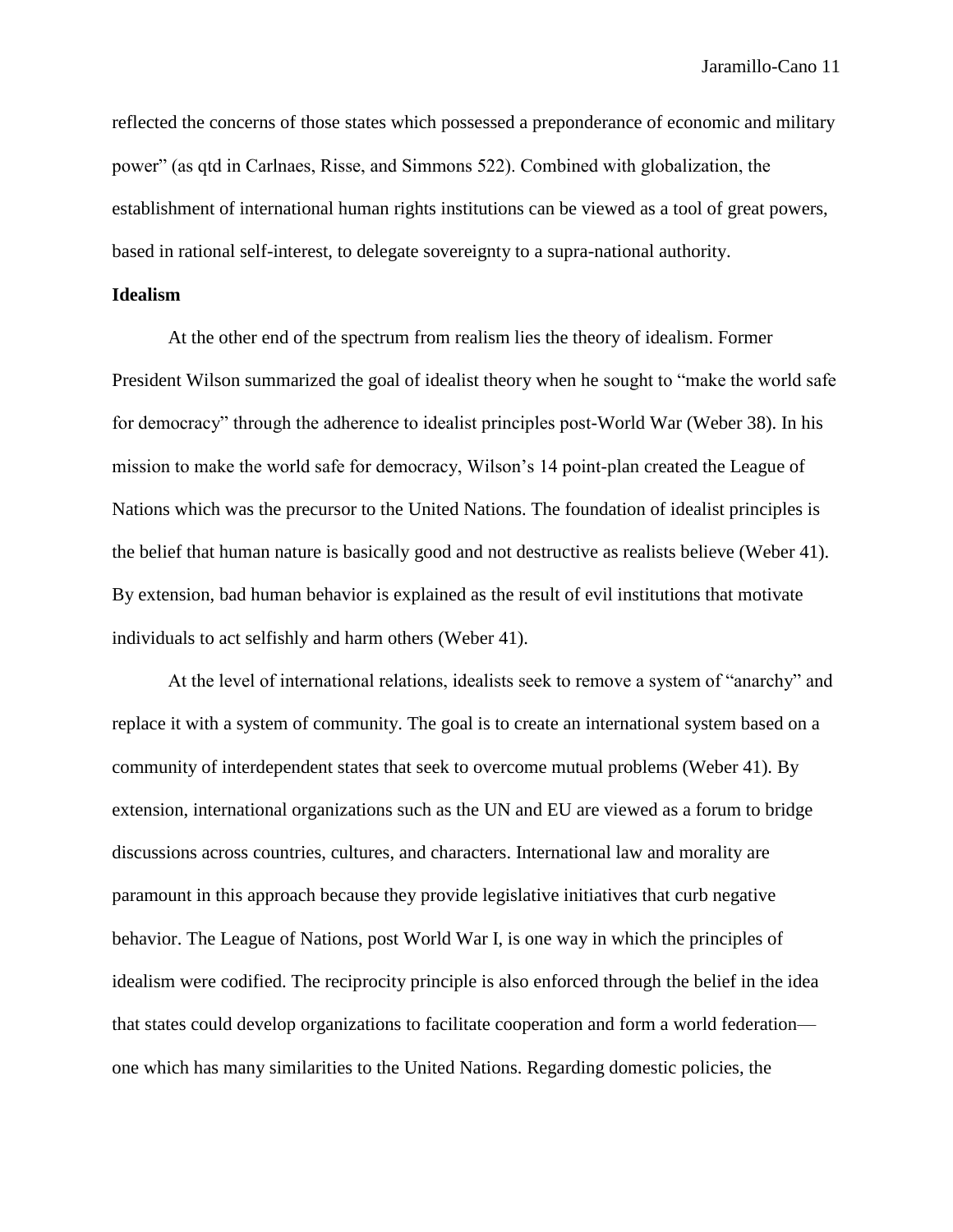reflected the concerns of those states which possessed a preponderance of economic and military power" (as qtd in Carlnaes, Risse, and Simmons 522). Combined with globalization, the establishment of international human rights institutions can be viewed as a tool of great powers, based in rational self-interest, to delegate sovereignty to a supra-national authority.

# **Idealism**

At the other end of the spectrum from realism lies the theory of idealism. Former President Wilson summarized the goal of idealist theory when he sought to "make the world safe for democracy" through the adherence to idealist principles post-World War (Weber 38). In his mission to make the world safe for democracy, Wilson's 14 point-plan created the League of Nations which was the precursor to the United Nations. The foundation of idealist principles is the belief that human nature is basically good and not destructive as realists believe (Weber 41). By extension, bad human behavior is explained as the result of evil institutions that motivate individuals to act selfishly and harm others (Weber 41).

At the level of international relations, idealists seek to remove a system of "anarchy" and replace it with a system of community. The goal is to create an international system based on a community of interdependent states that seek to overcome mutual problems (Weber 41). By extension, international organizations such as the UN and EU are viewed as a forum to bridge discussions across countries, cultures, and characters. International law and morality are paramount in this approach because they provide legislative initiatives that curb negative behavior. The League of Nations, post World War I, is one way in which the principles of idealism were codified. The reciprocity principle is also enforced through the belief in the idea that states could develop organizations to facilitate cooperation and form a world federation one which has many similarities to the United Nations. Regarding domestic policies, the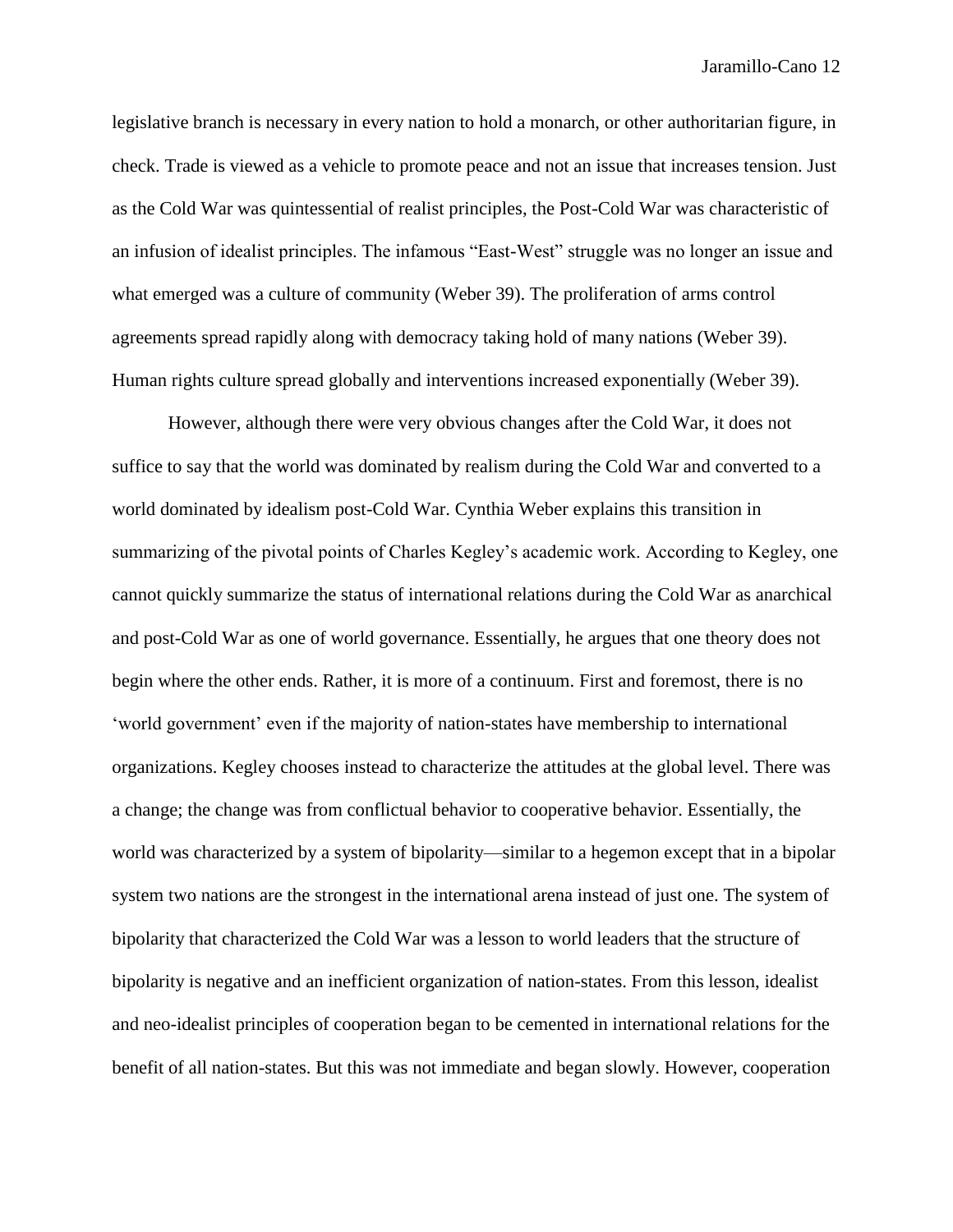legislative branch is necessary in every nation to hold a monarch, or other authoritarian figure, in check. Trade is viewed as a vehicle to promote peace and not an issue that increases tension. Just as the Cold War was quintessential of realist principles, the Post-Cold War was characteristic of an infusion of idealist principles. The infamous "East-West" struggle was no longer an issue and what emerged was a culture of community (Weber 39). The proliferation of arms control agreements spread rapidly along with democracy taking hold of many nations (Weber 39). Human rights culture spread globally and interventions increased exponentially (Weber 39).

However, although there were very obvious changes after the Cold War, it does not suffice to say that the world was dominated by realism during the Cold War and converted to a world dominated by idealism post-Cold War. Cynthia Weber explains this transition in summarizing of the pivotal points of Charles Kegley's academic work. According to Kegley, one cannot quickly summarize the status of international relations during the Cold War as anarchical and post-Cold War as one of world governance. Essentially, he argues that one theory does not begin where the other ends. Rather, it is more of a continuum. First and foremost, there is no 'world government' even if the majority of nation-states have membership to international organizations. Kegley chooses instead to characterize the attitudes at the global level. There was a change; the change was from conflictual behavior to cooperative behavior. Essentially, the world was characterized by a system of bipolarity—similar to a hegemon except that in a bipolar system two nations are the strongest in the international arena instead of just one. The system of bipolarity that characterized the Cold War was a lesson to world leaders that the structure of bipolarity is negative and an inefficient organization of nation-states. From this lesson, idealist and neo-idealist principles of cooperation began to be cemented in international relations for the benefit of all nation-states. But this was not immediate and began slowly. However, cooperation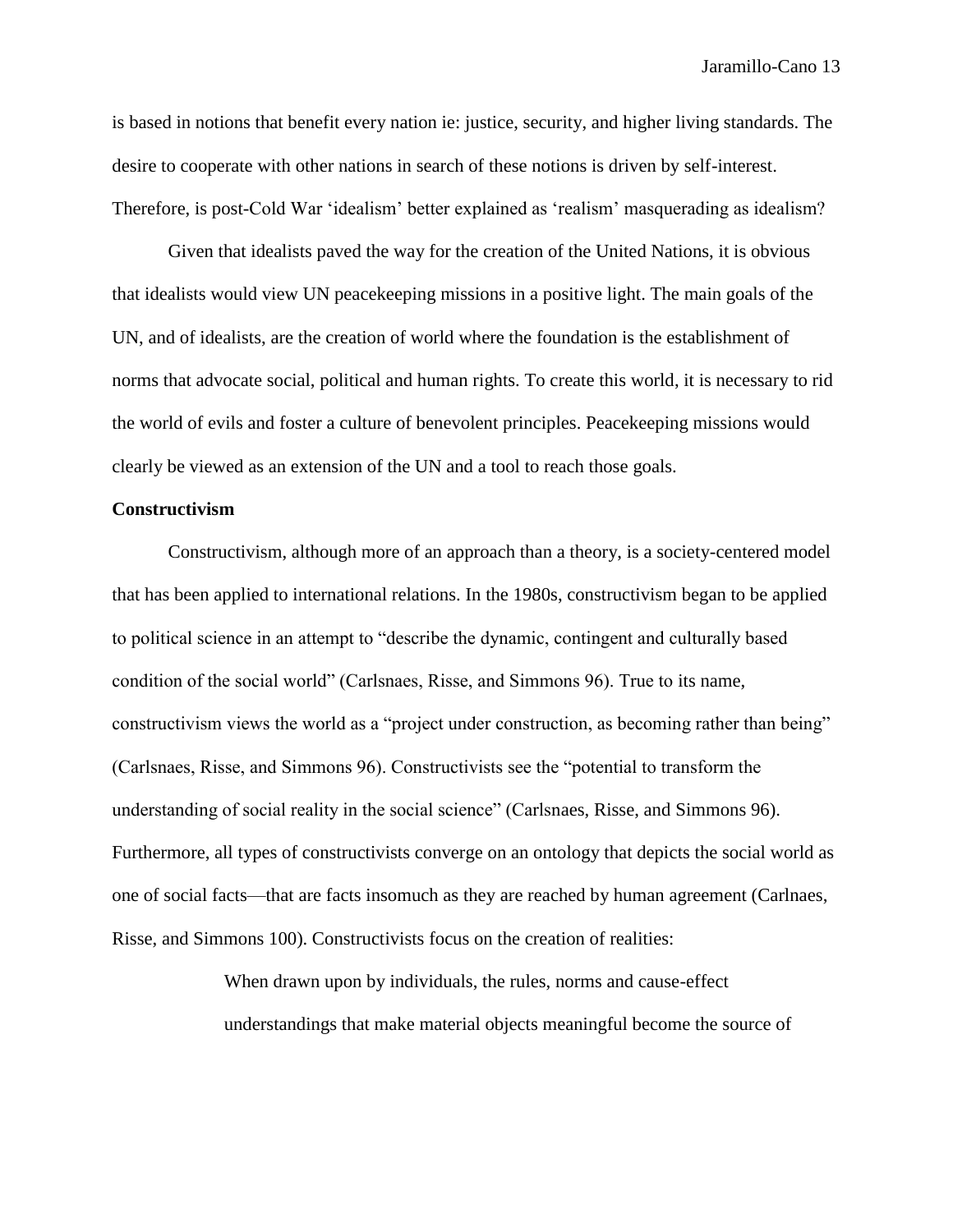is based in notions that benefit every nation ie: justice, security, and higher living standards. The desire to cooperate with other nations in search of these notions is driven by self-interest. Therefore, is post-Cold War 'idealism' better explained as 'realism' masquerading as idealism?

Given that idealists paved the way for the creation of the United Nations, it is obvious that idealists would view UN peacekeeping missions in a positive light. The main goals of the UN, and of idealists, are the creation of world where the foundation is the establishment of norms that advocate social, political and human rights. To create this world, it is necessary to rid the world of evils and foster a culture of benevolent principles. Peacekeeping missions would clearly be viewed as an extension of the UN and a tool to reach those goals.

# **Constructivism**

Constructivism, although more of an approach than a theory, is a society-centered model that has been applied to international relations. In the 1980s, constructivism began to be applied to political science in an attempt to "describe the dynamic, contingent and culturally based condition of the social world" (Carlsnaes, Risse, and Simmons 96). True to its name, constructivism views the world as a "project under construction, as becoming rather than being" (Carlsnaes, Risse, and Simmons 96). Constructivists see the "potential to transform the understanding of social reality in the social science" (Carlsnaes, Risse, and Simmons 96). Furthermore, all types of constructivists converge on an ontology that depicts the social world as one of social facts—that are facts insomuch as they are reached by human agreement (Carlnaes, Risse, and Simmons 100). Constructivists focus on the creation of realities:

> When drawn upon by individuals, the rules, norms and cause-effect understandings that make material objects meaningful become the source of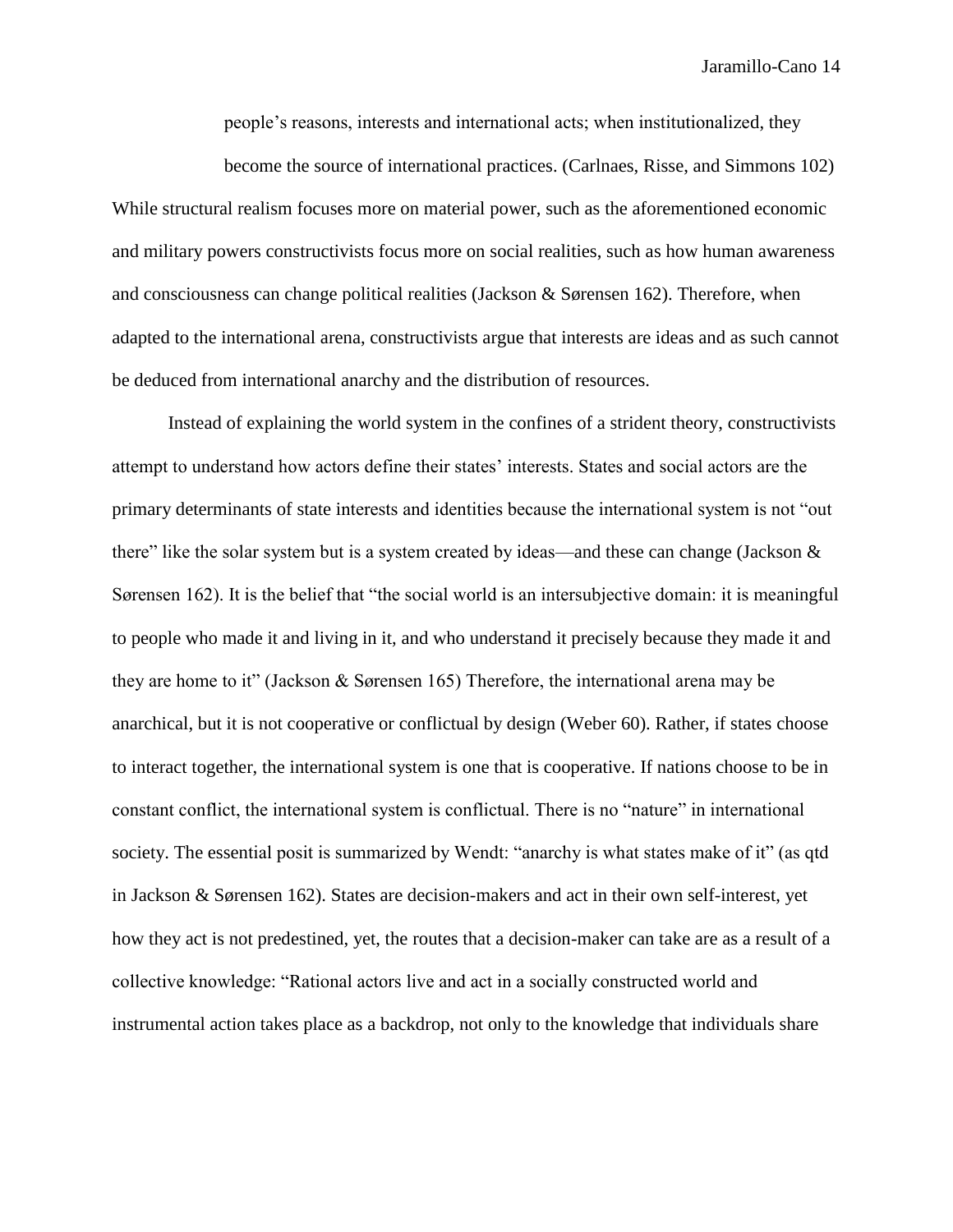people's reasons, interests and international acts; when institutionalized, they

become the source of international practices. (Carlnaes, Risse, and Simmons 102) While structural realism focuses more on material power, such as the aforementioned economic and military powers constructivists focus more on social realities, such as how human awareness and consciousness can change political realities (Jackson & Sørensen 162). Therefore, when adapted to the international arena, constructivists argue that interests are ideas and as such cannot be deduced from international anarchy and the distribution of resources.

Instead of explaining the world system in the confines of a strident theory, constructivists attempt to understand how actors define their states' interests. States and social actors are the primary determinants of state interests and identities because the international system is not "out there" like the solar system but is a system created by ideas—and these can change (Jackson  $\&$ Sørensen 162). It is the belief that "the social world is an intersubjective domain: it is meaningful to people who made it and living in it, and who understand it precisely because they made it and they are home to it" (Jackson & Sørensen 165) Therefore, the international arena may be anarchical, but it is not cooperative or conflictual by design (Weber 60). Rather, if states choose to interact together, the international system is one that is cooperative. If nations choose to be in constant conflict, the international system is conflictual. There is no "nature" in international society. The essential posit is summarized by Wendt: "anarchy is what states make of it" (as qtd in Jackson & Sørensen 162). States are decision-makers and act in their own self-interest, yet how they act is not predestined, yet, the routes that a decision-maker can take are as a result of a collective knowledge: "Rational actors live and act in a socially constructed world and instrumental action takes place as a backdrop, not only to the knowledge that individuals share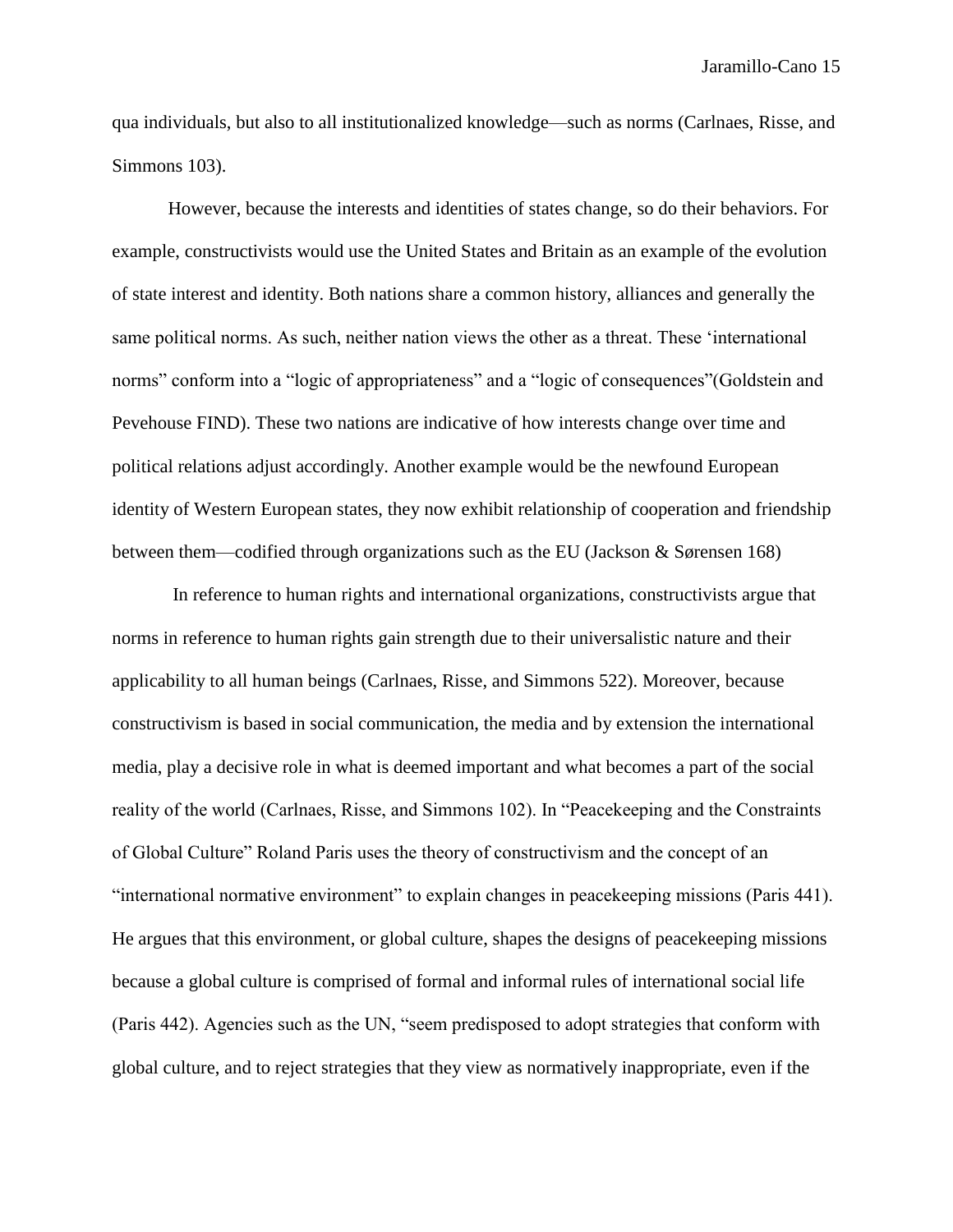qua individuals, but also to all institutionalized knowledge—such as norms (Carlnaes, Risse, and Simmons 103).

However, because the interests and identities of states change, so do their behaviors. For example, constructivists would use the United States and Britain as an example of the evolution of state interest and identity. Both nations share a common history, alliances and generally the same political norms. As such, neither nation views the other as a threat. These 'international norms" conform into a "logic of appropriateness" and a "logic of consequences"(Goldstein and Pevehouse FIND). These two nations are indicative of how interests change over time and political relations adjust accordingly. Another example would be the newfound European identity of Western European states, they now exhibit relationship of cooperation and friendship between them—codified through organizations such as the EU (Jackson & Sørensen 168)

In reference to human rights and international organizations, constructivists argue that norms in reference to human rights gain strength due to their universalistic nature and their applicability to all human beings (Carlnaes, Risse, and Simmons 522). Moreover, because constructivism is based in social communication, the media and by extension the international media, play a decisive role in what is deemed important and what becomes a part of the social reality of the world (Carlnaes, Risse, and Simmons 102). In "Peacekeeping and the Constraints of Global Culture" Roland Paris uses the theory of constructivism and the concept of an "international normative environment" to explain changes in peacekeeping missions (Paris 441). He argues that this environment, or global culture, shapes the designs of peacekeeping missions because a global culture is comprised of formal and informal rules of international social life (Paris 442). Agencies such as the UN, "seem predisposed to adopt strategies that conform with global culture, and to reject strategies that they view as normatively inappropriate, even if the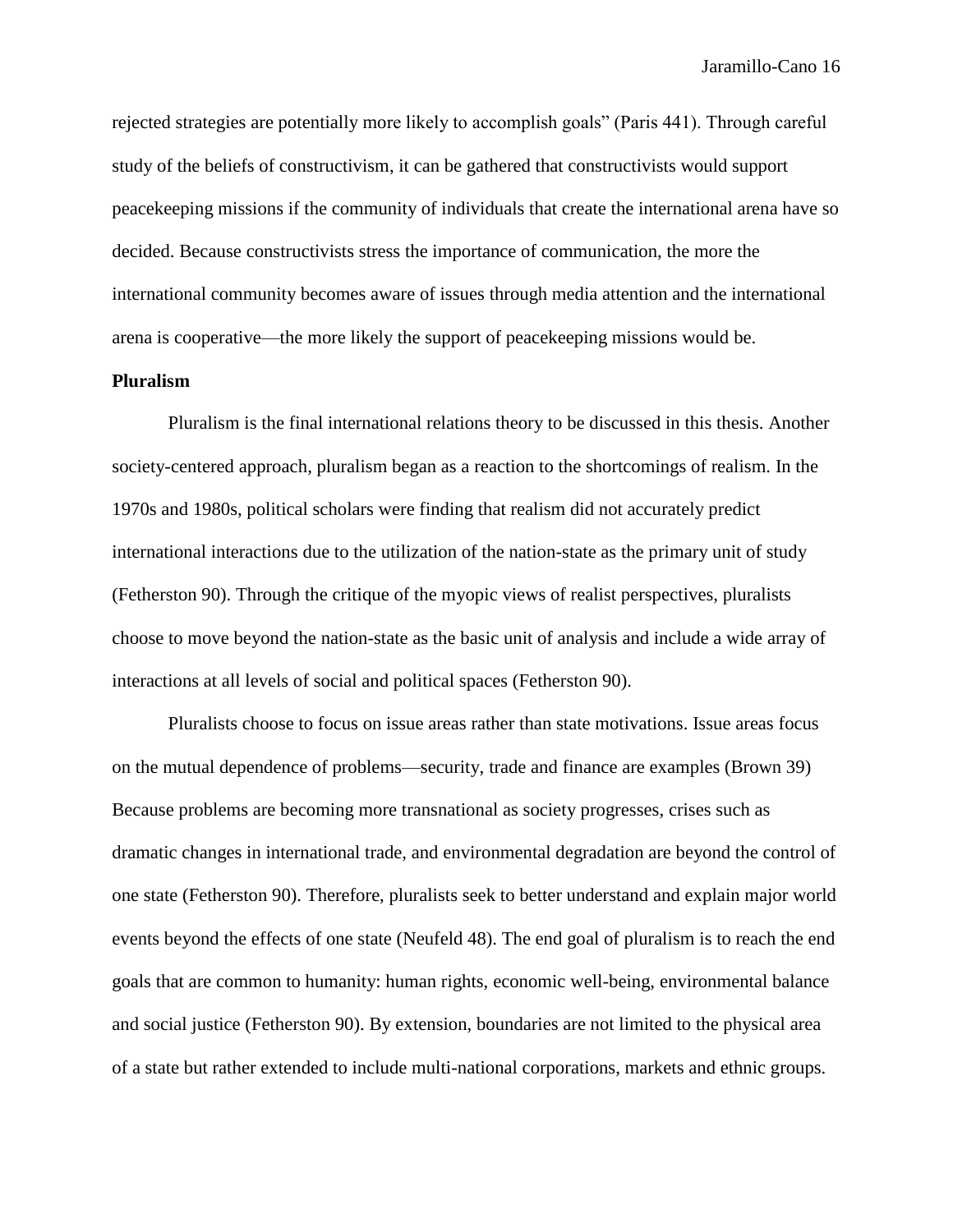rejected strategies are potentially more likely to accomplish goals" (Paris 441). Through careful study of the beliefs of constructivism, it can be gathered that constructivists would support peacekeeping missions if the community of individuals that create the international arena have so decided. Because constructivists stress the importance of communication, the more the international community becomes aware of issues through media attention and the international arena is cooperative—the more likely the support of peacekeeping missions would be.

# **Pluralism**

Pluralism is the final international relations theory to be discussed in this thesis. Another society-centered approach, pluralism began as a reaction to the shortcomings of realism. In the 1970s and 1980s, political scholars were finding that realism did not accurately predict international interactions due to the utilization of the nation-state as the primary unit of study (Fetherston 90). Through the critique of the myopic views of realist perspectives, pluralists choose to move beyond the nation-state as the basic unit of analysis and include a wide array of interactions at all levels of social and political spaces (Fetherston 90).

Pluralists choose to focus on issue areas rather than state motivations. Issue areas focus on the mutual dependence of problems—security, trade and finance are examples (Brown 39) Because problems are becoming more transnational as society progresses, crises such as dramatic changes in international trade, and environmental degradation are beyond the control of one state (Fetherston 90). Therefore, pluralists seek to better understand and explain major world events beyond the effects of one state (Neufeld 48). The end goal of pluralism is to reach the end goals that are common to humanity: human rights, economic well-being, environmental balance and social justice (Fetherston 90). By extension, boundaries are not limited to the physical area of a state but rather extended to include multi-national corporations, markets and ethnic groups.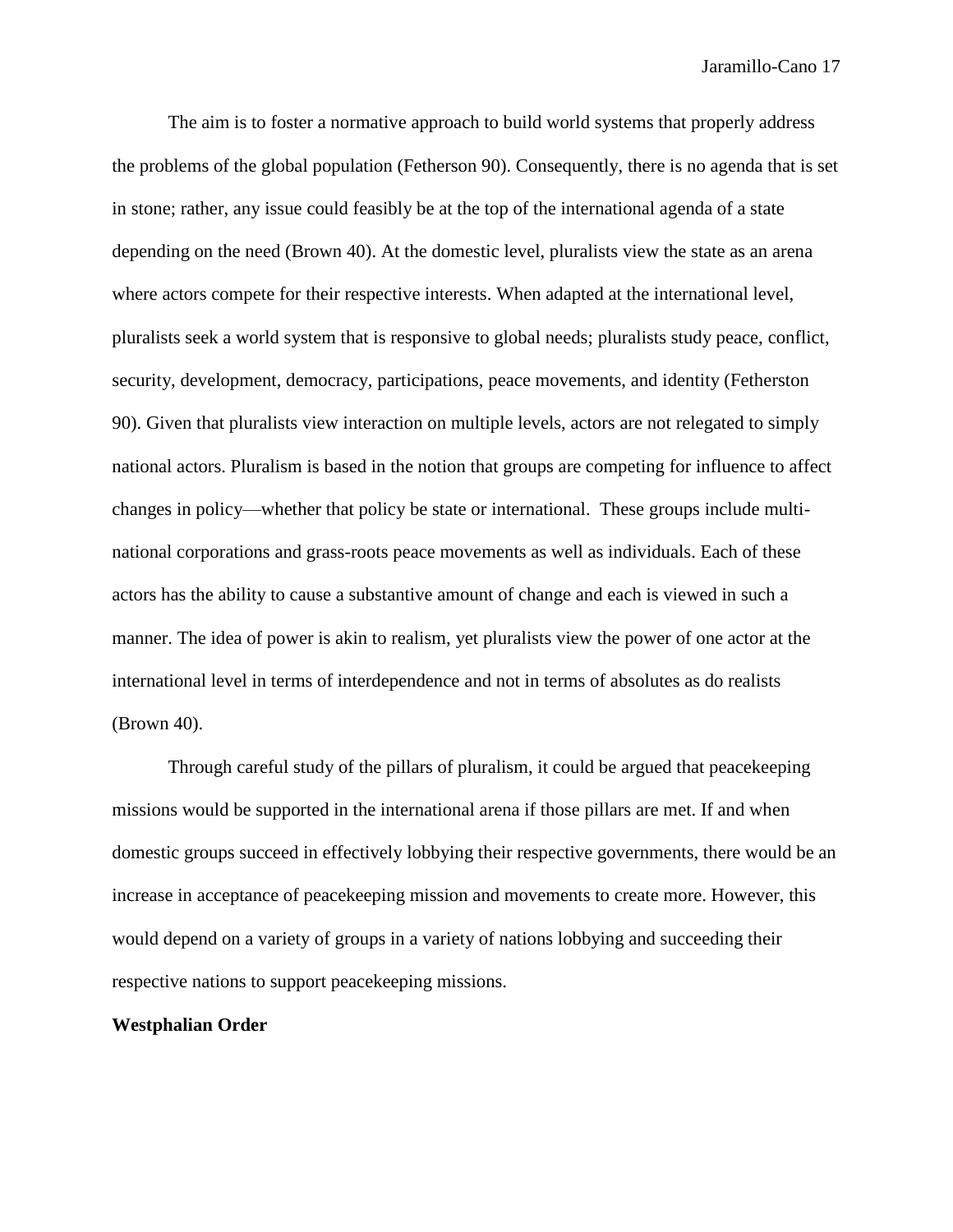The aim is to foster a normative approach to build world systems that properly address the problems of the global population (Fetherson 90). Consequently, there is no agenda that is set in stone; rather, any issue could feasibly be at the top of the international agenda of a state depending on the need (Brown 40). At the domestic level, pluralists view the state as an arena where actors compete for their respective interests. When adapted at the international level, pluralists seek a world system that is responsive to global needs; pluralists study peace, conflict, security, development, democracy, participations, peace movements, and identity (Fetherston 90). Given that pluralists view interaction on multiple levels, actors are not relegated to simply national actors. Pluralism is based in the notion that groups are competing for influence to affect changes in policy—whether that policy be state or international. These groups include multinational corporations and grass-roots peace movements as well as individuals. Each of these actors has the ability to cause a substantive amount of change and each is viewed in such a manner. The idea of power is akin to realism, yet pluralists view the power of one actor at the international level in terms of interdependence and not in terms of absolutes as do realists (Brown 40).

Through careful study of the pillars of pluralism, it could be argued that peacekeeping missions would be supported in the international arena if those pillars are met. If and when domestic groups succeed in effectively lobbying their respective governments, there would be an increase in acceptance of peacekeeping mission and movements to create more. However, this would depend on a variety of groups in a variety of nations lobbying and succeeding their respective nations to support peacekeeping missions.

# **Westphalian Order**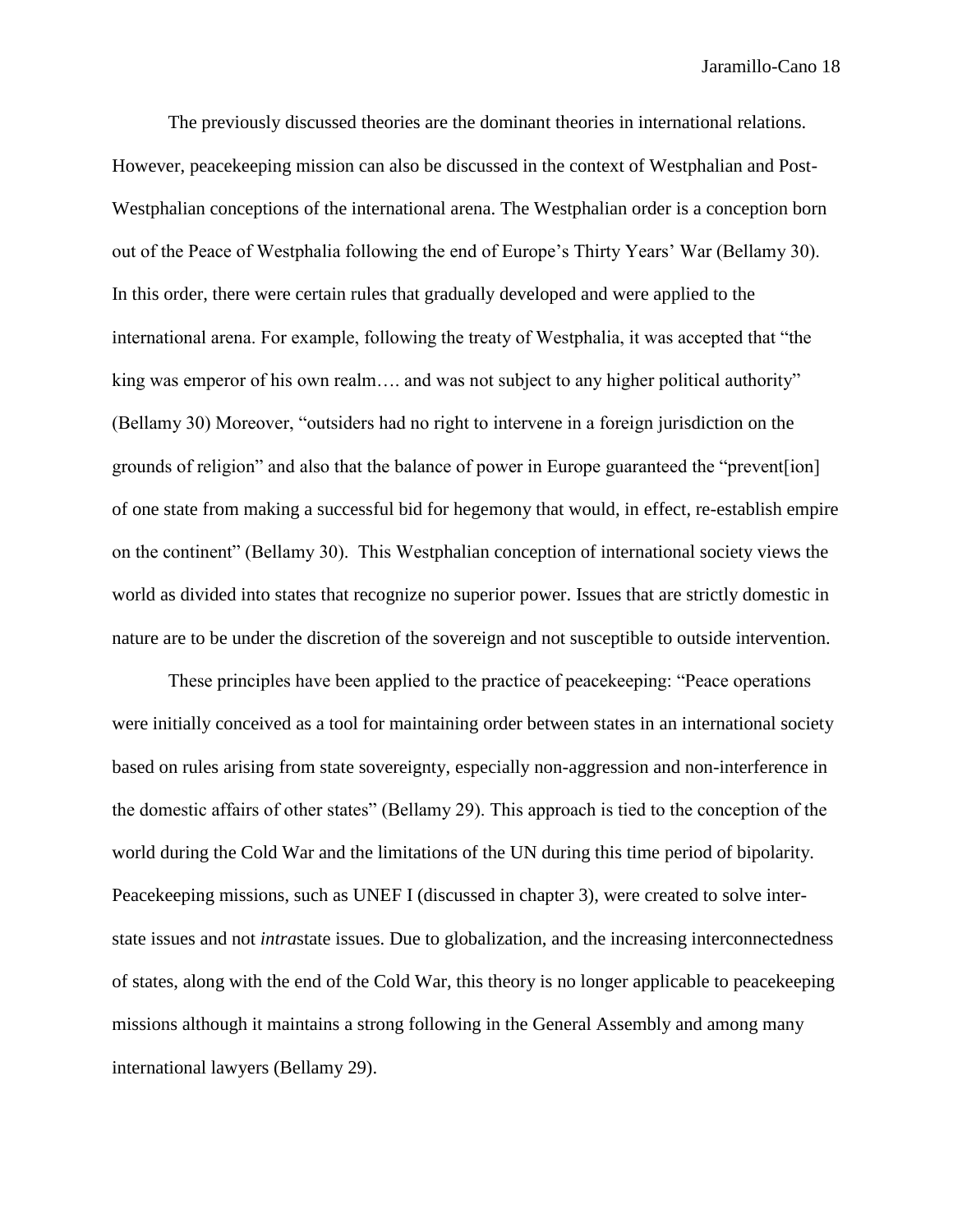The previously discussed theories are the dominant theories in international relations. However, peacekeeping mission can also be discussed in the context of Westphalian and Post-Westphalian conceptions of the international arena. The Westphalian order is a conception born out of the Peace of Westphalia following the end of Europe's Thirty Years' War (Bellamy 30). In this order, there were certain rules that gradually developed and were applied to the international arena. For example, following the treaty of Westphalia, it was accepted that "the king was emperor of his own realm…. and was not subject to any higher political authority" (Bellamy 30) Moreover, "outsiders had no right to intervene in a foreign jurisdiction on the grounds of religion" and also that the balance of power in Europe guaranteed the "prevent[ion] of one state from making a successful bid for hegemony that would, in effect, re-establish empire on the continent" (Bellamy 30). This Westphalian conception of international society views the world as divided into states that recognize no superior power. Issues that are strictly domestic in nature are to be under the discretion of the sovereign and not susceptible to outside intervention.

These principles have been applied to the practice of peacekeeping: "Peace operations were initially conceived as a tool for maintaining order between states in an international society based on rules arising from state sovereignty, especially non-aggression and non-interference in the domestic affairs of other states" (Bellamy 29). This approach is tied to the conception of the world during the Cold War and the limitations of the UN during this time period of bipolarity. Peacekeeping missions, such as UNEF I (discussed in chapter 3), were created to solve interstate issues and not *intra*state issues. Due to globalization, and the increasing interconnectedness of states, along with the end of the Cold War, this theory is no longer applicable to peacekeeping missions although it maintains a strong following in the General Assembly and among many international lawyers (Bellamy 29).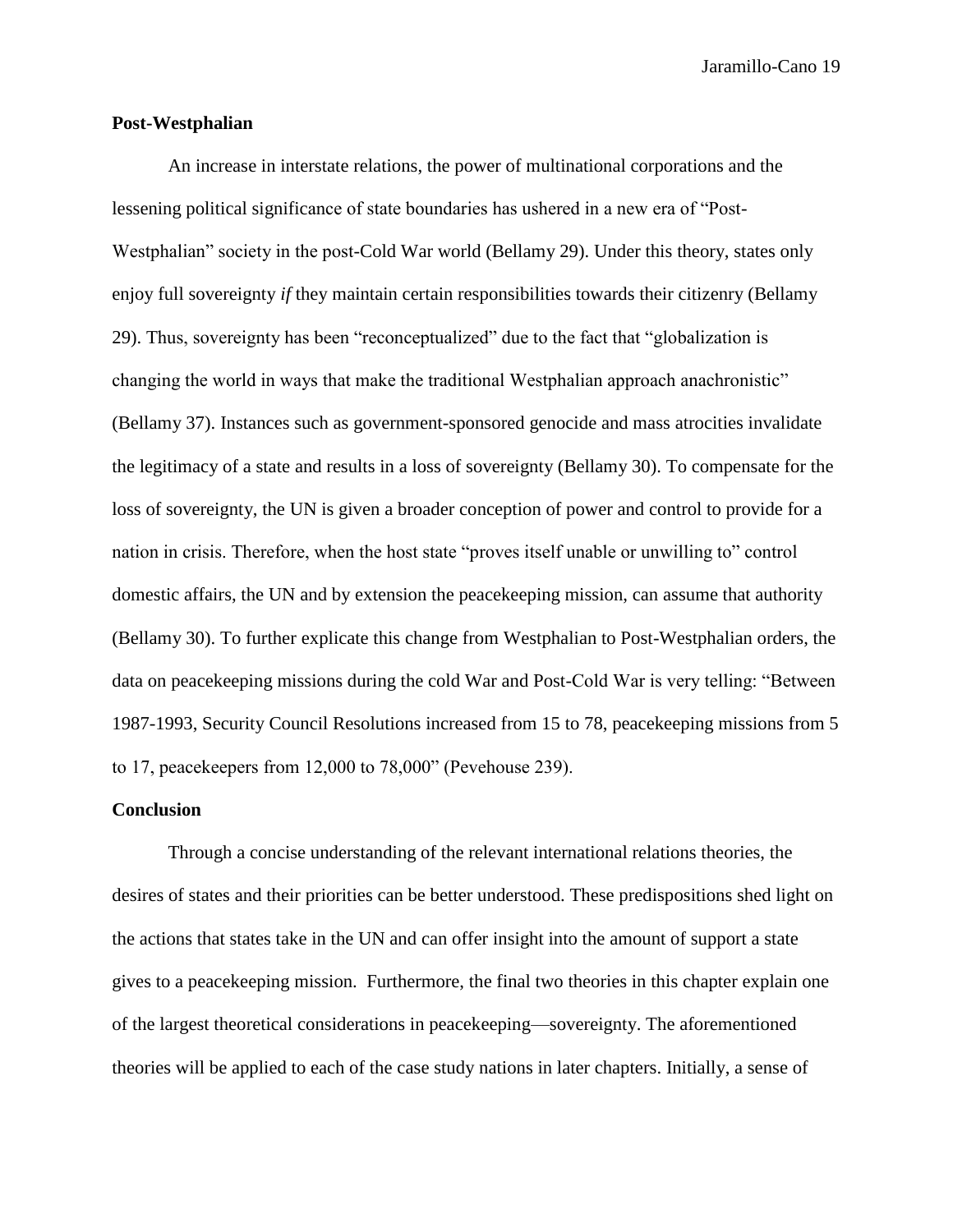# **Post-Westphalian**

An increase in interstate relations, the power of multinational corporations and the lessening political significance of state boundaries has ushered in a new era of "Post-Westphalian" society in the post-Cold War world (Bellamy 29). Under this theory, states only enjoy full sovereignty *if* they maintain certain responsibilities towards their citizenry (Bellamy 29). Thus, sovereignty has been "reconceptualized" due to the fact that "globalization is changing the world in ways that make the traditional Westphalian approach anachronistic" (Bellamy 37). Instances such as government-sponsored genocide and mass atrocities invalidate the legitimacy of a state and results in a loss of sovereignty (Bellamy 30). To compensate for the loss of sovereignty, the UN is given a broader conception of power and control to provide for a nation in crisis. Therefore, when the host state "proves itself unable or unwilling to" control domestic affairs, the UN and by extension the peacekeeping mission, can assume that authority (Bellamy 30). To further explicate this change from Westphalian to Post-Westphalian orders, the data on peacekeeping missions during the cold War and Post-Cold War is very telling: "Between 1987-1993, Security Council Resolutions increased from 15 to 78, peacekeeping missions from 5 to 17, peacekeepers from 12,000 to 78,000" (Pevehouse 239).

#### **Conclusion**

Through a concise understanding of the relevant international relations theories, the desires of states and their priorities can be better understood. These predispositions shed light on the actions that states take in the UN and can offer insight into the amount of support a state gives to a peacekeeping mission. Furthermore, the final two theories in this chapter explain one of the largest theoretical considerations in peacekeeping—sovereignty. The aforementioned theories will be applied to each of the case study nations in later chapters. Initially, a sense of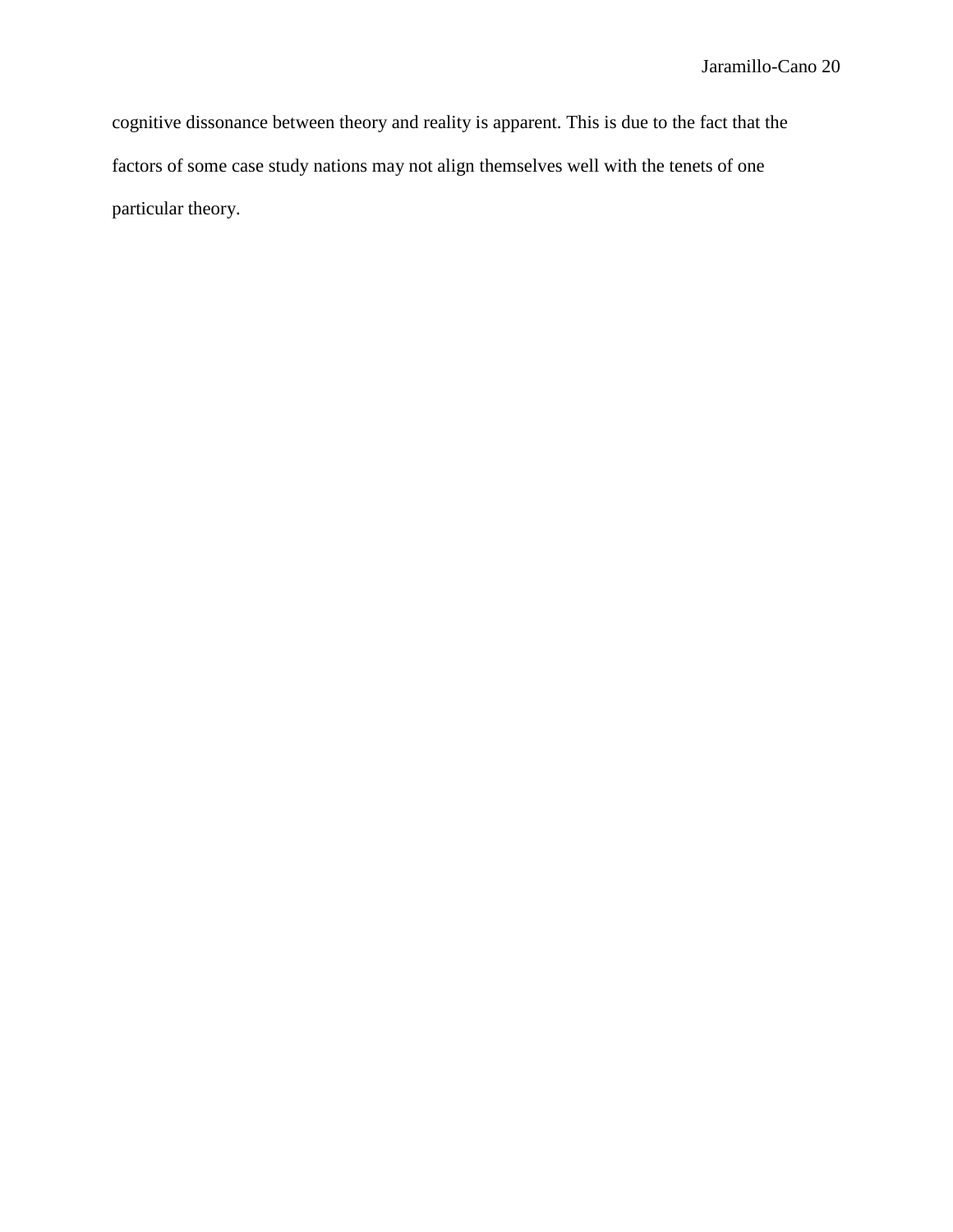cognitive dissonance between theory and reality is apparent. This is due to the fact that the factors of some case study nations may not align themselves well with the tenets of one particular theory.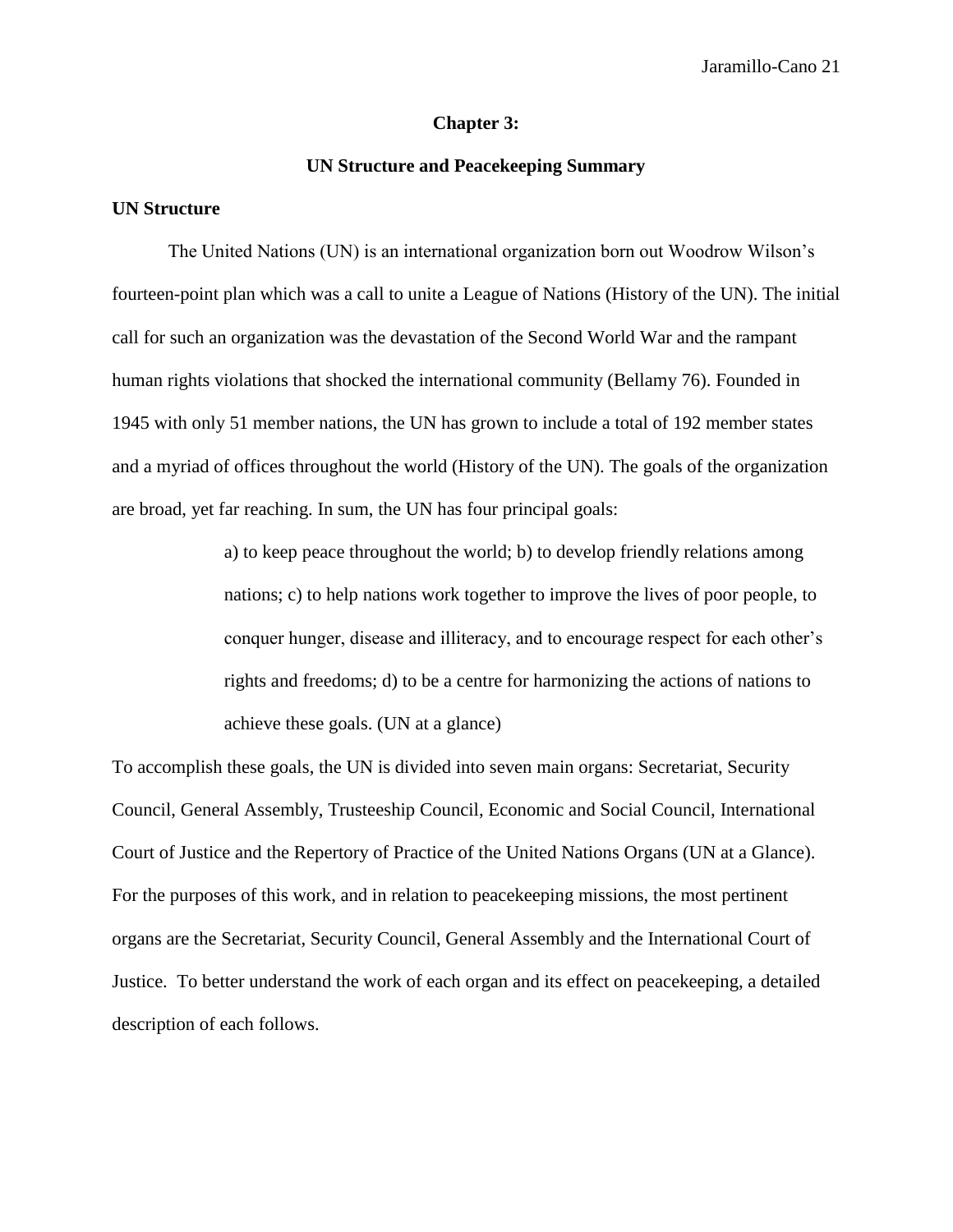#### **Chapter 3:**

# **UN Structure and Peacekeeping Summary**

# **UN Structure**

The United Nations (UN) is an international organization born out Woodrow Wilson's fourteen-point plan which was a call to unite a League of Nations (History of the UN). The initial call for such an organization was the devastation of the Second World War and the rampant human rights violations that shocked the international community (Bellamy 76). Founded in 1945 with only 51 member nations, the UN has grown to include a total of 192 member states and a myriad of offices throughout the world (History of the UN). The goals of the organization are broad, yet far reaching. In sum, the UN has four principal goals:

> a) to keep peace throughout the world; b) to develop friendly relations among nations; c) to help nations work together to improve the lives of poor people, to conquer hunger, disease and illiteracy, and to encourage respect for each other's rights and freedoms; d) to be a centre for harmonizing the actions of nations to achieve these goals. (UN at a glance)

To accomplish these goals, the UN is divided into seven main organs: Secretariat, Security Council, General Assembly, Trusteeship Council, Economic and Social Council, International Court of Justice and the Repertory of Practice of the United Nations Organs (UN at a Glance). For the purposes of this work, and in relation to peacekeeping missions, the most pertinent organs are the Secretariat, Security Council, General Assembly and the International Court of Justice. To better understand the work of each organ and its effect on peacekeeping, a detailed description of each follows.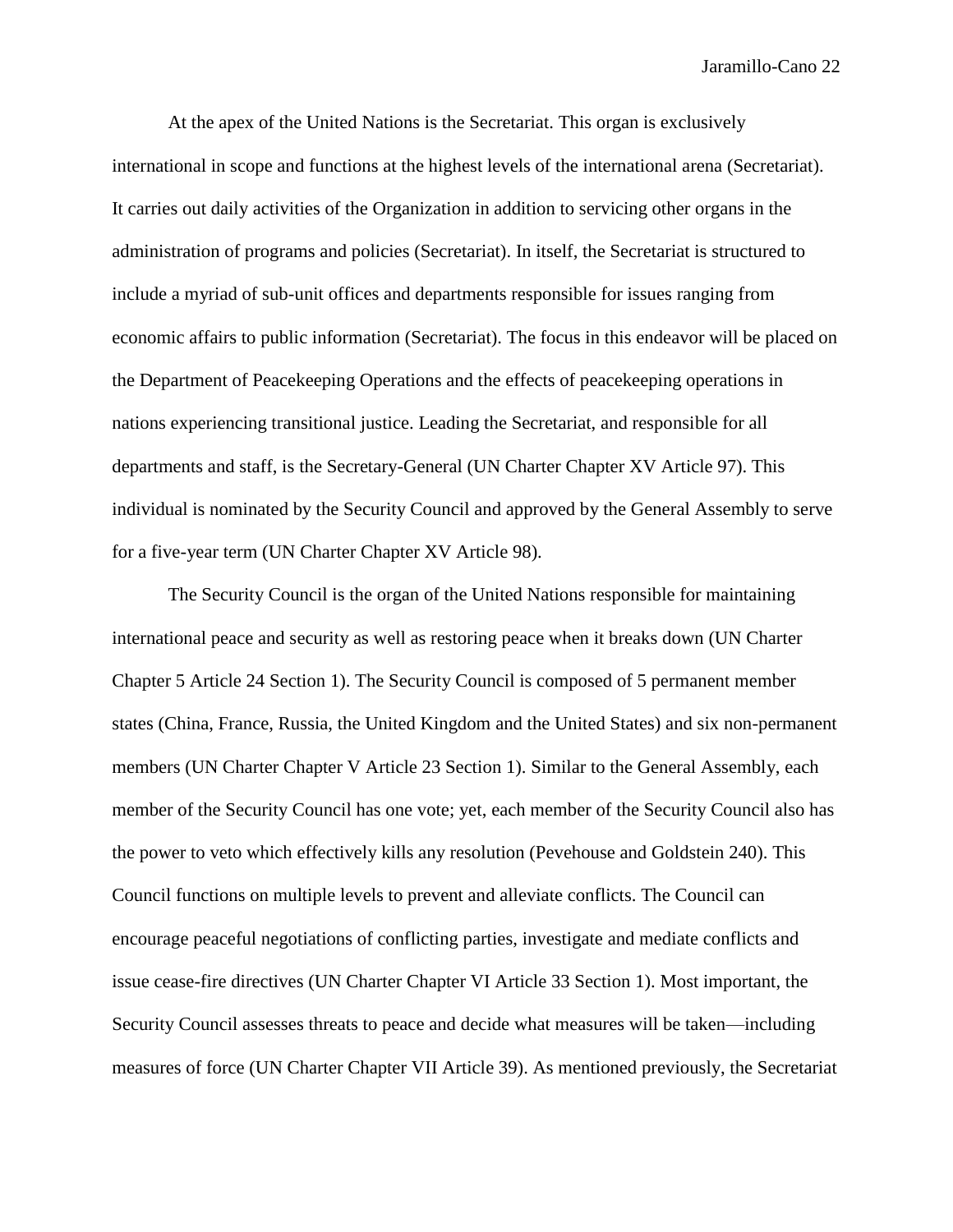At the apex of the United Nations is the Secretariat. This organ is exclusively international in scope and functions at the highest levels of the international arena (Secretariat). It carries out daily activities of the Organization in addition to servicing other organs in the administration of programs and policies (Secretariat). In itself, the Secretariat is structured to include a myriad of sub-unit offices and departments responsible for issues ranging from economic affairs to public information (Secretariat). The focus in this endeavor will be placed on the Department of Peacekeeping Operations and the effects of peacekeeping operations in nations experiencing transitional justice. Leading the Secretariat, and responsible for all departments and staff, is the Secretary-General (UN Charter Chapter XV Article 97). This individual is nominated by the Security Council and approved by the General Assembly to serve for a five-year term (UN Charter Chapter XV Article 98).

The Security Council is the organ of the United Nations responsible for maintaining international peace and security as well as restoring peace when it breaks down (UN Charter Chapter 5 Article 24 Section 1). The Security Council is composed of 5 permanent member states (China, France, Russia, the United Kingdom and the United States) and six non-permanent members (UN Charter Chapter V Article 23 Section 1). Similar to the General Assembly, each member of the Security Council has one vote; yet, each member of the Security Council also has the power to veto which effectively kills any resolution (Pevehouse and Goldstein 240). This Council functions on multiple levels to prevent and alleviate conflicts. The Council can encourage peaceful negotiations of conflicting parties, investigate and mediate conflicts and issue cease-fire directives (UN Charter Chapter VI Article 33 Section 1). Most important, the Security Council assesses threats to peace and decide what measures will be taken—including measures of force (UN Charter Chapter VII Article 39). As mentioned previously, the Secretariat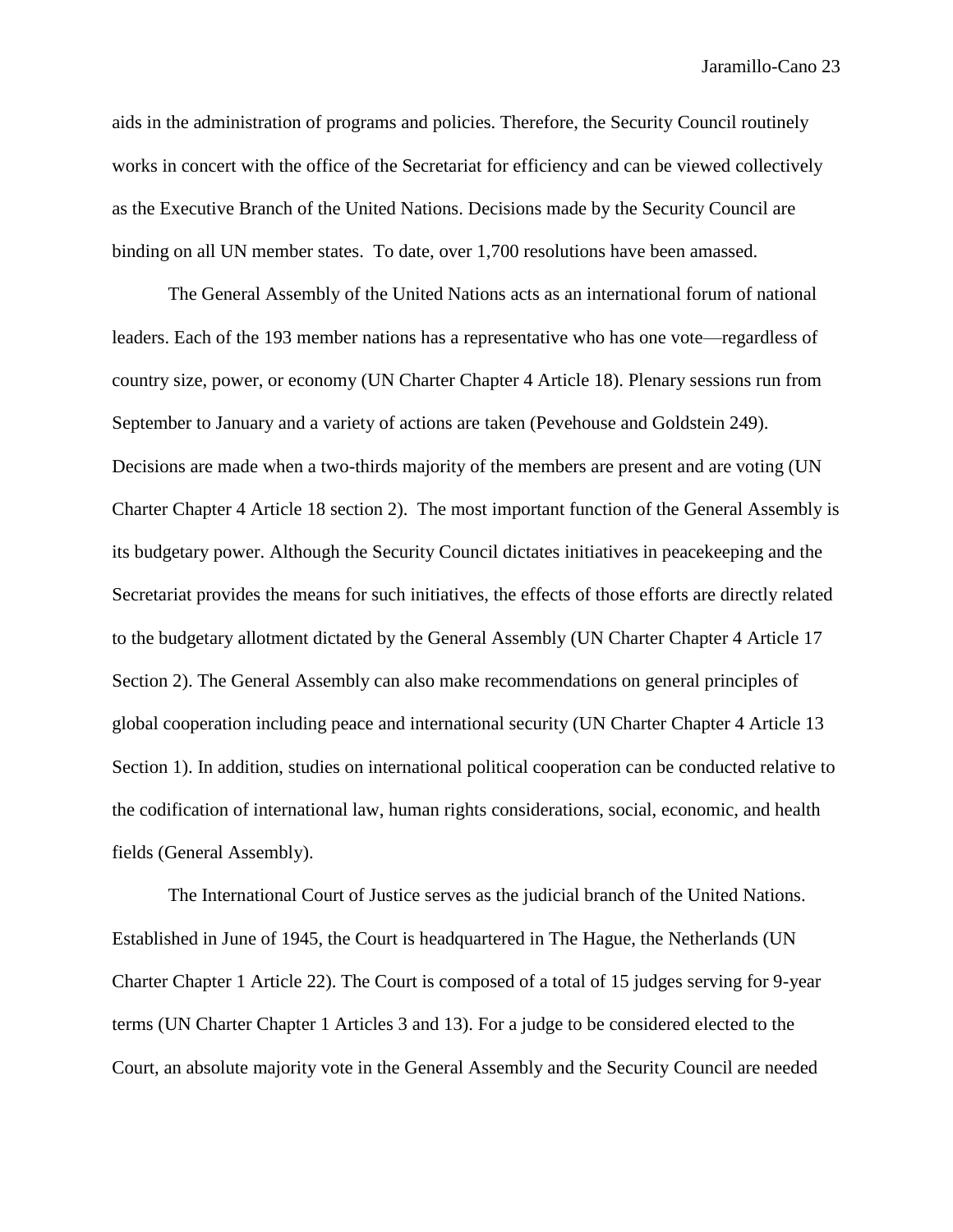aids in the administration of programs and policies. Therefore, the Security Council routinely works in concert with the office of the Secretariat for efficiency and can be viewed collectively as the Executive Branch of the United Nations. Decisions made by the Security Council are binding on all UN member states. To date, over 1,700 resolutions have been amassed.

The General Assembly of the United Nations acts as an international forum of national leaders. Each of the 193 member nations has a representative who has one vote—regardless of country size, power, or economy (UN Charter Chapter 4 Article 18). Plenary sessions run from September to January and a variety of actions are taken (Pevehouse and Goldstein 249). Decisions are made when a two-thirds majority of the members are present and are voting (UN Charter Chapter 4 Article 18 section 2). The most important function of the General Assembly is its budgetary power. Although the Security Council dictates initiatives in peacekeeping and the Secretariat provides the means for such initiatives, the effects of those efforts are directly related to the budgetary allotment dictated by the General Assembly (UN Charter Chapter 4 Article 17 Section 2). The General Assembly can also make recommendations on general principles of global cooperation including peace and international security (UN Charter Chapter 4 Article 13 Section 1). In addition, studies on international political cooperation can be conducted relative to the codification of international law, human rights considerations, social, economic, and health fields (General Assembly).

The International Court of Justice serves as the judicial branch of the United Nations. Established in June of 1945, the Court is headquartered in The Hague, the Netherlands (UN Charter Chapter 1 Article 22). The Court is composed of a total of 15 judges serving for 9-year terms (UN Charter Chapter 1 Articles 3 and 13). For a judge to be considered elected to the Court, an absolute majority vote in the General Assembly and the Security Council are needed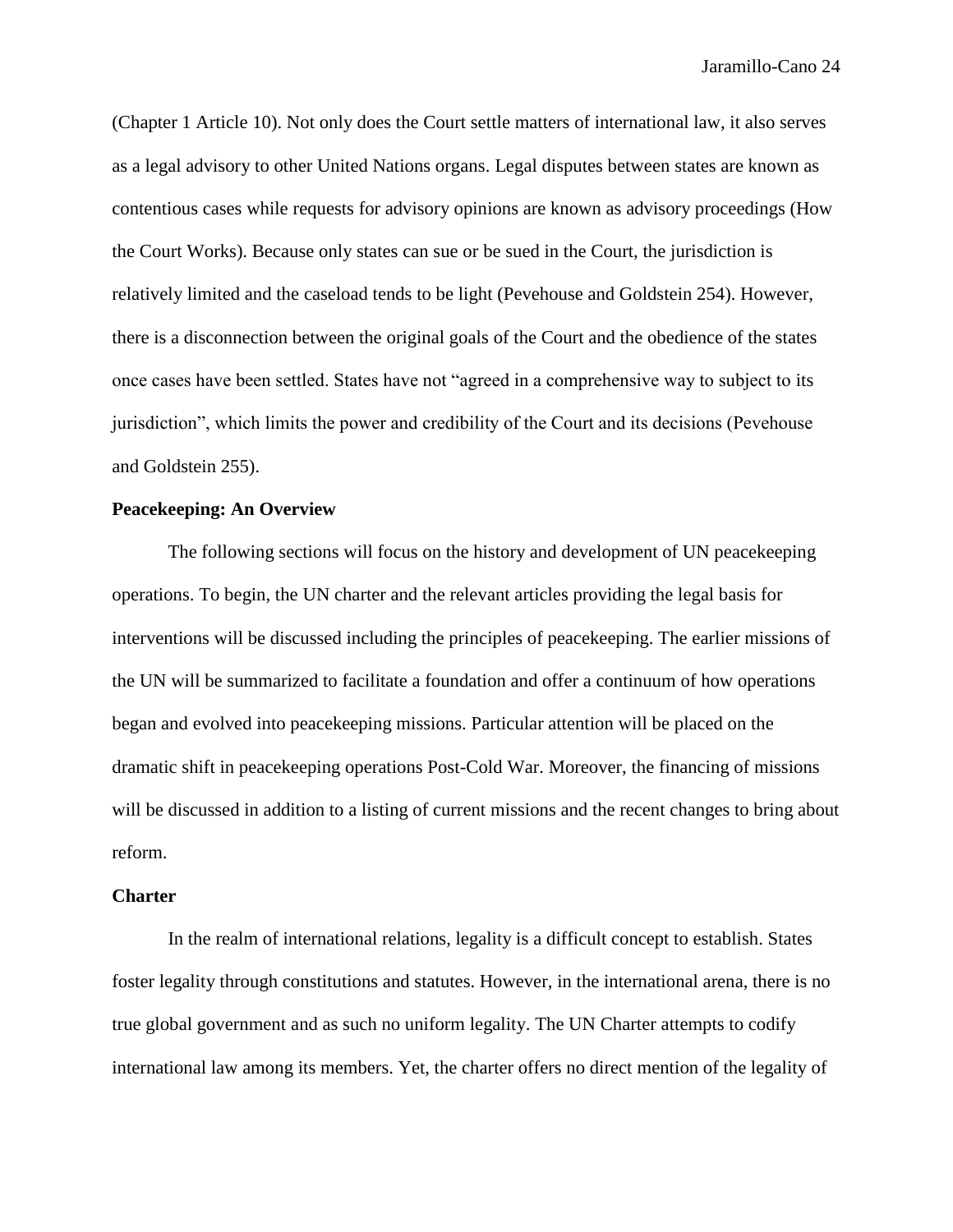(Chapter 1 Article 10). Not only does the Court settle matters of international law, it also serves as a legal advisory to other United Nations organs. Legal disputes between states are known as contentious cases while requests for advisory opinions are known as advisory proceedings (How the Court Works). Because only states can sue or be sued in the Court, the jurisdiction is relatively limited and the caseload tends to be light (Pevehouse and Goldstein 254). However, there is a disconnection between the original goals of the Court and the obedience of the states once cases have been settled. States have not "agreed in a comprehensive way to subject to its jurisdiction", which limits the power and credibility of the Court and its decisions (Pevehouse and Goldstein 255).

# **Peacekeeping: An Overview**

The following sections will focus on the history and development of UN peacekeeping operations. To begin, the UN charter and the relevant articles providing the legal basis for interventions will be discussed including the principles of peacekeeping. The earlier missions of the UN will be summarized to facilitate a foundation and offer a continuum of how operations began and evolved into peacekeeping missions. Particular attention will be placed on the dramatic shift in peacekeeping operations Post-Cold War. Moreover, the financing of missions will be discussed in addition to a listing of current missions and the recent changes to bring about reform.

# **Charter**

In the realm of international relations, legality is a difficult concept to establish. States foster legality through constitutions and statutes. However, in the international arena, there is no true global government and as such no uniform legality. The UN Charter attempts to codify international law among its members. Yet, the charter offers no direct mention of the legality of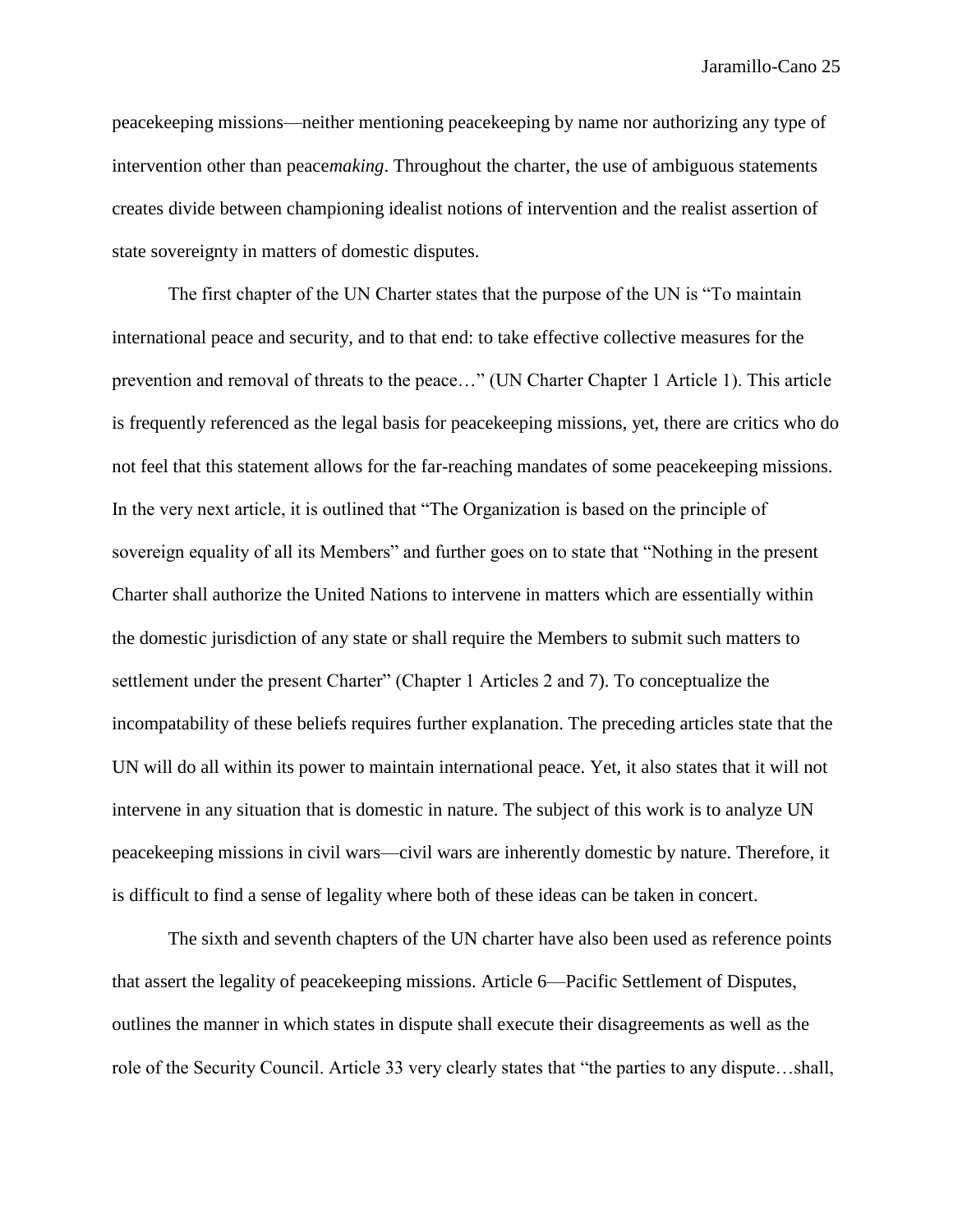peacekeeping missions—neither mentioning peacekeeping by name nor authorizing any type of intervention other than peace*making*. Throughout the charter, the use of ambiguous statements creates divide between championing idealist notions of intervention and the realist assertion of state sovereignty in matters of domestic disputes.

The first chapter of the UN Charter states that the purpose of the UN is "To maintain international peace and security, and to that end: to take effective collective measures for the prevention and removal of threats to the peace…" (UN Charter Chapter 1 Article 1). This article is frequently referenced as the legal basis for peacekeeping missions, yet, there are critics who do not feel that this statement allows for the far-reaching mandates of some peacekeeping missions. In the very next article, it is outlined that "The Organization is based on the principle of sovereign equality of all its Members" and further goes on to state that "Nothing in the present Charter shall authorize the United Nations to intervene in matters which are essentially within the domestic jurisdiction of any state or shall require the Members to submit such matters to settlement under the present Charter" (Chapter 1 Articles 2 and 7). To conceptualize the incompatability of these beliefs requires further explanation. The preceding articles state that the UN will do all within its power to maintain international peace. Yet, it also states that it will not intervene in any situation that is domestic in nature. The subject of this work is to analyze UN peacekeeping missions in civil wars—civil wars are inherently domestic by nature. Therefore, it is difficult to find a sense of legality where both of these ideas can be taken in concert.

The sixth and seventh chapters of the UN charter have also been used as reference points that assert the legality of peacekeeping missions. Article 6—Pacific Settlement of Disputes, outlines the manner in which states in dispute shall execute their disagreements as well as the role of the Security Council. Article 33 very clearly states that "the parties to any dispute…shall,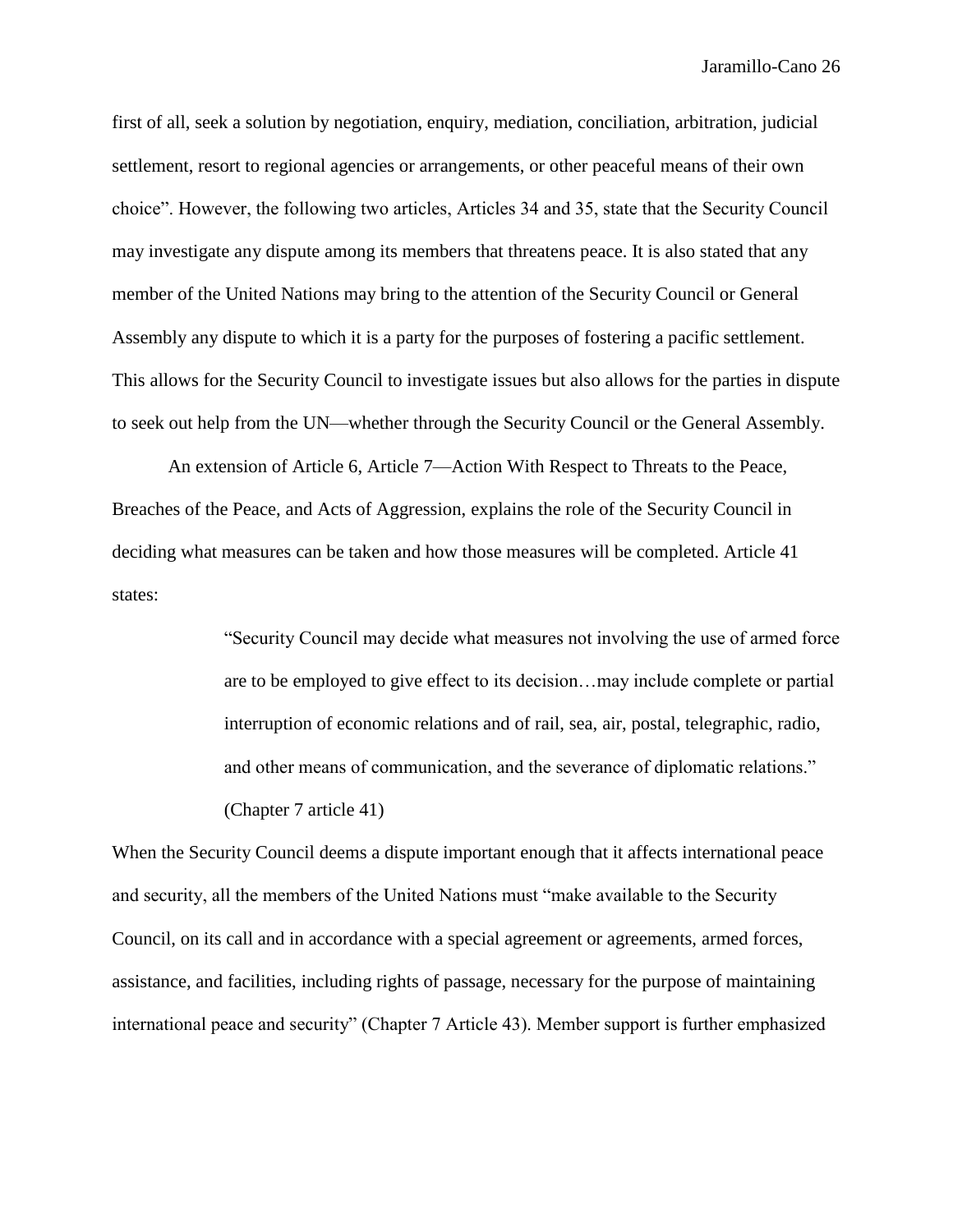first of all, seek a solution by negotiation, enquiry, mediation, conciliation, arbitration, judicial settlement, resort to regional agencies or arrangements, or other peaceful means of their own choice". However, the following two articles, Articles 34 and 35, state that the Security Council may investigate any dispute among its members that threatens peace. It is also stated that any member of the United Nations may bring to the attention of the Security Council or General Assembly any dispute to which it is a party for the purposes of fostering a pacific settlement. This allows for the Security Council to investigate issues but also allows for the parties in dispute to seek out help from the UN—whether through the Security Council or the General Assembly.

An extension of Article 6, Article 7—Action With Respect to Threats to the Peace, Breaches of the Peace, and Acts of Aggression, explains the role of the Security Council in deciding what measures can be taken and how those measures will be completed. Article 41 states:

> "Security Council may decide what measures not involving the use of armed force are to be employed to give effect to its decision…may include complete or partial interruption of economic relations and of rail, sea, air, postal, telegraphic, radio, and other means of communication, and the severance of diplomatic relations." (Chapter 7 article 41)

When the Security Council deems a dispute important enough that it affects international peace and security, all the members of the United Nations must "make available to the Security Council, on its call and in accordance with a special agreement or agreements, armed forces, assistance, and facilities, including rights of passage, necessary for the purpose of maintaining international peace and security" (Chapter 7 Article 43). Member support is further emphasized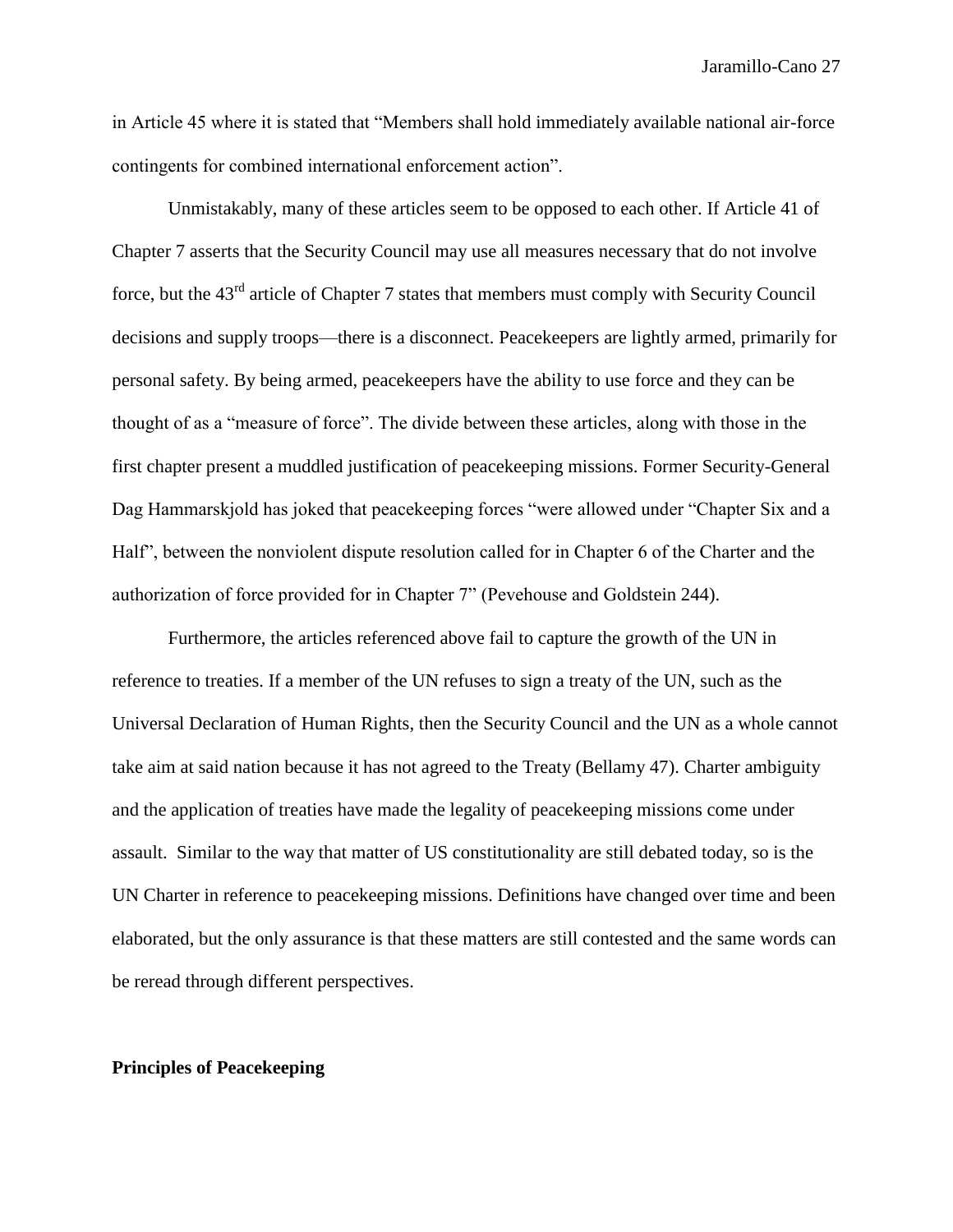in Article 45 where it is stated that "Members shall hold immediately available national air-force contingents for combined international enforcement action".

Unmistakably, many of these articles seem to be opposed to each other. If Article 41 of Chapter 7 asserts that the Security Council may use all measures necessary that do not involve force, but the  $43<sup>rd</sup>$  article of Chapter 7 states that members must comply with Security Council decisions and supply troops—there is a disconnect. Peacekeepers are lightly armed, primarily for personal safety. By being armed, peacekeepers have the ability to use force and they can be thought of as a "measure of force". The divide between these articles, along with those in the first chapter present a muddled justification of peacekeeping missions. Former Security-General Dag Hammarskjold has joked that peacekeeping forces "were allowed under "Chapter Six and a Half", between the nonviolent dispute resolution called for in Chapter 6 of the Charter and the authorization of force provided for in Chapter 7" (Pevehouse and Goldstein 244).

Furthermore, the articles referenced above fail to capture the growth of the UN in reference to treaties. If a member of the UN refuses to sign a treaty of the UN, such as the Universal Declaration of Human Rights, then the Security Council and the UN as a whole cannot take aim at said nation because it has not agreed to the Treaty (Bellamy 47). Charter ambiguity and the application of treaties have made the legality of peacekeeping missions come under assault. Similar to the way that matter of US constitutionality are still debated today, so is the UN Charter in reference to peacekeeping missions. Definitions have changed over time and been elaborated, but the only assurance is that these matters are still contested and the same words can be reread through different perspectives.

### **Principles of Peacekeeping**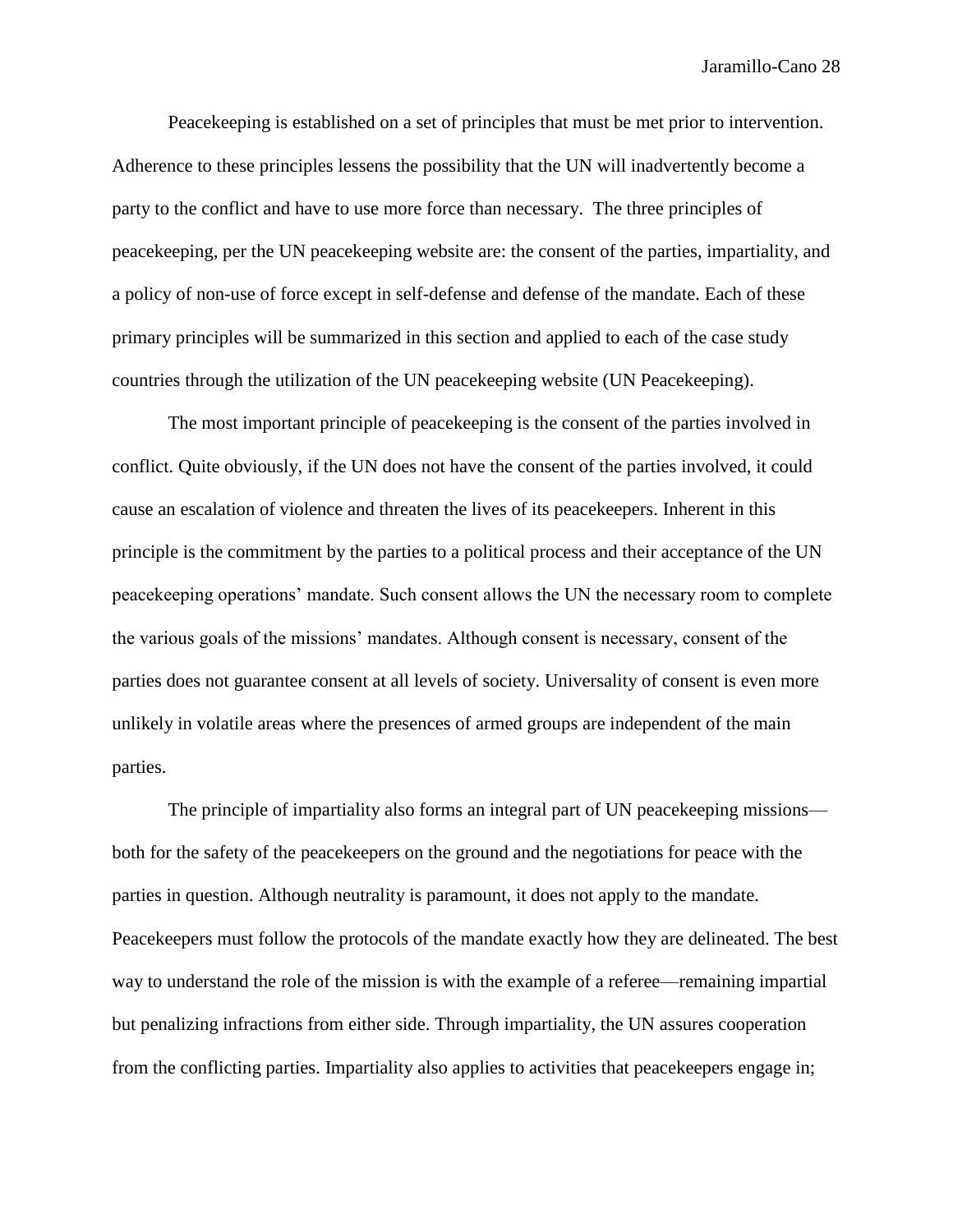Peacekeeping is established on a set of principles that must be met prior to intervention. Adherence to these principles lessens the possibility that the UN will inadvertently become a party to the conflict and have to use more force than necessary. The three principles of peacekeeping, per the UN peacekeeping website are: the consent of the parties, impartiality, and a policy of non-use of force except in self-defense and defense of the mandate. Each of these primary principles will be summarized in this section and applied to each of the case study countries through the utilization of the UN peacekeeping website (UN Peacekeeping).

The most important principle of peacekeeping is the consent of the parties involved in conflict. Quite obviously, if the UN does not have the consent of the parties involved, it could cause an escalation of violence and threaten the lives of its peacekeepers. Inherent in this principle is the commitment by the parties to a political process and their acceptance of the UN peacekeeping operations' mandate. Such consent allows the UN the necessary room to complete the various goals of the missions' mandates. Although consent is necessary, consent of the parties does not guarantee consent at all levels of society. Universality of consent is even more unlikely in volatile areas where the presences of armed groups are independent of the main parties.

The principle of impartiality also forms an integral part of UN peacekeeping missions both for the safety of the peacekeepers on the ground and the negotiations for peace with the parties in question. Although neutrality is paramount, it does not apply to the mandate. Peacekeepers must follow the protocols of the mandate exactly how they are delineated. The best way to understand the role of the mission is with the example of a referee—remaining impartial but penalizing infractions from either side. Through impartiality, the UN assures cooperation from the conflicting parties. Impartiality also applies to activities that peacekeepers engage in;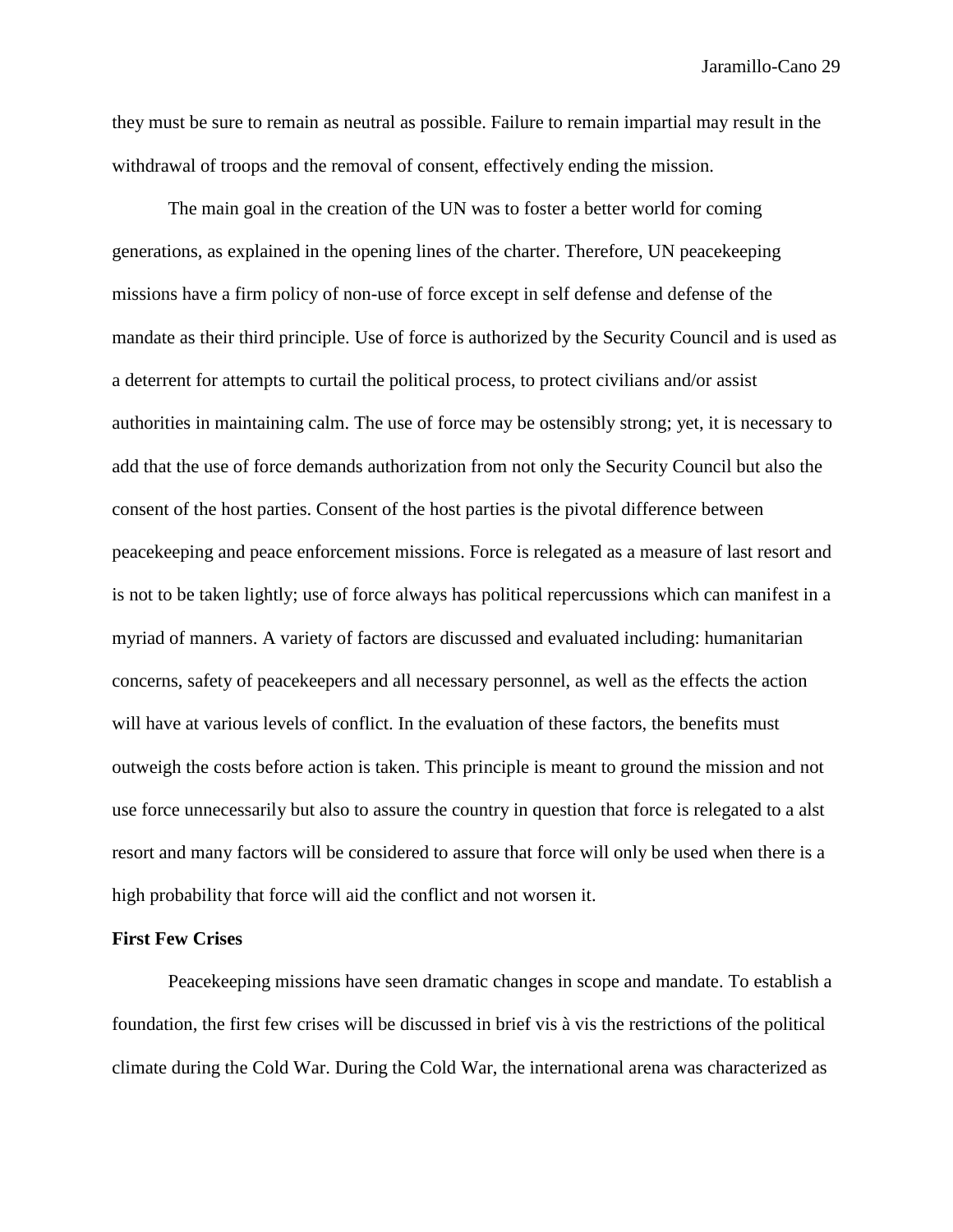they must be sure to remain as neutral as possible. Failure to remain impartial may result in the withdrawal of troops and the removal of consent, effectively ending the mission.

The main goal in the creation of the UN was to foster a better world for coming generations, as explained in the opening lines of the charter. Therefore, UN peacekeeping missions have a firm policy of non-use of force except in self defense and defense of the mandate as their third principle. Use of force is authorized by the Security Council and is used as a deterrent for attempts to curtail the political process, to protect civilians and/or assist authorities in maintaining calm. The use of force may be ostensibly strong; yet, it is necessary to add that the use of force demands authorization from not only the Security Council but also the consent of the host parties. Consent of the host parties is the pivotal difference between peacekeeping and peace enforcement missions. Force is relegated as a measure of last resort and is not to be taken lightly; use of force always has political repercussions which can manifest in a myriad of manners. A variety of factors are discussed and evaluated including: humanitarian concerns, safety of peacekeepers and all necessary personnel, as well as the effects the action will have at various levels of conflict. In the evaluation of these factors, the benefits must outweigh the costs before action is taken. This principle is meant to ground the mission and not use force unnecessarily but also to assure the country in question that force is relegated to a alst resort and many factors will be considered to assure that force will only be used when there is a high probability that force will aid the conflict and not worsen it.

# **First Few Crises**

Peacekeeping missions have seen dramatic changes in scope and mandate. To establish a foundation, the first few crises will be discussed in brief vis à vis the restrictions of the political climate during the Cold War. During the Cold War, the international arena was characterized as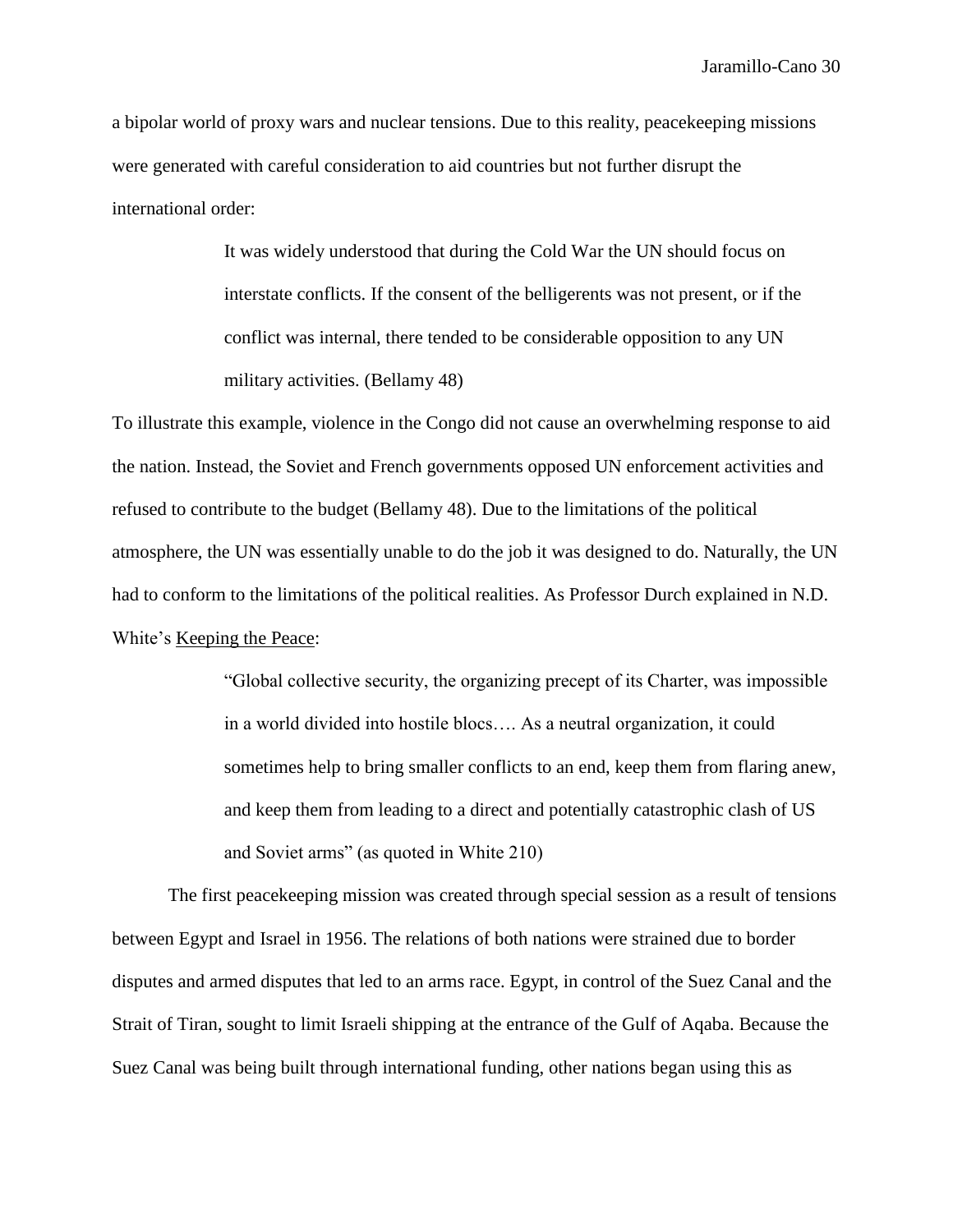a bipolar world of proxy wars and nuclear tensions. Due to this reality, peacekeeping missions were generated with careful consideration to aid countries but not further disrupt the international order:

> It was widely understood that during the Cold War the UN should focus on interstate conflicts. If the consent of the belligerents was not present, or if the conflict was internal, there tended to be considerable opposition to any UN military activities. (Bellamy 48)

To illustrate this example, violence in the Congo did not cause an overwhelming response to aid the nation. Instead, the Soviet and French governments opposed UN enforcement activities and refused to contribute to the budget (Bellamy 48). Due to the limitations of the political atmosphere, the UN was essentially unable to do the job it was designed to do. Naturally, the UN had to conform to the limitations of the political realities. As Professor Durch explained in N.D. White's Keeping the Peace:

> "Global collective security, the organizing precept of its Charter, was impossible in a world divided into hostile blocs…. As a neutral organization, it could sometimes help to bring smaller conflicts to an end, keep them from flaring anew, and keep them from leading to a direct and potentially catastrophic clash of US and Soviet arms" (as quoted in White 210)

The first peacekeeping mission was created through special session as a result of tensions between Egypt and Israel in 1956. The relations of both nations were strained due to border disputes and armed disputes that led to an arms race. Egypt, in control of the Suez Canal and the Strait of Tiran, sought to limit Israeli shipping at the entrance of the Gulf of Aqaba. Because the Suez Canal was being built through international funding, other nations began using this as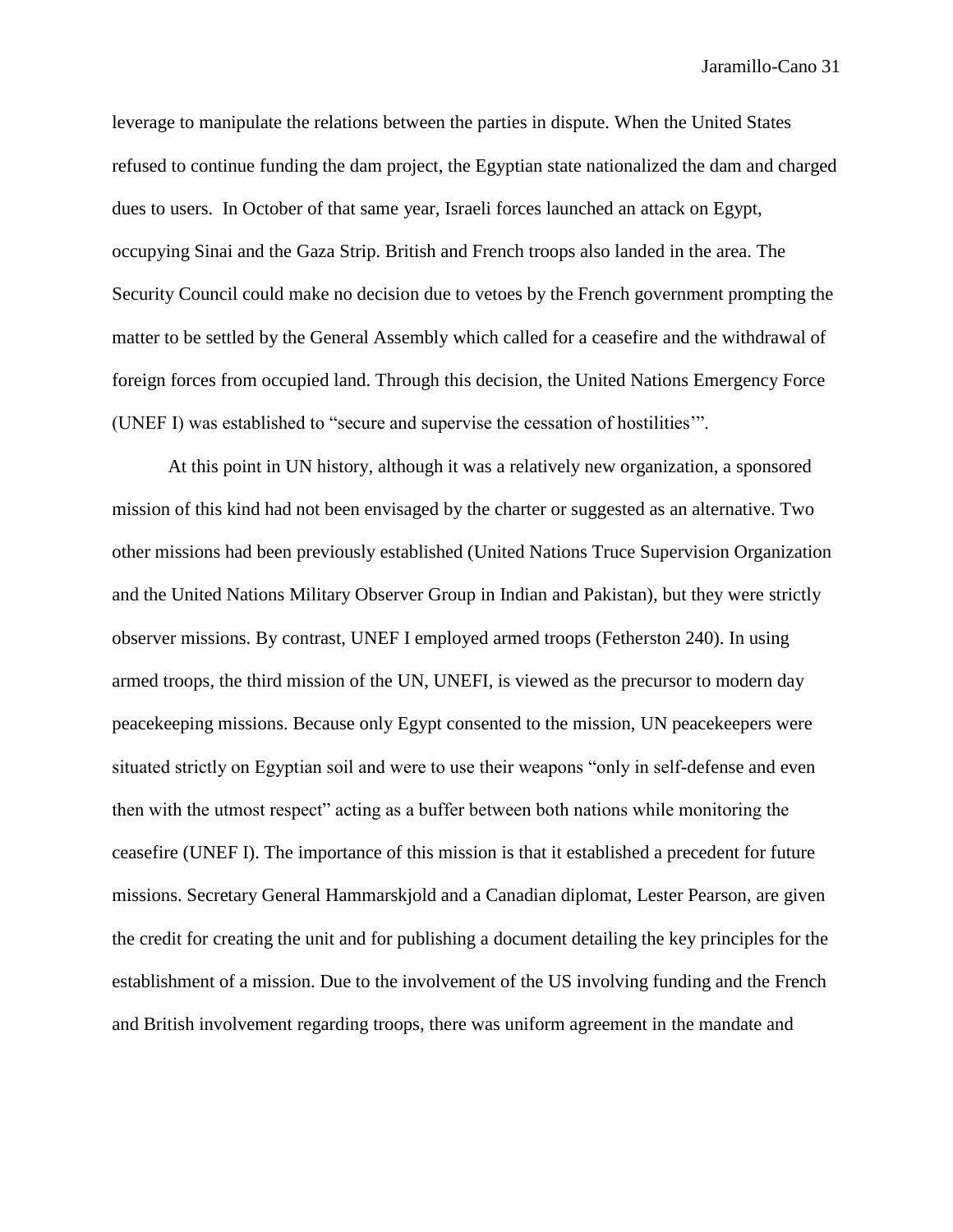leverage to manipulate the relations between the parties in dispute. When the United States refused to continue funding the dam project, the Egyptian state nationalized the dam and charged dues to users. In October of that same year, Israeli forces launched an attack on Egypt, occupying Sinai and the Gaza Strip. British and French troops also landed in the area. The Security Council could make no decision due to vetoes by the French government prompting the matter to be settled by the General Assembly which called for a ceasefire and the withdrawal of foreign forces from occupied land. Through this decision, the United Nations Emergency Force (UNEF I) was established to "secure and supervise the cessation of hostilities'".

At this point in UN history, although it was a relatively new organization, a sponsored mission of this kind had not been envisaged by the charter or suggested as an alternative. Two other missions had been previously established (United Nations Truce Supervision Organization and the United Nations Military Observer Group in Indian and Pakistan), but they were strictly observer missions. By contrast, UNEF I employed armed troops (Fetherston 240). In using armed troops, the third mission of the UN, UNEFI, is viewed as the precursor to modern day peacekeeping missions. Because only Egypt consented to the mission, UN peacekeepers were situated strictly on Egyptian soil and were to use their weapons "only in self-defense and even then with the utmost respect" acting as a buffer between both nations while monitoring the ceasefire (UNEF I). The importance of this mission is that it established a precedent for future missions. Secretary General Hammarskjold and a Canadian diplomat, Lester Pearson, are given the credit for creating the unit and for publishing a document detailing the key principles for the establishment of a mission. Due to the involvement of the US involving funding and the French and British involvement regarding troops, there was uniform agreement in the mandate and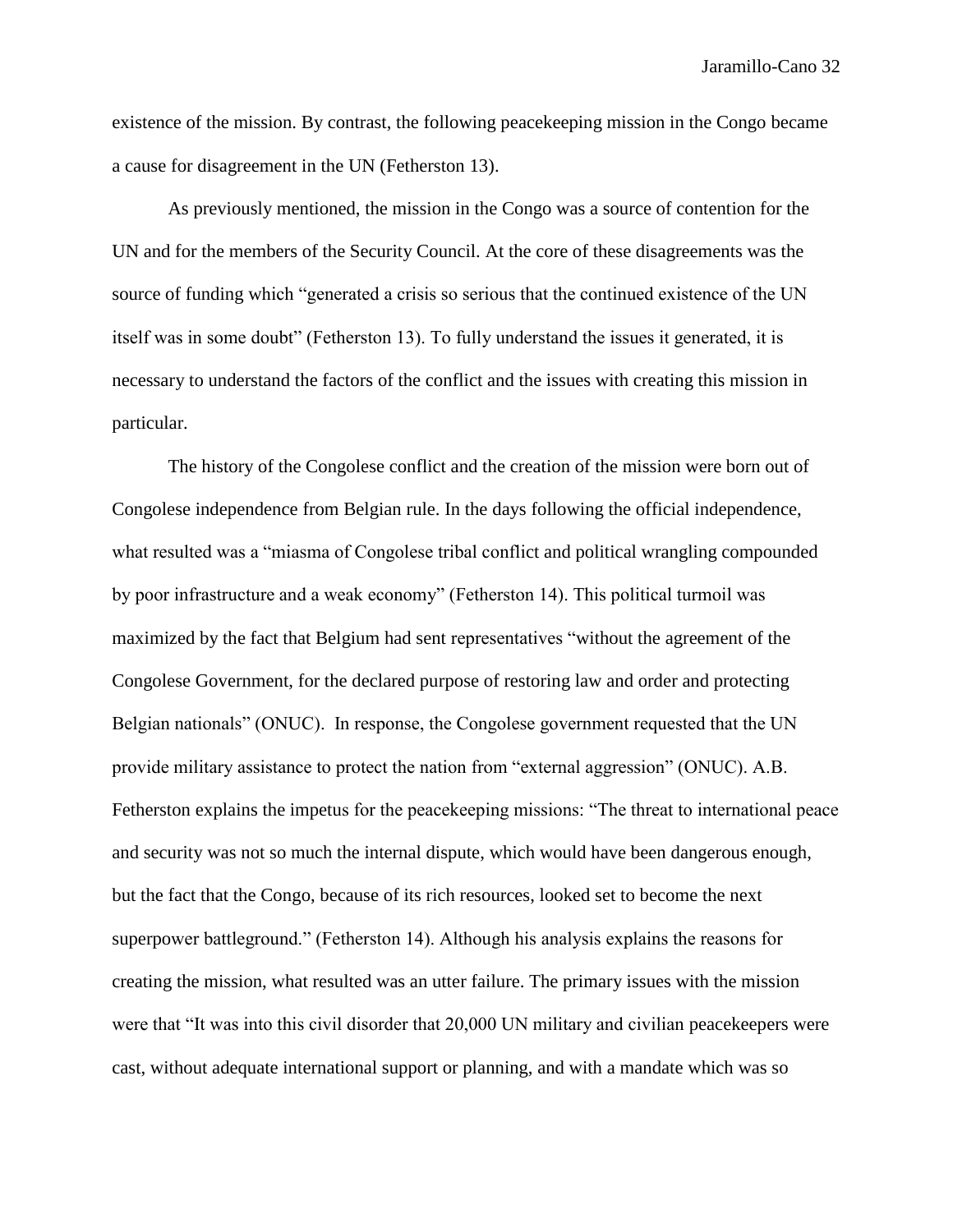existence of the mission. By contrast, the following peacekeeping mission in the Congo became a cause for disagreement in the UN (Fetherston 13).

As previously mentioned, the mission in the Congo was a source of contention for the UN and for the members of the Security Council. At the core of these disagreements was the source of funding which "generated a crisis so serious that the continued existence of the UN itself was in some doubt" (Fetherston 13). To fully understand the issues it generated, it is necessary to understand the factors of the conflict and the issues with creating this mission in particular.

The history of the Congolese conflict and the creation of the mission were born out of Congolese independence from Belgian rule. In the days following the official independence, what resulted was a "miasma of Congolese tribal conflict and political wrangling compounded by poor infrastructure and a weak economy" (Fetherston 14). This political turmoil was maximized by the fact that Belgium had sent representatives "without the agreement of the Congolese Government, for the declared purpose of restoring law and order and protecting Belgian nationals" (ONUC). In response, the Congolese government requested that the UN provide military assistance to protect the nation from "external aggression" (ONUC). A.B. Fetherston explains the impetus for the peacekeeping missions: "The threat to international peace and security was not so much the internal dispute, which would have been dangerous enough, but the fact that the Congo, because of its rich resources, looked set to become the next superpower battleground." (Fetherston 14). Although his analysis explains the reasons for creating the mission, what resulted was an utter failure. The primary issues with the mission were that "It was into this civil disorder that 20,000 UN military and civilian peacekeepers were cast, without adequate international support or planning, and with a mandate which was so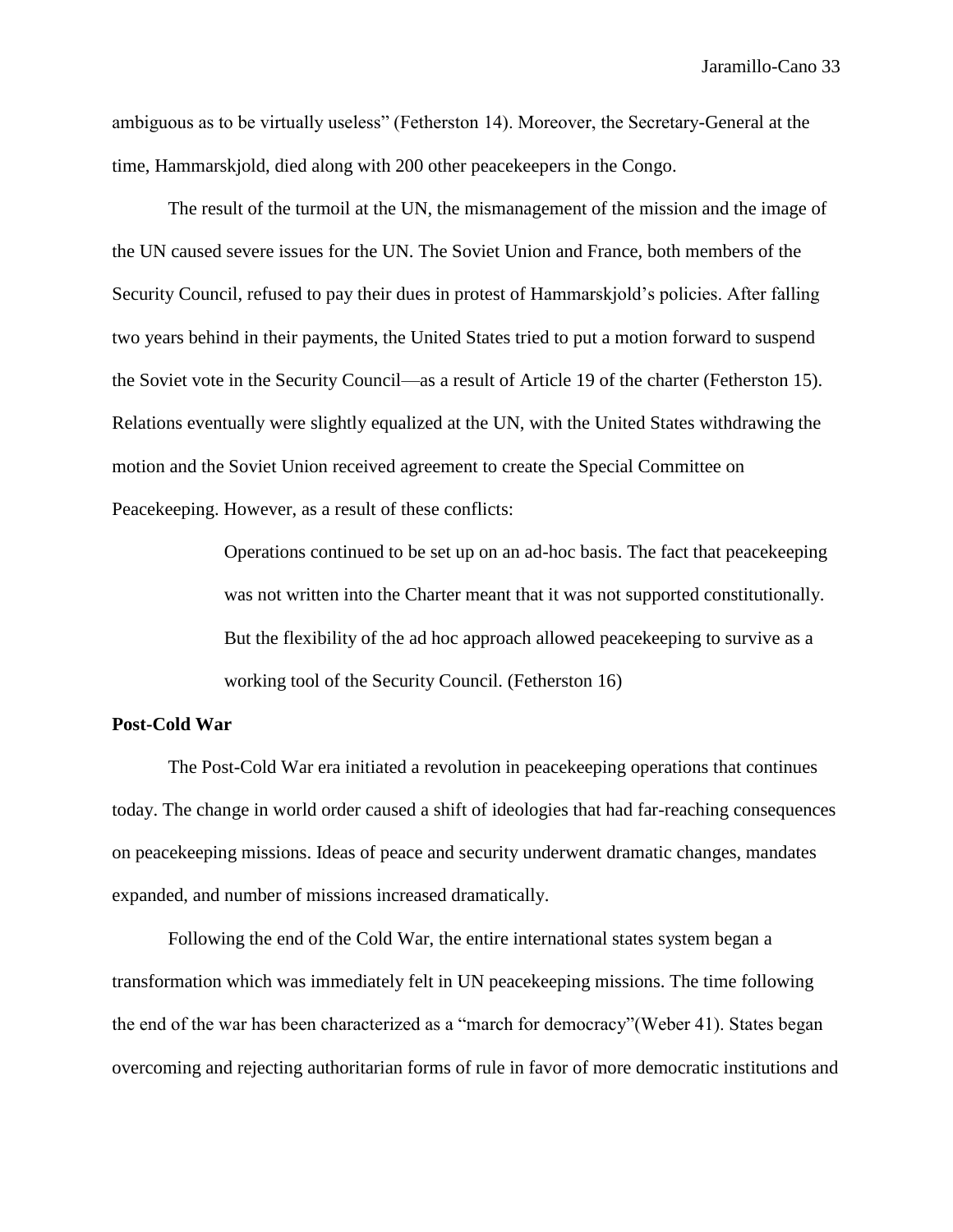ambiguous as to be virtually useless" (Fetherston 14). Moreover, the Secretary-General at the time, Hammarskjold, died along with 200 other peacekeepers in the Congo.

The result of the turmoil at the UN, the mismanagement of the mission and the image of the UN caused severe issues for the UN. The Soviet Union and France, both members of the Security Council, refused to pay their dues in protest of Hammarskjold's policies. After falling two years behind in their payments, the United States tried to put a motion forward to suspend the Soviet vote in the Security Council—as a result of Article 19 of the charter (Fetherston 15). Relations eventually were slightly equalized at the UN, with the United States withdrawing the motion and the Soviet Union received agreement to create the Special Committee on Peacekeeping. However, as a result of these conflicts:

> Operations continued to be set up on an ad-hoc basis. The fact that peacekeeping was not written into the Charter meant that it was not supported constitutionally. But the flexibility of the ad hoc approach allowed peacekeeping to survive as a working tool of the Security Council. (Fetherston 16)

# **Post-Cold War**

The Post-Cold War era initiated a revolution in peacekeeping operations that continues today. The change in world order caused a shift of ideologies that had far-reaching consequences on peacekeeping missions. Ideas of peace and security underwent dramatic changes, mandates expanded, and number of missions increased dramatically.

Following the end of the Cold War, the entire international states system began a transformation which was immediately felt in UN peacekeeping missions. The time following the end of the war has been characterized as a "march for democracy"(Weber 41). States began overcoming and rejecting authoritarian forms of rule in favor of more democratic institutions and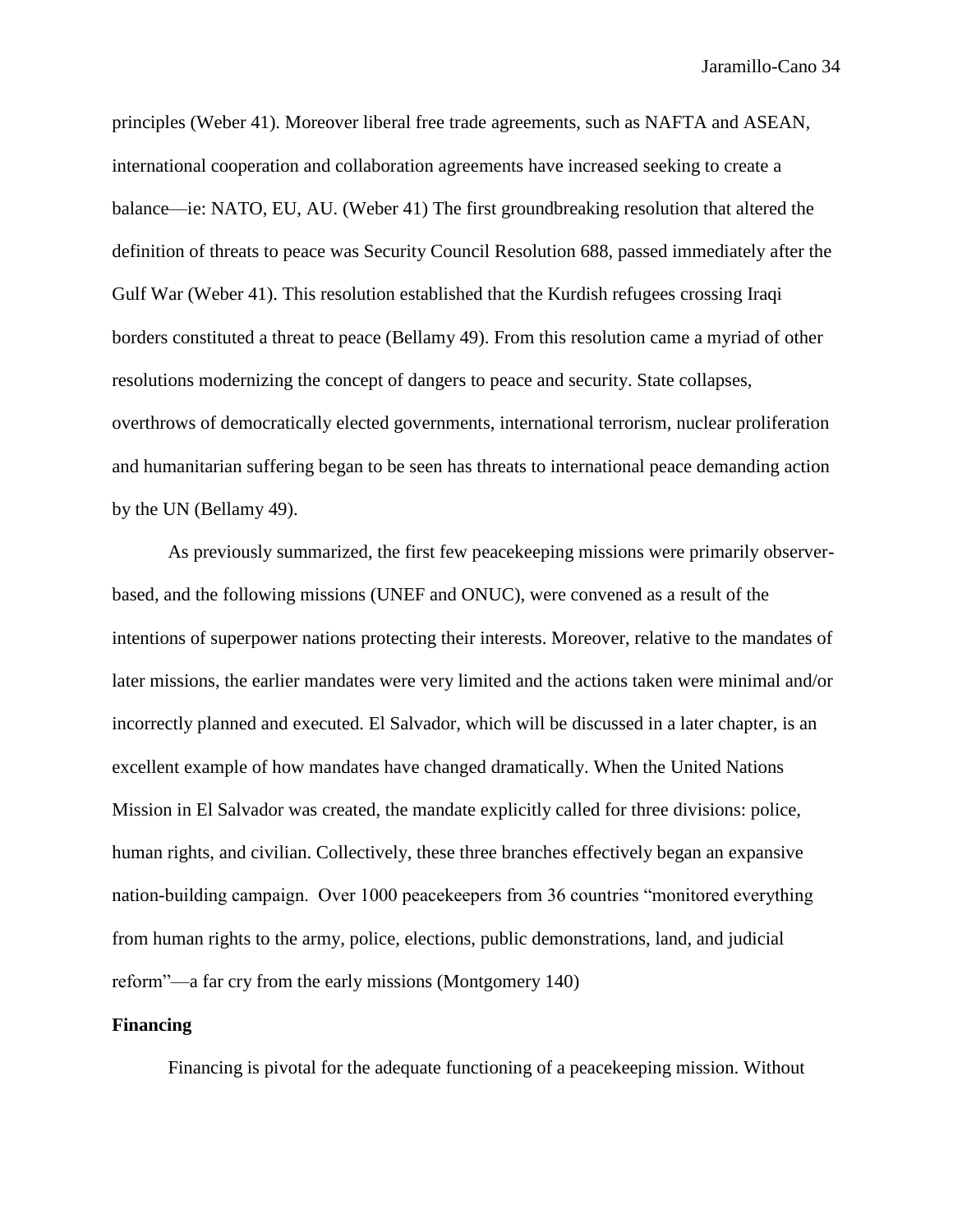principles (Weber 41). Moreover liberal free trade agreements, such as NAFTA and ASEAN, international cooperation and collaboration agreements have increased seeking to create a balance—ie: NATO, EU, AU. (Weber 41) The first groundbreaking resolution that altered the definition of threats to peace was Security Council Resolution 688, passed immediately after the Gulf War (Weber 41). This resolution established that the Kurdish refugees crossing Iraqi borders constituted a threat to peace (Bellamy 49). From this resolution came a myriad of other resolutions modernizing the concept of dangers to peace and security. State collapses, overthrows of democratically elected governments, international terrorism, nuclear proliferation and humanitarian suffering began to be seen has threats to international peace demanding action by the UN (Bellamy 49).

As previously summarized, the first few peacekeeping missions were primarily observerbased, and the following missions (UNEF and ONUC), were convened as a result of the intentions of superpower nations protecting their interests. Moreover, relative to the mandates of later missions, the earlier mandates were very limited and the actions taken were minimal and/or incorrectly planned and executed. El Salvador, which will be discussed in a later chapter, is an excellent example of how mandates have changed dramatically. When the United Nations Mission in El Salvador was created, the mandate explicitly called for three divisions: police, human rights, and civilian. Collectively, these three branches effectively began an expansive nation-building campaign. Over 1000 peacekeepers from 36 countries "monitored everything from human rights to the army, police, elections, public demonstrations, land, and judicial reform"—a far cry from the early missions (Montgomery 140)

### **Financing**

Financing is pivotal for the adequate functioning of a peacekeeping mission. Without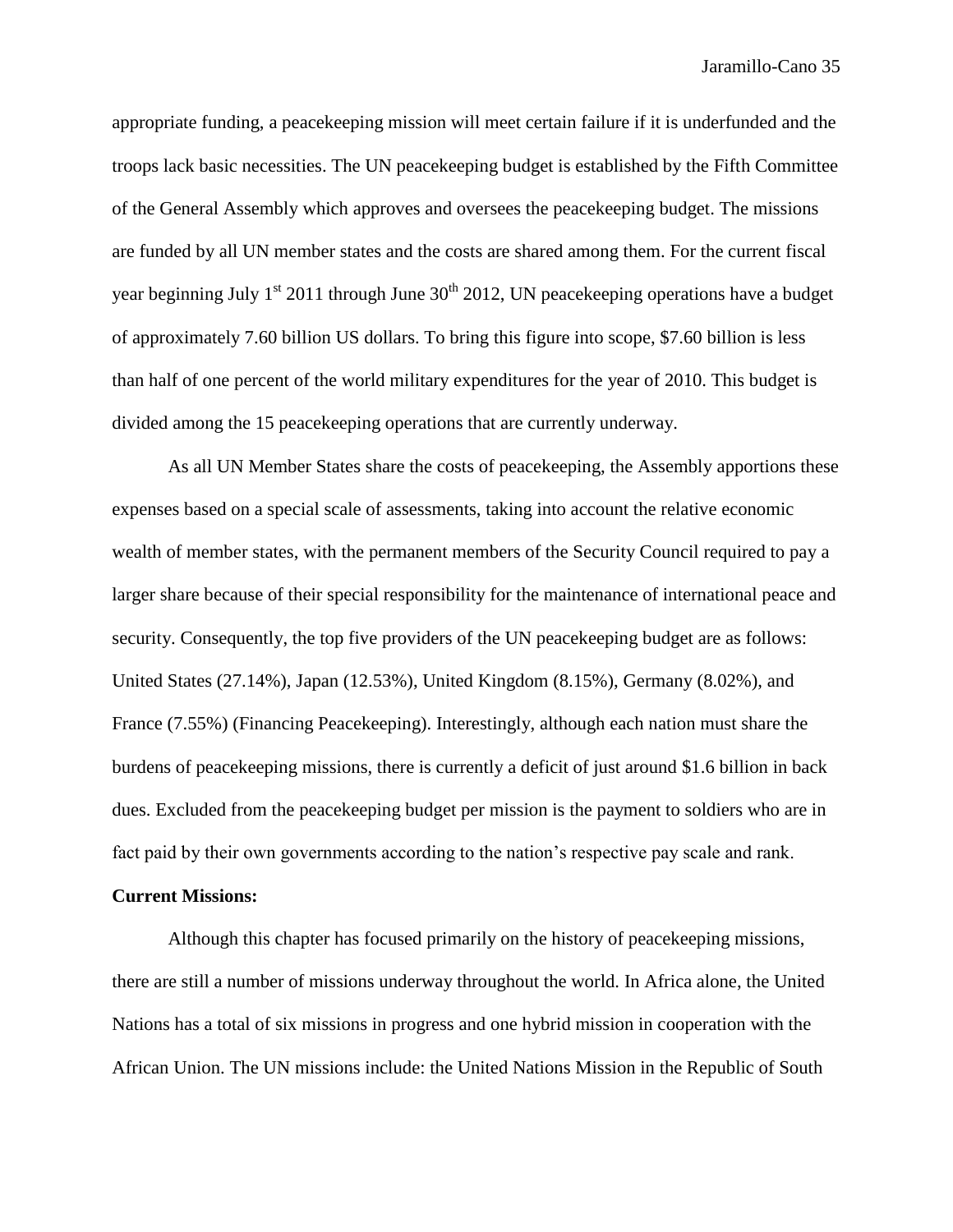appropriate funding, a peacekeeping mission will meet certain failure if it is underfunded and the troops lack basic necessities. The UN peacekeeping budget is established by the Fifth Committee of the General Assembly which approves and oversees the peacekeeping budget. The missions are funded by all UN member states and the costs are shared among them. For the current fiscal year beginning July 1<sup>st</sup> 2011 through June  $30<sup>th</sup>$  2012, UN peacekeeping operations have a budget of approximately 7.60 billion US dollars. To bring this figure into scope, \$7.60 billion is less than half of one percent of the world military expenditures for the year of 2010. This budget is divided among the 15 peacekeeping operations that are currently underway.

As all UN Member States share the costs of peacekeeping, the Assembly apportions these expenses based on a special scale of assessments, taking into account the relative economic wealth of member states, with the permanent members of the Security Council required to pay a larger share because of their special responsibility for the maintenance of international peace and security. Consequently, the top five providers of the UN peacekeeping budget are as follows: United States (27.14%), Japan (12.53%), United Kingdom (8.15%), Germany (8.02%), and France (7.55%) (Financing Peacekeeping). Interestingly, although each nation must share the burdens of peacekeeping missions, there is currently a deficit of just around \$1.6 billion in back dues. Excluded from the peacekeeping budget per mission is the payment to soldiers who are in fact paid by their own governments according to the nation's respective pay scale and rank.

#### **Current Missions:**

Although this chapter has focused primarily on the history of peacekeeping missions, there are still a number of missions underway throughout the world. In Africa alone, the United Nations has a total of six missions in progress and one hybrid mission in cooperation with the African Union. The UN missions include: the United Nations Mission in the Republic of South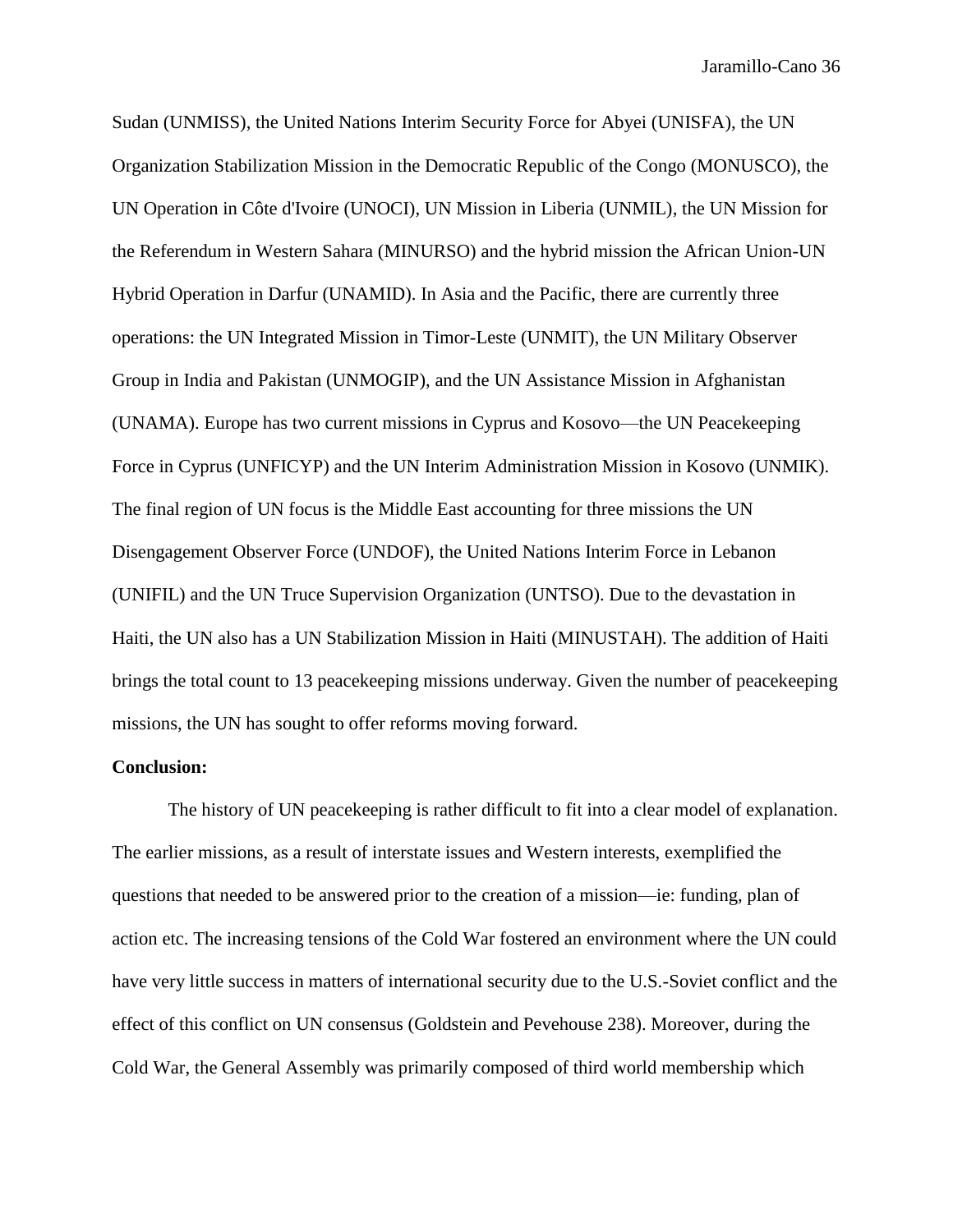Sudan (UNMISS), the United Nations Interim Security Force for Abyei (UNISFA), the UN Organization Stabilization Mission in the Democratic Republic of the Congo (MONUSCO), the UN Operation in Côte d'Ivoire (UNOCI), UN Mission in Liberia (UNMIL), the UN Mission for the Referendum in Western Sahara (MINURSO) and the hybrid mission the African Union-UN Hybrid Operation in Darfur (UNAMID). In Asia and the Pacific, there are currently three operations: the UN Integrated Mission in Timor-Leste (UNMIT), the UN Military Observer Group in India and Pakistan (UNMOGIP), and the UN Assistance Mission in Afghanistan (UNAMA). Europe has two current missions in Cyprus and Kosovo—the UN Peacekeeping Force in Cyprus (UNFICYP) and the UN Interim Administration Mission in Kosovo (UNMIK). The final region of UN focus is the Middle East accounting for three missions the UN Disengagement Observer Force (UNDOF), the United Nations Interim Force in Lebanon (UNIFIL) and the UN Truce Supervision Organization (UNTSO). Due to the devastation in Haiti, the UN also has a UN Stabilization Mission in Haiti (MINUSTAH). The addition of Haiti brings the total count to 13 peacekeeping missions underway. Given the number of peacekeeping missions, the UN has sought to offer reforms moving forward.

## **Conclusion:**

The history of UN peacekeeping is rather difficult to fit into a clear model of explanation. The earlier missions, as a result of interstate issues and Western interests, exemplified the questions that needed to be answered prior to the creation of a mission—ie: funding, plan of action etc. The increasing tensions of the Cold War fostered an environment where the UN could have very little success in matters of international security due to the U.S.-Soviet conflict and the effect of this conflict on UN consensus (Goldstein and Pevehouse 238). Moreover, during the Cold War, the General Assembly was primarily composed of third world membership which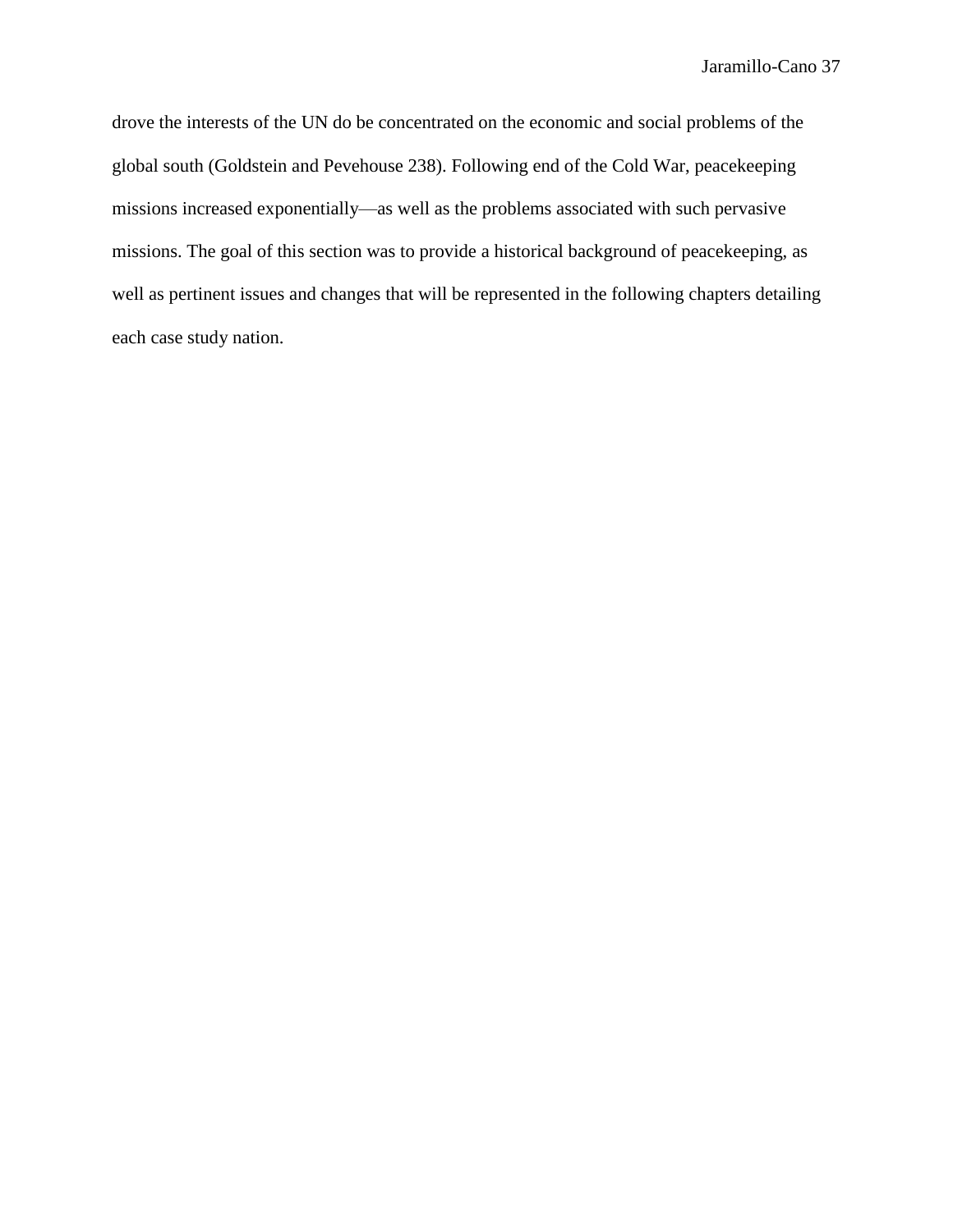drove the interests of the UN do be concentrated on the economic and social problems of the global south (Goldstein and Pevehouse 238). Following end of the Cold War, peacekeeping missions increased exponentially—as well as the problems associated with such pervasive missions. The goal of this section was to provide a historical background of peacekeeping, as well as pertinent issues and changes that will be represented in the following chapters detailing each case study nation.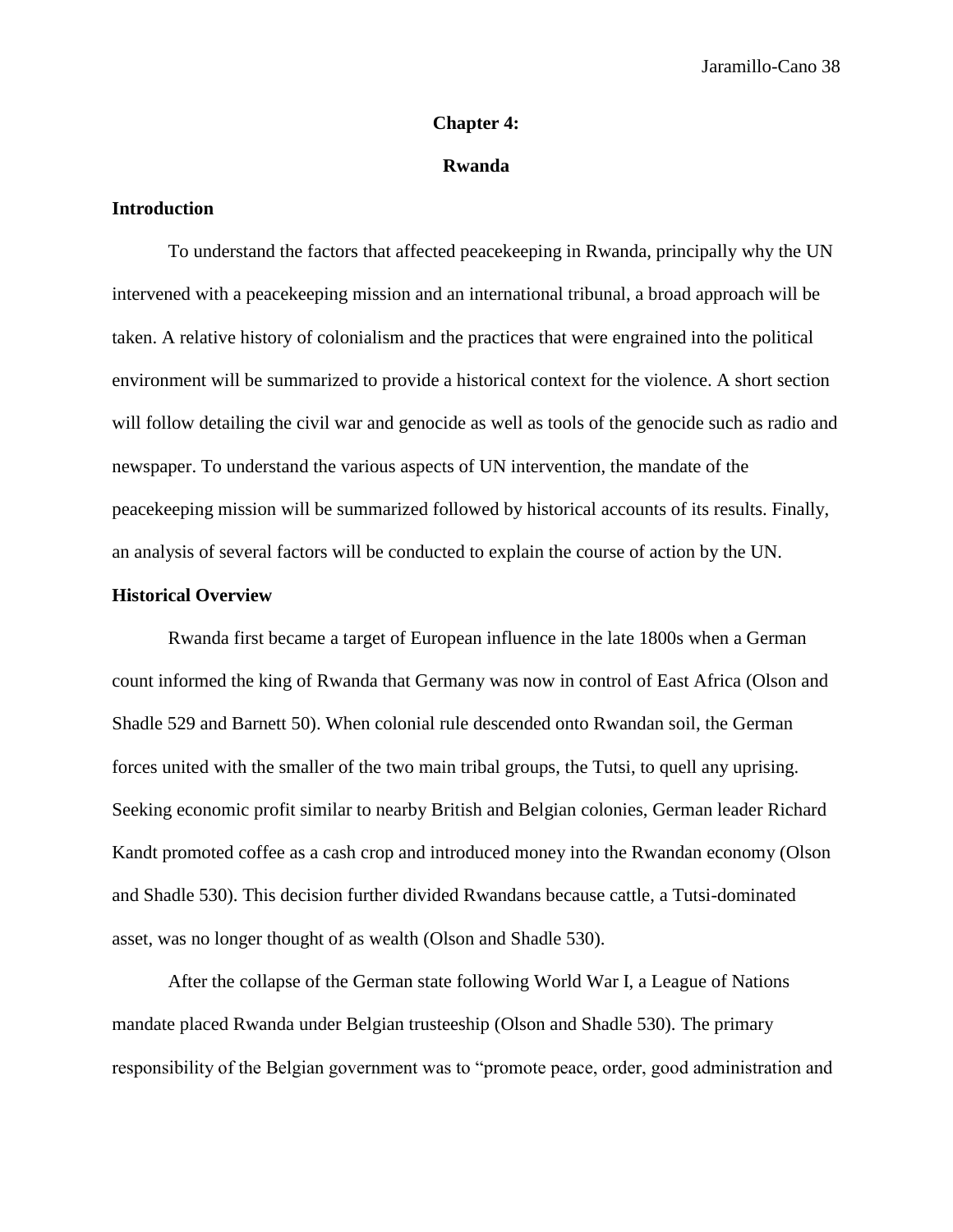#### **Chapter 4:**

## **Rwanda**

# **Introduction**

To understand the factors that affected peacekeeping in Rwanda, principally why the UN intervened with a peacekeeping mission and an international tribunal, a broad approach will be taken. A relative history of colonialism and the practices that were engrained into the political environment will be summarized to provide a historical context for the violence. A short section will follow detailing the civil war and genocide as well as tools of the genocide such as radio and newspaper. To understand the various aspects of UN intervention, the mandate of the peacekeeping mission will be summarized followed by historical accounts of its results. Finally, an analysis of several factors will be conducted to explain the course of action by the UN.

## **Historical Overview**

Rwanda first became a target of European influence in the late 1800s when a German count informed the king of Rwanda that Germany was now in control of East Africa (Olson and Shadle 529 and Barnett 50). When colonial rule descended onto Rwandan soil, the German forces united with the smaller of the two main tribal groups, the Tutsi, to quell any uprising. Seeking economic profit similar to nearby British and Belgian colonies, German leader Richard Kandt promoted coffee as a cash crop and introduced money into the Rwandan economy (Olson and Shadle 530). This decision further divided Rwandans because cattle, a Tutsi-dominated asset, was no longer thought of as wealth (Olson and Shadle 530).

After the collapse of the German state following World War I, a League of Nations mandate placed Rwanda under Belgian trusteeship (Olson and Shadle 530). The primary responsibility of the Belgian government was to "promote peace, order, good administration and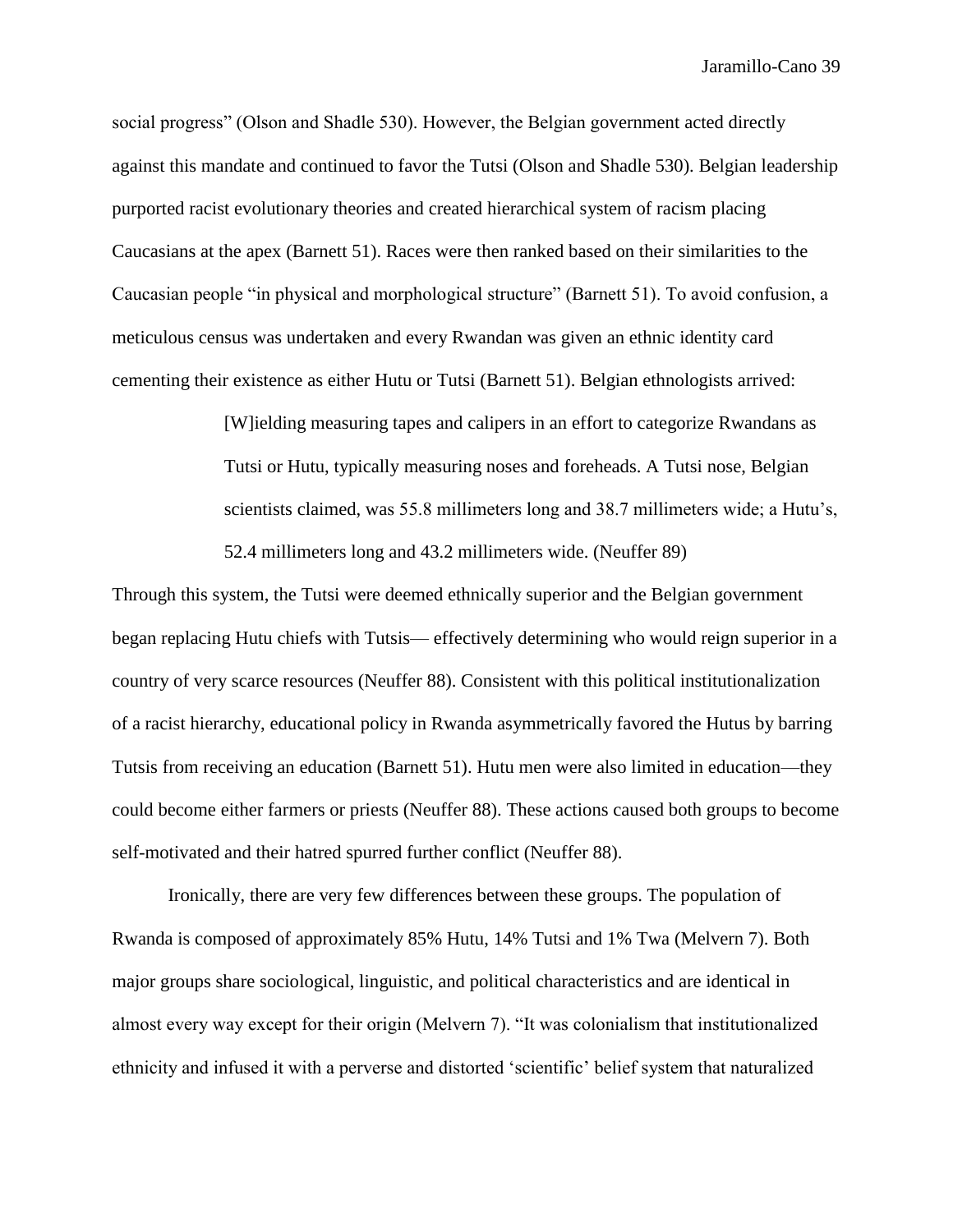social progress" (Olson and Shadle 530). However, the Belgian government acted directly against this mandate and continued to favor the Tutsi (Olson and Shadle 530). Belgian leadership purported racist evolutionary theories and created hierarchical system of racism placing Caucasians at the apex (Barnett 51). Races were then ranked based on their similarities to the Caucasian people "in physical and morphological structure" (Barnett 51). To avoid confusion, a meticulous census was undertaken and every Rwandan was given an ethnic identity card cementing their existence as either Hutu or Tutsi (Barnett 51). Belgian ethnologists arrived:

> [W]ielding measuring tapes and calipers in an effort to categorize Rwandans as Tutsi or Hutu, typically measuring noses and foreheads. A Tutsi nose, Belgian scientists claimed, was 55.8 millimeters long and 38.7 millimeters wide; a Hutu's, 52.4 millimeters long and 43.2 millimeters wide. (Neuffer 89)

Through this system, the Tutsi were deemed ethnically superior and the Belgian government began replacing Hutu chiefs with Tutsis— effectively determining who would reign superior in a country of very scarce resources (Neuffer 88). Consistent with this political institutionalization of a racist hierarchy, educational policy in Rwanda asymmetrically favored the Hutus by barring Tutsis from receiving an education (Barnett 51). Hutu men were also limited in education—they could become either farmers or priests (Neuffer 88). These actions caused both groups to become self-motivated and their hatred spurred further conflict (Neuffer 88).

Ironically, there are very few differences between these groups. The population of Rwanda is composed of approximately 85% Hutu, 14% Tutsi and 1% Twa (Melvern 7). Both major groups share sociological, linguistic, and political characteristics and are identical in almost every way except for their origin (Melvern 7). "It was colonialism that institutionalized ethnicity and infused it with a perverse and distorted 'scientific' belief system that naturalized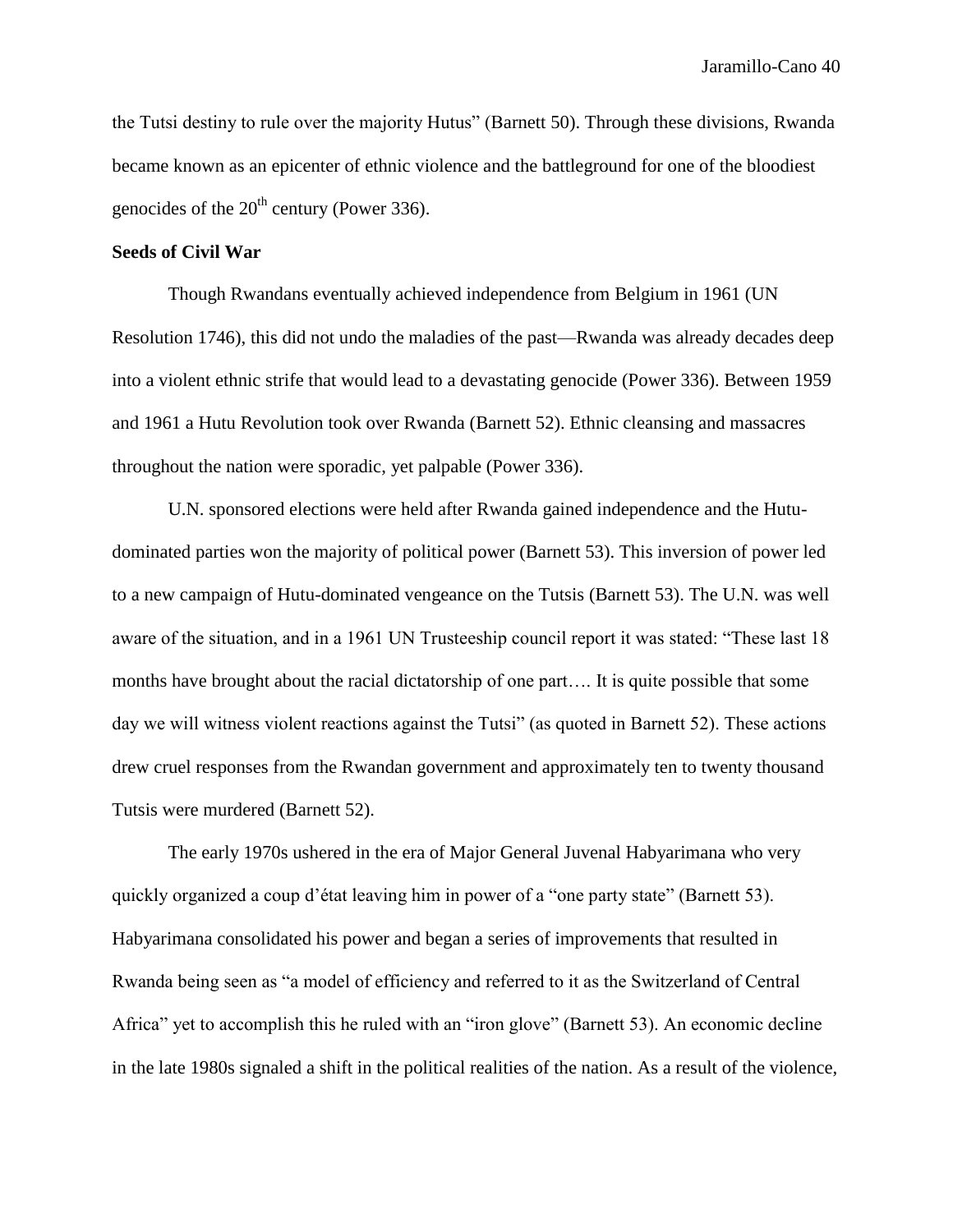the Tutsi destiny to rule over the majority Hutus" (Barnett 50). Through these divisions, Rwanda became known as an epicenter of ethnic violence and the battleground for one of the bloodiest genocides of the  $20^{th}$  century (Power 336).

## **Seeds of Civil War**

Though Rwandans eventually achieved independence from Belgium in 1961 (UN Resolution 1746), this did not undo the maladies of the past—Rwanda was already decades deep into a violent ethnic strife that would lead to a devastating genocide (Power 336). Between 1959 and 1961 a Hutu Revolution took over Rwanda (Barnett 52). Ethnic cleansing and massacres throughout the nation were sporadic, yet palpable (Power 336).

U.N. sponsored elections were held after Rwanda gained independence and the Hutudominated parties won the majority of political power (Barnett 53). This inversion of power led to a new campaign of Hutu-dominated vengeance on the Tutsis (Barnett 53). The U.N. was well aware of the situation, and in a 1961 UN Trusteeship council report it was stated: "These last 18 months have brought about the racial dictatorship of one part…. It is quite possible that some day we will witness violent reactions against the Tutsi" (as quoted in Barnett 52). These actions drew cruel responses from the Rwandan government and approximately ten to twenty thousand Tutsis were murdered (Barnett 52).

The early 1970s ushered in the era of Major General Juvenal Habyarimana who very quickly organized a coup d'état leaving him in power of a "one party state" (Barnett 53). Habyarimana consolidated his power and began a series of improvements that resulted in Rwanda being seen as "a model of efficiency and referred to it as the Switzerland of Central Africa" yet to accomplish this he ruled with an "iron glove" (Barnett 53). An economic decline in the late 1980s signaled a shift in the political realities of the nation. As a result of the violence,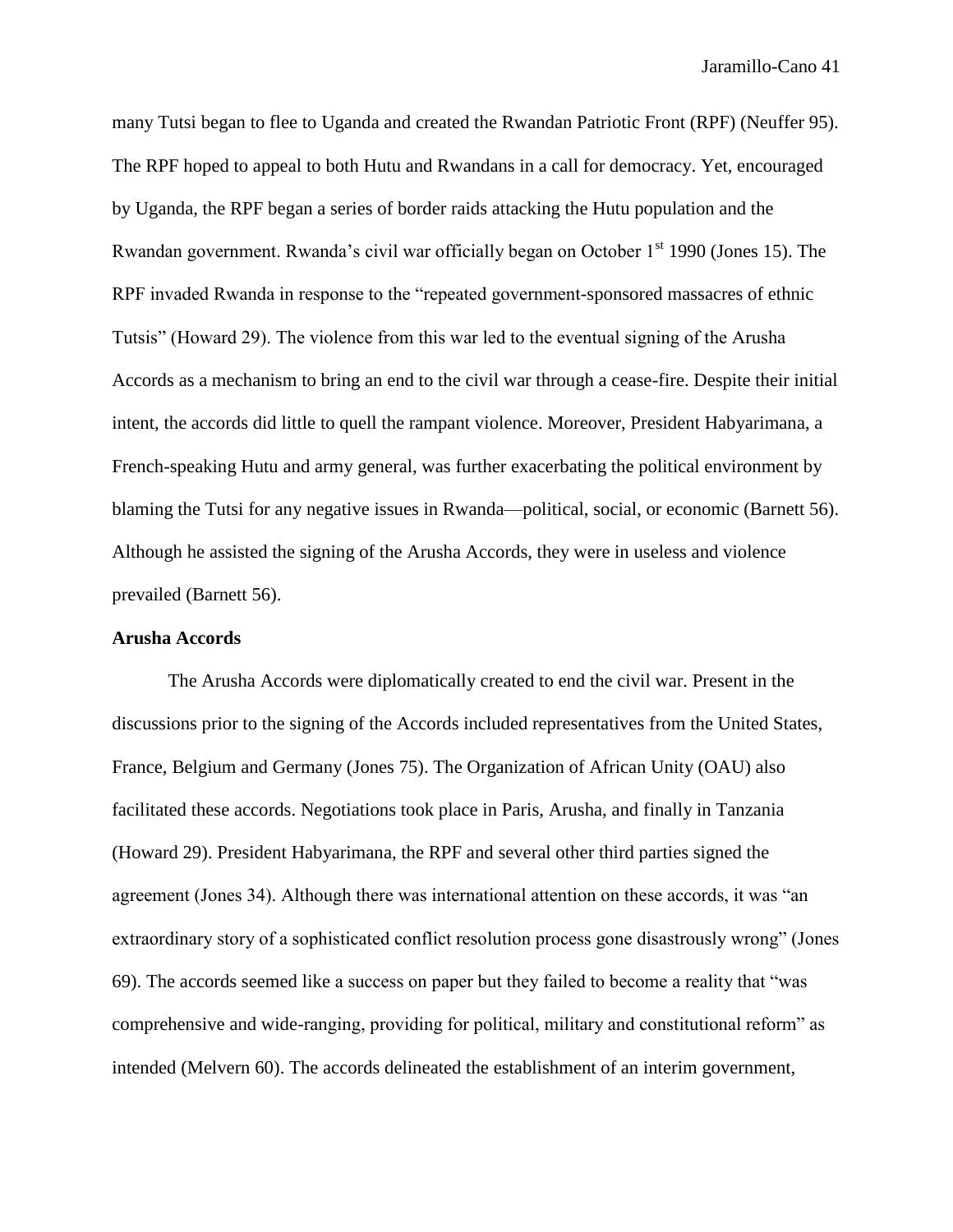many Tutsi began to flee to Uganda and created the Rwandan Patriotic Front (RPF) (Neuffer 95). The RPF hoped to appeal to both Hutu and Rwandans in a call for democracy. Yet, encouraged by Uganda, the RPF began a series of border raids attacking the Hutu population and the Rwandan government. Rwanda's civil war officially began on October 1<sup>st</sup> 1990 (Jones 15). The RPF invaded Rwanda in response to the "repeated government-sponsored massacres of ethnic Tutsis" (Howard 29). The violence from this war led to the eventual signing of the Arusha Accords as a mechanism to bring an end to the civil war through a cease-fire. Despite their initial intent, the accords did little to quell the rampant violence. Moreover, President Habyarimana, a French-speaking Hutu and army general, was further exacerbating the political environment by blaming the Tutsi for any negative issues in Rwanda—political, social, or economic (Barnett 56). Although he assisted the signing of the Arusha Accords, they were in useless and violence prevailed (Barnett 56).

## **Arusha Accords**

The Arusha Accords were diplomatically created to end the civil war. Present in the discussions prior to the signing of the Accords included representatives from the United States, France, Belgium and Germany (Jones 75). The Organization of African Unity (OAU) also facilitated these accords. Negotiations took place in Paris, Arusha, and finally in Tanzania (Howard 29). President Habyarimana, the RPF and several other third parties signed the agreement (Jones 34). Although there was international attention on these accords, it was "an extraordinary story of a sophisticated conflict resolution process gone disastrously wrong" (Jones 69). The accords seemed like a success on paper but they failed to become a reality that "was comprehensive and wide-ranging, providing for political, military and constitutional reform" as intended (Melvern 60). The accords delineated the establishment of an interim government,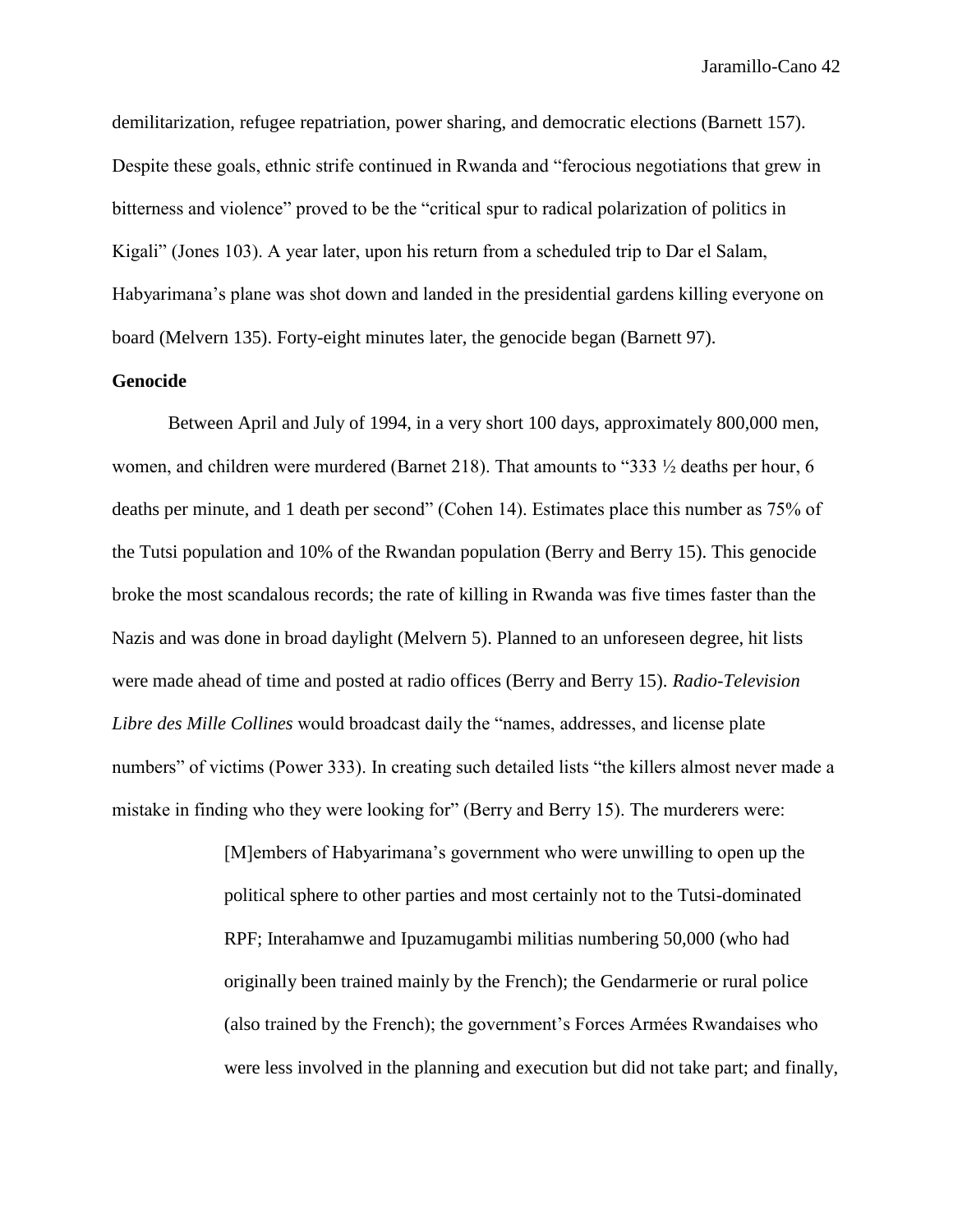demilitarization, refugee repatriation, power sharing, and democratic elections (Barnett 157). Despite these goals, ethnic strife continued in Rwanda and "ferocious negotiations that grew in bitterness and violence" proved to be the "critical spur to radical polarization of politics in Kigali" (Jones 103). A year later, upon his return from a scheduled trip to Dar el Salam, Habyarimana's plane was shot down and landed in the presidential gardens killing everyone on board (Melvern 135). Forty-eight minutes later, the genocide began (Barnett 97).

# **Genocide**

Between April and July of 1994, in a very short 100 days, approximately 800,000 men, women, and children were murdered (Barnet 218). That amounts to "333 ½ deaths per hour, 6 deaths per minute, and 1 death per second" (Cohen 14). Estimates place this number as 75% of the Tutsi population and 10% of the Rwandan population (Berry and Berry 15). This genocide broke the most scandalous records; the rate of killing in Rwanda was five times faster than the Nazis and was done in broad daylight (Melvern 5). Planned to an unforeseen degree, hit lists were made ahead of time and posted at radio offices (Berry and Berry 15). *Radio-Television Libre des Mille Collines* would broadcast daily the "names, addresses, and license plate numbers" of victims (Power 333). In creating such detailed lists "the killers almost never made a mistake in finding who they were looking for" (Berry and Berry 15). The murderers were:

> [M]embers of Habyarimana's government who were unwilling to open up the political sphere to other parties and most certainly not to the Tutsi-dominated RPF; Interahamwe and Ipuzamugambi militias numbering 50,000 (who had originally been trained mainly by the French); the Gendarmerie or rural police (also trained by the French); the government's Forces Armées Rwandaises who were less involved in the planning and execution but did not take part; and finally,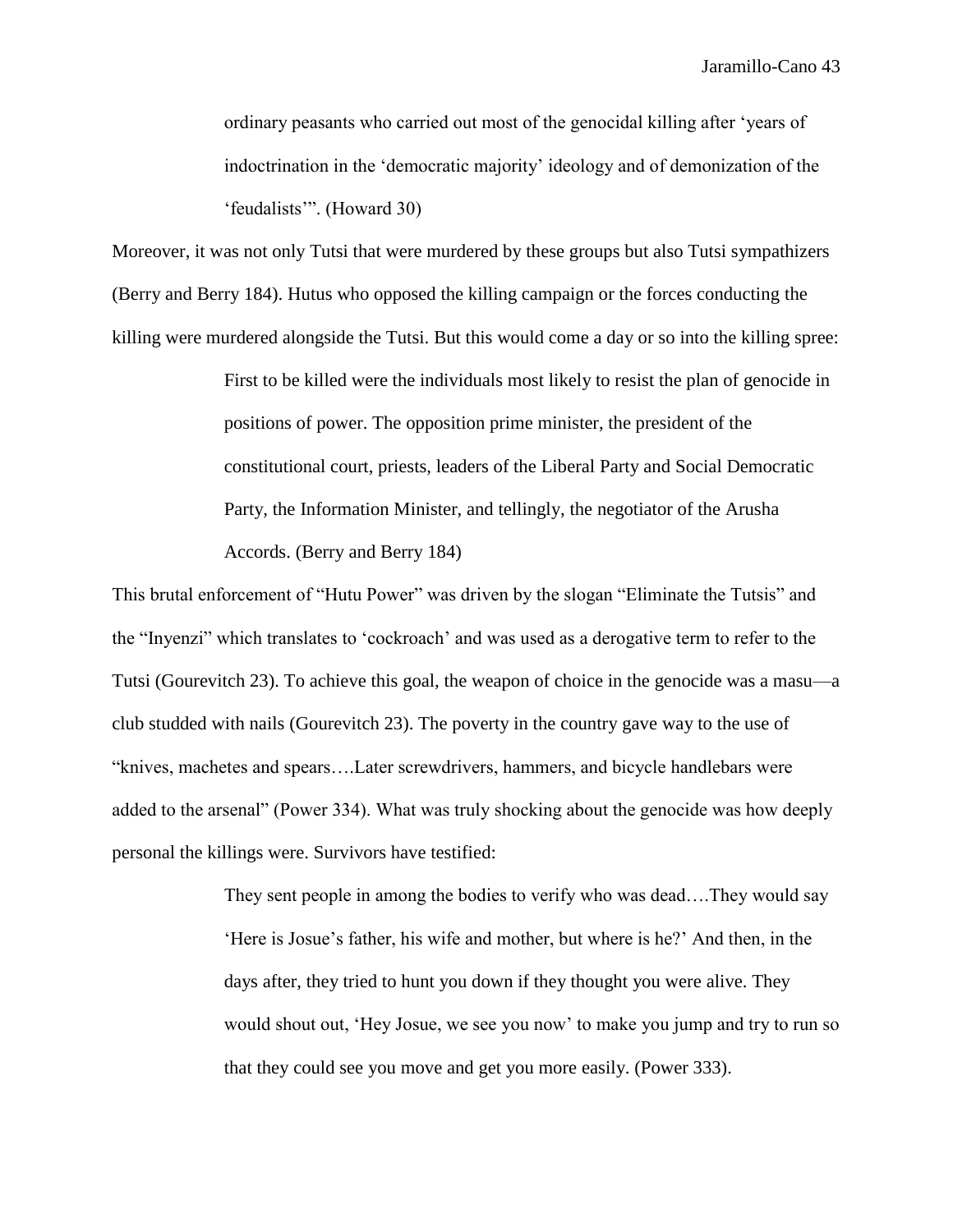ordinary peasants who carried out most of the genocidal killing after 'years of indoctrination in the 'democratic majority' ideology and of demonization of the 'feudalists'". (Howard 30)

Moreover, it was not only Tutsi that were murdered by these groups but also Tutsi sympathizers (Berry and Berry 184). Hutus who opposed the killing campaign or the forces conducting the killing were murdered alongside the Tutsi. But this would come a day or so into the killing spree:

> First to be killed were the individuals most likely to resist the plan of genocide in positions of power. The opposition prime minister, the president of the constitutional court, priests, leaders of the Liberal Party and Social Democratic Party, the Information Minister, and tellingly, the negotiator of the Arusha Accords. (Berry and Berry 184)

This brutal enforcement of "Hutu Power" was driven by the slogan "Eliminate the Tutsis" and the "Inyenzi" which translates to 'cockroach' and was used as a derogative term to refer to the Tutsi (Gourevitch 23). To achieve this goal, the weapon of choice in the genocide was a masu—a club studded with nails (Gourevitch 23). The poverty in the country gave way to the use of "knives, machetes and spears….Later screwdrivers, hammers, and bicycle handlebars were added to the arsenal" (Power 334). What was truly shocking about the genocide was how deeply personal the killings were. Survivors have testified:

> They sent people in among the bodies to verify who was dead….They would say 'Here is Josue's father, his wife and mother, but where is he?' And then, in the days after, they tried to hunt you down if they thought you were alive. They would shout out, 'Hey Josue, we see you now' to make you jump and try to run so that they could see you move and get you more easily. (Power 333).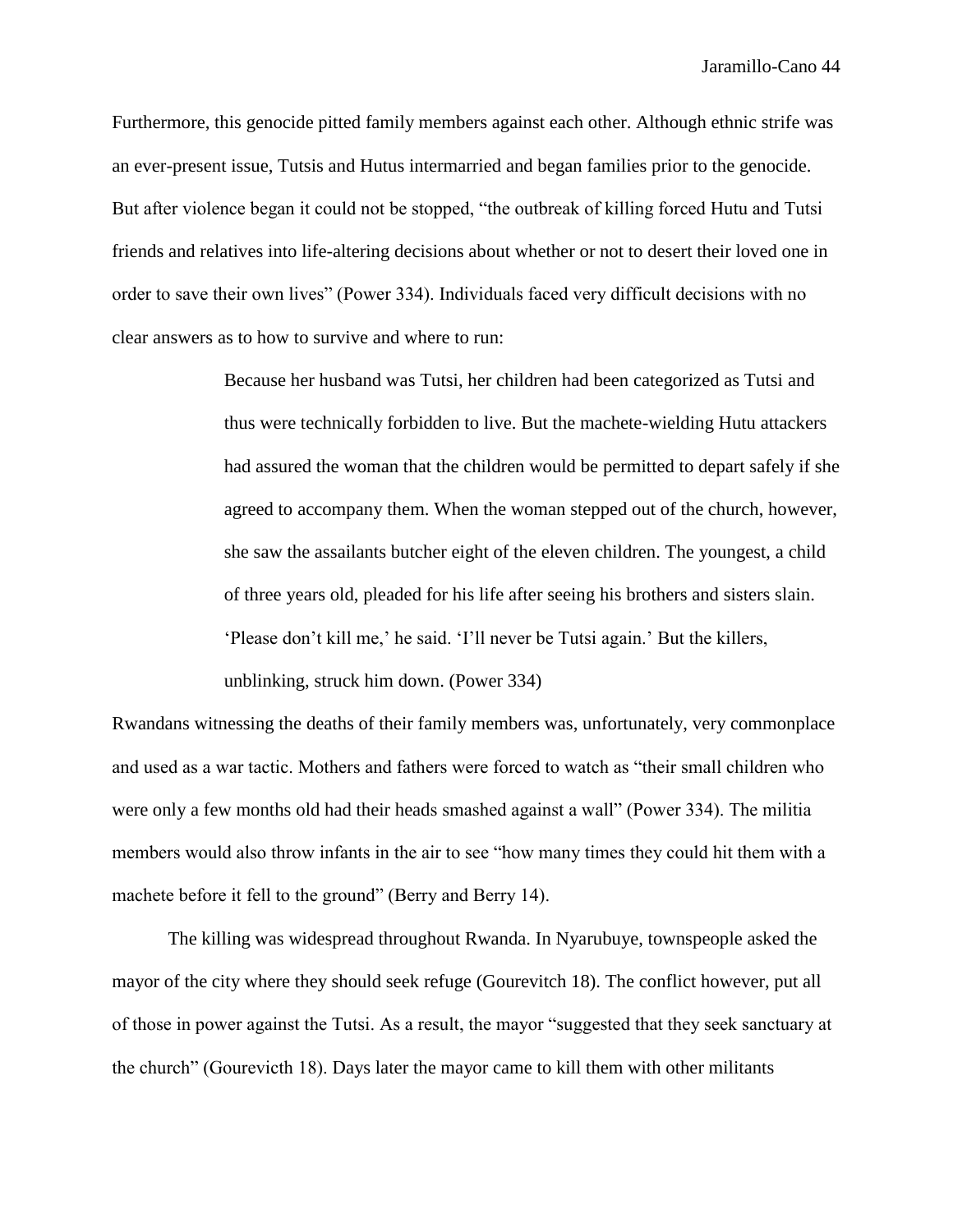Furthermore, this genocide pitted family members against each other. Although ethnic strife was an ever-present issue, Tutsis and Hutus intermarried and began families prior to the genocide. But after violence began it could not be stopped, "the outbreak of killing forced Hutu and Tutsi friends and relatives into life-altering decisions about whether or not to desert their loved one in order to save their own lives" (Power 334). Individuals faced very difficult decisions with no clear answers as to how to survive and where to run:

> Because her husband was Tutsi, her children had been categorized as Tutsi and thus were technically forbidden to live. But the machete-wielding Hutu attackers had assured the woman that the children would be permitted to depart safely if she agreed to accompany them. When the woman stepped out of the church, however, she saw the assailants butcher eight of the eleven children. The youngest, a child of three years old, pleaded for his life after seeing his brothers and sisters slain. 'Please don't kill me,' he said. 'I'll never be Tutsi again.' But the killers, unblinking, struck him down. (Power 334)

Rwandans witnessing the deaths of their family members was, unfortunately, very commonplace and used as a war tactic. Mothers and fathers were forced to watch as "their small children who were only a few months old had their heads smashed against a wall" (Power 334). The militia members would also throw infants in the air to see "how many times they could hit them with a machete before it fell to the ground" (Berry and Berry 14).

The killing was widespread throughout Rwanda. In Nyarubuye, townspeople asked the mayor of the city where they should seek refuge (Gourevitch 18). The conflict however, put all of those in power against the Tutsi. As a result, the mayor "suggested that they seek sanctuary at the church" (Gourevicth 18). Days later the mayor came to kill them with other militants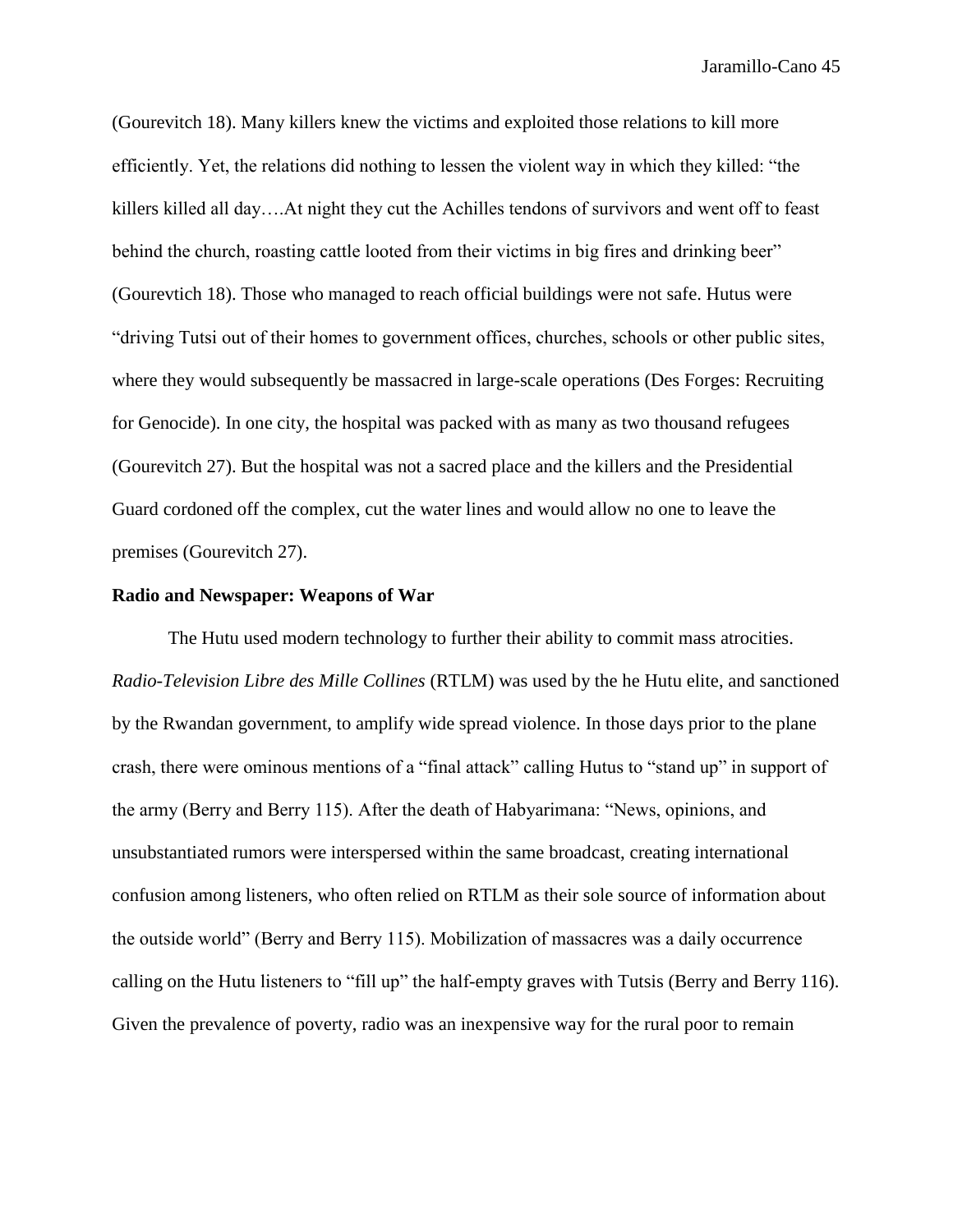(Gourevitch 18). Many killers knew the victims and exploited those relations to kill more efficiently. Yet, the relations did nothing to lessen the violent way in which they killed: "the killers killed all day….At night they cut the Achilles tendons of survivors and went off to feast behind the church, roasting cattle looted from their victims in big fires and drinking beer" (Gourevtich 18). Those who managed to reach official buildings were not safe. Hutus were "driving Tutsi out of their homes to government offices, churches, schools or other public sites, where they would subsequently be massacred in large-scale operations (Des Forges: Recruiting for Genocide). In one city, the hospital was packed with as many as two thousand refugees (Gourevitch 27). But the hospital was not a sacred place and the killers and the Presidential Guard cordoned off the complex, cut the water lines and would allow no one to leave the premises (Gourevitch 27).

## **Radio and Newspaper: Weapons of War**

The Hutu used modern technology to further their ability to commit mass atrocities. *Radio-Television Libre des Mille Collines* (RTLM) was used by the he Hutu elite, and sanctioned by the Rwandan government, to amplify wide spread violence. In those days prior to the plane crash, there were ominous mentions of a "final attack" calling Hutus to "stand up" in support of the army (Berry and Berry 115). After the death of Habyarimana: "News, opinions, and unsubstantiated rumors were interspersed within the same broadcast, creating international confusion among listeners, who often relied on RTLM as their sole source of information about the outside world" (Berry and Berry 115). Mobilization of massacres was a daily occurrence calling on the Hutu listeners to "fill up" the half-empty graves with Tutsis (Berry and Berry 116). Given the prevalence of poverty, radio was an inexpensive way for the rural poor to remain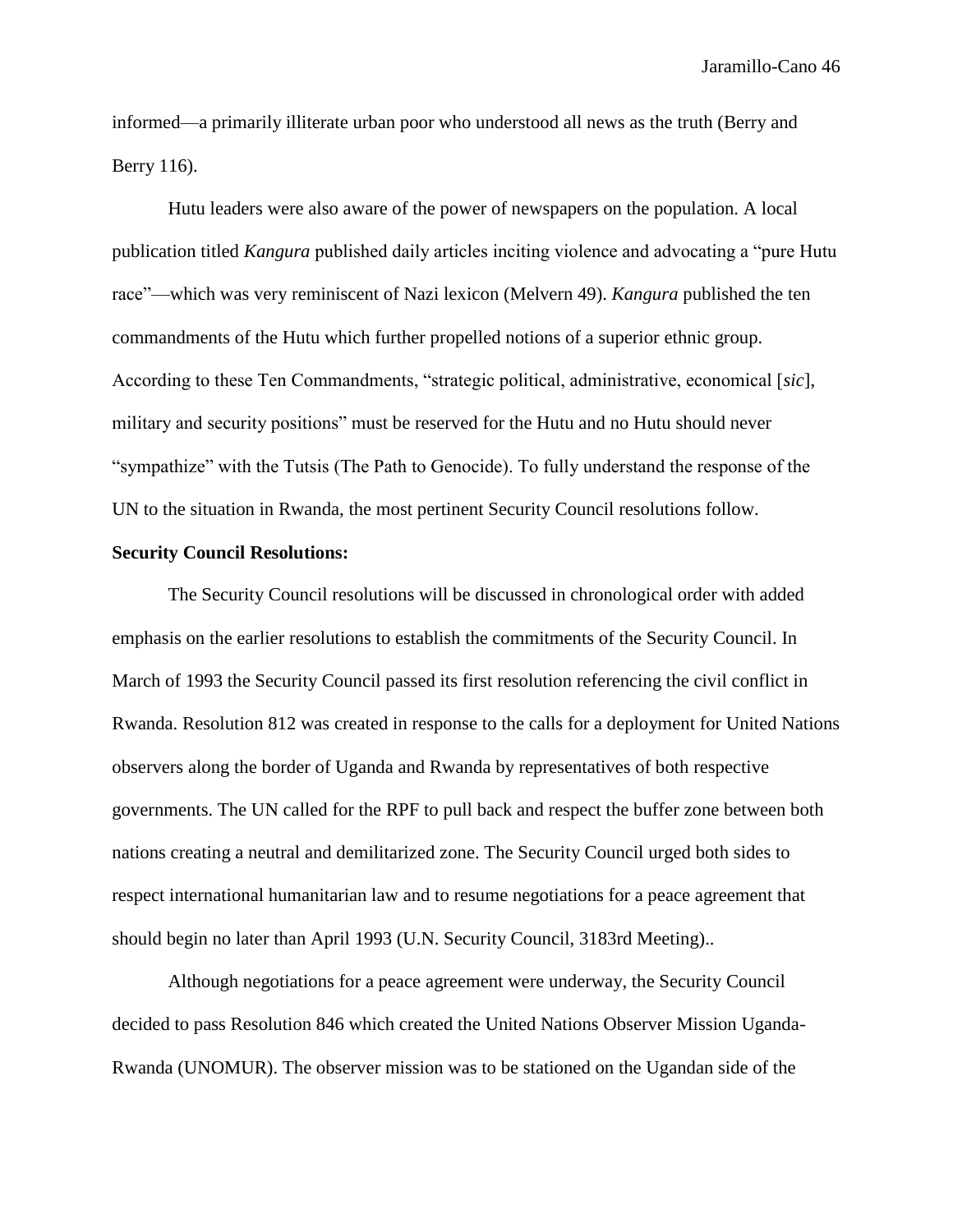informed—a primarily illiterate urban poor who understood all news as the truth (Berry and Berry 116).

Hutu leaders were also aware of the power of newspapers on the population. A local publication titled *Kangura* published daily articles inciting violence and advocating a "pure Hutu race"—which was very reminiscent of Nazi lexicon (Melvern 49). *Kangura* published the ten commandments of the Hutu which further propelled notions of a superior ethnic group. According to these Ten Commandments, "strategic political, administrative, economical [*sic*], military and security positions" must be reserved for the Hutu and no Hutu should never "sympathize" with the Tutsis (The Path to Genocide). To fully understand the response of the UN to the situation in Rwanda, the most pertinent Security Council resolutions follow.

## **Security Council Resolutions:**

The Security Council resolutions will be discussed in chronological order with added emphasis on the earlier resolutions to establish the commitments of the Security Council. In March of 1993 the Security Council passed its first resolution referencing the civil conflict in Rwanda. Resolution 812 was created in response to the calls for a deployment for United Nations observers along the border of Uganda and Rwanda by representatives of both respective governments. The UN called for the RPF to pull back and respect the buffer zone between both nations creating a neutral and demilitarized zone. The Security Council urged both sides to respect international humanitarian law and to resume negotiations for a peace agreement that should begin no later than April 1993 (U.N. Security Council, 3183rd Meeting)..

Although negotiations for a peace agreement were underway, the Security Council decided to pass Resolution 846 which created the United Nations Observer Mission Uganda-Rwanda (UNOMUR). The observer mission was to be stationed on the Ugandan side of the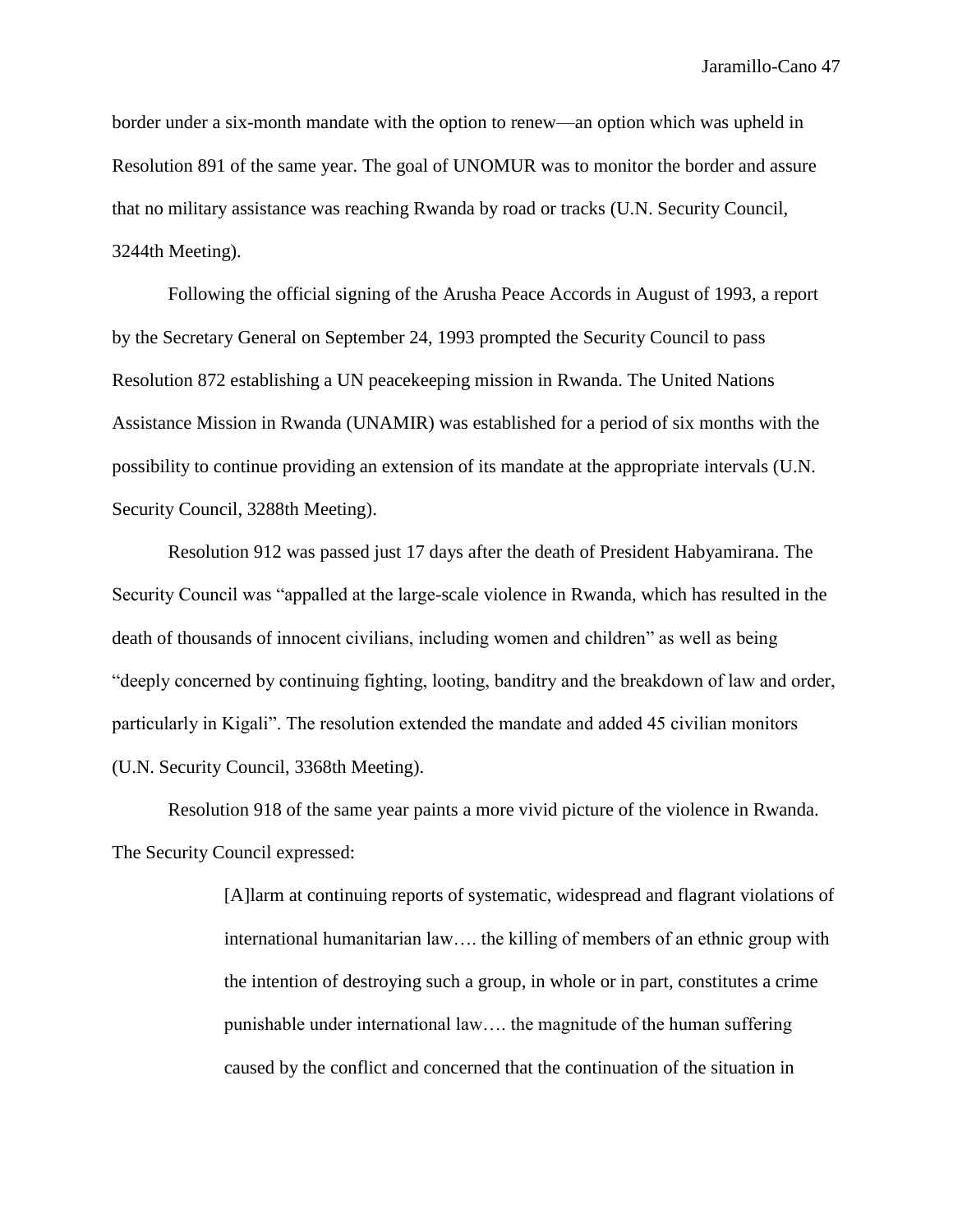border under a six-month mandate with the option to renew—an option which was upheld in Resolution 891 of the same year. The goal of UNOMUR was to monitor the border and assure that no military assistance was reaching Rwanda by road or tracks (U.N. Security Council, 3244th Meeting).

Following the official signing of the Arusha Peace Accords in August of 1993, a report by the Secretary General on September 24, 1993 prompted the Security Council to pass Resolution 872 establishing a UN peacekeeping mission in Rwanda. The United Nations Assistance Mission in Rwanda (UNAMIR) was established for a period of six months with the possibility to continue providing an extension of its mandate at the appropriate intervals (U.N. Security Council, 3288th Meeting).

Resolution 912 was passed just 17 days after the death of President Habyamirana. The Security Council was "appalled at the large-scale violence in Rwanda, which has resulted in the death of thousands of innocent civilians, including women and children" as well as being "deeply concerned by continuing fighting, looting, banditry and the breakdown of law and order, particularly in Kigali". The resolution extended the mandate and added 45 civilian monitors (U.N. Security Council, 3368th Meeting).

Resolution 918 of the same year paints a more vivid picture of the violence in Rwanda. The Security Council expressed:

> [A]larm at continuing reports of systematic, widespread and flagrant violations of international humanitarian law…. the killing of members of an ethnic group with the intention of destroying such a group, in whole or in part, constitutes a crime punishable under international law…. the magnitude of the human suffering caused by the conflict and concerned that the continuation of the situation in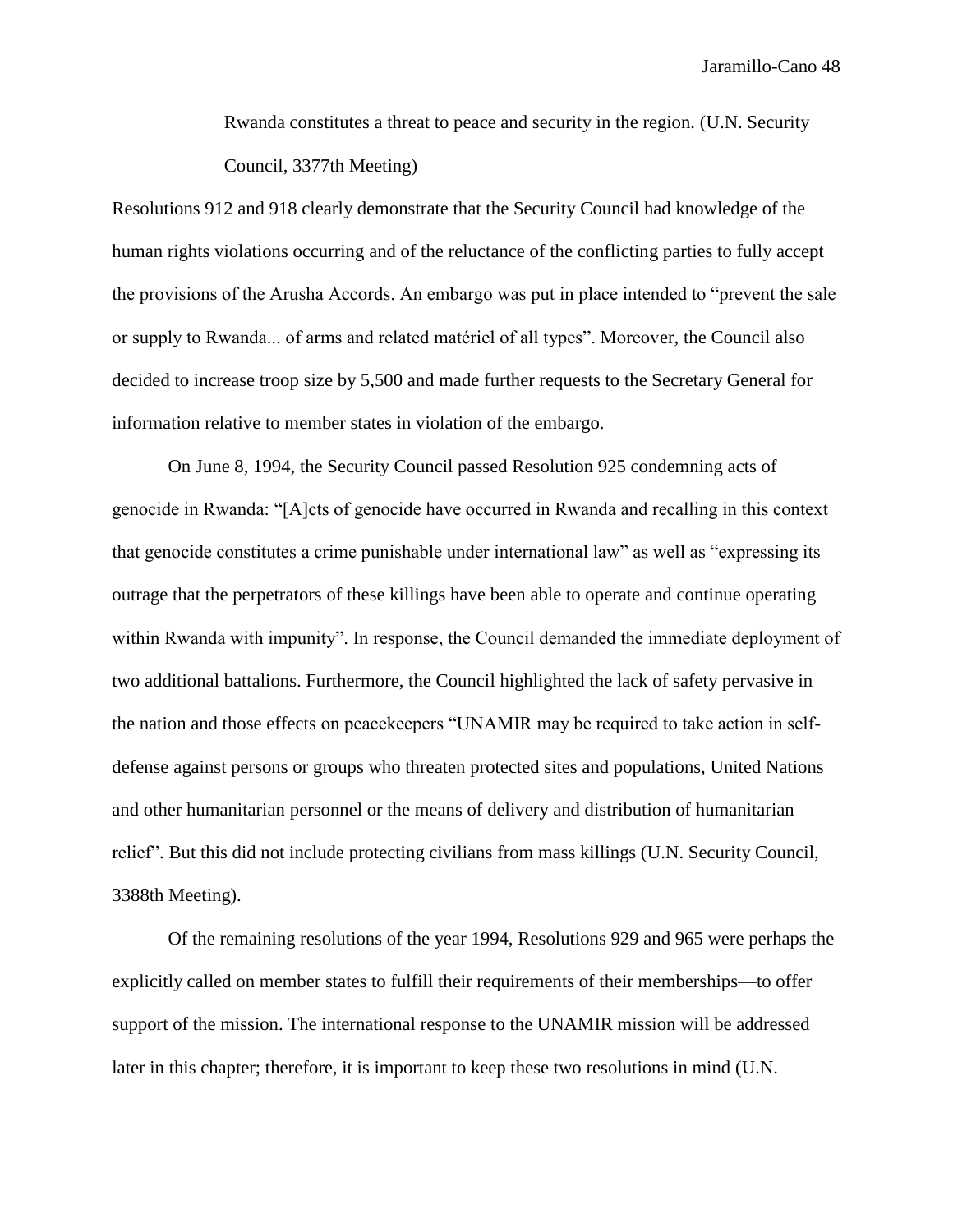Rwanda constitutes a threat to peace and security in the region. (U.N. Security Council, 3377th Meeting)

Resolutions 912 and 918 clearly demonstrate that the Security Council had knowledge of the human rights violations occurring and of the reluctance of the conflicting parties to fully accept the provisions of the Arusha Accords. An embargo was put in place intended to "prevent the sale or supply to Rwanda... of arms and related matériel of all types". Moreover, the Council also decided to increase troop size by 5,500 and made further requests to the Secretary General for information relative to member states in violation of the embargo.

On June 8, 1994, the Security Council passed Resolution 925 condemning acts of genocide in Rwanda: "[A]cts of genocide have occurred in Rwanda and recalling in this context that genocide constitutes a crime punishable under international law" as well as "expressing its outrage that the perpetrators of these killings have been able to operate and continue operating within Rwanda with impunity". In response, the Council demanded the immediate deployment of two additional battalions. Furthermore, the Council highlighted the lack of safety pervasive in the nation and those effects on peacekeepers "UNAMIR may be required to take action in selfdefense against persons or groups who threaten protected sites and populations, United Nations and other humanitarian personnel or the means of delivery and distribution of humanitarian relief". But this did not include protecting civilians from mass killings (U.N. Security Council, 3388th Meeting).

Of the remaining resolutions of the year 1994, Resolutions 929 and 965 were perhaps the explicitly called on member states to fulfill their requirements of their memberships—to offer support of the mission. The international response to the UNAMIR mission will be addressed later in this chapter; therefore, it is important to keep these two resolutions in mind (U.N.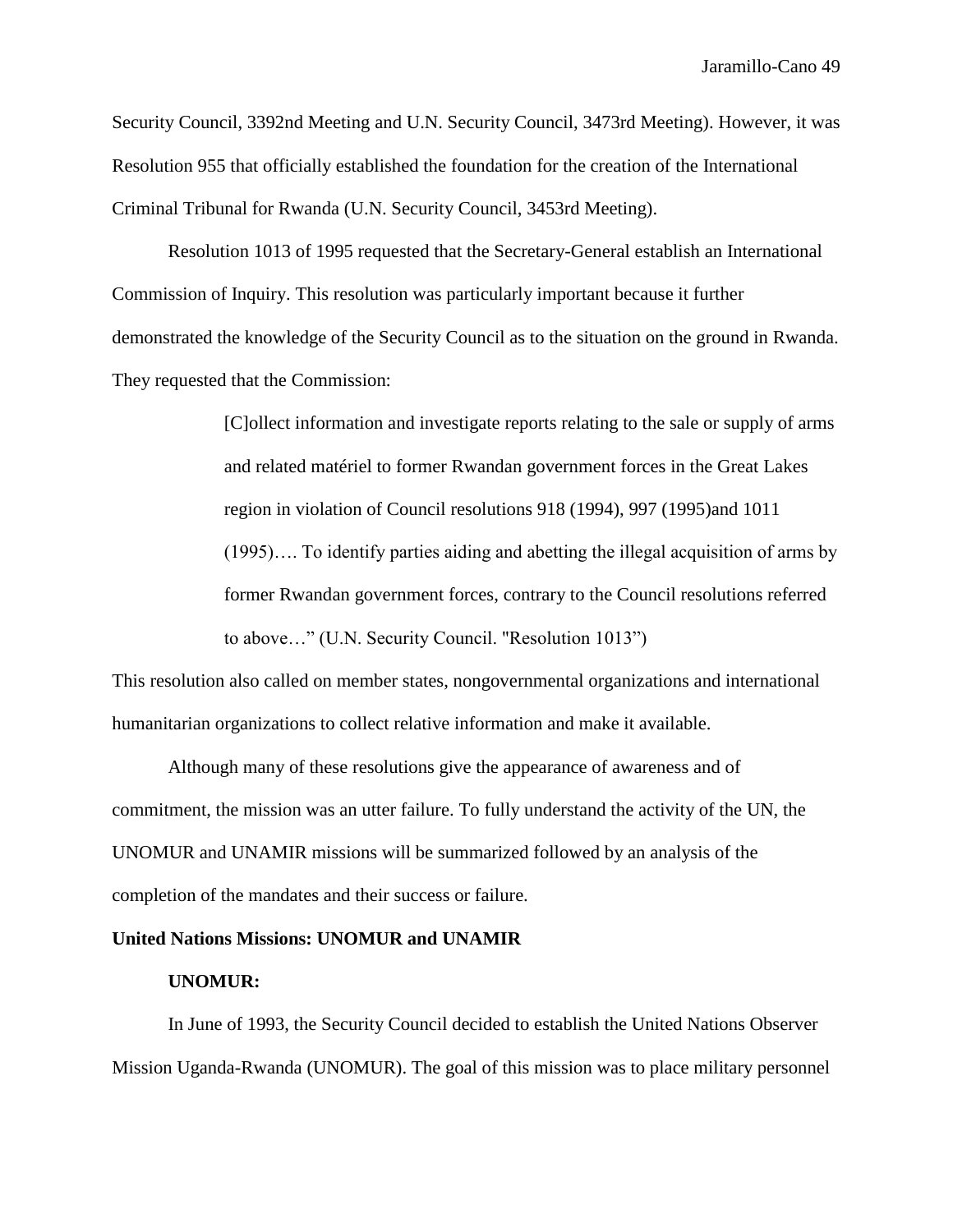Security Council, 3392nd Meeting and U.N. Security Council, 3473rd Meeting). However, it was Resolution 955 that officially established the foundation for the creation of the International Criminal Tribunal for Rwanda (U.N. Security Council, 3453rd Meeting).

Resolution 1013 of 1995 requested that the Secretary-General establish an International Commission of Inquiry. This resolution was particularly important because it further demonstrated the knowledge of the Security Council as to the situation on the ground in Rwanda. They requested that the Commission:

> [C]ollect information and investigate reports relating to the sale or supply of arms and related matériel to former Rwandan government forces in the Great Lakes region in violation of Council resolutions 918 (1994), 997 (1995)and 1011 (1995)…. To identify parties aiding and abetting the illegal acquisition of arms by former Rwandan government forces, contrary to the Council resolutions referred to above…" (U.N. Security Council. "Resolution 1013")

This resolution also called on member states, nongovernmental organizations and international humanitarian organizations to collect relative information and make it available.

Although many of these resolutions give the appearance of awareness and of commitment, the mission was an utter failure. To fully understand the activity of the UN, the UNOMUR and UNAMIR missions will be summarized followed by an analysis of the completion of the mandates and their success or failure.

## **United Nations Missions: UNOMUR and UNAMIR**

### **UNOMUR:**

In June of 1993, the Security Council decided to establish the United Nations Observer Mission Uganda-Rwanda (UNOMUR). The goal of this mission was to place military personnel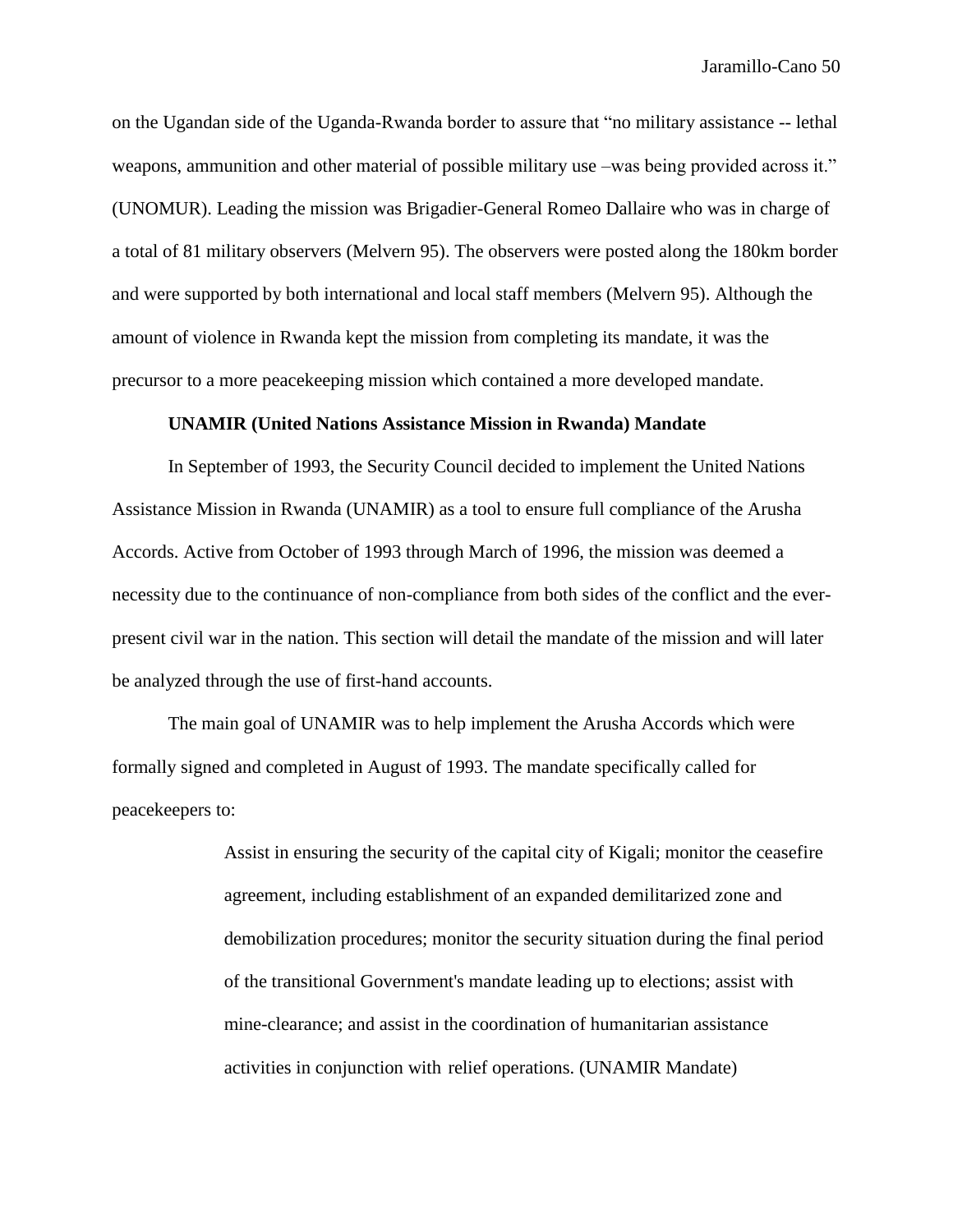on the Ugandan side of the Uganda-Rwanda border to assure that "no military assistance -- lethal weapons, ammunition and other material of possible military use –was being provided across it." (UNOMUR). Leading the mission was Brigadier-General Romeo Dallaire who was in charge of a total of 81 military observers (Melvern 95). The observers were posted along the 180km border and were supported by both international and local staff members (Melvern 95). Although the amount of violence in Rwanda kept the mission from completing its mandate, it was the precursor to a more peacekeeping mission which contained a more developed mandate.

## **UNAMIR (United Nations Assistance Mission in Rwanda) Mandate**

In September of 1993, the Security Council decided to implement the United Nations Assistance Mission in Rwanda (UNAMIR) as a tool to ensure full compliance of the Arusha Accords. Active from October of 1993 through March of 1996, the mission was deemed a necessity due to the continuance of non-compliance from both sides of the conflict and the everpresent civil war in the nation. This section will detail the mandate of the mission and will later be analyzed through the use of first-hand accounts.

The main goal of UNAMIR was to help implement the Arusha Accords which were formally signed and completed in August of 1993. The mandate specifically called for peacekeepers to:

> Assist in ensuring the security of the capital city of Kigali; monitor the ceasefire agreement, including establishment of an expanded demilitarized zone and demobilization procedures; monitor the security situation during the final period of the transitional Government's mandate leading up to elections; assist with mine-clearance; and assist in the coordination of humanitarian assistance activities in conjunction with relief operations. (UNAMIR Mandate)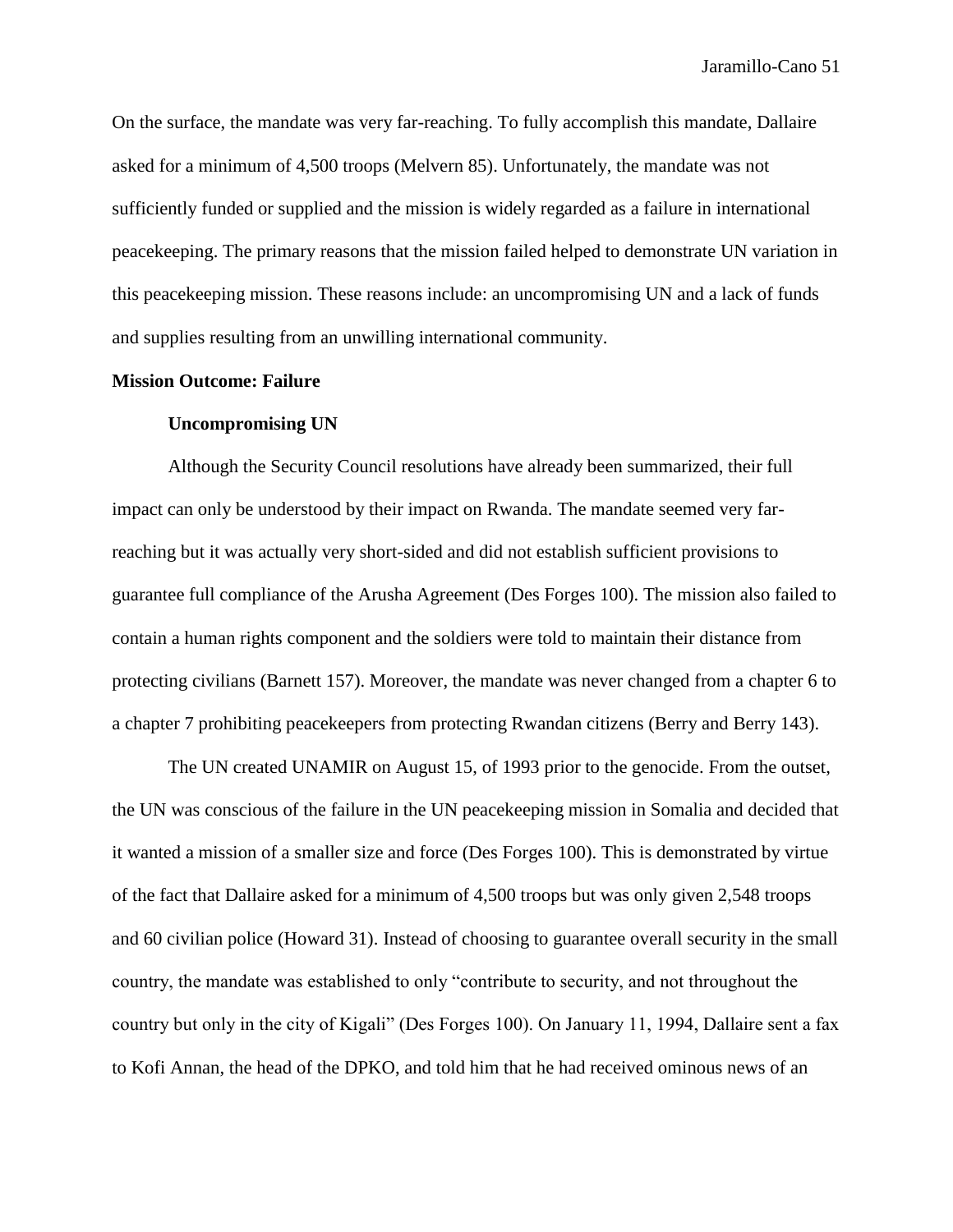On the surface, the mandate was very far-reaching. To fully accomplish this mandate, Dallaire asked for a minimum of 4,500 troops (Melvern 85). Unfortunately, the mandate was not sufficiently funded or supplied and the mission is widely regarded as a failure in international peacekeeping. The primary reasons that the mission failed helped to demonstrate UN variation in this peacekeeping mission. These reasons include: an uncompromising UN and a lack of funds and supplies resulting from an unwilling international community.

## **Mission Outcome: Failure**

### **Uncompromising UN**

Although the Security Council resolutions have already been summarized, their full impact can only be understood by their impact on Rwanda. The mandate seemed very farreaching but it was actually very short-sided and did not establish sufficient provisions to guarantee full compliance of the Arusha Agreement (Des Forges 100). The mission also failed to contain a human rights component and the soldiers were told to maintain their distance from protecting civilians (Barnett 157). Moreover, the mandate was never changed from a chapter 6 to a chapter 7 prohibiting peacekeepers from protecting Rwandan citizens (Berry and Berry 143).

The UN created UNAMIR on August 15, of 1993 prior to the genocide. From the outset, the UN was conscious of the failure in the UN peacekeeping mission in Somalia and decided that it wanted a mission of a smaller size and force (Des Forges 100). This is demonstrated by virtue of the fact that Dallaire asked for a minimum of 4,500 troops but was only given 2,548 troops and 60 civilian police (Howard 31). Instead of choosing to guarantee overall security in the small country, the mandate was established to only "contribute to security, and not throughout the country but only in the city of Kigali" (Des Forges 100). On January 11, 1994, Dallaire sent a fax to Kofi Annan, the head of the DPKO, and told him that he had received ominous news of an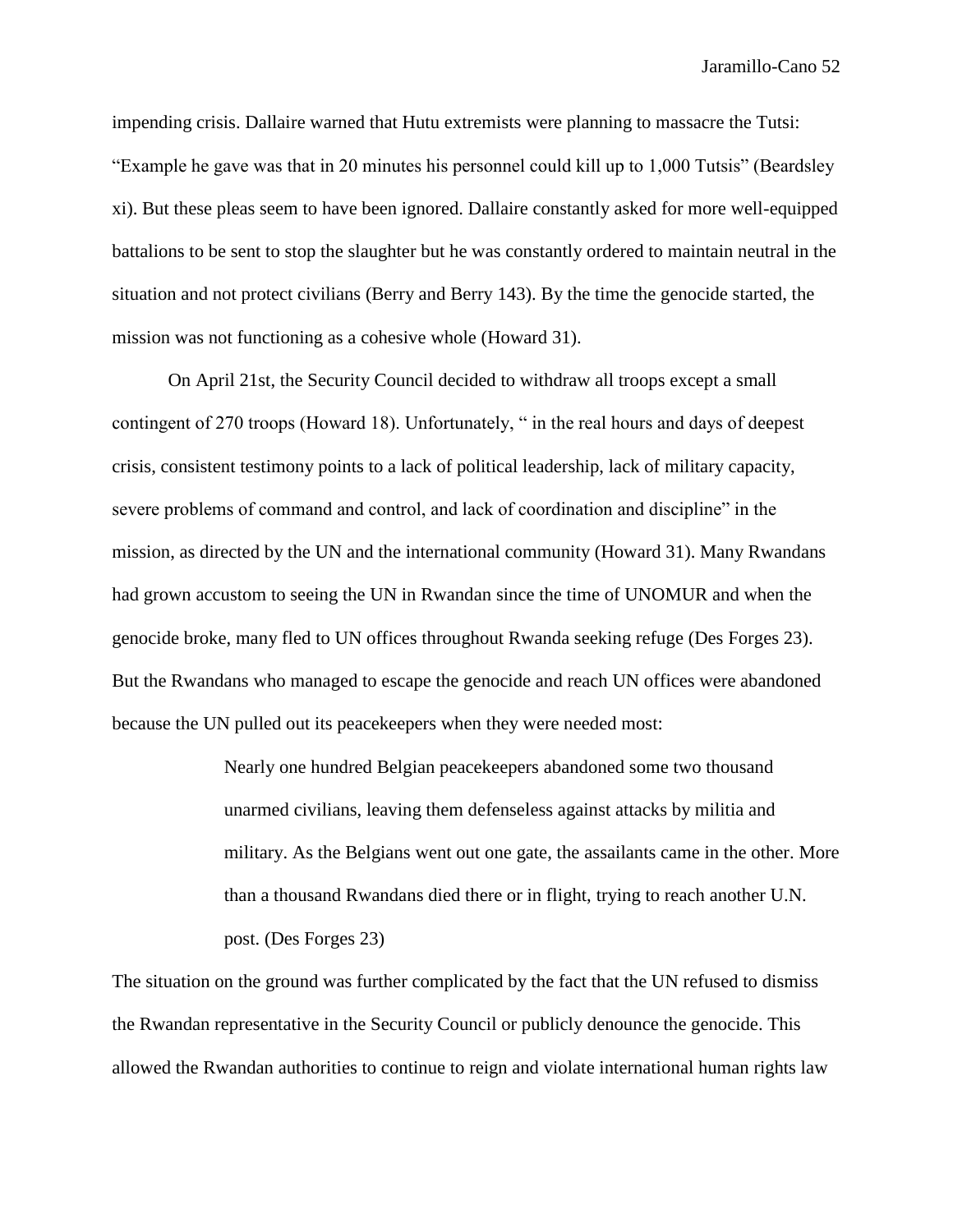impending crisis. Dallaire warned that Hutu extremists were planning to massacre the Tutsi: "Example he gave was that in 20 minutes his personnel could kill up to 1,000 Tutsis" (Beardsley xi). But these pleas seem to have been ignored. Dallaire constantly asked for more well-equipped battalions to be sent to stop the slaughter but he was constantly ordered to maintain neutral in the situation and not protect civilians (Berry and Berry 143). By the time the genocide started, the mission was not functioning as a cohesive whole (Howard 31).

On April 21st, the Security Council decided to withdraw all troops except a small contingent of 270 troops (Howard 18). Unfortunately, " in the real hours and days of deepest crisis, consistent testimony points to a lack of political leadership, lack of military capacity, severe problems of command and control, and lack of coordination and discipline" in the mission, as directed by the UN and the international community (Howard 31). Many Rwandans had grown accustom to seeing the UN in Rwandan since the time of UNOMUR and when the genocide broke, many fled to UN offices throughout Rwanda seeking refuge (Des Forges 23). But the Rwandans who managed to escape the genocide and reach UN offices were abandoned because the UN pulled out its peacekeepers when they were needed most:

> Nearly one hundred Belgian peacekeepers abandoned some two thousand unarmed civilians, leaving them defenseless against attacks by militia and military. As the Belgians went out one gate, the assailants came in the other. More than a thousand Rwandans died there or in flight, trying to reach another U.N. post. (Des Forges 23)

The situation on the ground was further complicated by the fact that the UN refused to dismiss the Rwandan representative in the Security Council or publicly denounce the genocide. This allowed the Rwandan authorities to continue to reign and violate international human rights law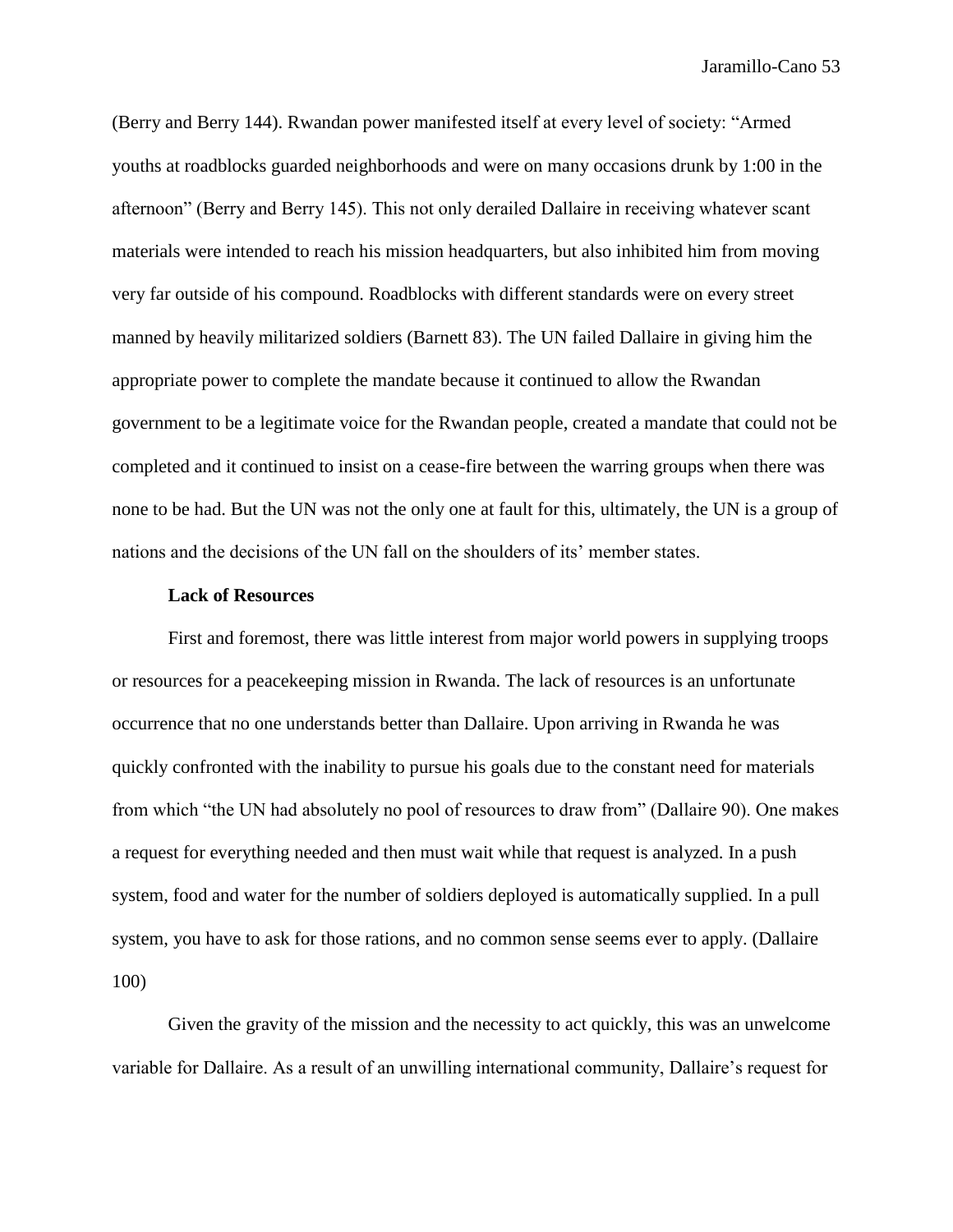(Berry and Berry 144). Rwandan power manifested itself at every level of society: "Armed youths at roadblocks guarded neighborhoods and were on many occasions drunk by 1:00 in the afternoon" (Berry and Berry 145). This not only derailed Dallaire in receiving whatever scant materials were intended to reach his mission headquarters, but also inhibited him from moving very far outside of his compound. Roadblocks with different standards were on every street manned by heavily militarized soldiers (Barnett 83). The UN failed Dallaire in giving him the appropriate power to complete the mandate because it continued to allow the Rwandan government to be a legitimate voice for the Rwandan people, created a mandate that could not be completed and it continued to insist on a cease-fire between the warring groups when there was none to be had. But the UN was not the only one at fault for this, ultimately, the UN is a group of nations and the decisions of the UN fall on the shoulders of its' member states.

### **Lack of Resources**

First and foremost, there was little interest from major world powers in supplying troops or resources for a peacekeeping mission in Rwanda. The lack of resources is an unfortunate occurrence that no one understands better than Dallaire. Upon arriving in Rwanda he was quickly confronted with the inability to pursue his goals due to the constant need for materials from which "the UN had absolutely no pool of resources to draw from" (Dallaire 90). One makes a request for everything needed and then must wait while that request is analyzed. In a push system, food and water for the number of soldiers deployed is automatically supplied. In a pull system, you have to ask for those rations, and no common sense seems ever to apply. (Dallaire 100)

Given the gravity of the mission and the necessity to act quickly, this was an unwelcome variable for Dallaire. As a result of an unwilling international community, Dallaire's request for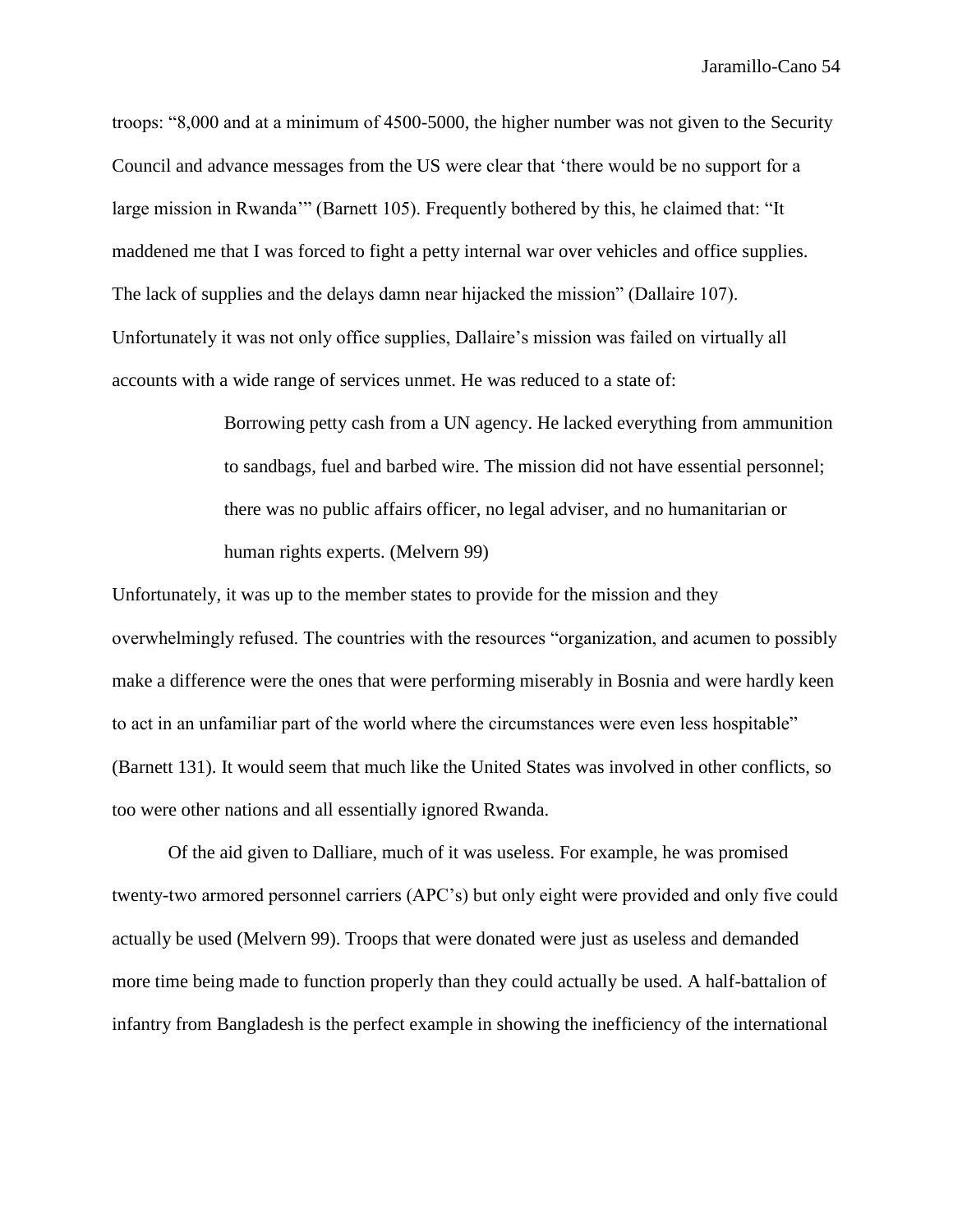troops: "8,000 and at a minimum of 4500-5000, the higher number was not given to the Security Council and advance messages from the US were clear that 'there would be no support for a large mission in Rwanda'" (Barnett 105). Frequently bothered by this, he claimed that: "It maddened me that I was forced to fight a petty internal war over vehicles and office supplies. The lack of supplies and the delays damn near hijacked the mission" (Dallaire 107). Unfortunately it was not only office supplies, Dallaire's mission was failed on virtually all accounts with a wide range of services unmet. He was reduced to a state of:

> Borrowing petty cash from a UN agency. He lacked everything from ammunition to sandbags, fuel and barbed wire. The mission did not have essential personnel; there was no public affairs officer, no legal adviser, and no humanitarian or human rights experts. (Melvern 99)

Unfortunately, it was up to the member states to provide for the mission and they overwhelmingly refused. The countries with the resources "organization, and acumen to possibly make a difference were the ones that were performing miserably in Bosnia and were hardly keen to act in an unfamiliar part of the world where the circumstances were even less hospitable" (Barnett 131). It would seem that much like the United States was involved in other conflicts, so too were other nations and all essentially ignored Rwanda.

Of the aid given to Dalliare, much of it was useless. For example, he was promised twenty-two armored personnel carriers (APC's) but only eight were provided and only five could actually be used (Melvern 99). Troops that were donated were just as useless and demanded more time being made to function properly than they could actually be used. A half-battalion of infantry from Bangladesh is the perfect example in showing the inefficiency of the international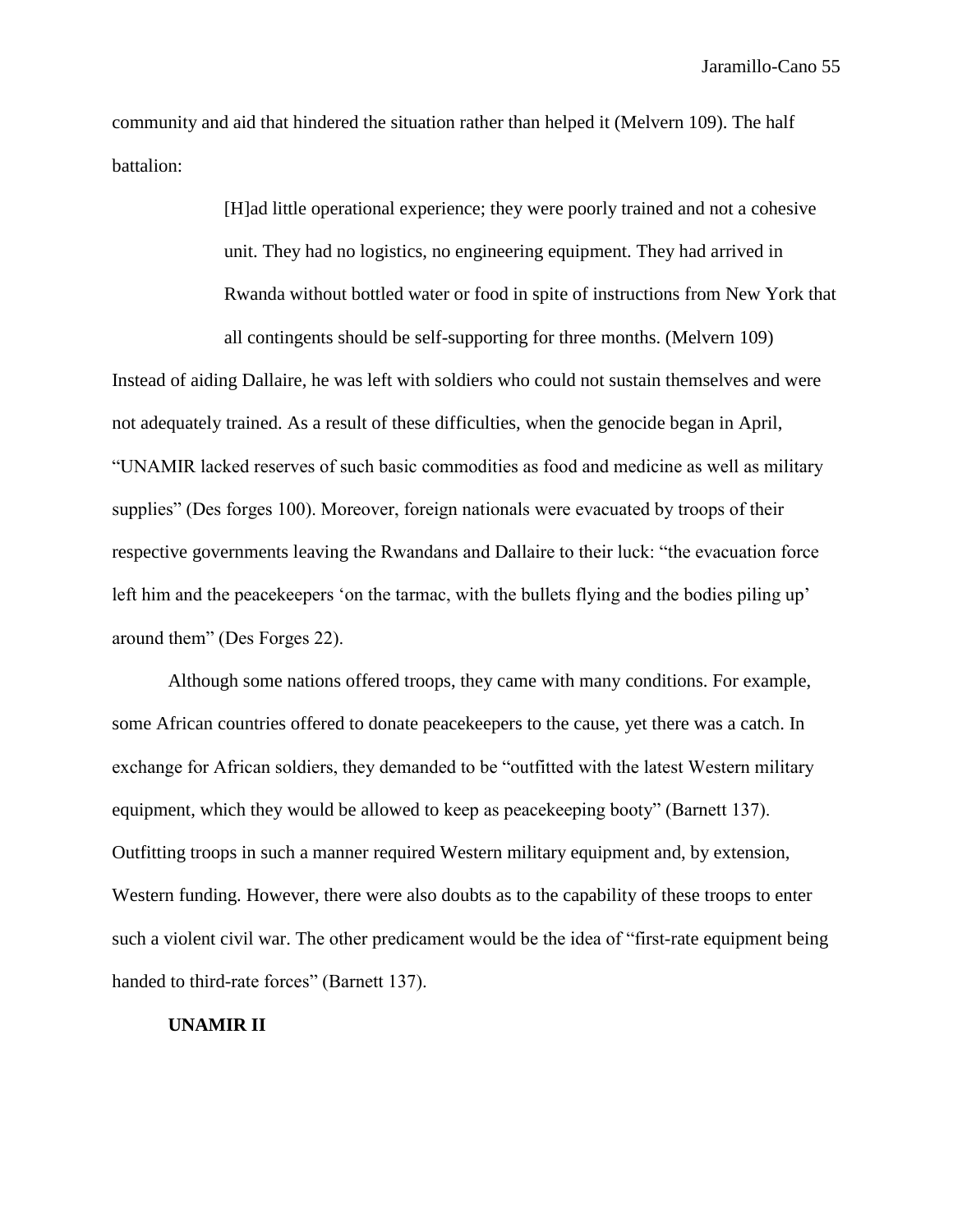community and aid that hindered the situation rather than helped it (Melvern 109). The half battalion:

> [H]ad little operational experience; they were poorly trained and not a cohesive unit. They had no logistics, no engineering equipment. They had arrived in Rwanda without bottled water or food in spite of instructions from New York that all contingents should be self-supporting for three months. (Melvern 109)

Instead of aiding Dallaire, he was left with soldiers who could not sustain themselves and were not adequately trained. As a result of these difficulties, when the genocide began in April, "UNAMIR lacked reserves of such basic commodities as food and medicine as well as military supplies" (Des forges 100). Moreover, foreign nationals were evacuated by troops of their respective governments leaving the Rwandans and Dallaire to their luck: "the evacuation force left him and the peacekeepers 'on the tarmac, with the bullets flying and the bodies piling up' around them" (Des Forges 22).

Although some nations offered troops, they came with many conditions. For example, some African countries offered to donate peacekeepers to the cause, yet there was a catch. In exchange for African soldiers, they demanded to be "outfitted with the latest Western military equipment, which they would be allowed to keep as peacekeeping booty" (Barnett 137). Outfitting troops in such a manner required Western military equipment and, by extension, Western funding. However, there were also doubts as to the capability of these troops to enter such a violent civil war. The other predicament would be the idea of "first-rate equipment being handed to third-rate forces" (Barnett 137).

## **UNAMIR II**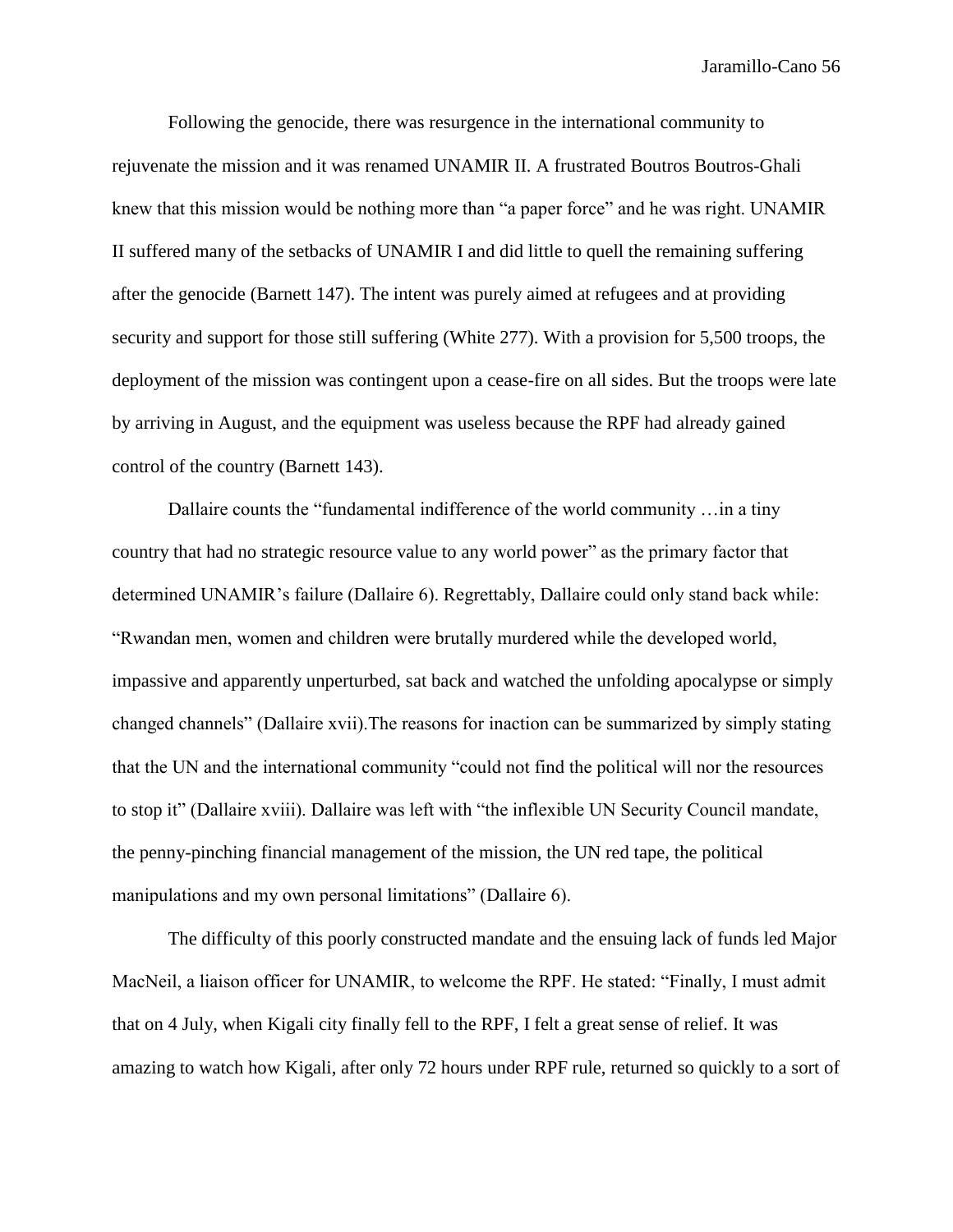Following the genocide, there was resurgence in the international community to rejuvenate the mission and it was renamed UNAMIR II. A frustrated Boutros Boutros-Ghali knew that this mission would be nothing more than "a paper force" and he was right. UNAMIR II suffered many of the setbacks of UNAMIR I and did little to quell the remaining suffering after the genocide (Barnett 147). The intent was purely aimed at refugees and at providing security and support for those still suffering (White 277). With a provision for 5,500 troops, the deployment of the mission was contingent upon a cease-fire on all sides. But the troops were late by arriving in August, and the equipment was useless because the RPF had already gained control of the country (Barnett 143).

Dallaire counts the "fundamental indifference of the world community …in a tiny country that had no strategic resource value to any world power" as the primary factor that determined UNAMIR's failure (Dallaire 6). Regrettably, Dallaire could only stand back while: "Rwandan men, women and children were brutally murdered while the developed world, impassive and apparently unperturbed, sat back and watched the unfolding apocalypse or simply changed channels" (Dallaire xvii).The reasons for inaction can be summarized by simply stating that the UN and the international community "could not find the political will nor the resources to stop it" (Dallaire xviii). Dallaire was left with "the inflexible UN Security Council mandate, the penny-pinching financial management of the mission, the UN red tape, the political manipulations and my own personal limitations" (Dallaire 6).

The difficulty of this poorly constructed mandate and the ensuing lack of funds led Major MacNeil, a liaison officer for UNAMIR, to welcome the RPF. He stated: "Finally, I must admit that on 4 July, when Kigali city finally fell to the RPF, I felt a great sense of relief. It was amazing to watch how Kigali, after only 72 hours under RPF rule, returned so quickly to a sort of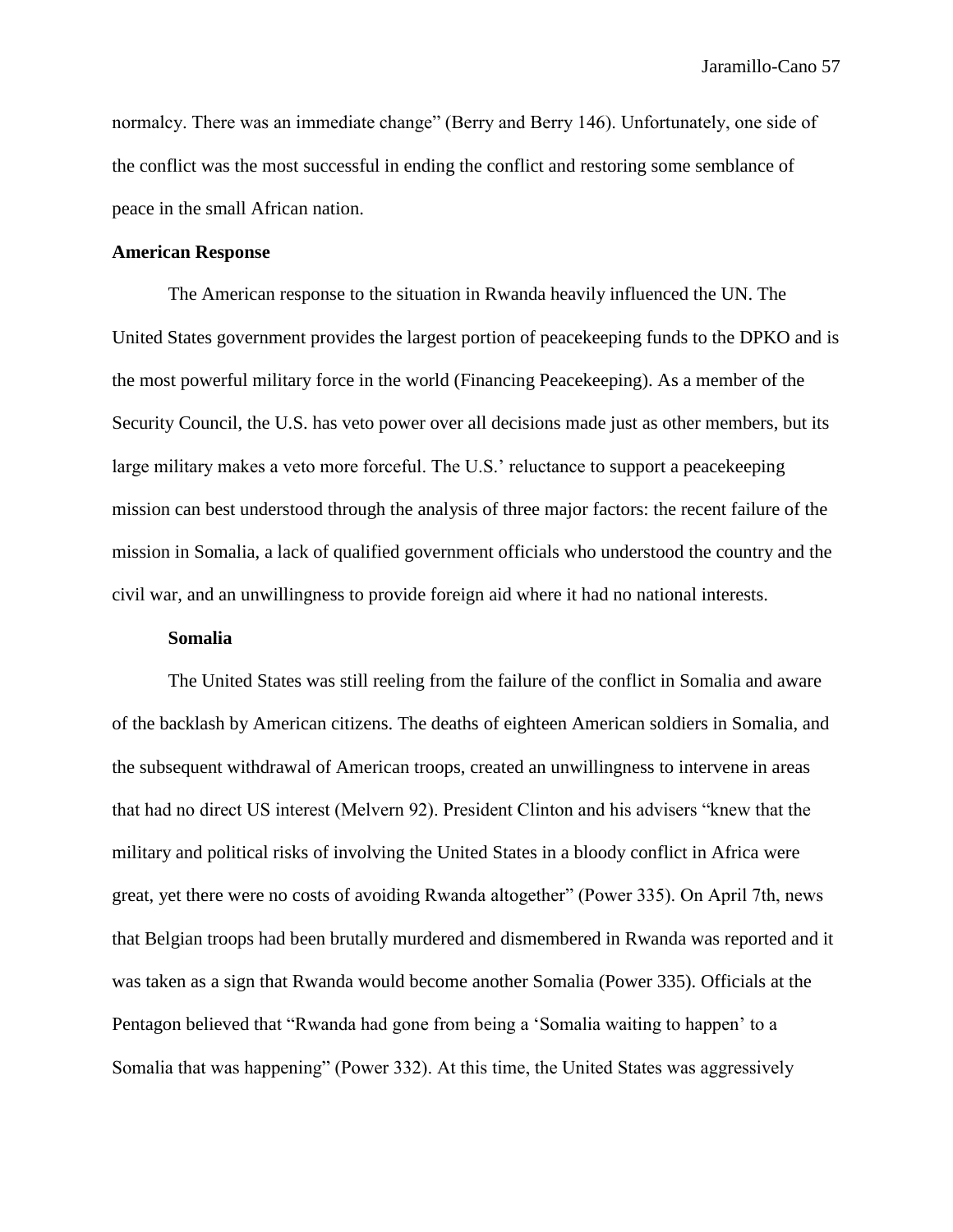normalcy. There was an immediate change" (Berry and Berry 146). Unfortunately, one side of the conflict was the most successful in ending the conflict and restoring some semblance of peace in the small African nation.

## **American Response**

The American response to the situation in Rwanda heavily influenced the UN. The United States government provides the largest portion of peacekeeping funds to the DPKO and is the most powerful military force in the world (Financing Peacekeeping). As a member of the Security Council, the U.S. has veto power over all decisions made just as other members, but its large military makes a veto more forceful. The U.S.' reluctance to support a peacekeeping mission can best understood through the analysis of three major factors: the recent failure of the mission in Somalia, a lack of qualified government officials who understood the country and the civil war, and an unwillingness to provide foreign aid where it had no national interests.

## **Somalia**

The United States was still reeling from the failure of the conflict in Somalia and aware of the backlash by American citizens. The deaths of eighteen American soldiers in Somalia, and the subsequent withdrawal of American troops, created an unwillingness to intervene in areas that had no direct US interest (Melvern 92). President Clinton and his advisers "knew that the military and political risks of involving the United States in a bloody conflict in Africa were great, yet there were no costs of avoiding Rwanda altogether" (Power 335). On April 7th, news that Belgian troops had been brutally murdered and dismembered in Rwanda was reported and it was taken as a sign that Rwanda would become another Somalia (Power 335). Officials at the Pentagon believed that "Rwanda had gone from being a 'Somalia waiting to happen' to a Somalia that was happening" (Power 332). At this time, the United States was aggressively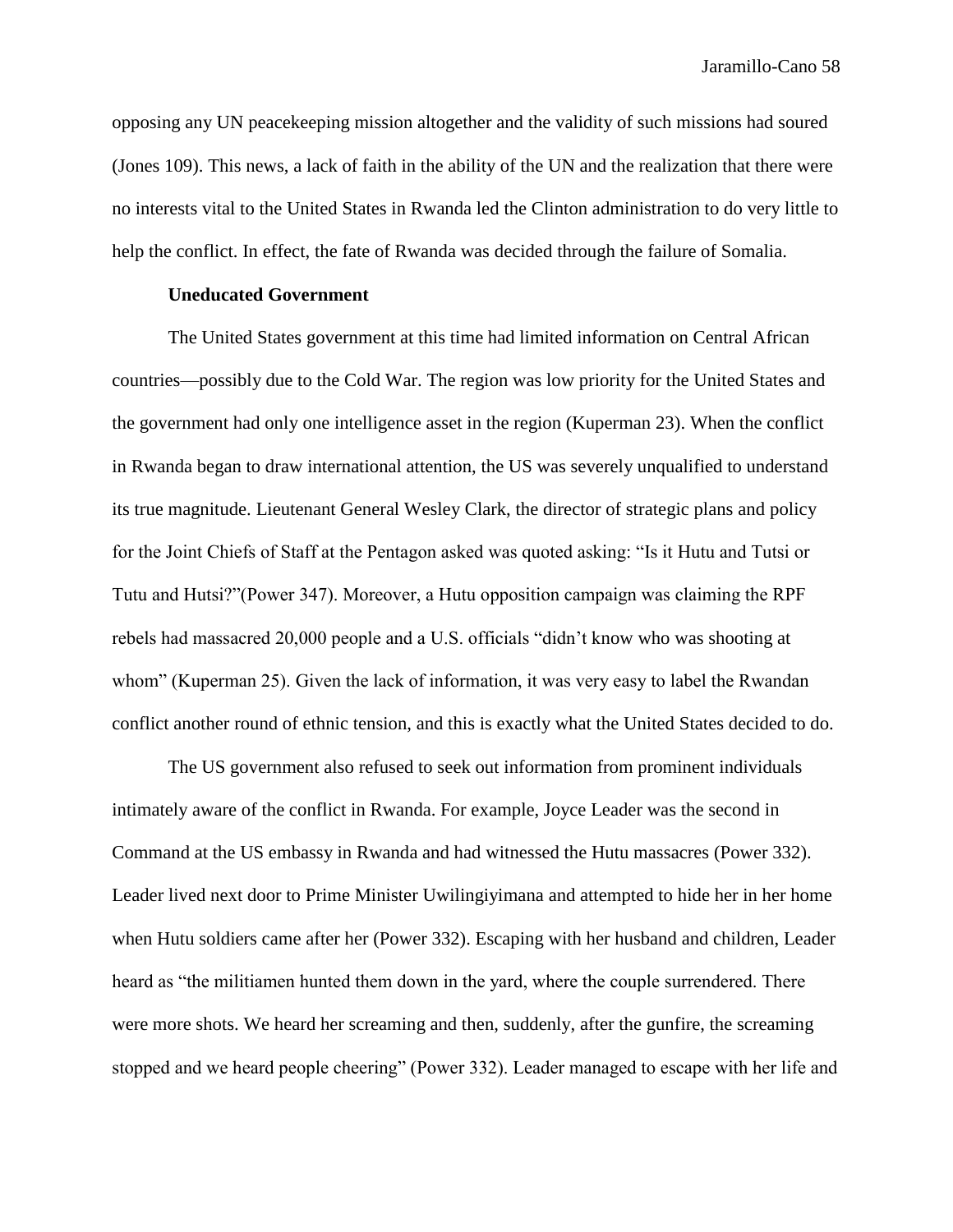opposing any UN peacekeeping mission altogether and the validity of such missions had soured (Jones 109). This news, a lack of faith in the ability of the UN and the realization that there were no interests vital to the United States in Rwanda led the Clinton administration to do very little to help the conflict. In effect, the fate of Rwanda was decided through the failure of Somalia.

# **Uneducated Government**

The United States government at this time had limited information on Central African countries—possibly due to the Cold War. The region was low priority for the United States and the government had only one intelligence asset in the region (Kuperman 23). When the conflict in Rwanda began to draw international attention, the US was severely unqualified to understand its true magnitude. Lieutenant General Wesley Clark, the director of strategic plans and policy for the Joint Chiefs of Staff at the Pentagon asked was quoted asking: "Is it Hutu and Tutsi or Tutu and Hutsi?"(Power 347). Moreover, a Hutu opposition campaign was claiming the RPF rebels had massacred 20,000 people and a U.S. officials "didn't know who was shooting at whom" (Kuperman 25). Given the lack of information, it was very easy to label the Rwandan conflict another round of ethnic tension, and this is exactly what the United States decided to do.

The US government also refused to seek out information from prominent individuals intimately aware of the conflict in Rwanda. For example, Joyce Leader was the second in Command at the US embassy in Rwanda and had witnessed the Hutu massacres (Power 332). Leader lived next door to Prime Minister Uwilingiyimana and attempted to hide her in her home when Hutu soldiers came after her (Power 332). Escaping with her husband and children, Leader heard as "the militiamen hunted them down in the yard, where the couple surrendered. There were more shots. We heard her screaming and then, suddenly, after the gunfire, the screaming stopped and we heard people cheering" (Power 332). Leader managed to escape with her life and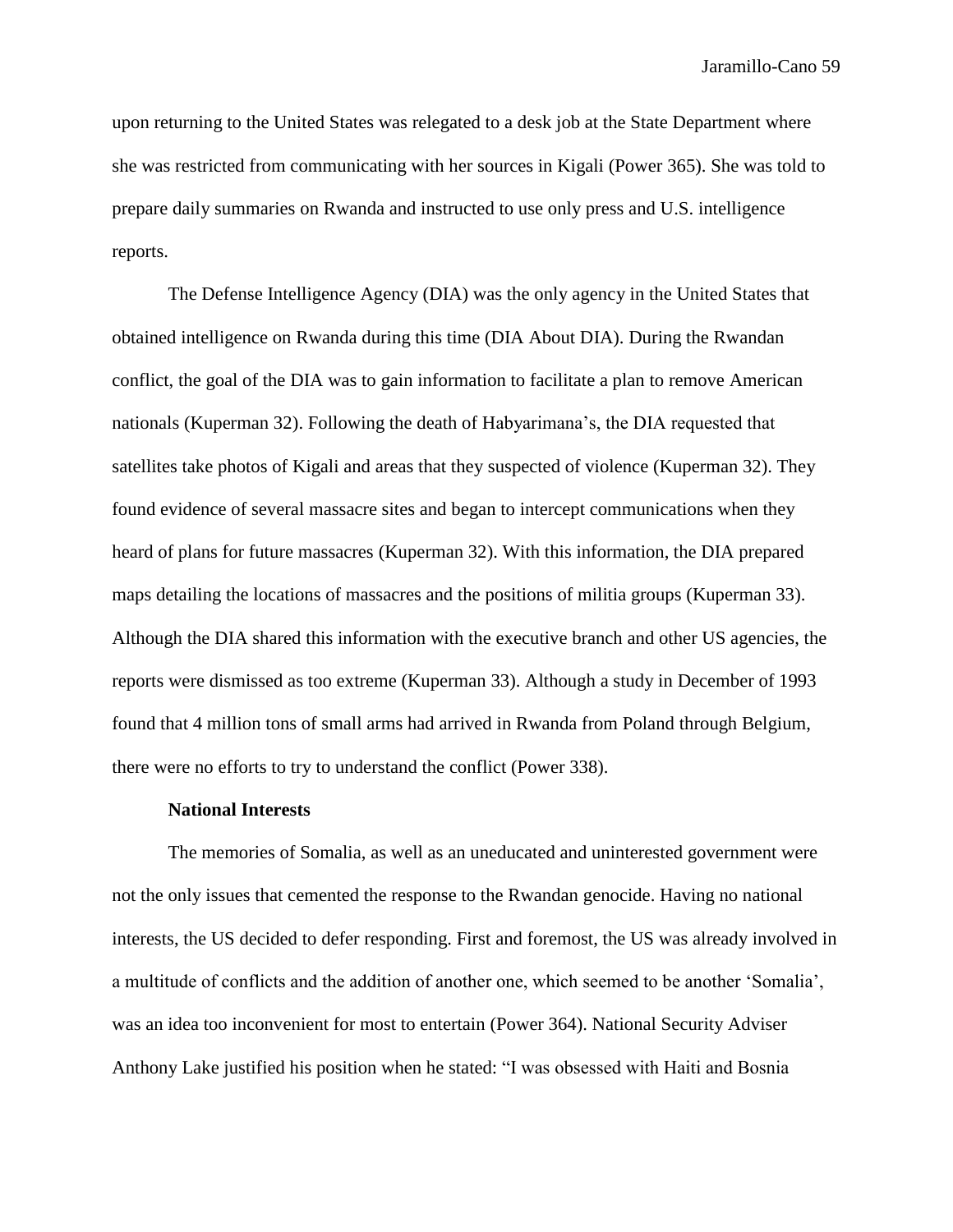upon returning to the United States was relegated to a desk job at the State Department where she was restricted from communicating with her sources in Kigali (Power 365). She was told to prepare daily summaries on Rwanda and instructed to use only press and U.S. intelligence reports.

The Defense Intelligence Agency (DIA) was the only agency in the United States that obtained intelligence on Rwanda during this time (DIA About DIA). During the Rwandan conflict, the goal of the DIA was to gain information to facilitate a plan to remove American nationals (Kuperman 32). Following the death of Habyarimana's, the DIA requested that satellites take photos of Kigali and areas that they suspected of violence (Kuperman 32). They found evidence of several massacre sites and began to intercept communications when they heard of plans for future massacres (Kuperman 32). With this information, the DIA prepared maps detailing the locations of massacres and the positions of militia groups (Kuperman 33). Although the DIA shared this information with the executive branch and other US agencies, the reports were dismissed as too extreme (Kuperman 33). Although a study in December of 1993 found that 4 million tons of small arms had arrived in Rwanda from Poland through Belgium, there were no efforts to try to understand the conflict (Power 338).

### **National Interests**

The memories of Somalia, as well as an uneducated and uninterested government were not the only issues that cemented the response to the Rwandan genocide. Having no national interests, the US decided to defer responding. First and foremost, the US was already involved in a multitude of conflicts and the addition of another one, which seemed to be another 'Somalia', was an idea too inconvenient for most to entertain (Power 364). National Security Adviser Anthony Lake justified his position when he stated: "I was obsessed with Haiti and Bosnia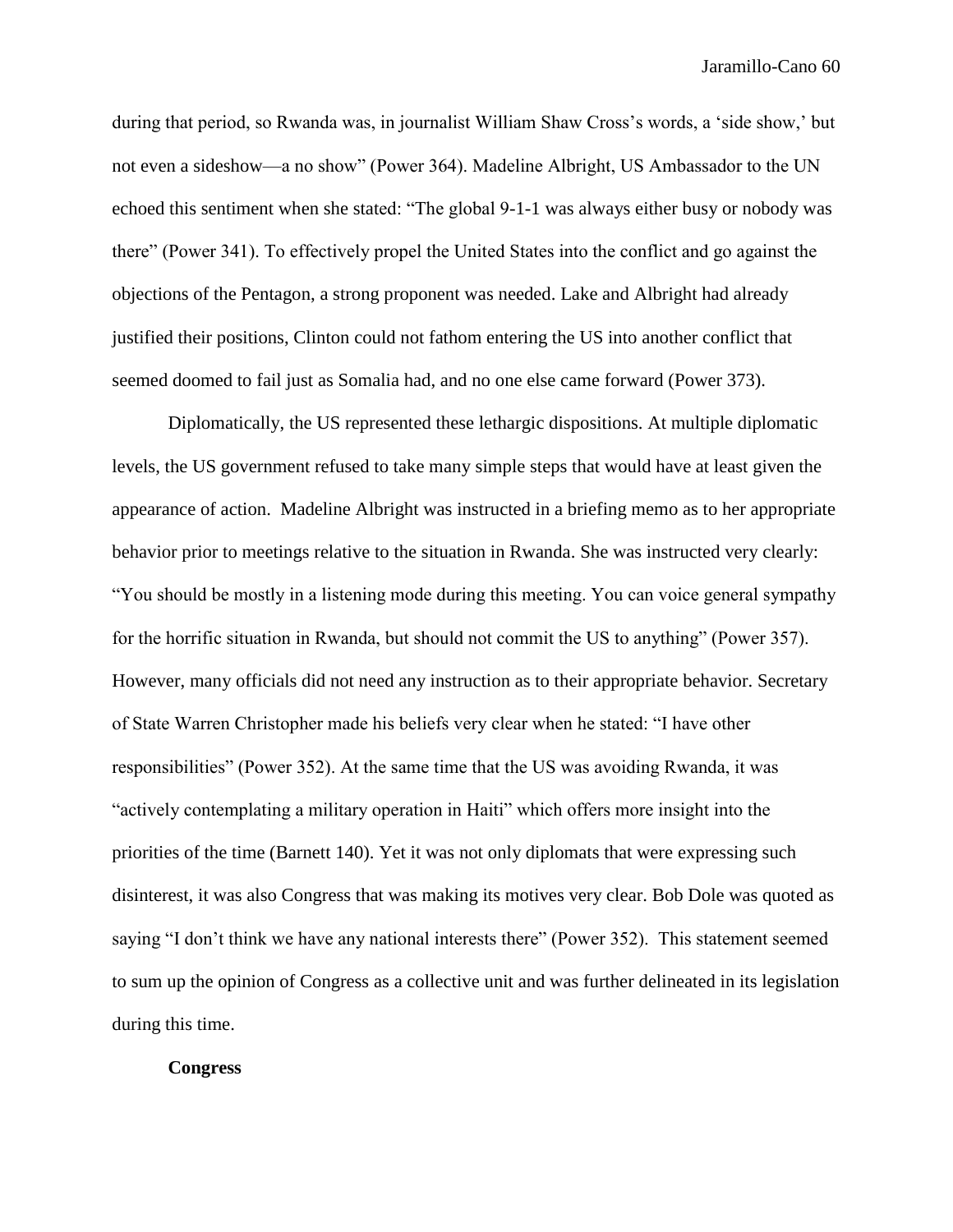during that period, so Rwanda was, in journalist William Shaw Cross's words, a 'side show,' but not even a sideshow—a no show" (Power 364). Madeline Albright, US Ambassador to the UN echoed this sentiment when she stated: "The global 9-1-1 was always either busy or nobody was there" (Power 341). To effectively propel the United States into the conflict and go against the objections of the Pentagon, a strong proponent was needed. Lake and Albright had already justified their positions, Clinton could not fathom entering the US into another conflict that seemed doomed to fail just as Somalia had, and no one else came forward (Power 373).

Diplomatically, the US represented these lethargic dispositions. At multiple diplomatic levels, the US government refused to take many simple steps that would have at least given the appearance of action. Madeline Albright was instructed in a briefing memo as to her appropriate behavior prior to meetings relative to the situation in Rwanda. She was instructed very clearly: "You should be mostly in a listening mode during this meeting. You can voice general sympathy for the horrific situation in Rwanda, but should not commit the US to anything" (Power 357). However, many officials did not need any instruction as to their appropriate behavior. Secretary of State Warren Christopher made his beliefs very clear when he stated: "I have other responsibilities" (Power 352). At the same time that the US was avoiding Rwanda, it was "actively contemplating a military operation in Haiti" which offers more insight into the priorities of the time (Barnett 140). Yet it was not only diplomats that were expressing such disinterest, it was also Congress that was making its motives very clear. Bob Dole was quoted as saying "I don't think we have any national interests there" (Power 352). This statement seemed to sum up the opinion of Congress as a collective unit and was further delineated in its legislation during this time.

### **Congress**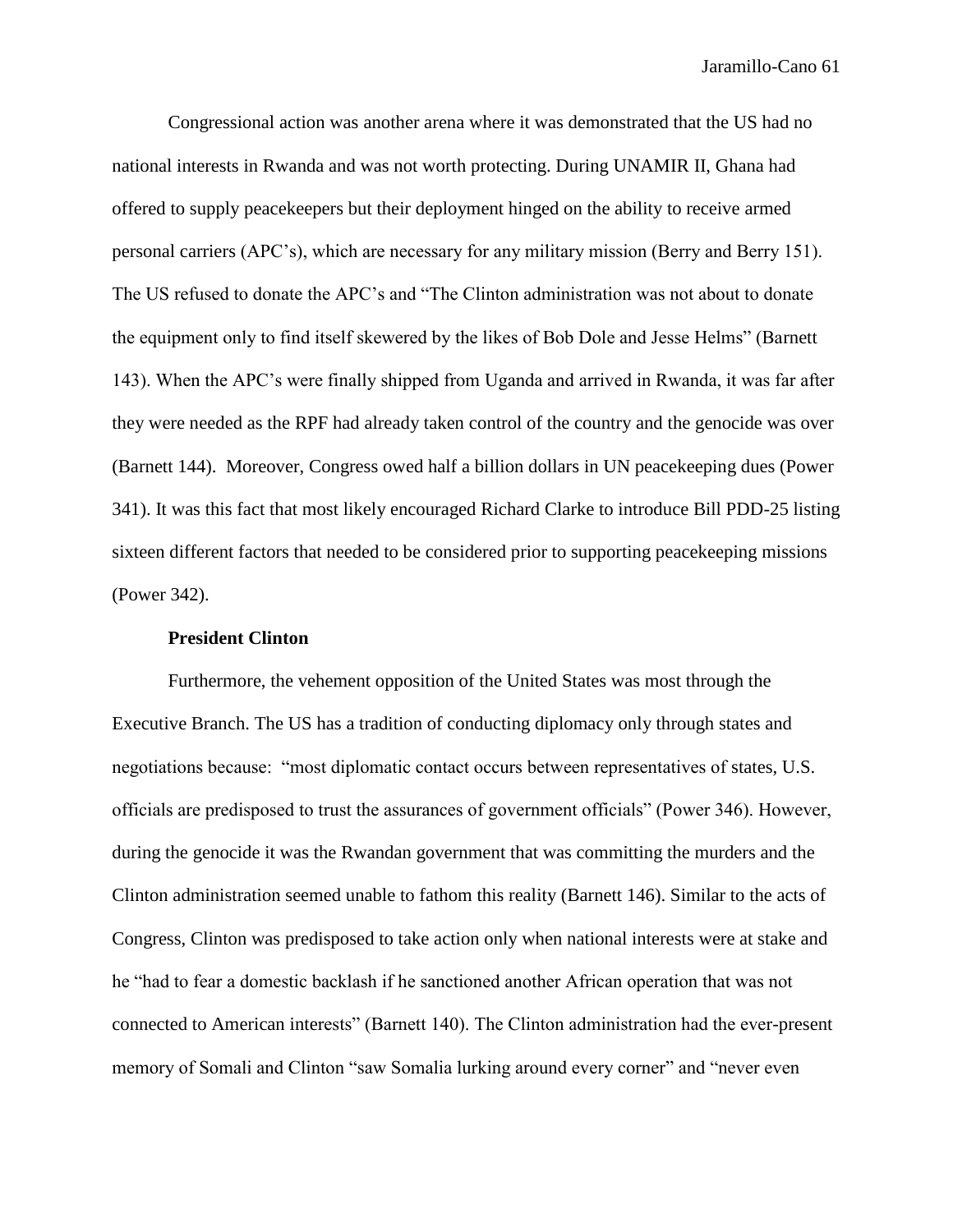Congressional action was another arena where it was demonstrated that the US had no national interests in Rwanda and was not worth protecting. During UNAMIR II, Ghana had offered to supply peacekeepers but their deployment hinged on the ability to receive armed personal carriers (APC's), which are necessary for any military mission (Berry and Berry 151). The US refused to donate the APC's and "The Clinton administration was not about to donate the equipment only to find itself skewered by the likes of Bob Dole and Jesse Helms" (Barnett 143). When the APC's were finally shipped from Uganda and arrived in Rwanda, it was far after they were needed as the RPF had already taken control of the country and the genocide was over (Barnett 144). Moreover, Congress owed half a billion dollars in UN peacekeeping dues (Power 341). It was this fact that most likely encouraged Richard Clarke to introduce Bill PDD-25 listing sixteen different factors that needed to be considered prior to supporting peacekeeping missions (Power 342).

### **President Clinton**

Furthermore, the vehement opposition of the United States was most through the Executive Branch. The US has a tradition of conducting diplomacy only through states and negotiations because: "most diplomatic contact occurs between representatives of states, U.S. officials are predisposed to trust the assurances of government officials" (Power 346). However, during the genocide it was the Rwandan government that was committing the murders and the Clinton administration seemed unable to fathom this reality (Barnett 146). Similar to the acts of Congress, Clinton was predisposed to take action only when national interests were at stake and he "had to fear a domestic backlash if he sanctioned another African operation that was not connected to American interests" (Barnett 140). The Clinton administration had the ever-present memory of Somali and Clinton "saw Somalia lurking around every corner" and "never even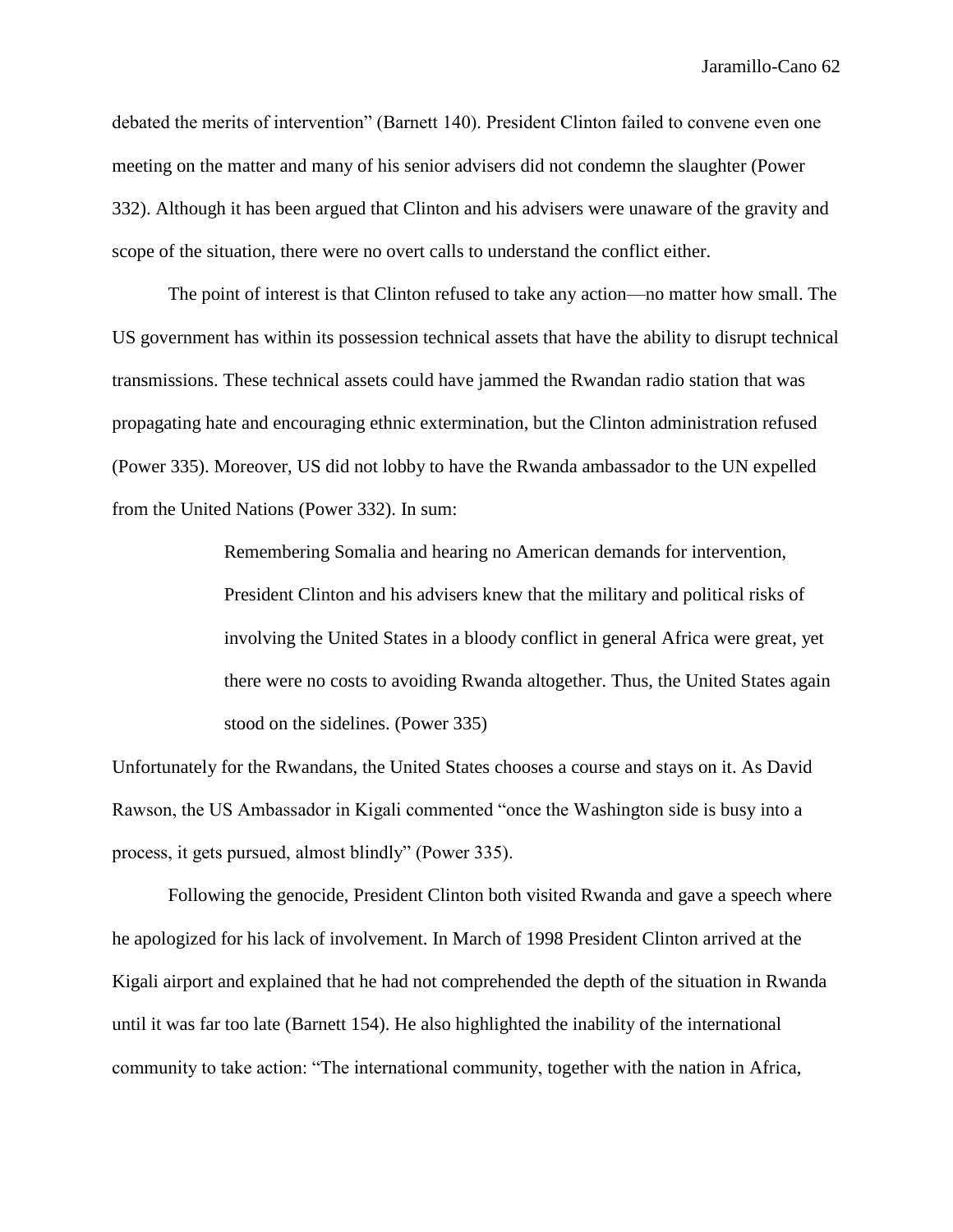debated the merits of intervention" (Barnett 140). President Clinton failed to convene even one meeting on the matter and many of his senior advisers did not condemn the slaughter (Power 332). Although it has been argued that Clinton and his advisers were unaware of the gravity and scope of the situation, there were no overt calls to understand the conflict either.

The point of interest is that Clinton refused to take any action—no matter how small. The US government has within its possession technical assets that have the ability to disrupt technical transmissions. These technical assets could have jammed the Rwandan radio station that was propagating hate and encouraging ethnic extermination, but the Clinton administration refused (Power 335). Moreover, US did not lobby to have the Rwanda ambassador to the UN expelled from the United Nations (Power 332). In sum:

> Remembering Somalia and hearing no American demands for intervention, President Clinton and his advisers knew that the military and political risks of involving the United States in a bloody conflict in general Africa were great, yet there were no costs to avoiding Rwanda altogether. Thus, the United States again stood on the sidelines. (Power 335)

Unfortunately for the Rwandans, the United States chooses a course and stays on it. As David Rawson, the US Ambassador in Kigali commented "once the Washington side is busy into a process, it gets pursued, almost blindly" (Power 335).

Following the genocide, President Clinton both visited Rwanda and gave a speech where he apologized for his lack of involvement. In March of 1998 President Clinton arrived at the Kigali airport and explained that he had not comprehended the depth of the situation in Rwanda until it was far too late (Barnett 154). He also highlighted the inability of the international community to take action: "The international community, together with the nation in Africa,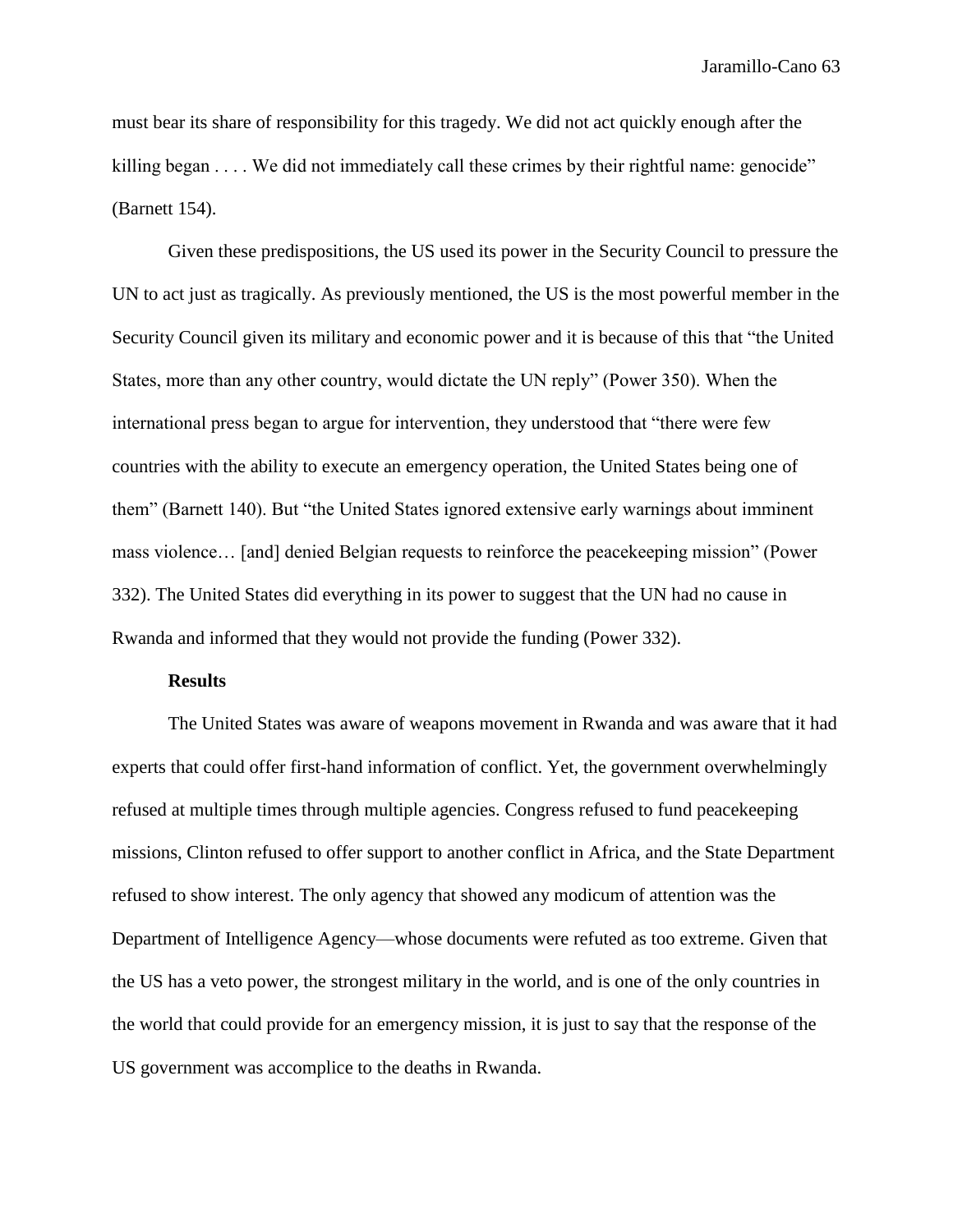must bear its share of responsibility for this tragedy. We did not act quickly enough after the killing began . . . . We did not immediately call these crimes by their rightful name: genocide" (Barnett 154).

Given these predispositions, the US used its power in the Security Council to pressure the UN to act just as tragically. As previously mentioned, the US is the most powerful member in the Security Council given its military and economic power and it is because of this that "the United States, more than any other country, would dictate the UN reply" (Power 350). When the international press began to argue for intervention, they understood that "there were few countries with the ability to execute an emergency operation, the United States being one of them" (Barnett 140). But "the United States ignored extensive early warnings about imminent mass violence… [and] denied Belgian requests to reinforce the peacekeeping mission" (Power 332). The United States did everything in its power to suggest that the UN had no cause in Rwanda and informed that they would not provide the funding (Power 332).

## **Results**

The United States was aware of weapons movement in Rwanda and was aware that it had experts that could offer first-hand information of conflict. Yet, the government overwhelmingly refused at multiple times through multiple agencies. Congress refused to fund peacekeeping missions, Clinton refused to offer support to another conflict in Africa, and the State Department refused to show interest. The only agency that showed any modicum of attention was the Department of Intelligence Agency—whose documents were refuted as too extreme. Given that the US has a veto power, the strongest military in the world, and is one of the only countries in the world that could provide for an emergency mission, it is just to say that the response of the US government was accomplice to the deaths in Rwanda.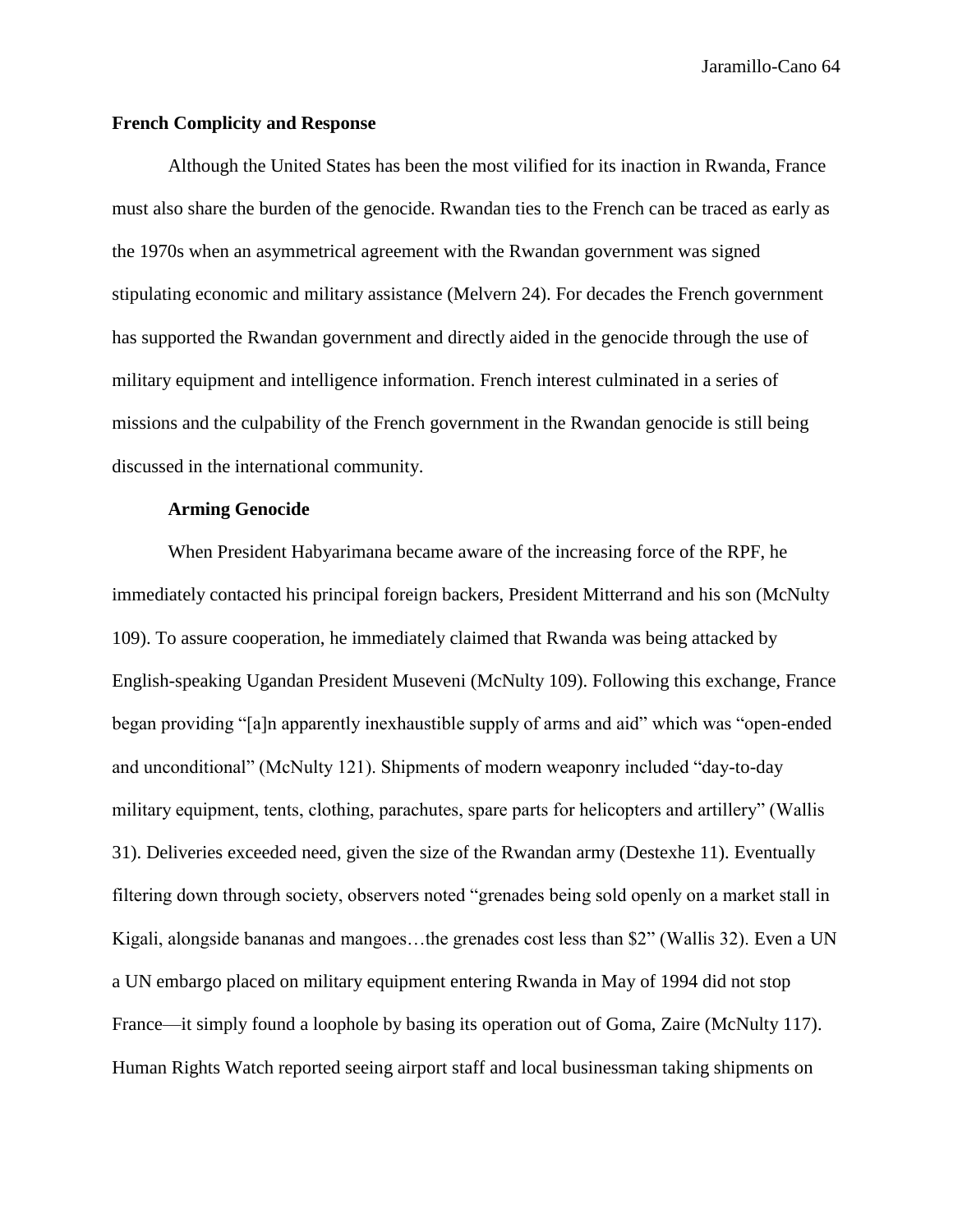## **French Complicity and Response**

Although the United States has been the most vilified for its inaction in Rwanda, France must also share the burden of the genocide. Rwandan ties to the French can be traced as early as the 1970s when an asymmetrical agreement with the Rwandan government was signed stipulating economic and military assistance (Melvern 24). For decades the French government has supported the Rwandan government and directly aided in the genocide through the use of military equipment and intelligence information. French interest culminated in a series of missions and the culpability of the French government in the Rwandan genocide is still being discussed in the international community.

## **Arming Genocide**

When President Habyarimana became aware of the increasing force of the RPF, he immediately contacted his principal foreign backers, President Mitterrand and his son (McNulty 109). To assure cooperation, he immediately claimed that Rwanda was being attacked by English-speaking Ugandan President Museveni (McNulty 109). Following this exchange, France began providing "[a]n apparently inexhaustible supply of arms and aid" which was "open-ended and unconditional" (McNulty 121). Shipments of modern weaponry included "day-to-day military equipment, tents, clothing, parachutes, spare parts for helicopters and artillery" (Wallis 31). Deliveries exceeded need, given the size of the Rwandan army (Destexhe 11). Eventually filtering down through society, observers noted "grenades being sold openly on a market stall in Kigali, alongside bananas and mangoes…the grenades cost less than \$2" (Wallis 32). Even a UN a UN embargo placed on military equipment entering Rwanda in May of 1994 did not stop France—it simply found a loophole by basing its operation out of Goma, Zaire (McNulty 117). Human Rights Watch reported seeing airport staff and local businessman taking shipments on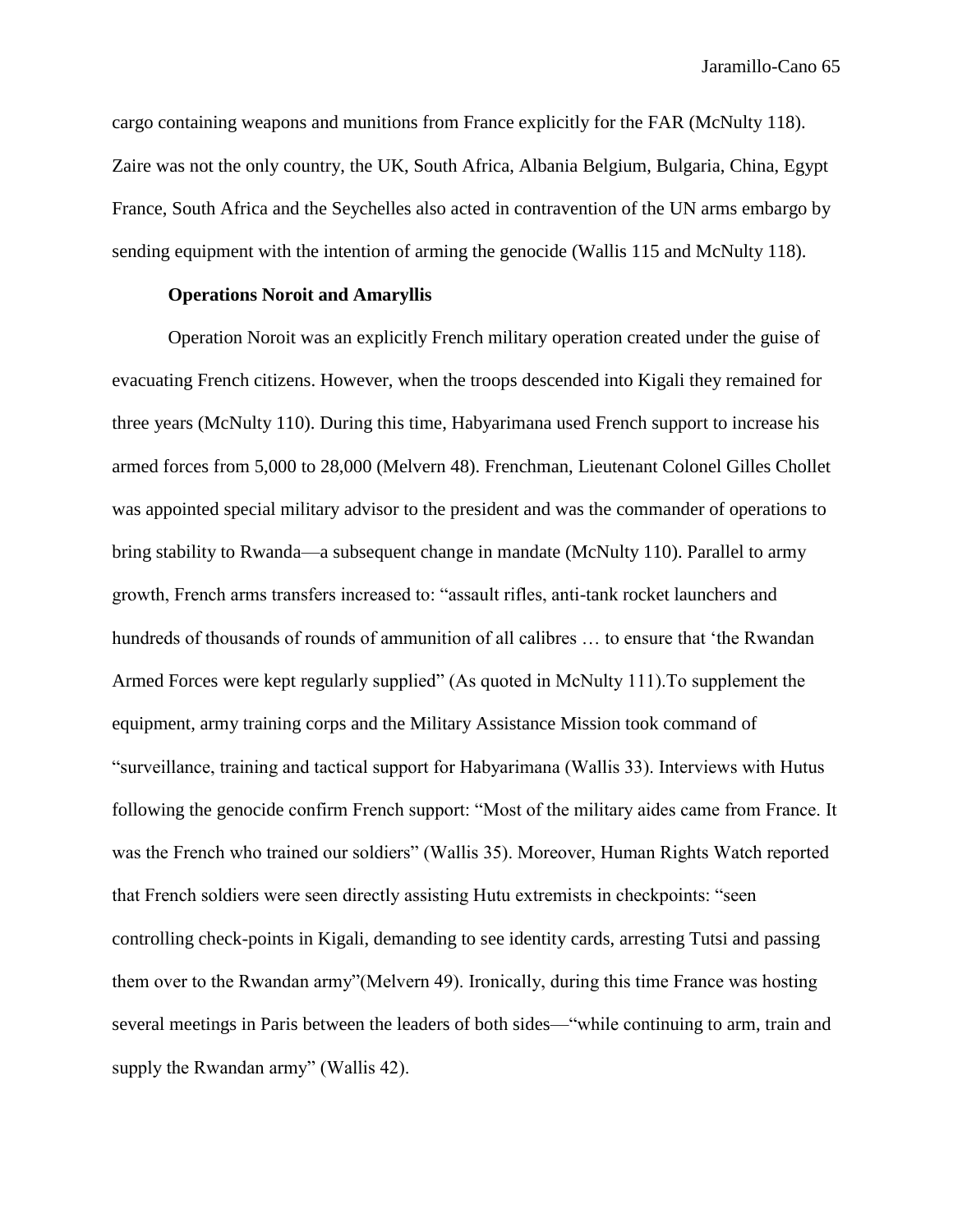cargo containing weapons and munitions from France explicitly for the FAR (McNulty 118). Zaire was not the only country, the UK, South Africa, Albania Belgium, Bulgaria, China, Egypt France, South Africa and the Seychelles also acted in contravention of the UN arms embargo by sending equipment with the intention of arming the genocide (Wallis 115 and McNulty 118).

# **Operations Noroit and Amaryllis**

Operation Noroit was an explicitly French military operation created under the guise of evacuating French citizens. However, when the troops descended into Kigali they remained for three years (McNulty 110). During this time, Habyarimana used French support to increase his armed forces from 5,000 to 28,000 (Melvern 48). Frenchman, Lieutenant Colonel Gilles Chollet was appointed special military advisor to the president and was the commander of operations to bring stability to Rwanda—a subsequent change in mandate (McNulty 110). Parallel to army growth, French arms transfers increased to: "assault rifles, anti-tank rocket launchers and hundreds of thousands of rounds of ammunition of all calibres ... to ensure that 'the Rwandan Armed Forces were kept regularly supplied" (As quoted in McNulty 111).To supplement the equipment, army training corps and the Military Assistance Mission took command of "surveillance, training and tactical support for Habyarimana (Wallis 33). Interviews with Hutus following the genocide confirm French support: "Most of the military aides came from France. It was the French who trained our soldiers" (Wallis 35). Moreover, Human Rights Watch reported that French soldiers were seen directly assisting Hutu extremists in checkpoints: "seen controlling check-points in Kigali, demanding to see identity cards, arresting Tutsi and passing them over to the Rwandan army"(Melvern 49). Ironically, during this time France was hosting several meetings in Paris between the leaders of both sides—"while continuing to arm, train and supply the Rwandan army" (Wallis 42).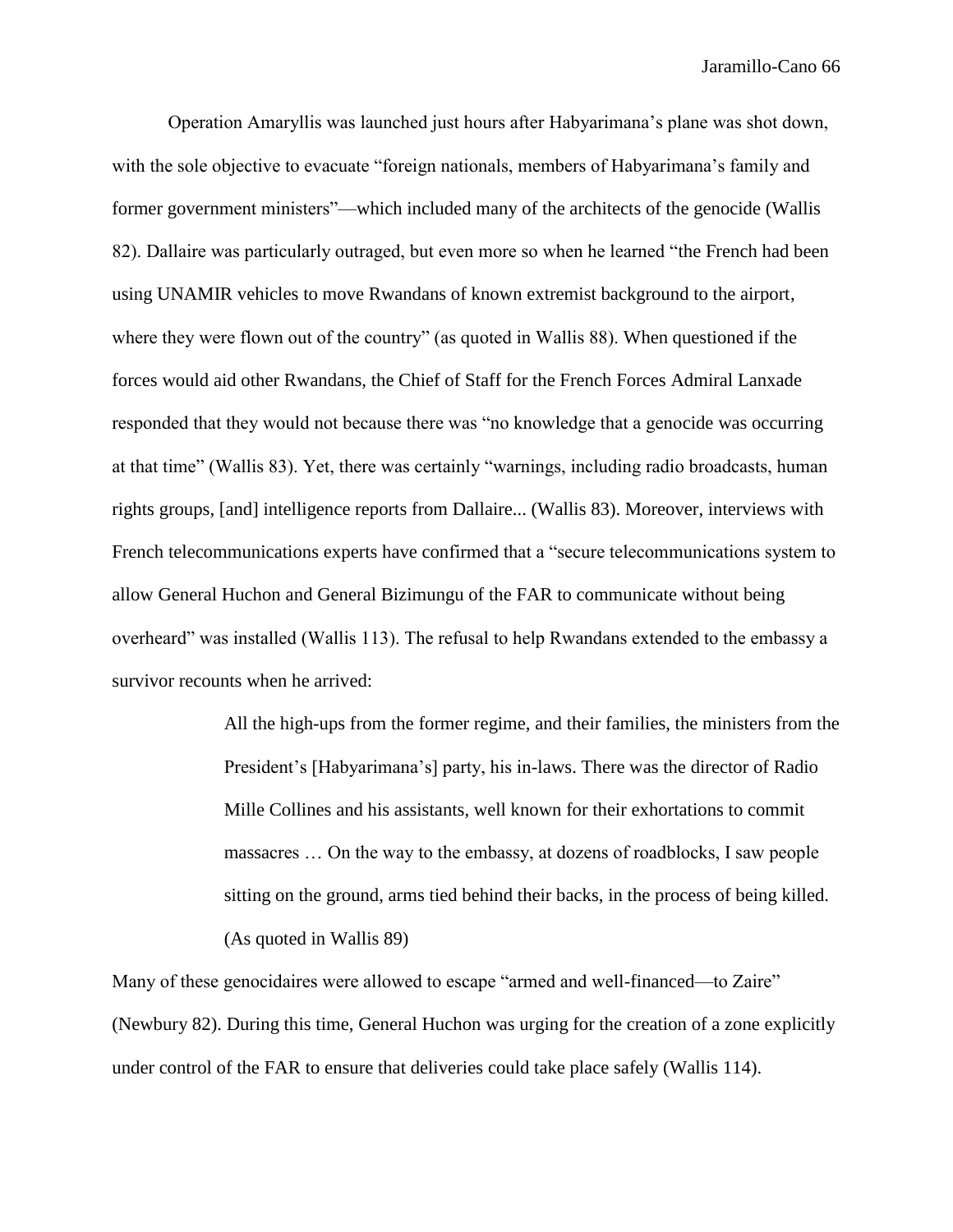Operation Amaryllis was launched just hours after Habyarimana's plane was shot down, with the sole objective to evacuate "foreign nationals, members of Habyarimana's family and former government ministers"—which included many of the architects of the genocide (Wallis 82). Dallaire was particularly outraged, but even more so when he learned "the French had been using UNAMIR vehicles to move Rwandans of known extremist background to the airport, where they were flown out of the country" (as quoted in Wallis 88). When questioned if the forces would aid other Rwandans, the Chief of Staff for the French Forces Admiral Lanxade responded that they would not because there was "no knowledge that a genocide was occurring at that time" (Wallis 83). Yet, there was certainly "warnings, including radio broadcasts, human rights groups, [and] intelligence reports from Dallaire... (Wallis 83). Moreover, interviews with French telecommunications experts have confirmed that a "secure telecommunications system to allow General Huchon and General Bizimungu of the FAR to communicate without being overheard" was installed (Wallis 113). The refusal to help Rwandans extended to the embassy a survivor recounts when he arrived:

> All the high-ups from the former regime, and their families, the ministers from the President's [Habyarimana's] party, his in-laws. There was the director of Radio Mille Collines and his assistants, well known for their exhortations to commit massacres … On the way to the embassy, at dozens of roadblocks, I saw people sitting on the ground, arms tied behind their backs, in the process of being killed. (As quoted in Wallis 89)

Many of these genocidaires were allowed to escape "armed and well-financed—to Zaire" (Newbury 82). During this time, General Huchon was urging for the creation of a zone explicitly under control of the FAR to ensure that deliveries could take place safely (Wallis 114).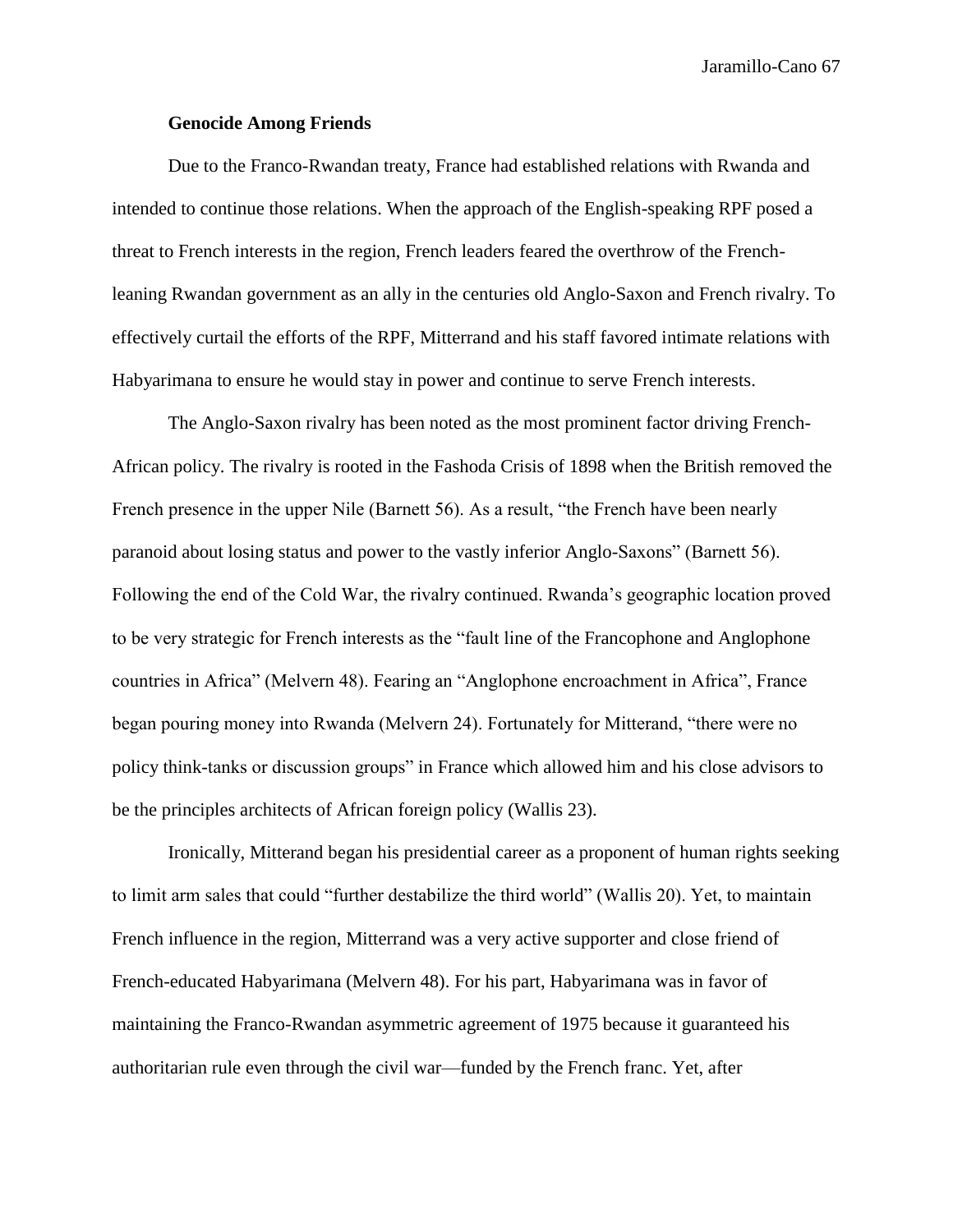## **Genocide Among Friends**

Due to the Franco-Rwandan treaty, France had established relations with Rwanda and intended to continue those relations. When the approach of the English-speaking RPF posed a threat to French interests in the region, French leaders feared the overthrow of the Frenchleaning Rwandan government as an ally in the centuries old Anglo-Saxon and French rivalry. To effectively curtail the efforts of the RPF, Mitterrand and his staff favored intimate relations with Habyarimana to ensure he would stay in power and continue to serve French interests.

The Anglo-Saxon rivalry has been noted as the most prominent factor driving French-African policy. The rivalry is rooted in the Fashoda Crisis of 1898 when the British removed the French presence in the upper Nile (Barnett 56). As a result, "the French have been nearly paranoid about losing status and power to the vastly inferior Anglo-Saxons" (Barnett 56). Following the end of the Cold War, the rivalry continued. Rwanda's geographic location proved to be very strategic for French interests as the "fault line of the Francophone and Anglophone countries in Africa" (Melvern 48). Fearing an "Anglophone encroachment in Africa", France began pouring money into Rwanda (Melvern 24). Fortunately for Mitterand, "there were no policy think-tanks or discussion groups" in France which allowed him and his close advisors to be the principles architects of African foreign policy (Wallis 23).

Ironically, Mitterand began his presidential career as a proponent of human rights seeking to limit arm sales that could "further destabilize the third world" (Wallis 20). Yet, to maintain French influence in the region, Mitterrand was a very active supporter and close friend of French-educated Habyarimana (Melvern 48). For his part, Habyarimana was in favor of maintaining the Franco-Rwandan asymmetric agreement of 1975 because it guaranteed his authoritarian rule even through the civil war—funded by the French franc. Yet, after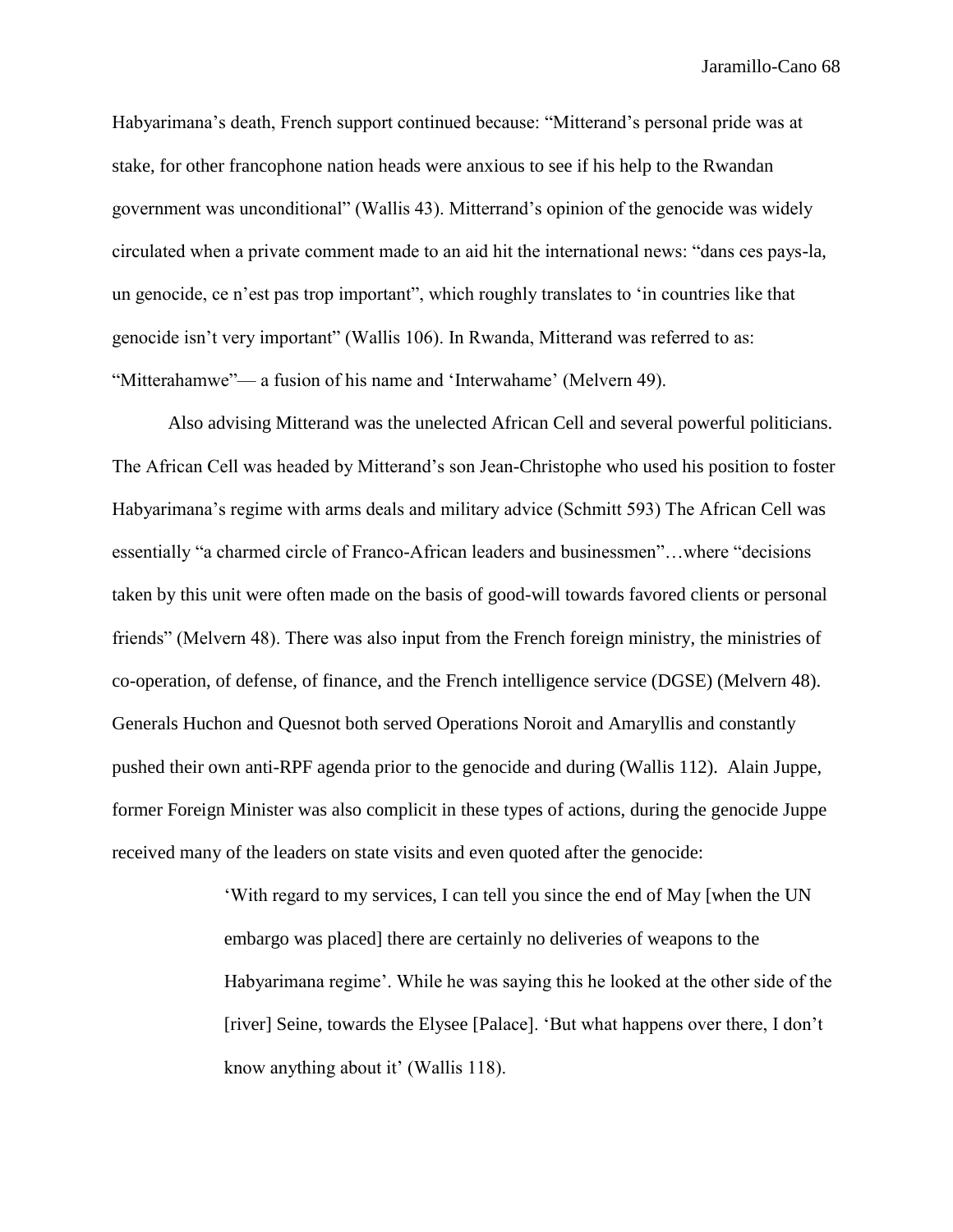Habyarimana's death, French support continued because: "Mitterand's personal pride was at stake, for other francophone nation heads were anxious to see if his help to the Rwandan government was unconditional" (Wallis 43). Mitterrand's opinion of the genocide was widely circulated when a private comment made to an aid hit the international news: "dans ces pays-la, un genocide, ce n'est pas trop important", which roughly translates to 'in countries like that genocide isn't very important" (Wallis 106). In Rwanda, Mitterand was referred to as: "Mitterahamwe"— a fusion of his name and 'Interwahame' (Melvern 49).

Also advising Mitterand was the unelected African Cell and several powerful politicians. The African Cell was headed by Mitterand's son Jean-Christophe who used his position to foster Habyarimana's regime with arms deals and military advice (Schmitt 593) The African Cell was essentially "a charmed circle of Franco-African leaders and businessmen"…where "decisions taken by this unit were often made on the basis of good-will towards favored clients or personal friends" (Melvern 48). There was also input from the French foreign ministry, the ministries of co-operation, of defense, of finance, and the French intelligence service (DGSE) (Melvern 48). Generals Huchon and Quesnot both served Operations Noroit and Amaryllis and constantly pushed their own anti-RPF agenda prior to the genocide and during (Wallis 112). Alain Juppe, former Foreign Minister was also complicit in these types of actions, during the genocide Juppe received many of the leaders on state visits and even quoted after the genocide:

> 'With regard to my services, I can tell you since the end of May [when the UN embargo was placed] there are certainly no deliveries of weapons to the Habyarimana regime'. While he was saying this he looked at the other side of the [river] Seine, towards the Elysee [Palace]. 'But what happens over there, I don't know anything about it' (Wallis 118).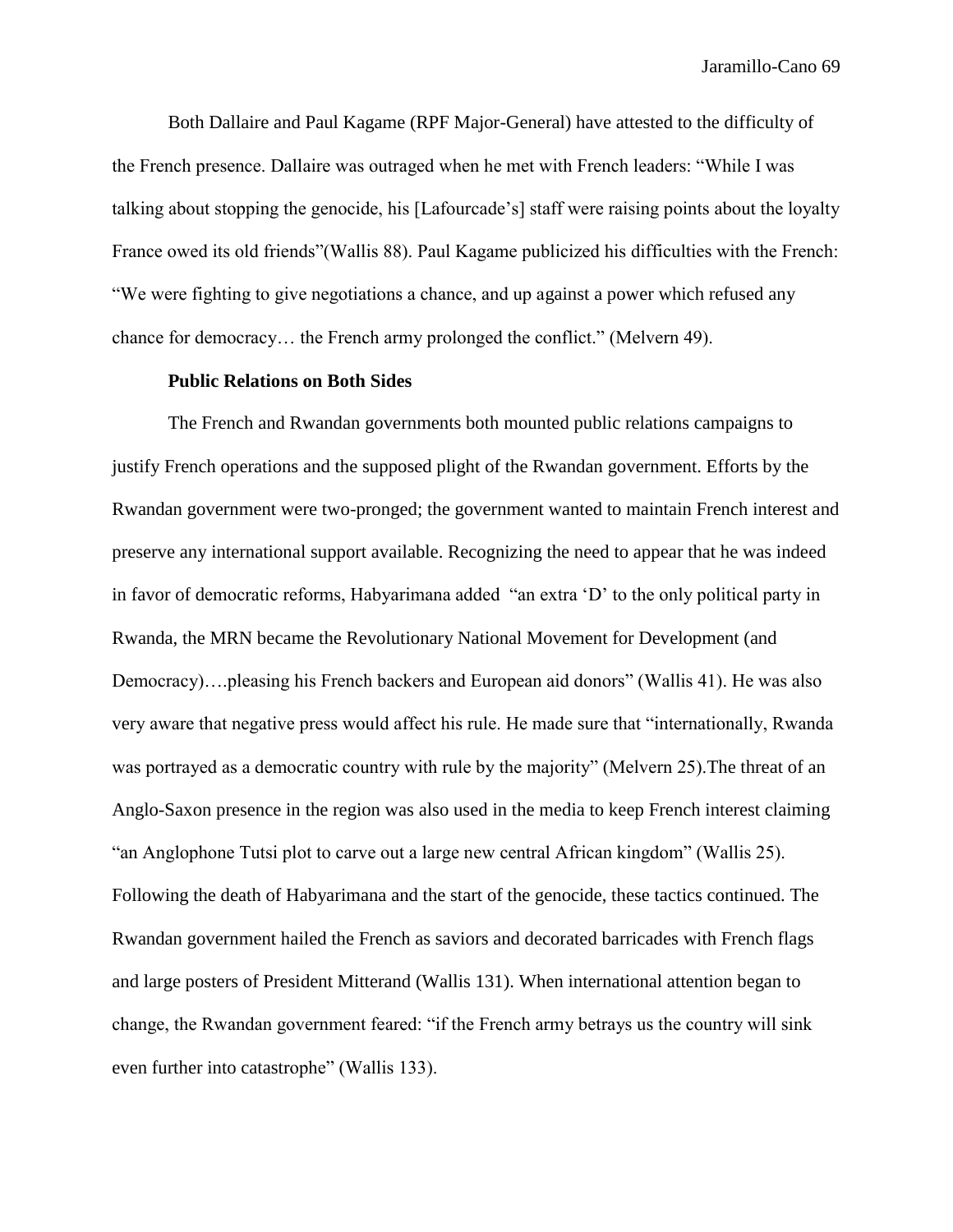Both Dallaire and Paul Kagame (RPF Major-General) have attested to the difficulty of the French presence. Dallaire was outraged when he met with French leaders: "While I was talking about stopping the genocide, his [Lafourcade's] staff were raising points about the loyalty France owed its old friends"(Wallis 88). Paul Kagame publicized his difficulties with the French: "We were fighting to give negotiations a chance, and up against a power which refused any chance for democracy… the French army prolonged the conflict." (Melvern 49).

## **Public Relations on Both Sides**

The French and Rwandan governments both mounted public relations campaigns to justify French operations and the supposed plight of the Rwandan government. Efforts by the Rwandan government were two-pronged; the government wanted to maintain French interest and preserve any international support available. Recognizing the need to appear that he was indeed in favor of democratic reforms, Habyarimana added "an extra 'D' to the only political party in Rwanda, the MRN became the Revolutionary National Movement for Development (and Democracy)….pleasing his French backers and European aid donors" (Wallis 41). He was also very aware that negative press would affect his rule. He made sure that "internationally, Rwanda was portrayed as a democratic country with rule by the majority" (Melvern 25).The threat of an Anglo-Saxon presence in the region was also used in the media to keep French interest claiming "an Anglophone Tutsi plot to carve out a large new central African kingdom" (Wallis 25). Following the death of Habyarimana and the start of the genocide, these tactics continued. The Rwandan government hailed the French as saviors and decorated barricades with French flags and large posters of President Mitterand (Wallis 131). When international attention began to change, the Rwandan government feared: "if the French army betrays us the country will sink even further into catastrophe" (Wallis 133).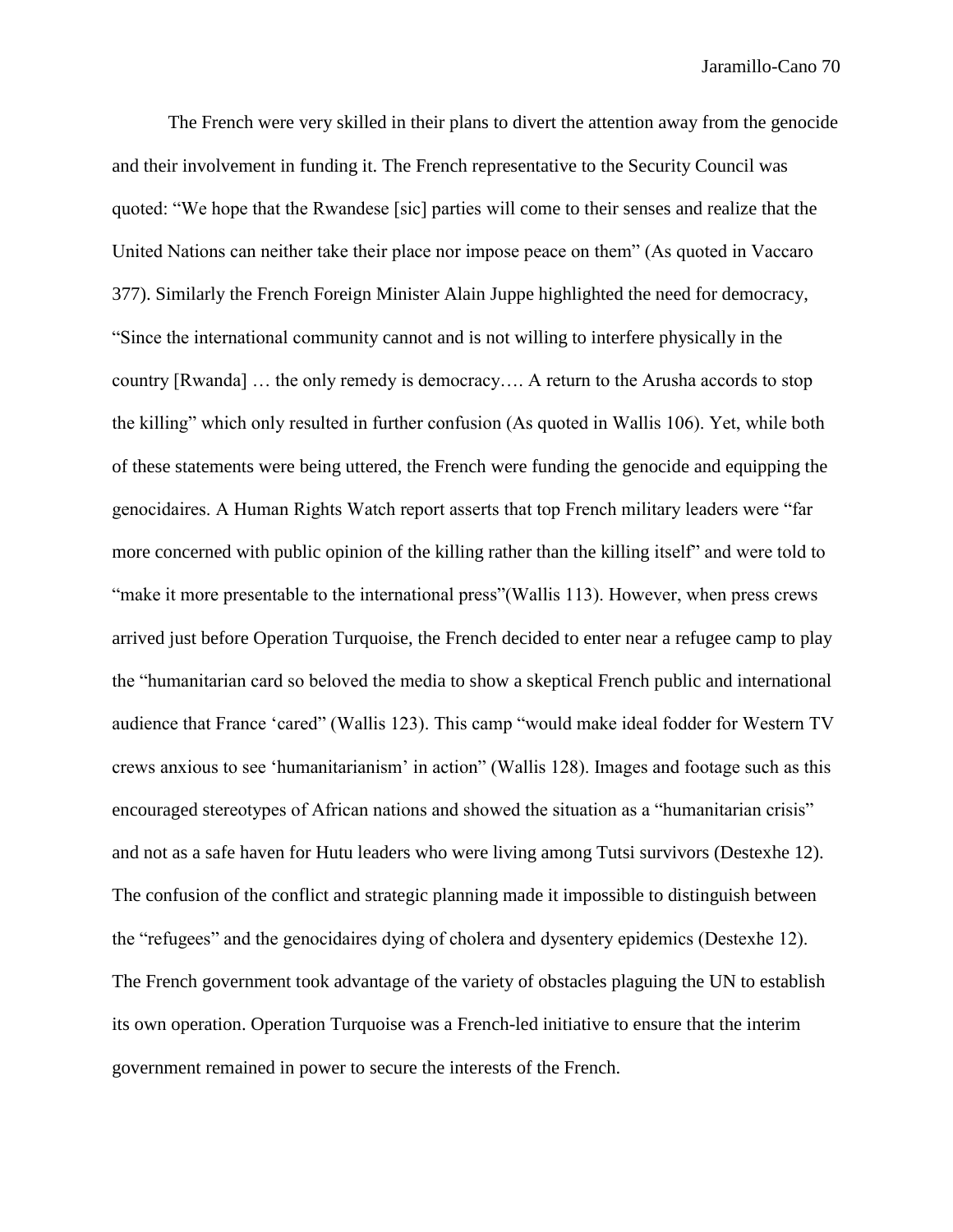The French were very skilled in their plans to divert the attention away from the genocide and their involvement in funding it. The French representative to the Security Council was quoted: "We hope that the Rwandese [sic] parties will come to their senses and realize that the United Nations can neither take their place nor impose peace on them" (As quoted in Vaccaro 377). Similarly the French Foreign Minister Alain Juppe highlighted the need for democracy, "Since the international community cannot and is not willing to interfere physically in the country [Rwanda] … the only remedy is democracy…. A return to the Arusha accords to stop the killing" which only resulted in further confusion (As quoted in Wallis 106). Yet, while both of these statements were being uttered, the French were funding the genocide and equipping the genocidaires. A Human Rights Watch report asserts that top French military leaders were "far more concerned with public opinion of the killing rather than the killing itself" and were told to "make it more presentable to the international press"(Wallis 113). However, when press crews arrived just before Operation Turquoise, the French decided to enter near a refugee camp to play the "humanitarian card so beloved the media to show a skeptical French public and international audience that France 'cared" (Wallis 123). This camp "would make ideal fodder for Western TV crews anxious to see 'humanitarianism' in action" (Wallis 128). Images and footage such as this encouraged stereotypes of African nations and showed the situation as a "humanitarian crisis" and not as a safe haven for Hutu leaders who were living among Tutsi survivors (Destexhe 12). The confusion of the conflict and strategic planning made it impossible to distinguish between the "refugees" and the genocidaires dying of cholera and dysentery epidemics (Destexhe 12). The French government took advantage of the variety of obstacles plaguing the UN to establish its own operation. Operation Turquoise was a French-led initiative to ensure that the interim government remained in power to secure the interests of the French.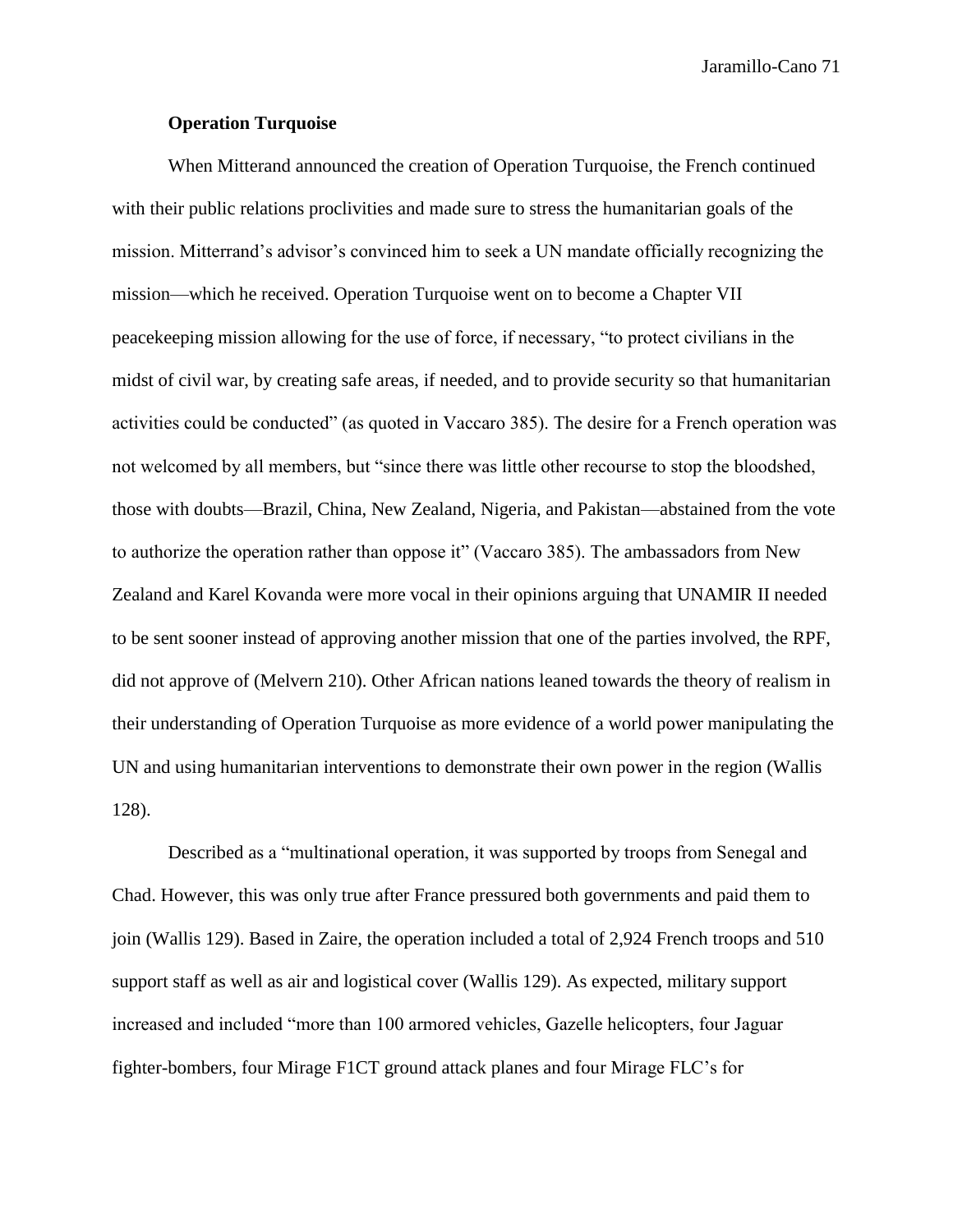## **Operation Turquoise**

When Mitterand announced the creation of Operation Turquoise, the French continued with their public relations proclivities and made sure to stress the humanitarian goals of the mission. Mitterrand's advisor's convinced him to seek a UN mandate officially recognizing the mission—which he received. Operation Turquoise went on to become a Chapter VII peacekeeping mission allowing for the use of force, if necessary, "to protect civilians in the midst of civil war, by creating safe areas, if needed, and to provide security so that humanitarian activities could be conducted" (as quoted in Vaccaro 385). The desire for a French operation was not welcomed by all members, but "since there was little other recourse to stop the bloodshed, those with doubts—Brazil, China, New Zealand, Nigeria, and Pakistan—abstained from the vote to authorize the operation rather than oppose it" (Vaccaro 385). The ambassadors from New Zealand and Karel Kovanda were more vocal in their opinions arguing that UNAMIR II needed to be sent sooner instead of approving another mission that one of the parties involved, the RPF, did not approve of (Melvern 210). Other African nations leaned towards the theory of realism in their understanding of Operation Turquoise as more evidence of a world power manipulating the UN and using humanitarian interventions to demonstrate their own power in the region (Wallis 128).

Described as a "multinational operation, it was supported by troops from Senegal and Chad. However, this was only true after France pressured both governments and paid them to join (Wallis 129). Based in Zaire, the operation included a total of 2,924 French troops and 510 support staff as well as air and logistical cover (Wallis 129). As expected, military support increased and included "more than 100 armored vehicles, Gazelle helicopters, four Jaguar fighter-bombers, four Mirage F1CT ground attack planes and four Mirage FLC's for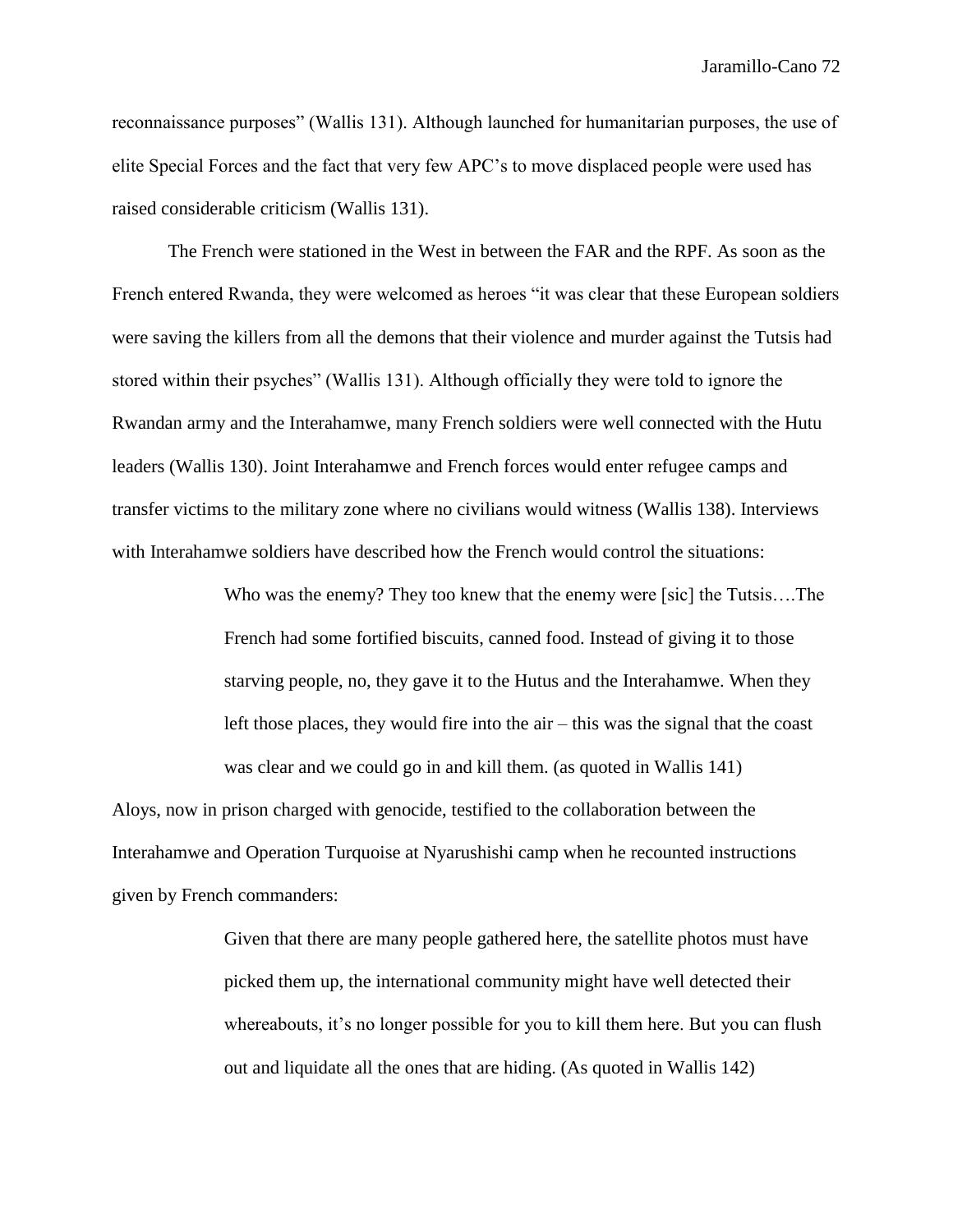reconnaissance purposes" (Wallis 131). Although launched for humanitarian purposes, the use of elite Special Forces and the fact that very few APC's to move displaced people were used has raised considerable criticism (Wallis 131).

The French were stationed in the West in between the FAR and the RPF. As soon as the French entered Rwanda, they were welcomed as heroes "it was clear that these European soldiers were saving the killers from all the demons that their violence and murder against the Tutsis had stored within their psyches" (Wallis 131). Although officially they were told to ignore the Rwandan army and the Interahamwe, many French soldiers were well connected with the Hutu leaders (Wallis 130). Joint Interahamwe and French forces would enter refugee camps and transfer victims to the military zone where no civilians would witness (Wallis 138). Interviews with Interahamwe soldiers have described how the French would control the situations:

> Who was the enemy? They too knew that the enemy were [sic] the Tutsis....The French had some fortified biscuits, canned food. Instead of giving it to those starving people, no, they gave it to the Hutus and the Interahamwe. When they left those places, they would fire into the air – this was the signal that the coast was clear and we could go in and kill them. (as quoted in Wallis 141)

Aloys, now in prison charged with genocide, testified to the collaboration between the Interahamwe and Operation Turquoise at Nyarushishi camp when he recounted instructions given by French commanders:

> Given that there are many people gathered here, the satellite photos must have picked them up, the international community might have well detected their whereabouts, it's no longer possible for you to kill them here. But you can flush out and liquidate all the ones that are hiding. (As quoted in Wallis 142)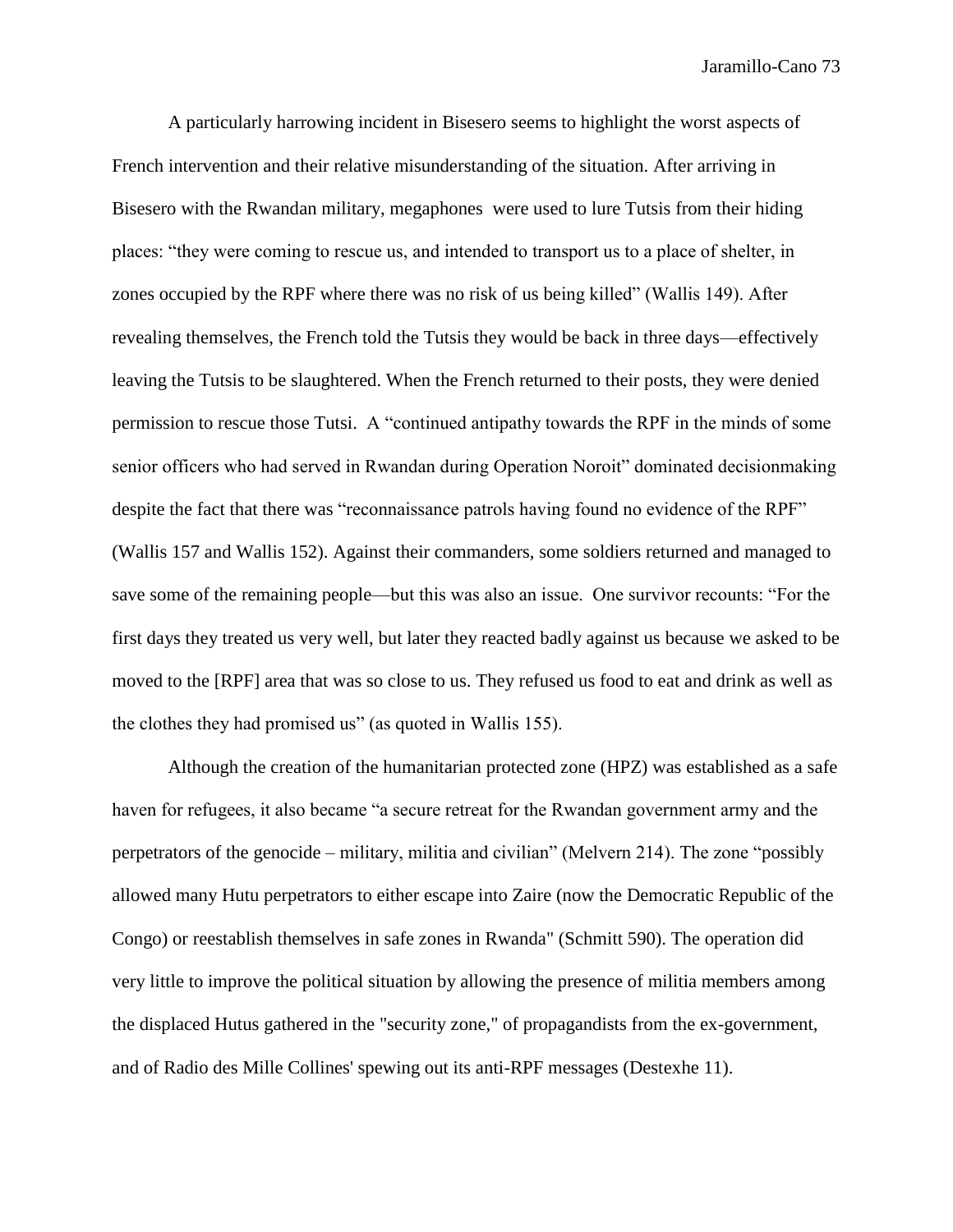A particularly harrowing incident in Bisesero seems to highlight the worst aspects of French intervention and their relative misunderstanding of the situation. After arriving in Bisesero with the Rwandan military, megaphones were used to lure Tutsis from their hiding places: "they were coming to rescue us, and intended to transport us to a place of shelter, in zones occupied by the RPF where there was no risk of us being killed" (Wallis 149). After revealing themselves, the French told the Tutsis they would be back in three days—effectively leaving the Tutsis to be slaughtered. When the French returned to their posts, they were denied permission to rescue those Tutsi. A "continued antipathy towards the RPF in the minds of some senior officers who had served in Rwandan during Operation Noroit" dominated decisionmaking despite the fact that there was "reconnaissance patrols having found no evidence of the RPF" (Wallis 157 and Wallis 152). Against their commanders, some soldiers returned and managed to save some of the remaining people—but this was also an issue. One survivor recounts: "For the first days they treated us very well, but later they reacted badly against us because we asked to be moved to the [RPF] area that was so close to us. They refused us food to eat and drink as well as the clothes they had promised us" (as quoted in Wallis 155).

Although the creation of the humanitarian protected zone (HPZ) was established as a safe haven for refugees, it also became "a secure retreat for the Rwandan government army and the perpetrators of the genocide – military, militia and civilian" (Melvern 214). The zone "possibly allowed many Hutu perpetrators to either escape into Zaire (now the Democratic Republic of the Congo) or reestablish themselves in safe zones in Rwanda" (Schmitt 590). The operation did very little to improve the political situation by allowing the presence of militia members among the displaced Hutus gathered in the "security zone," of propagandists from the ex-government, and of Radio des Mille Collines' spewing out its anti-RPF messages (Destexhe 11).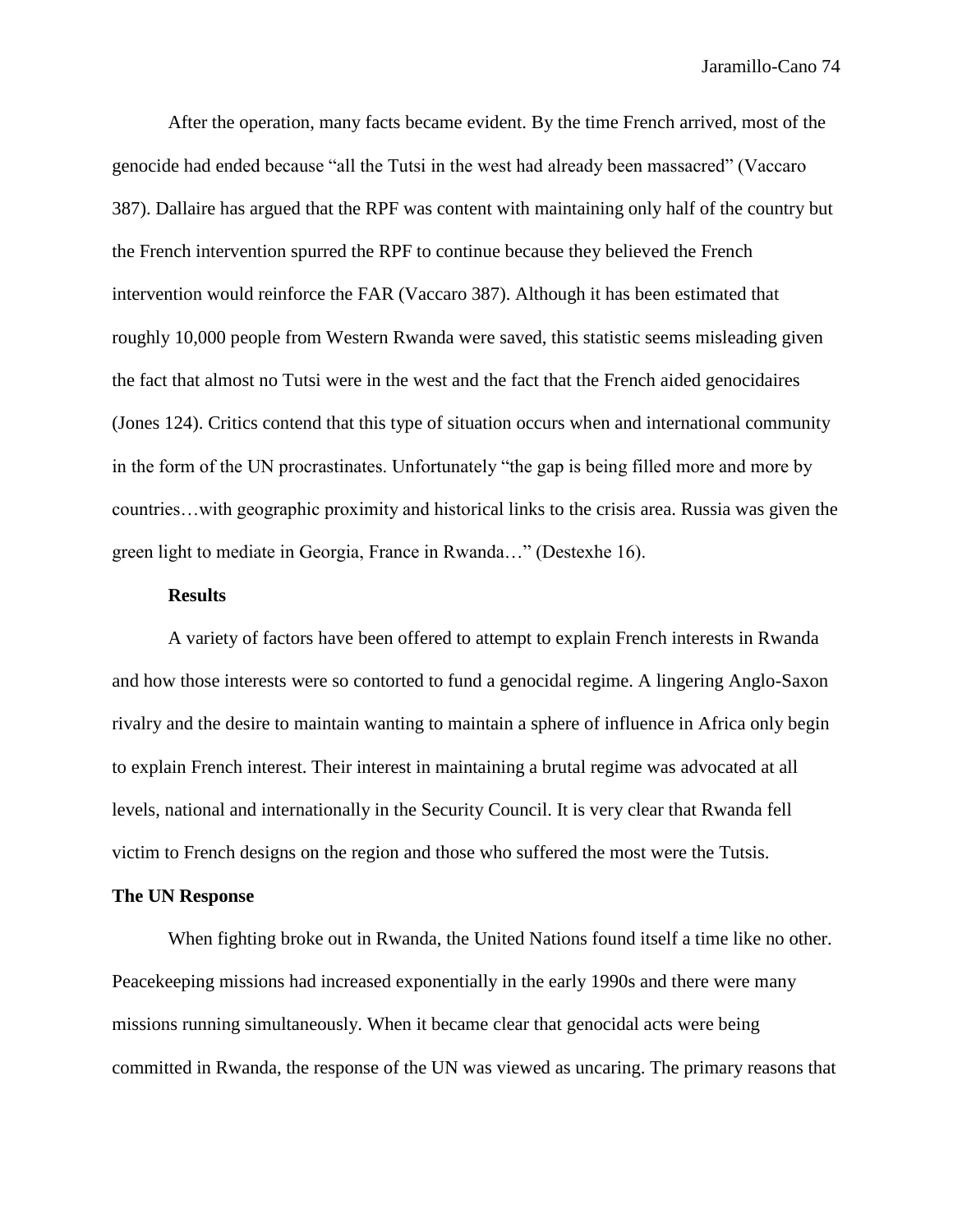After the operation, many facts became evident. By the time French arrived, most of the genocide had ended because "all the Tutsi in the west had already been massacred" (Vaccaro 387). Dallaire has argued that the RPF was content with maintaining only half of the country but the French intervention spurred the RPF to continue because they believed the French intervention would reinforce the FAR (Vaccaro 387). Although it has been estimated that roughly 10,000 people from Western Rwanda were saved, this statistic seems misleading given the fact that almost no Tutsi were in the west and the fact that the French aided genocidaires (Jones 124). Critics contend that this type of situation occurs when and international community in the form of the UN procrastinates. Unfortunately "the gap is being filled more and more by countries…with geographic proximity and historical links to the crisis area. Russia was given the green light to mediate in Georgia, France in Rwanda…" (Destexhe 16).

## **Results**

A variety of factors have been offered to attempt to explain French interests in Rwanda and how those interests were so contorted to fund a genocidal regime. A lingering Anglo-Saxon rivalry and the desire to maintain wanting to maintain a sphere of influence in Africa only begin to explain French interest. Their interest in maintaining a brutal regime was advocated at all levels, national and internationally in the Security Council. It is very clear that Rwanda fell victim to French designs on the region and those who suffered the most were the Tutsis.

### **The UN Response**

When fighting broke out in Rwanda, the United Nations found itself a time like no other. Peacekeeping missions had increased exponentially in the early 1990s and there were many missions running simultaneously. When it became clear that genocidal acts were being committed in Rwanda, the response of the UN was viewed as uncaring. The primary reasons that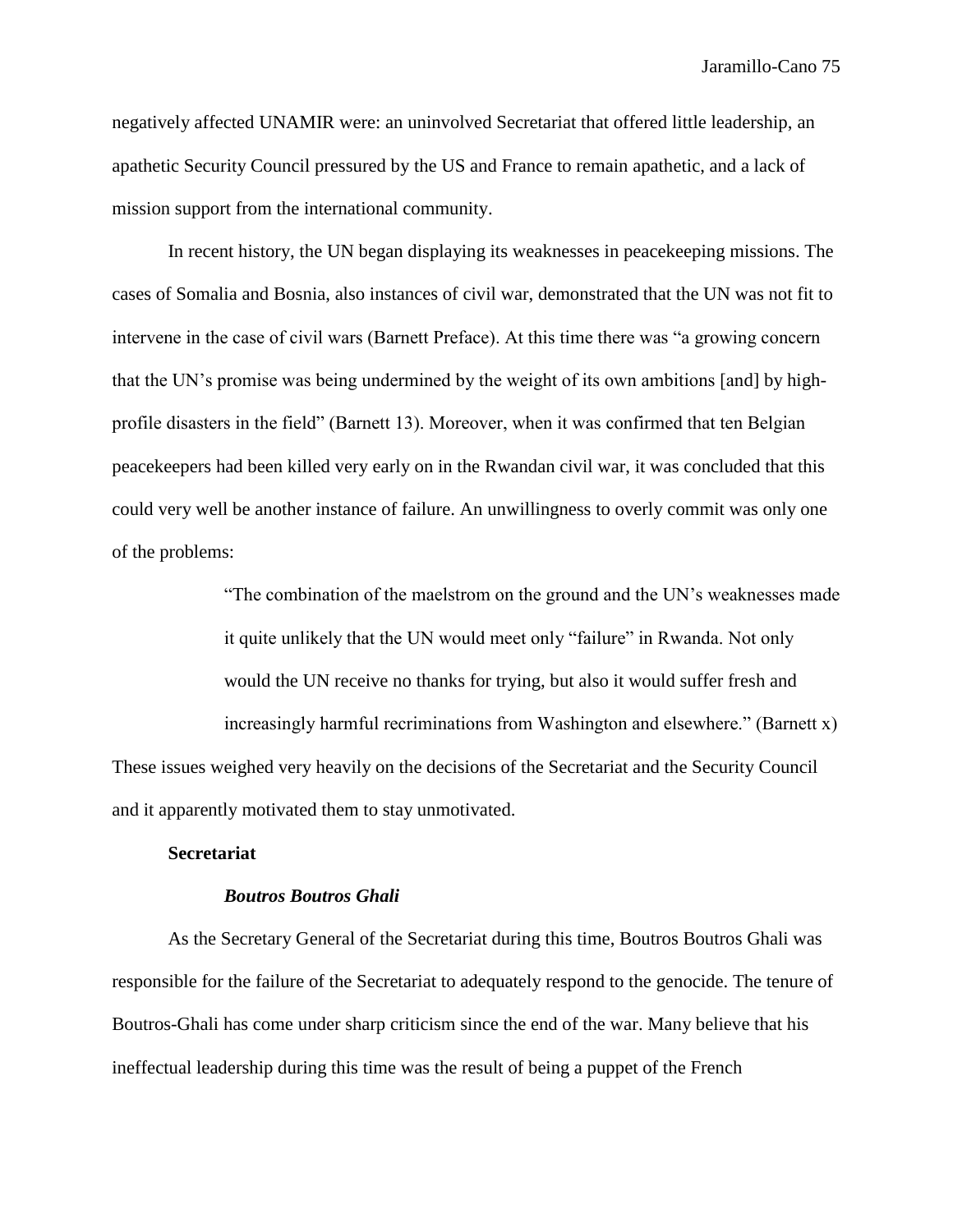negatively affected UNAMIR were: an uninvolved Secretariat that offered little leadership, an apathetic Security Council pressured by the US and France to remain apathetic, and a lack of mission support from the international community.

In recent history, the UN began displaying its weaknesses in peacekeeping missions. The cases of Somalia and Bosnia, also instances of civil war, demonstrated that the UN was not fit to intervene in the case of civil wars (Barnett Preface). At this time there was "a growing concern that the UN's promise was being undermined by the weight of its own ambitions [and] by highprofile disasters in the field" (Barnett 13). Moreover, when it was confirmed that ten Belgian peacekeepers had been killed very early on in the Rwandan civil war, it was concluded that this could very well be another instance of failure. An unwillingness to overly commit was only one of the problems:

"The combination of the maelstrom on the ground and the UN's weaknesses made it quite unlikely that the UN would meet only "failure" in Rwanda. Not only would the UN receive no thanks for trying, but also it would suffer fresh and increasingly harmful recriminations from Washington and elsewhere." (Barnett x) These issues weighed very heavily on the decisions of the Secretariat and the Security Council and it apparently motivated them to stay unmotivated.

# **Secretariat**

#### *Boutros Boutros Ghali*

As the Secretary General of the Secretariat during this time, Boutros Boutros Ghali was responsible for the failure of the Secretariat to adequately respond to the genocide. The tenure of Boutros-Ghali has come under sharp criticism since the end of the war. Many believe that his ineffectual leadership during this time was the result of being a puppet of the French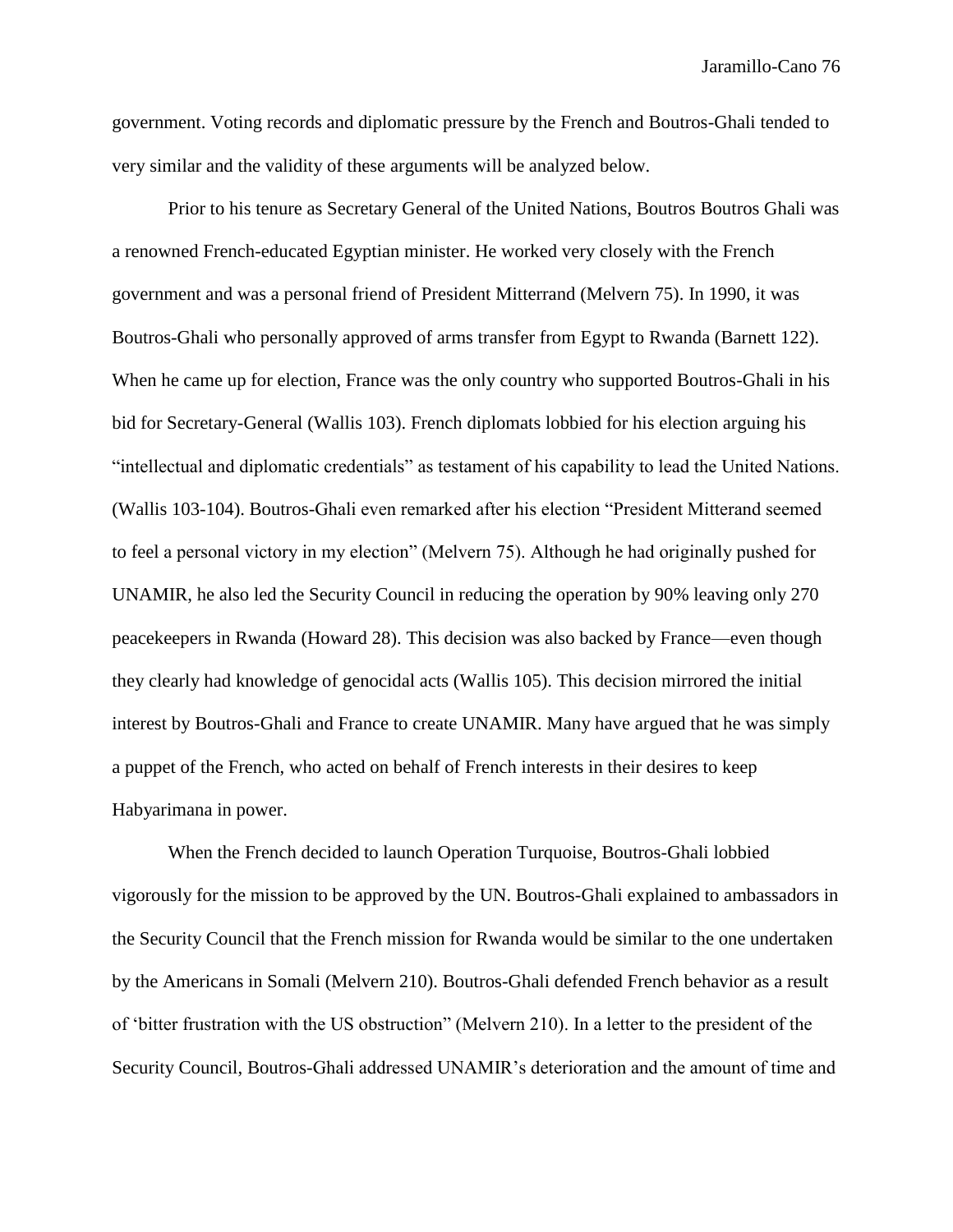government. Voting records and diplomatic pressure by the French and Boutros-Ghali tended to very similar and the validity of these arguments will be analyzed below.

Prior to his tenure as Secretary General of the United Nations, Boutros Boutros Ghali was a renowned French-educated Egyptian minister. He worked very closely with the French government and was a personal friend of President Mitterrand (Melvern 75). In 1990, it was Boutros-Ghali who personally approved of arms transfer from Egypt to Rwanda (Barnett 122). When he came up for election, France was the only country who supported Boutros-Ghali in his bid for Secretary-General (Wallis 103). French diplomats lobbied for his election arguing his "intellectual and diplomatic credentials" as testament of his capability to lead the United Nations. (Wallis 103-104). Boutros-Ghali even remarked after his election "President Mitterand seemed to feel a personal victory in my election" (Melvern 75). Although he had originally pushed for UNAMIR, he also led the Security Council in reducing the operation by 90% leaving only 270 peacekeepers in Rwanda (Howard 28). This decision was also backed by France—even though they clearly had knowledge of genocidal acts (Wallis 105). This decision mirrored the initial interest by Boutros-Ghali and France to create UNAMIR. Many have argued that he was simply a puppet of the French, who acted on behalf of French interests in their desires to keep Habyarimana in power.

When the French decided to launch Operation Turquoise, Boutros-Ghali lobbied vigorously for the mission to be approved by the UN. Boutros-Ghali explained to ambassadors in the Security Council that the French mission for Rwanda would be similar to the one undertaken by the Americans in Somali (Melvern 210). Boutros-Ghali defended French behavior as a result of 'bitter frustration with the US obstruction" (Melvern 210). In a letter to the president of the Security Council, Boutros-Ghali addressed UNAMIR's deterioration and the amount of time and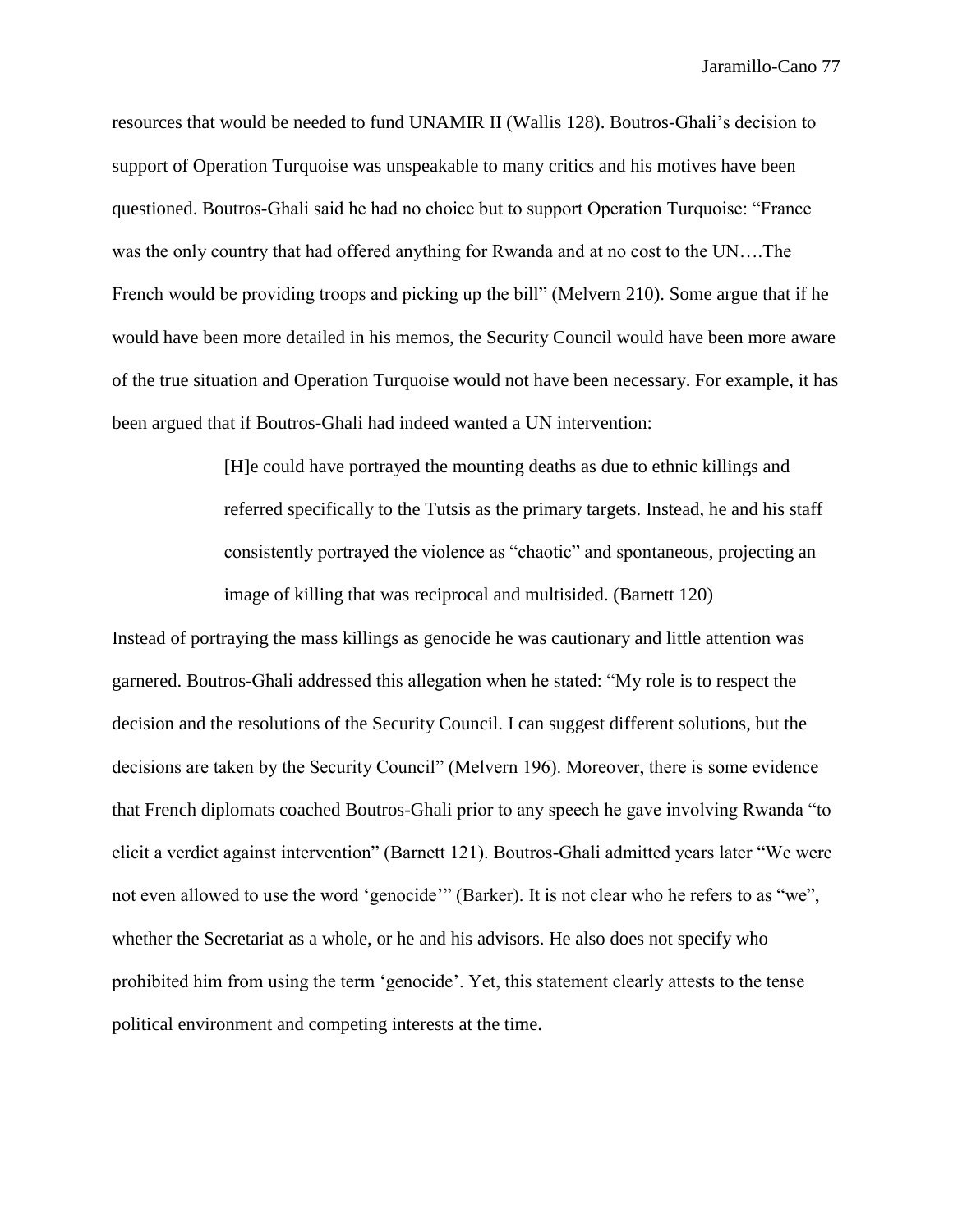resources that would be needed to fund UNAMIR II (Wallis 128). Boutros-Ghali's decision to support of Operation Turquoise was unspeakable to many critics and his motives have been questioned. Boutros-Ghali said he had no choice but to support Operation Turquoise: "France was the only country that had offered anything for Rwanda and at no cost to the UN….The French would be providing troops and picking up the bill" (Melvern 210). Some argue that if he would have been more detailed in his memos, the Security Council would have been more aware of the true situation and Operation Turquoise would not have been necessary. For example, it has been argued that if Boutros-Ghali had indeed wanted a UN intervention:

> [H]e could have portrayed the mounting deaths as due to ethnic killings and referred specifically to the Tutsis as the primary targets. Instead, he and his staff consistently portrayed the violence as "chaotic" and spontaneous, projecting an image of killing that was reciprocal and multisided. (Barnett 120)

Instead of portraying the mass killings as genocide he was cautionary and little attention was garnered. Boutros-Ghali addressed this allegation when he stated: "My role is to respect the decision and the resolutions of the Security Council. I can suggest different solutions, but the decisions are taken by the Security Council" (Melvern 196). Moreover, there is some evidence that French diplomats coached Boutros-Ghali prior to any speech he gave involving Rwanda "to elicit a verdict against intervention" (Barnett 121). Boutros-Ghali admitted years later "We were not even allowed to use the word 'genocide'" (Barker). It is not clear who he refers to as "we", whether the Secretariat as a whole, or he and his advisors. He also does not specify who prohibited him from using the term 'genocide'. Yet, this statement clearly attests to the tense political environment and competing interests at the time.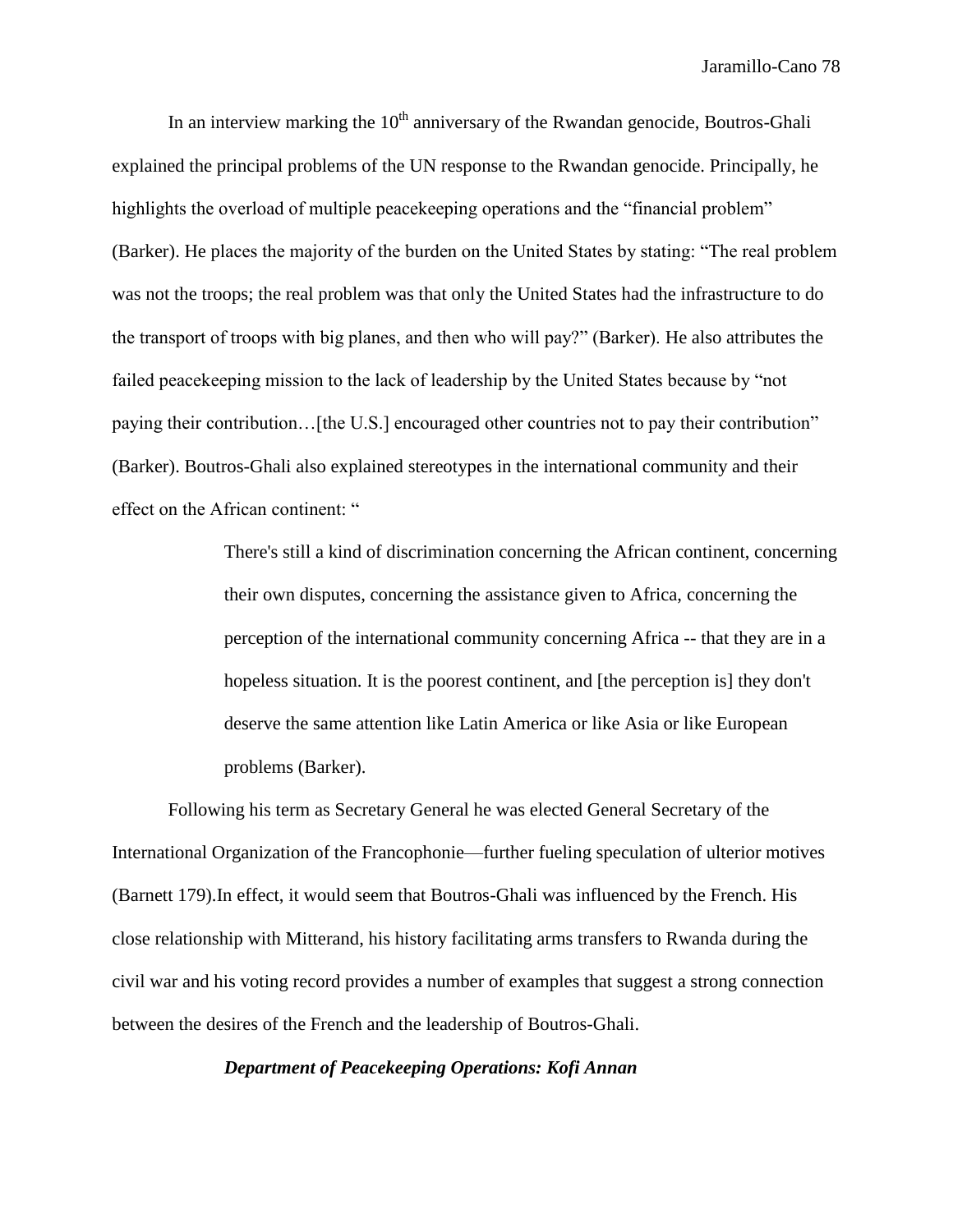In an interview marking the  $10<sup>th</sup>$  anniversary of the Rwandan genocide, Boutros-Ghali explained the principal problems of the UN response to the Rwandan genocide. Principally, he highlights the overload of multiple peace keeping operations and the "financial problem" (Barker). He places the majority of the burden on the United States by stating: "The real problem was not the troops; the real problem was that only the United States had the infrastructure to do the transport of troops with big planes, and then who will pay?" (Barker). He also attributes the failed peacekeeping mission to the lack of leadership by the United States because by "not paying their contribution…[the U.S.] encouraged other countries not to pay their contribution" (Barker). Boutros-Ghali also explained stereotypes in the international community and their effect on the African continent: "

> There's still a kind of discrimination concerning the African continent, concerning their own disputes, concerning the assistance given to Africa, concerning the perception of the international community concerning Africa -- that they are in a hopeless situation. It is the poorest continent, and [the perception is] they don't deserve the same attention like Latin America or like Asia or like European problems (Barker).

Following his term as Secretary General he was elected General Secretary of the International Organization of the Francophonie—further fueling speculation of ulterior motives (Barnett 179).In effect, it would seem that Boutros-Ghali was influenced by the French. His close relationship with Mitterand, his history facilitating arms transfers to Rwanda during the civil war and his voting record provides a number of examples that suggest a strong connection between the desires of the French and the leadership of Boutros-Ghali.

*Department of Peacekeeping Operations: Kofi Annan*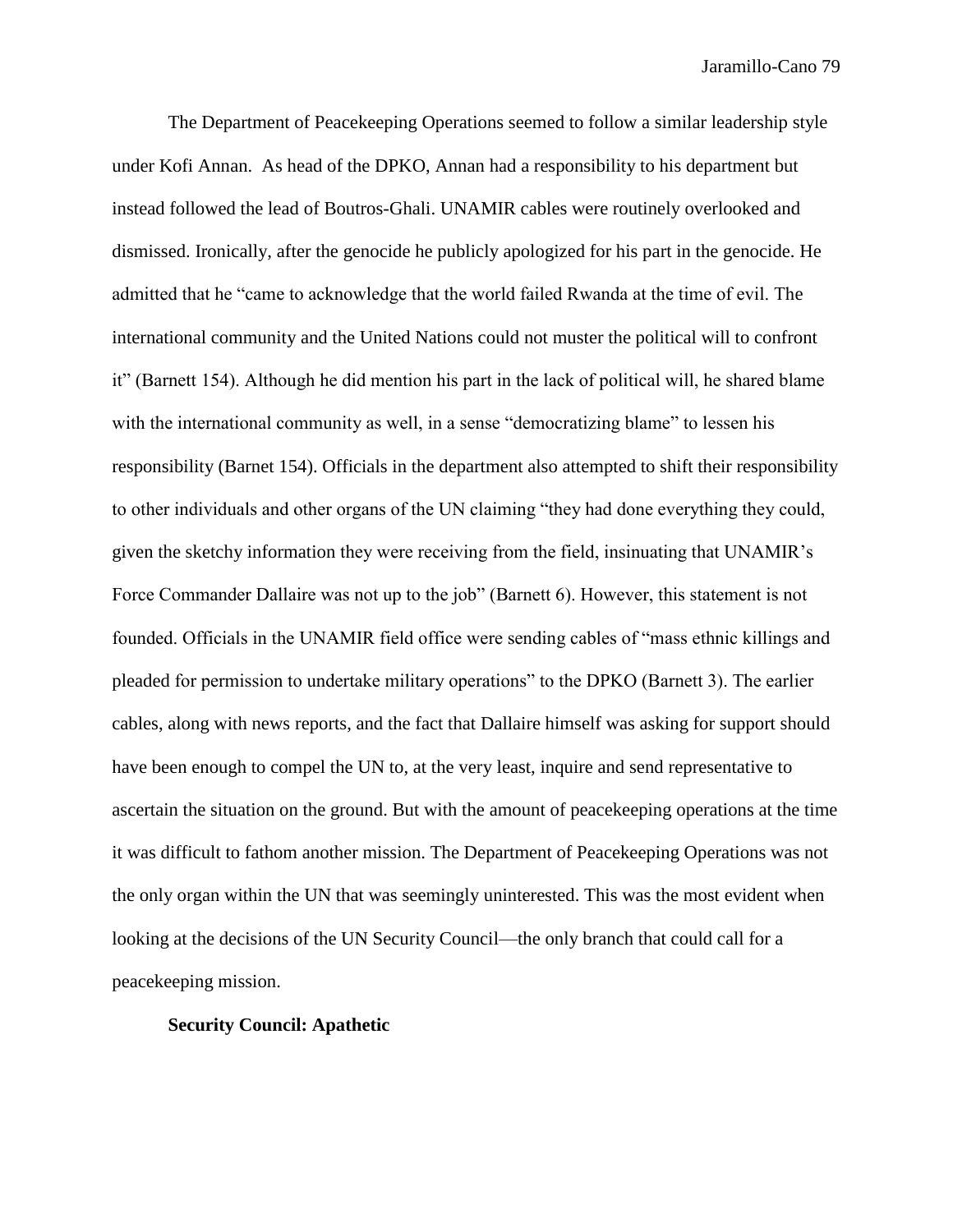The Department of Peacekeeping Operations seemed to follow a similar leadership style under Kofi Annan. As head of the DPKO, Annan had a responsibility to his department but instead followed the lead of Boutros-Ghali. UNAMIR cables were routinely overlooked and dismissed. Ironically, after the genocide he publicly apologized for his part in the genocide. He admitted that he "came to acknowledge that the world failed Rwanda at the time of evil. The international community and the United Nations could not muster the political will to confront it" (Barnett 154). Although he did mention his part in the lack of political will, he shared blame with the international community as well, in a sense "democratizing blame" to lessen his responsibility (Barnet 154). Officials in the department also attempted to shift their responsibility to other individuals and other organs of the UN claiming "they had done everything they could, given the sketchy information they were receiving from the field, insinuating that UNAMIR's Force Commander Dallaire was not up to the job" (Barnett 6). However, this statement is not founded. Officials in the UNAMIR field office were sending cables of "mass ethnic killings and pleaded for permission to undertake military operations" to the DPKO (Barnett 3). The earlier cables, along with news reports, and the fact that Dallaire himself was asking for support should have been enough to compel the UN to, at the very least, inquire and send representative to ascertain the situation on the ground. But with the amount of peacekeeping operations at the time it was difficult to fathom another mission. The Department of Peacekeeping Operations was not the only organ within the UN that was seemingly uninterested. This was the most evident when looking at the decisions of the UN Security Council—the only branch that could call for a peacekeeping mission.

# **Security Council: Apathetic**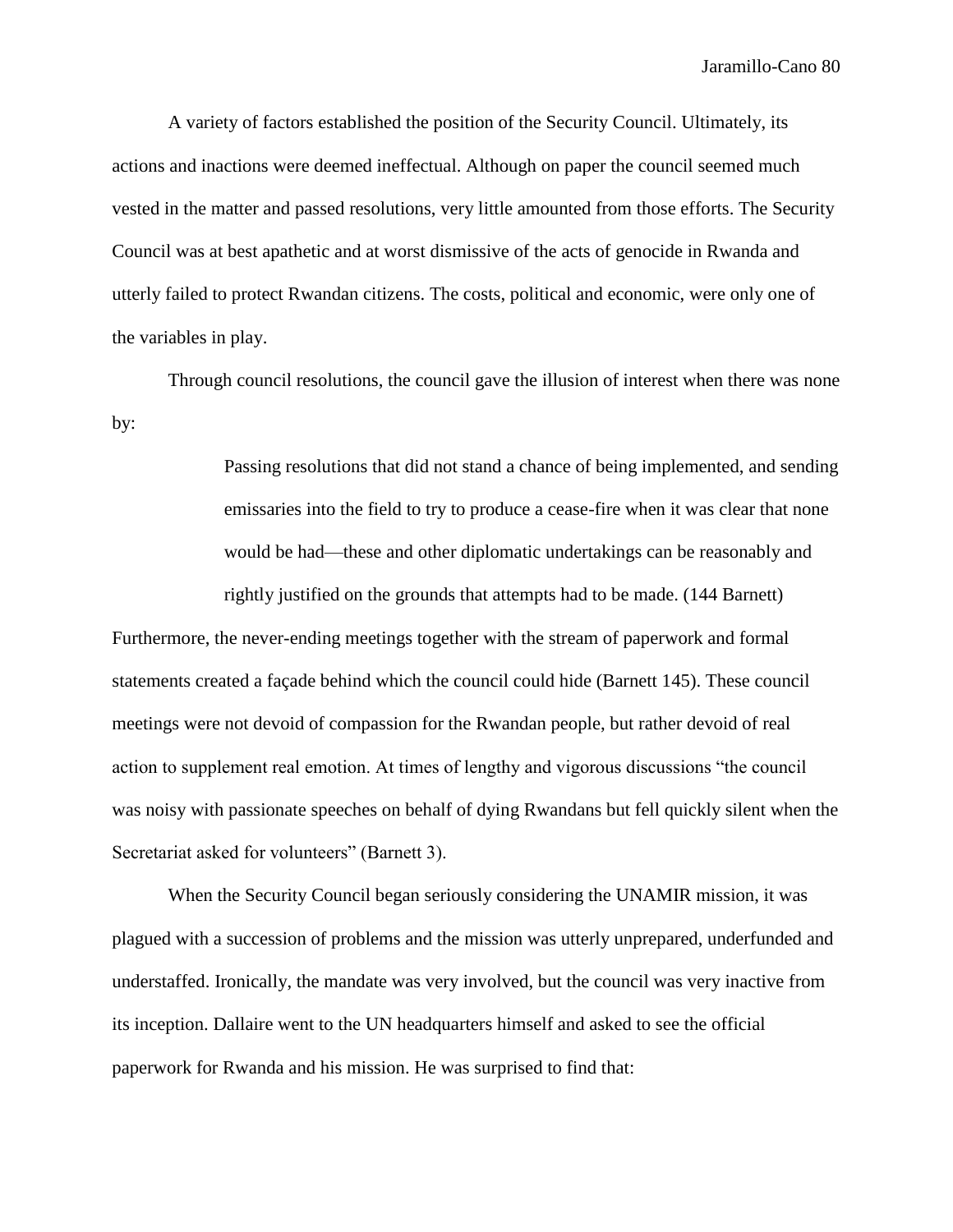A variety of factors established the position of the Security Council. Ultimately, its actions and inactions were deemed ineffectual. Although on paper the council seemed much vested in the matter and passed resolutions, very little amounted from those efforts. The Security Council was at best apathetic and at worst dismissive of the acts of genocide in Rwanda and utterly failed to protect Rwandan citizens. The costs, political and economic, were only one of the variables in play.

Through council resolutions, the council gave the illusion of interest when there was none by:

> Passing resolutions that did not stand a chance of being implemented, and sending emissaries into the field to try to produce a cease-fire when it was clear that none would be had—these and other diplomatic undertakings can be reasonably and

rightly justified on the grounds that attempts had to be made. (144 Barnett)

Furthermore, the never-ending meetings together with the stream of paperwork and formal statements created a façade behind which the council could hide (Barnett 145). These council meetings were not devoid of compassion for the Rwandan people, but rather devoid of real action to supplement real emotion. At times of lengthy and vigorous discussions "the council was noisy with passionate speeches on behalf of dying Rwandans but fell quickly silent when the Secretariat asked for volunteers" (Barnett 3).

When the Security Council began seriously considering the UNAMIR mission, it was plagued with a succession of problems and the mission was utterly unprepared, underfunded and understaffed. Ironically, the mandate was very involved, but the council was very inactive from its inception. Dallaire went to the UN headquarters himself and asked to see the official paperwork for Rwanda and his mission. He was surprised to find that: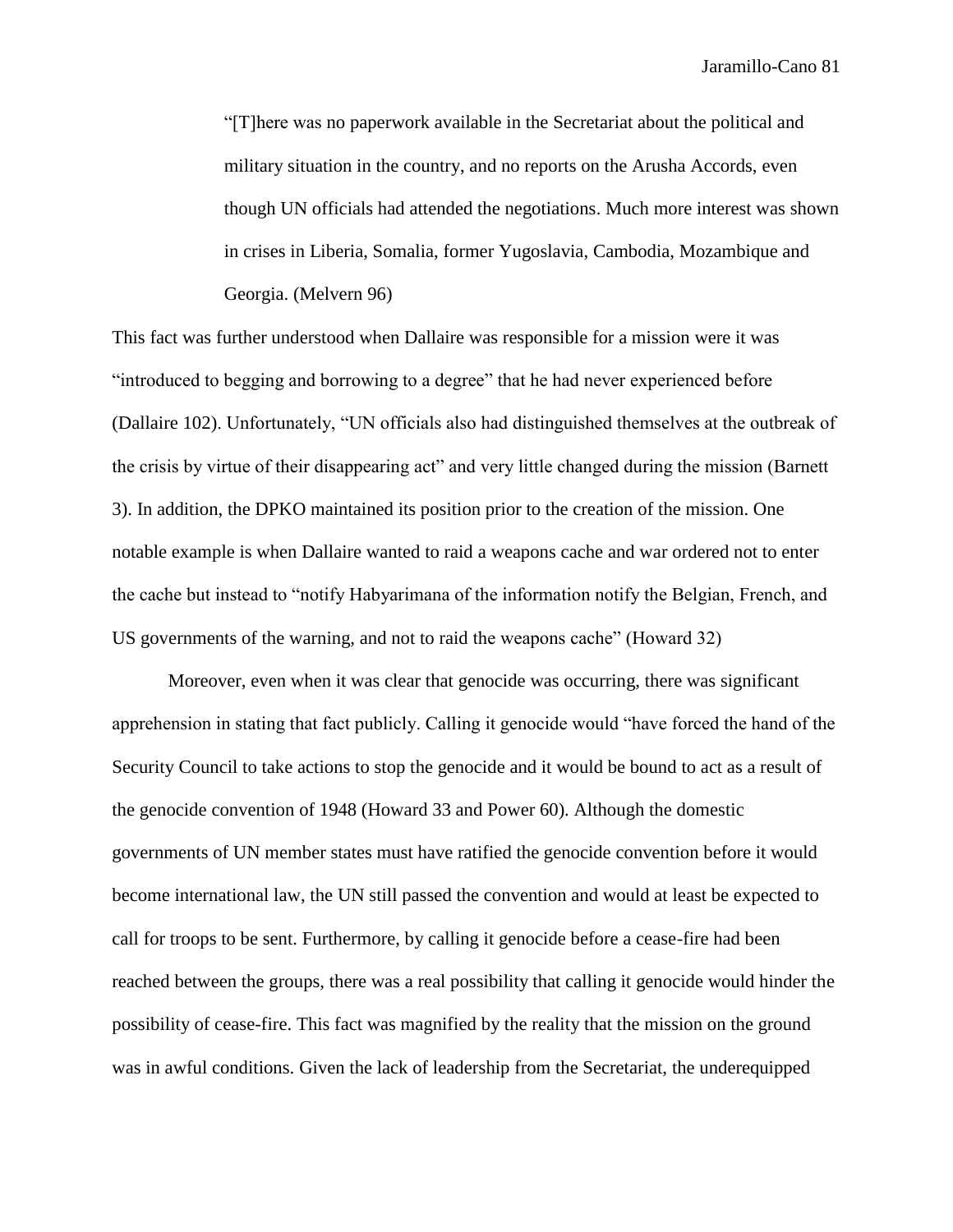"[T]here was no paperwork available in the Secretariat about the political and military situation in the country, and no reports on the Arusha Accords, even though UN officials had attended the negotiations. Much more interest was shown in crises in Liberia, Somalia, former Yugoslavia, Cambodia, Mozambique and Georgia. (Melvern 96)

This fact was further understood when Dallaire was responsible for a mission were it was "introduced to begging and borrowing to a degree" that he had never experienced before (Dallaire 102). Unfortunately, "UN officials also had distinguished themselves at the outbreak of the crisis by virtue of their disappearing act" and very little changed during the mission (Barnett 3). In addition, the DPKO maintained its position prior to the creation of the mission. One notable example is when Dallaire wanted to raid a weapons cache and war ordered not to enter the cache but instead to "notify Habyarimana of the information notify the Belgian, French, and US governments of the warning, and not to raid the weapons cache" (Howard 32)

Moreover, even when it was clear that genocide was occurring, there was significant apprehension in stating that fact publicly. Calling it genocide would "have forced the hand of the Security Council to take actions to stop the genocide and it would be bound to act as a result of the genocide convention of 1948 (Howard 33 and Power 60). Although the domestic governments of UN member states must have ratified the genocide convention before it would become international law, the UN still passed the convention and would at least be expected to call for troops to be sent. Furthermore, by calling it genocide before a cease-fire had been reached between the groups, there was a real possibility that calling it genocide would hinder the possibility of cease-fire. This fact was magnified by the reality that the mission on the ground was in awful conditions. Given the lack of leadership from the Secretariat, the underequipped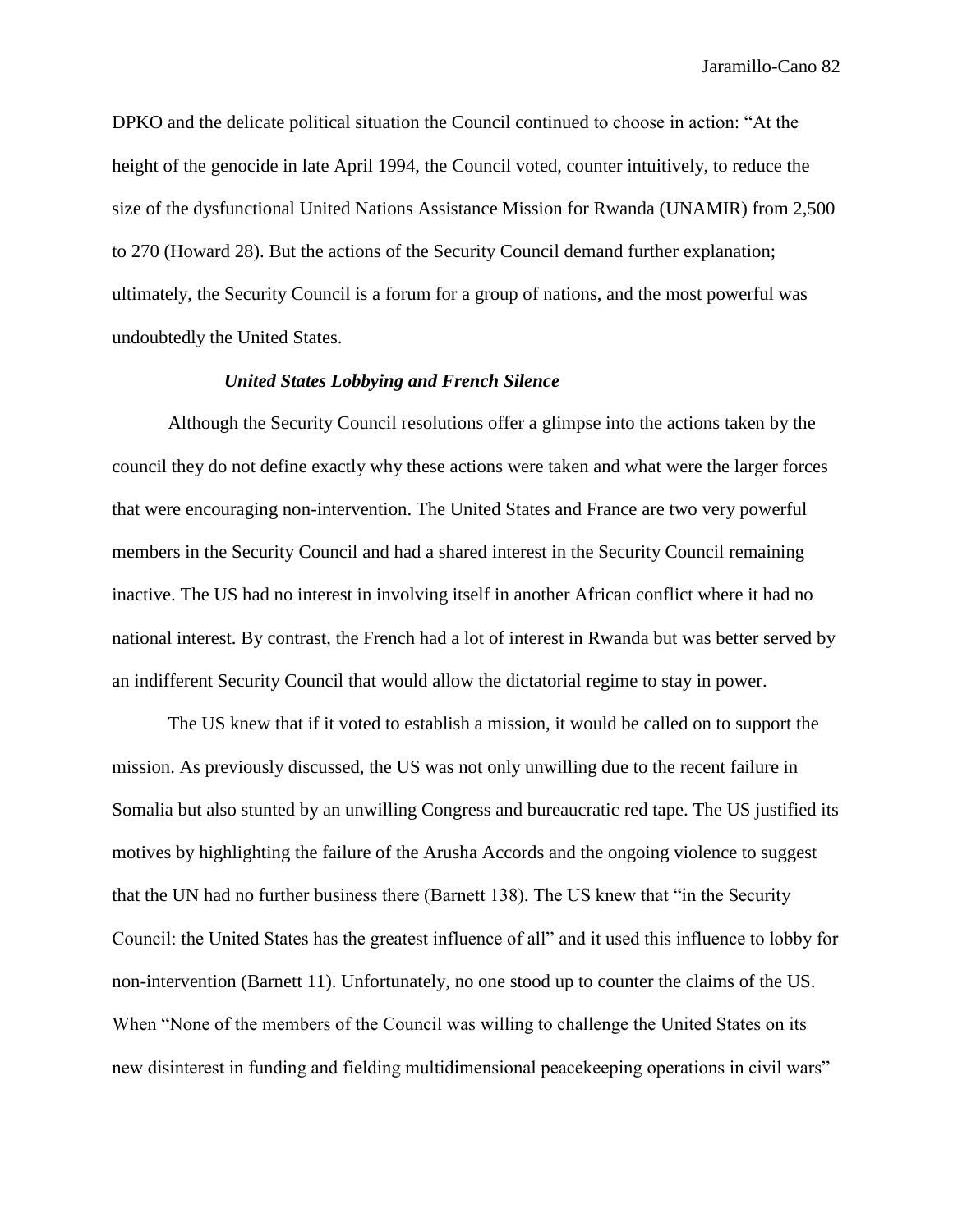DPKO and the delicate political situation the Council continued to choose in action: "At the height of the genocide in late April 1994, the Council voted, counter intuitively, to reduce the size of the dysfunctional United Nations Assistance Mission for Rwanda (UNAMIR) from 2,500 to 270 (Howard 28). But the actions of the Security Council demand further explanation; ultimately, the Security Council is a forum for a group of nations, and the most powerful was undoubtedly the United States.

# *United States Lobbying and French Silence*

Although the Security Council resolutions offer a glimpse into the actions taken by the council they do not define exactly why these actions were taken and what were the larger forces that were encouraging non-intervention. The United States and France are two very powerful members in the Security Council and had a shared interest in the Security Council remaining inactive. The US had no interest in involving itself in another African conflict where it had no national interest. By contrast, the French had a lot of interest in Rwanda but was better served by an indifferent Security Council that would allow the dictatorial regime to stay in power.

The US knew that if it voted to establish a mission, it would be called on to support the mission. As previously discussed, the US was not only unwilling due to the recent failure in Somalia but also stunted by an unwilling Congress and bureaucratic red tape. The US justified its motives by highlighting the failure of the Arusha Accords and the ongoing violence to suggest that the UN had no further business there (Barnett 138). The US knew that "in the Security Council: the United States has the greatest influence of all" and it used this influence to lobby for non-intervention (Barnett 11). Unfortunately, no one stood up to counter the claims of the US. When "None of the members of the Council was willing to challenge the United States on its new disinterest in funding and fielding multidimensional peacekeeping operations in civil wars"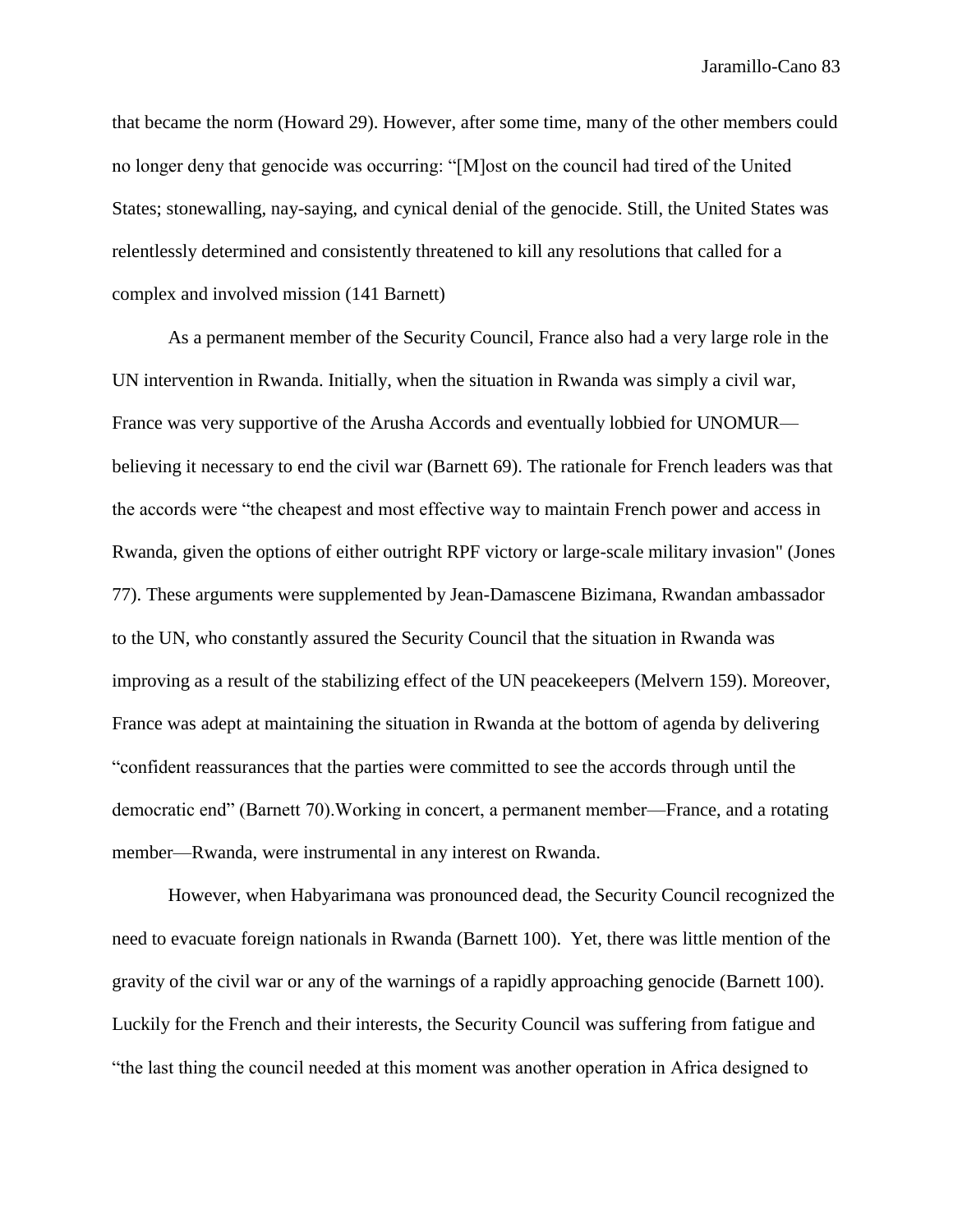that became the norm (Howard 29). However, after some time, many of the other members could no longer deny that genocide was occurring: "[M]ost on the council had tired of the United States; stonewalling, nay-saying, and cynical denial of the genocide. Still, the United States was relentlessly determined and consistently threatened to kill any resolutions that called for a complex and involved mission (141 Barnett)

As a permanent member of the Security Council, France also had a very large role in the UN intervention in Rwanda. Initially, when the situation in Rwanda was simply a civil war, France was very supportive of the Arusha Accords and eventually lobbied for UNOMUR believing it necessary to end the civil war (Barnett 69). The rationale for French leaders was that the accords were "the cheapest and most effective way to maintain French power and access in Rwanda, given the options of either outright RPF victory or large-scale military invasion" (Jones 77). These arguments were supplemented by Jean-Damascene Bizimana, Rwandan ambassador to the UN, who constantly assured the Security Council that the situation in Rwanda was improving as a result of the stabilizing effect of the UN peacekeepers (Melvern 159). Moreover, France was adept at maintaining the situation in Rwanda at the bottom of agenda by delivering "confident reassurances that the parties were committed to see the accords through until the democratic end" (Barnett 70).Working in concert, a permanent member—France, and a rotating member—Rwanda, were instrumental in any interest on Rwanda.

However, when Habyarimana was pronounced dead, the Security Council recognized the need to evacuate foreign nationals in Rwanda (Barnett 100). Yet, there was little mention of the gravity of the civil war or any of the warnings of a rapidly approaching genocide (Barnett 100). Luckily for the French and their interests, the Security Council was suffering from fatigue and "the last thing the council needed at this moment was another operation in Africa designed to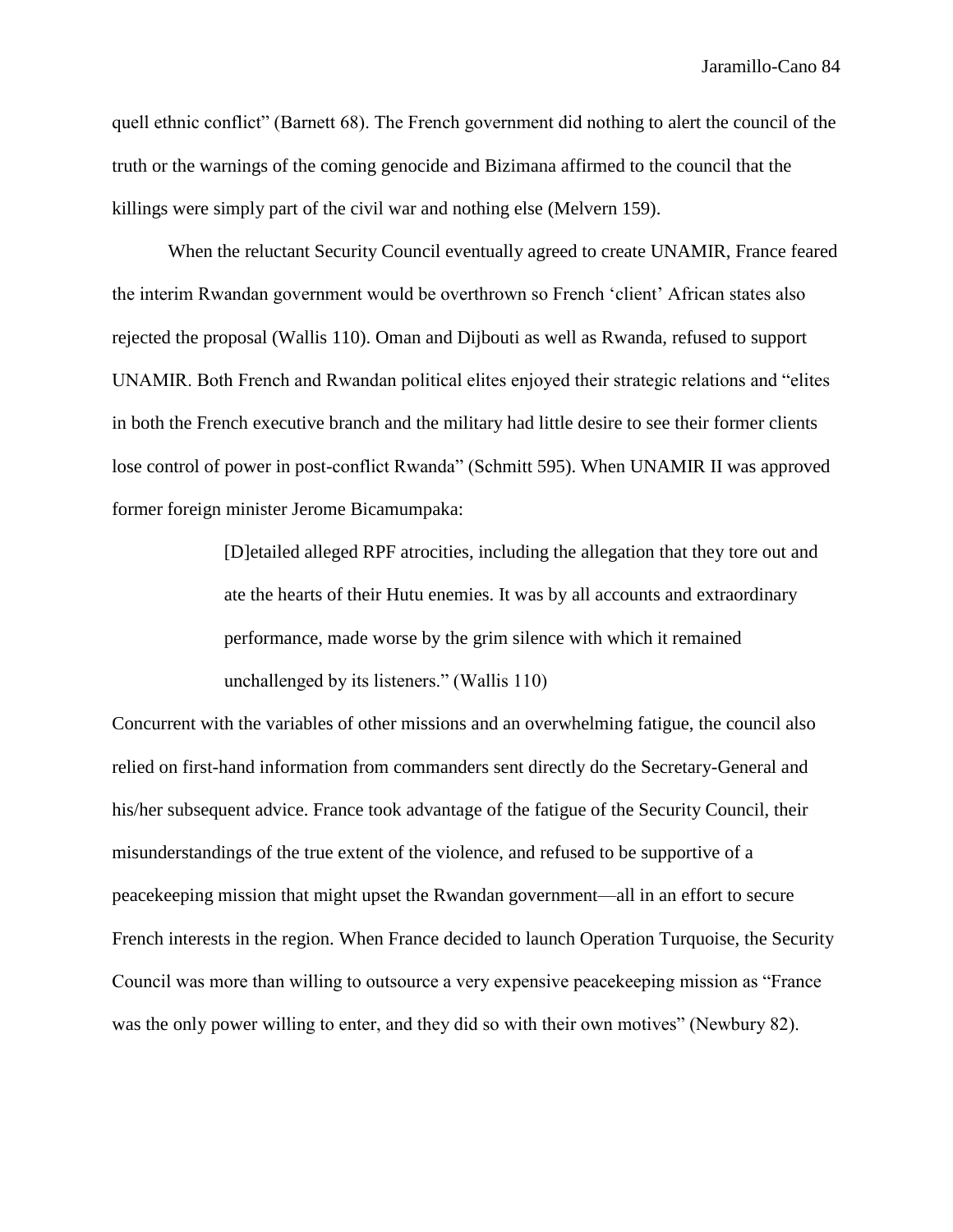quell ethnic conflict" (Barnett 68). The French government did nothing to alert the council of the truth or the warnings of the coming genocide and Bizimana affirmed to the council that the killings were simply part of the civil war and nothing else (Melvern 159).

When the reluctant Security Council eventually agreed to create UNAMIR, France feared the interim Rwandan government would be overthrown so French 'client' African states also rejected the proposal (Wallis 110). Oman and Dijbouti as well as Rwanda, refused to support UNAMIR. Both French and Rwandan political elites enjoyed their strategic relations and "elites in both the French executive branch and the military had little desire to see their former clients lose control of power in post-conflict Rwanda" (Schmitt 595). When UNAMIR II was approved former foreign minister Jerome Bicamumpaka:

> [D]etailed alleged RPF atrocities, including the allegation that they tore out and ate the hearts of their Hutu enemies. It was by all accounts and extraordinary performance, made worse by the grim silence with which it remained unchallenged by its listeners." (Wallis 110)

Concurrent with the variables of other missions and an overwhelming fatigue, the council also relied on first-hand information from commanders sent directly do the Secretary-General and his/her subsequent advice. France took advantage of the fatigue of the Security Council, their misunderstandings of the true extent of the violence, and refused to be supportive of a peacekeeping mission that might upset the Rwandan government—all in an effort to secure French interests in the region. When France decided to launch Operation Turquoise, the Security Council was more than willing to outsource a very expensive peacekeeping mission as "France was the only power willing to enter, and they did so with their own motives" (Newbury 82).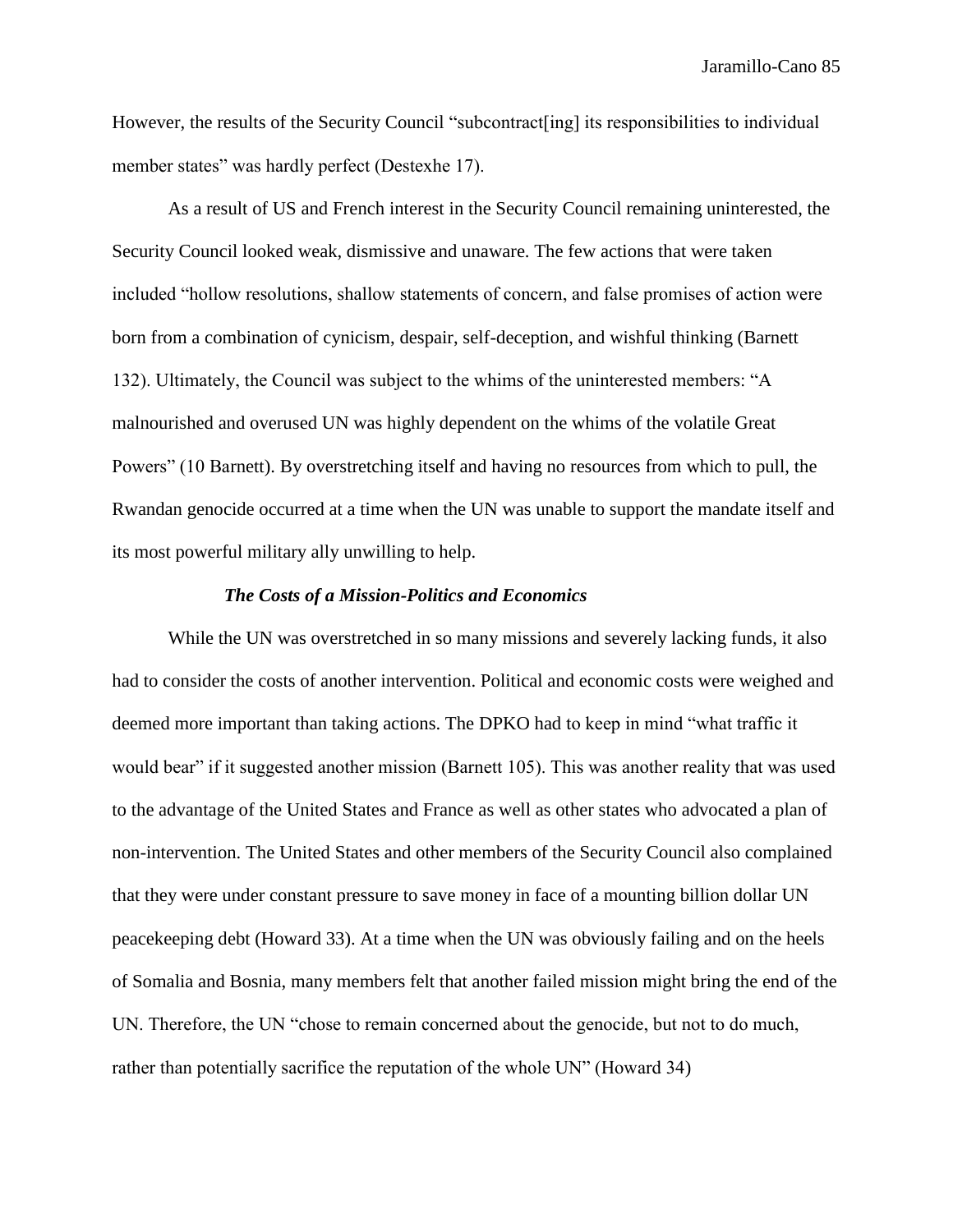However, the results of the Security Council "subcontract[ing] its responsibilities to individual member states" was hardly perfect (Destexhe 17).

As a result of US and French interest in the Security Council remaining uninterested, the Security Council looked weak, dismissive and unaware. The few actions that were taken included "hollow resolutions, shallow statements of concern, and false promises of action were born from a combination of cynicism, despair, self-deception, and wishful thinking (Barnett 132). Ultimately, the Council was subject to the whims of the uninterested members: "A malnourished and overused UN was highly dependent on the whims of the volatile Great Powers" (10 Barnett). By overstretching itself and having no resources from which to pull, the Rwandan genocide occurred at a time when the UN was unable to support the mandate itself and its most powerful military ally unwilling to help.

#### *The Costs of a Mission-Politics and Economics*

While the UN was overstretched in so many missions and severely lacking funds, it also had to consider the costs of another intervention. Political and economic costs were weighed and deemed more important than taking actions. The DPKO had to keep in mind "what traffic it would bear" if it suggested another mission (Barnett 105). This was another reality that was used to the advantage of the United States and France as well as other states who advocated a plan of non-intervention. The United States and other members of the Security Council also complained that they were under constant pressure to save money in face of a mounting billion dollar UN peacekeeping debt (Howard 33). At a time when the UN was obviously failing and on the heels of Somalia and Bosnia, many members felt that another failed mission might bring the end of the UN. Therefore, the UN "chose to remain concerned about the genocide, but not to do much, rather than potentially sacrifice the reputation of the whole UN" (Howard 34)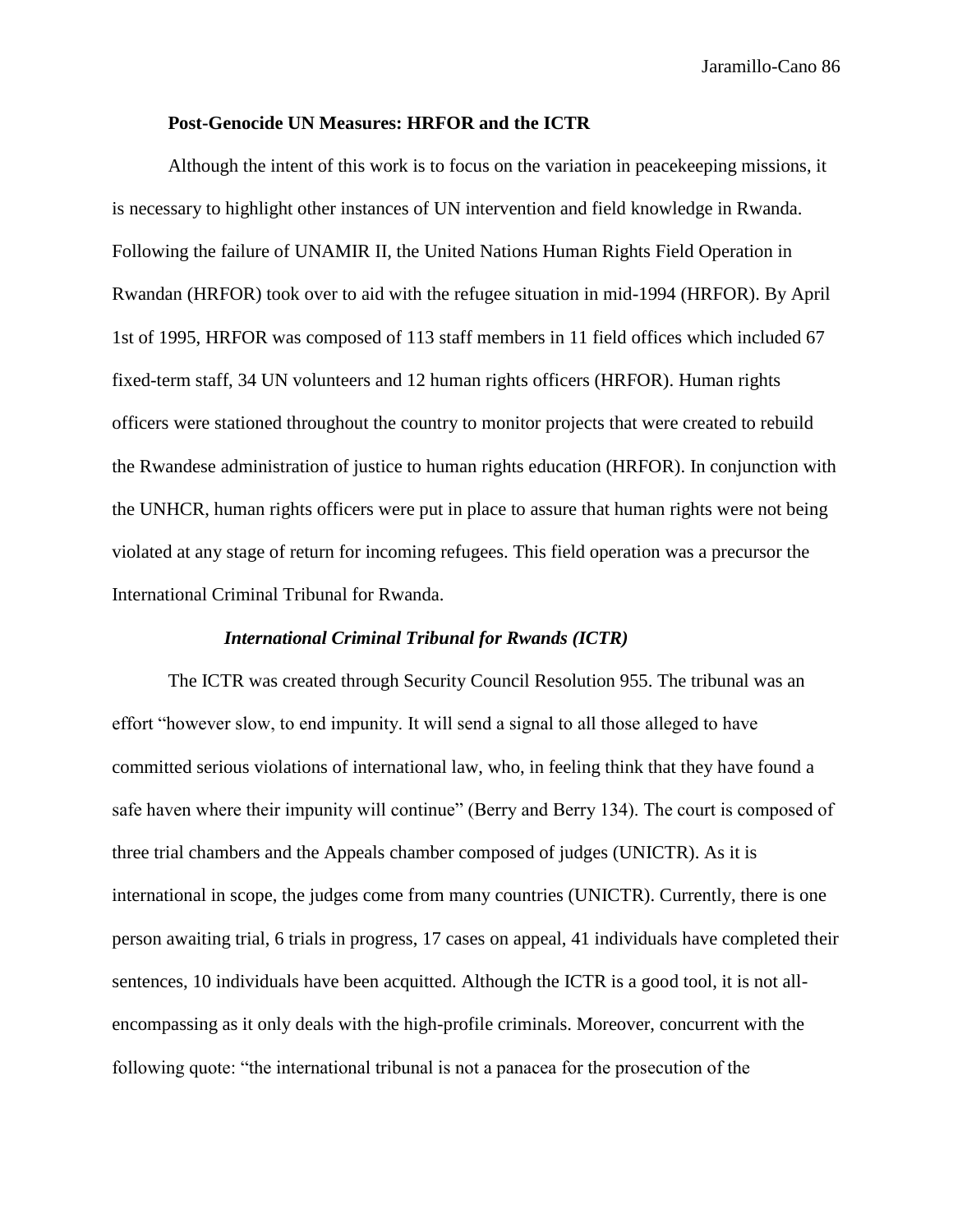# **Post-Genocide UN Measures: HRFOR and the ICTR**

Although the intent of this work is to focus on the variation in peacekeeping missions, it is necessary to highlight other instances of UN intervention and field knowledge in Rwanda. Following the failure of UNAMIR II, the United Nations Human Rights Field Operation in Rwandan (HRFOR) took over to aid with the refugee situation in mid-1994 (HRFOR). By April 1st of 1995, HRFOR was composed of 113 staff members in 11 field offices which included 67 fixed-term staff, 34 UN volunteers and 12 human rights officers (HRFOR). Human rights officers were stationed throughout the country to monitor projects that were created to rebuild the Rwandese administration of justice to human rights education (HRFOR). In conjunction with the UNHCR, human rights officers were put in place to assure that human rights were not being violated at any stage of return for incoming refugees. This field operation was a precursor the International Criminal Tribunal for Rwanda.

# *International Criminal Tribunal for Rwands (ICTR)*

The ICTR was created through Security Council Resolution 955. The tribunal was an effort "however slow, to end impunity. It will send a signal to all those alleged to have committed serious violations of international law, who, in feeling think that they have found a safe haven where their impunity will continue" (Berry and Berry 134). The court is composed of three trial chambers and the Appeals chamber composed of judges (UNICTR). As it is international in scope, the judges come from many countries (UNICTR). Currently, there is one person awaiting trial, 6 trials in progress, 17 cases on appeal, 41 individuals have completed their sentences, 10 individuals have been acquitted. Although the ICTR is a good tool, it is not allencompassing as it only deals with the high-profile criminals. Moreover, concurrent with the following quote: "the international tribunal is not a panacea for the prosecution of the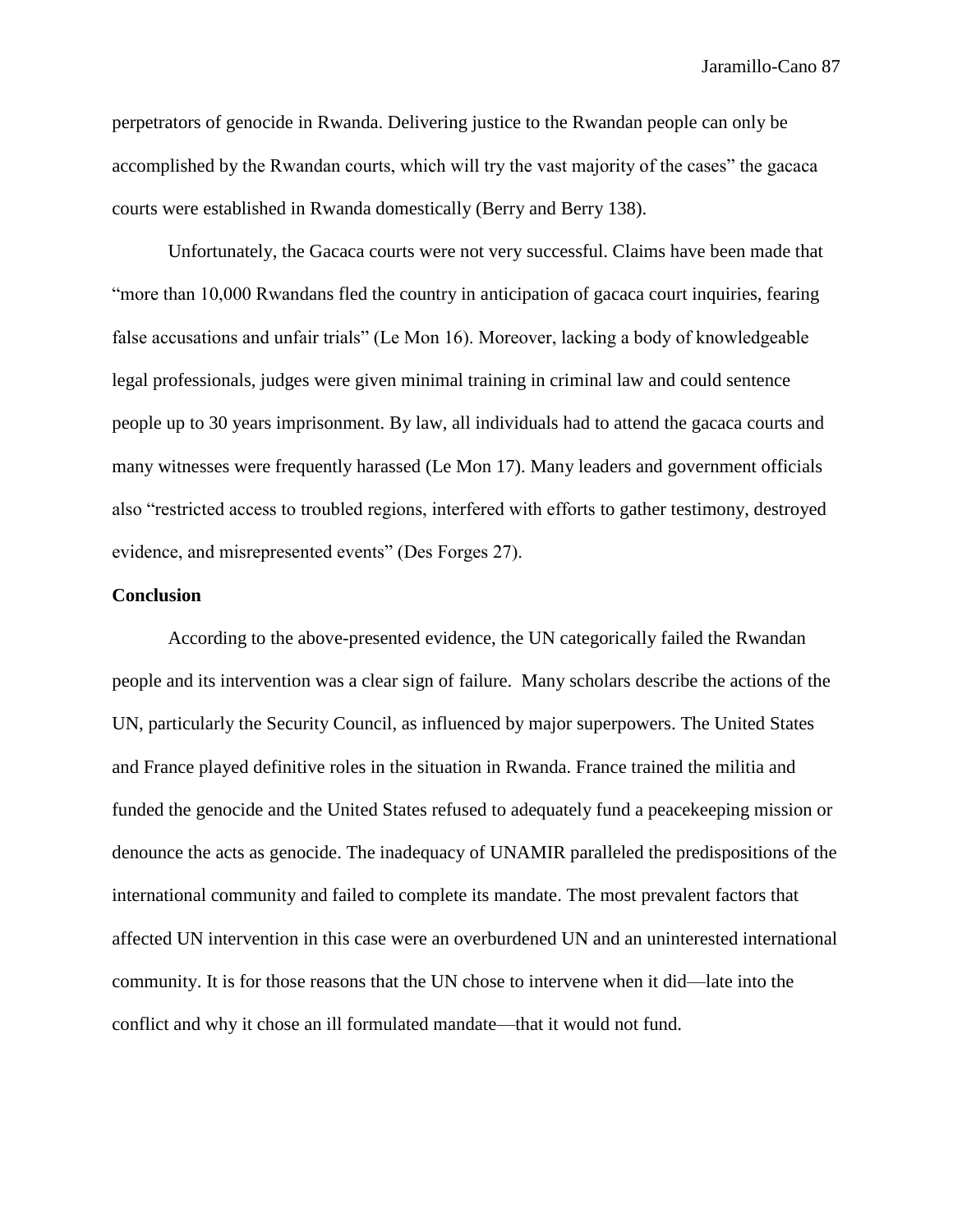perpetrators of genocide in Rwanda. Delivering justice to the Rwandan people can only be accomplished by the Rwandan courts, which will try the vast majority of the cases" the gacaca courts were established in Rwanda domestically (Berry and Berry 138).

Unfortunately, the Gacaca courts were not very successful. Claims have been made that "more than 10,000 Rwandans fled the country in anticipation of gacaca court inquiries, fearing false accusations and unfair trials" (Le Mon 16). Moreover, lacking a body of knowledgeable legal professionals, judges were given minimal training in criminal law and could sentence people up to 30 years imprisonment. By law, all individuals had to attend the gacaca courts and many witnesses were frequently harassed (Le Mon 17). Many leaders and government officials also "restricted access to troubled regions, interfered with efforts to gather testimony, destroyed evidence, and misrepresented events" (Des Forges 27).

## **Conclusion**

According to the above-presented evidence, the UN categorically failed the Rwandan people and its intervention was a clear sign of failure. Many scholars describe the actions of the UN, particularly the Security Council, as influenced by major superpowers. The United States and France played definitive roles in the situation in Rwanda. France trained the militia and funded the genocide and the United States refused to adequately fund a peacekeeping mission or denounce the acts as genocide. The inadequacy of UNAMIR paralleled the predispositions of the international community and failed to complete its mandate. The most prevalent factors that affected UN intervention in this case were an overburdened UN and an uninterested international community. It is for those reasons that the UN chose to intervene when it did—late into the conflict and why it chose an ill formulated mandate—that it would not fund.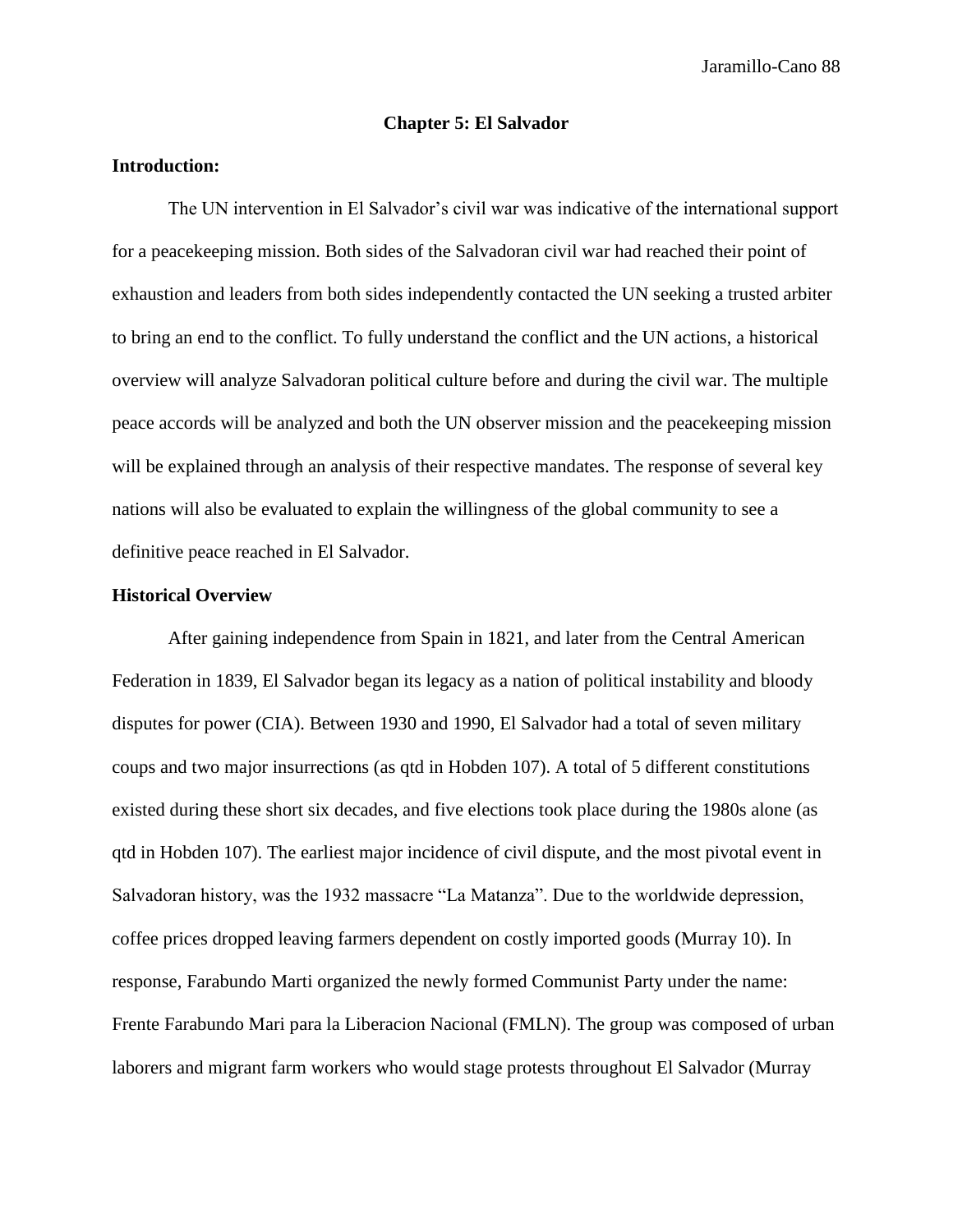# **Chapter 5: El Salvador**

# **Introduction:**

The UN intervention in El Salvador's civil war was indicative of the international support for a peacekeeping mission. Both sides of the Salvadoran civil war had reached their point of exhaustion and leaders from both sides independently contacted the UN seeking a trusted arbiter to bring an end to the conflict. To fully understand the conflict and the UN actions, a historical overview will analyze Salvadoran political culture before and during the civil war. The multiple peace accords will be analyzed and both the UN observer mission and the peacekeeping mission will be explained through an analysis of their respective mandates. The response of several key nations will also be evaluated to explain the willingness of the global community to see a definitive peace reached in El Salvador.

### **Historical Overview**

After gaining independence from Spain in 1821, and later from the Central American Federation in 1839, El Salvador began its legacy as a nation of political instability and bloody disputes for power (CIA). Between 1930 and 1990, El Salvador had a total of seven military coups and two major insurrections (as qtd in Hobden 107). A total of 5 different constitutions existed during these short six decades, and five elections took place during the 1980s alone (as qtd in Hobden 107). The earliest major incidence of civil dispute, and the most pivotal event in Salvadoran history, was the 1932 massacre "La Matanza". Due to the worldwide depression, coffee prices dropped leaving farmers dependent on costly imported goods (Murray 10). In response, Farabundo Marti organized the newly formed Communist Party under the name: Frente Farabundo Mari para la Liberacion Nacional (FMLN). The group was composed of urban laborers and migrant farm workers who would stage protests throughout El Salvador (Murray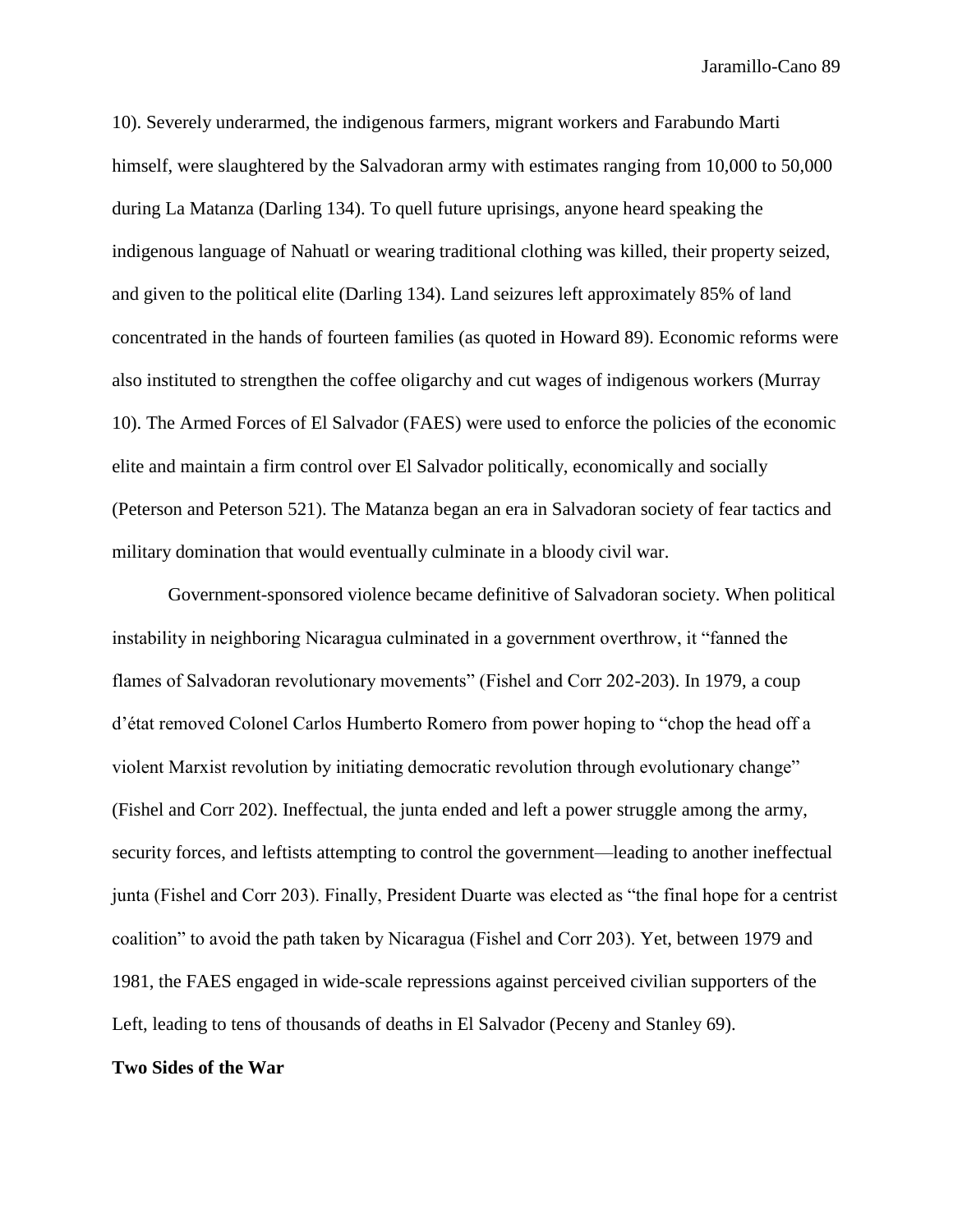10). Severely underarmed, the indigenous farmers, migrant workers and Farabundo Marti himself, were slaughtered by the Salvadoran army with estimates ranging from 10,000 to 50,000 during La Matanza (Darling 134). To quell future uprisings, anyone heard speaking the indigenous language of Nahuatl or wearing traditional clothing was killed, their property seized, and given to the political elite (Darling 134). Land seizures left approximately 85% of land concentrated in the hands of fourteen families (as quoted in Howard 89). Economic reforms were also instituted to strengthen the coffee oligarchy and cut wages of indigenous workers (Murray 10). The Armed Forces of El Salvador (FAES) were used to enforce the policies of the economic elite and maintain a firm control over El Salvador politically, economically and socially (Peterson and Peterson 521). The Matanza began an era in Salvadoran society of fear tactics and military domination that would eventually culminate in a bloody civil war.

Government-sponsored violence became definitive of Salvadoran society. When political instability in neighboring Nicaragua culminated in a government overthrow, it "fanned the flames of Salvadoran revolutionary movements" (Fishel and Corr 202-203). In 1979, a coup d'état removed Colonel Carlos Humberto Romero from power hoping to "chop the head off a violent Marxist revolution by initiating democratic revolution through evolutionary change" (Fishel and Corr 202). Ineffectual, the junta ended and left a power struggle among the army, security forces, and leftists attempting to control the government—leading to another ineffectual junta (Fishel and Corr 203). Finally, President Duarte was elected as "the final hope for a centrist coalition" to avoid the path taken by Nicaragua (Fishel and Corr 203). Yet, between 1979 and 1981, the FAES engaged in wide-scale repressions against perceived civilian supporters of the Left, leading to tens of thousands of deaths in El Salvador (Peceny and Stanley 69).

### **Two Sides of the War**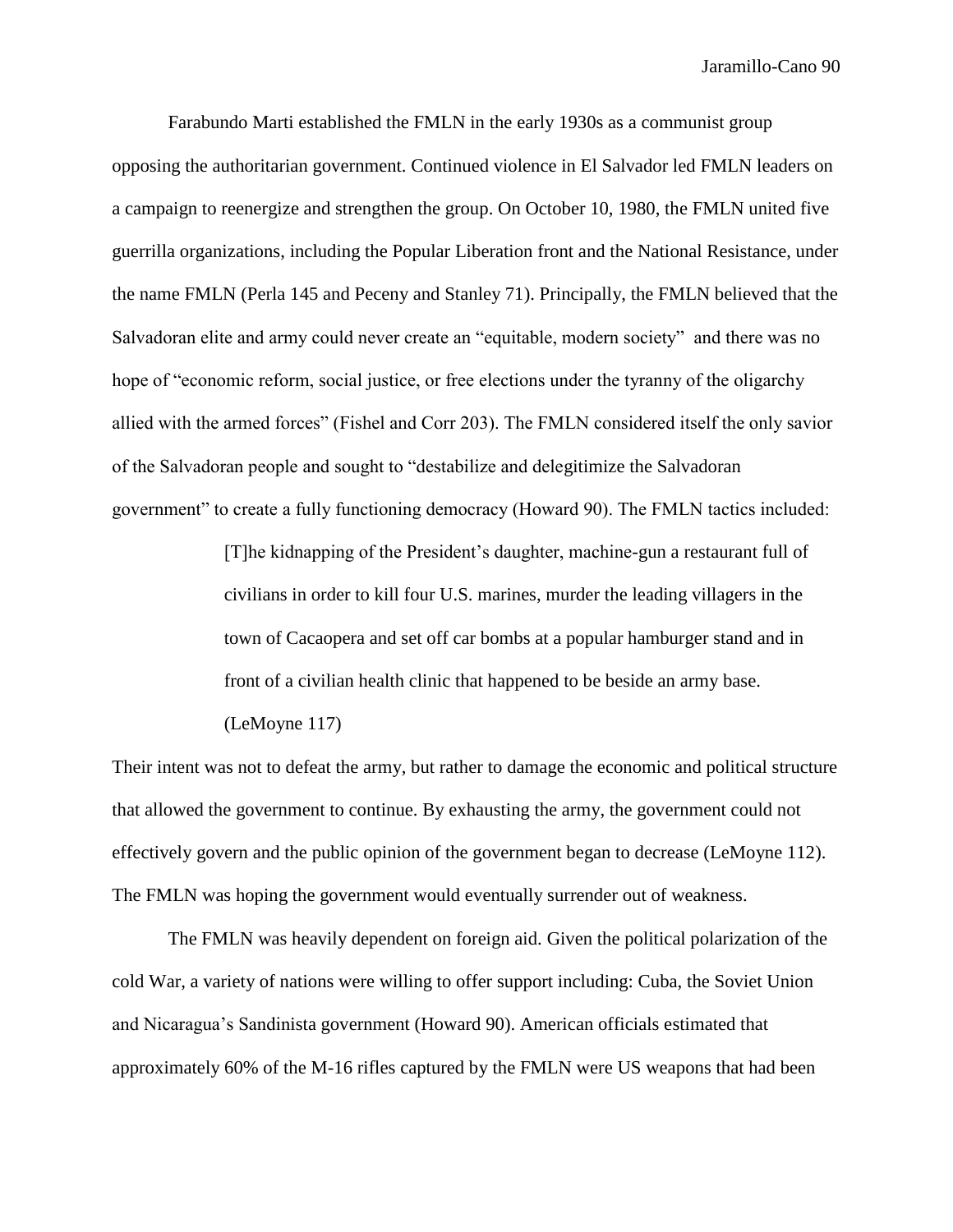Farabundo Marti established the FMLN in the early 1930s as a communist group opposing the authoritarian government. Continued violence in El Salvador led FMLN leaders on a campaign to reenergize and strengthen the group. On October 10, 1980, the FMLN united five guerrilla organizations, including the Popular Liberation front and the National Resistance, under the name FMLN (Perla 145 and Peceny and Stanley 71). Principally, the FMLN believed that the Salvadoran elite and army could never create an "equitable, modern society" and there was no hope of "economic reform, social justice, or free elections under the tyranny of the oligarchy allied with the armed forces" (Fishel and Corr 203). The FMLN considered itself the only savior of the Salvadoran people and sought to "destabilize and delegitimize the Salvadoran government" to create a fully functioning democracy (Howard 90). The FMLN tactics included:

> [T]he kidnapping of the President's daughter, machine-gun a restaurant full of civilians in order to kill four U.S. marines, murder the leading villagers in the town of Cacaopera and set off car bombs at a popular hamburger stand and in front of a civilian health clinic that happened to be beside an army base.

# (LeMoyne 117)

Their intent was not to defeat the army, but rather to damage the economic and political structure that allowed the government to continue. By exhausting the army, the government could not effectively govern and the public opinion of the government began to decrease (LeMoyne 112). The FMLN was hoping the government would eventually surrender out of weakness.

The FMLN was heavily dependent on foreign aid. Given the political polarization of the cold War, a variety of nations were willing to offer support including: Cuba, the Soviet Union and Nicaragua's Sandinista government (Howard 90). American officials estimated that approximately 60% of the M-16 rifles captured by the FMLN were US weapons that had been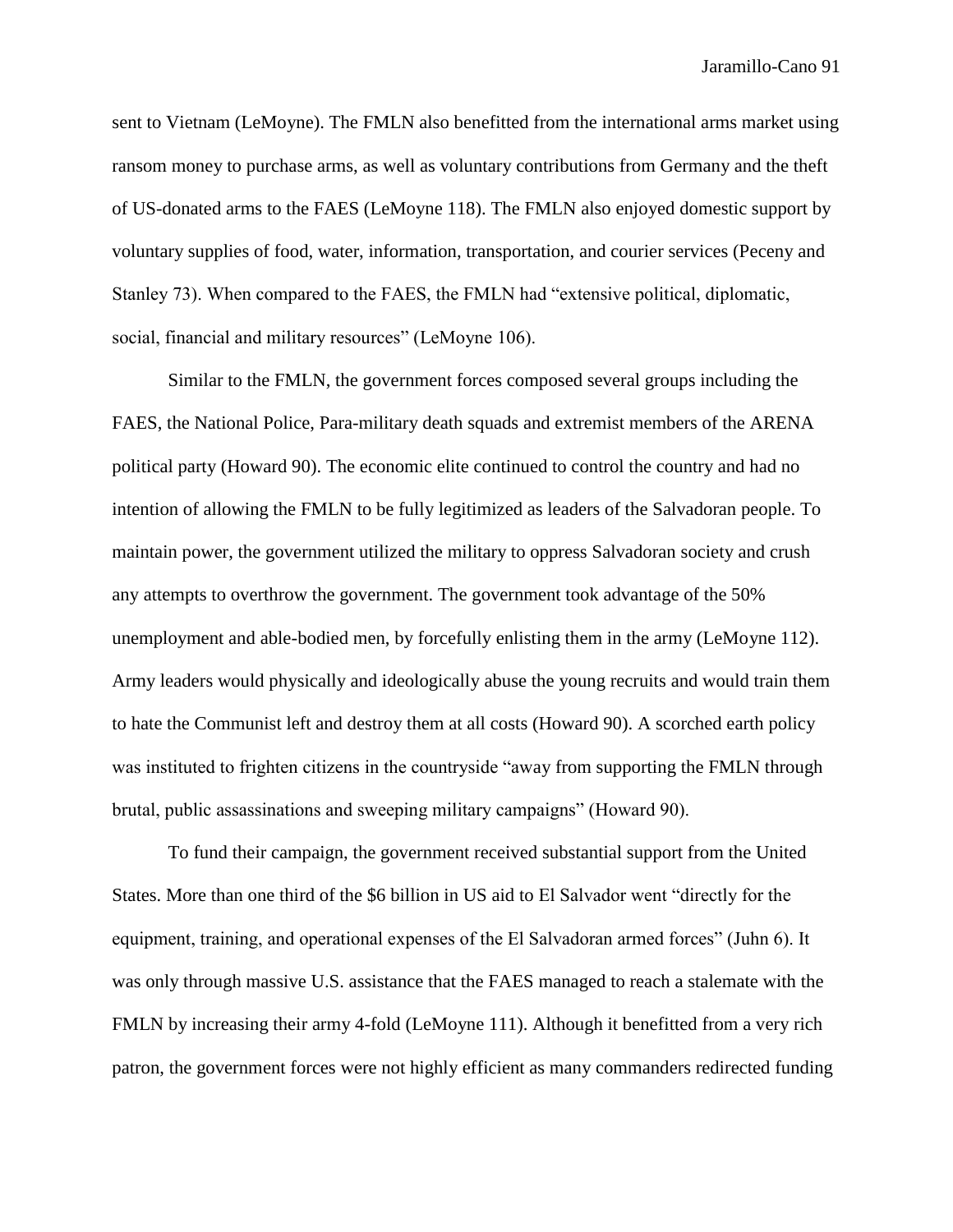sent to Vietnam (LeMoyne). The FMLN also benefitted from the international arms market using ransom money to purchase arms, as well as voluntary contributions from Germany and the theft of US-donated arms to the FAES (LeMoyne 118). The FMLN also enjoyed domestic support by voluntary supplies of food, water, information, transportation, and courier services (Peceny and Stanley 73). When compared to the FAES, the FMLN had "extensive political, diplomatic, social, financial and military resources" (LeMoyne 106).

Similar to the FMLN, the government forces composed several groups including the FAES, the National Police, Para-military death squads and extremist members of the ARENA political party (Howard 90). The economic elite continued to control the country and had no intention of allowing the FMLN to be fully legitimized as leaders of the Salvadoran people. To maintain power, the government utilized the military to oppress Salvadoran society and crush any attempts to overthrow the government. The government took advantage of the 50% unemployment and able-bodied men, by forcefully enlisting them in the army (LeMoyne 112). Army leaders would physically and ideologically abuse the young recruits and would train them to hate the Communist left and destroy them at all costs (Howard 90). A scorched earth policy was instituted to frighten citizens in the countryside "away from supporting the FMLN through brutal, public assassinations and sweeping military campaigns" (Howard 90).

To fund their campaign, the government received substantial support from the United States. More than one third of the \$6 billion in US aid to El Salvador went "directly for the equipment, training, and operational expenses of the El Salvadoran armed forces" (Juhn 6). It was only through massive U.S. assistance that the FAES managed to reach a stalemate with the FMLN by increasing their army 4-fold (LeMoyne 111). Although it benefitted from a very rich patron, the government forces were not highly efficient as many commanders redirected funding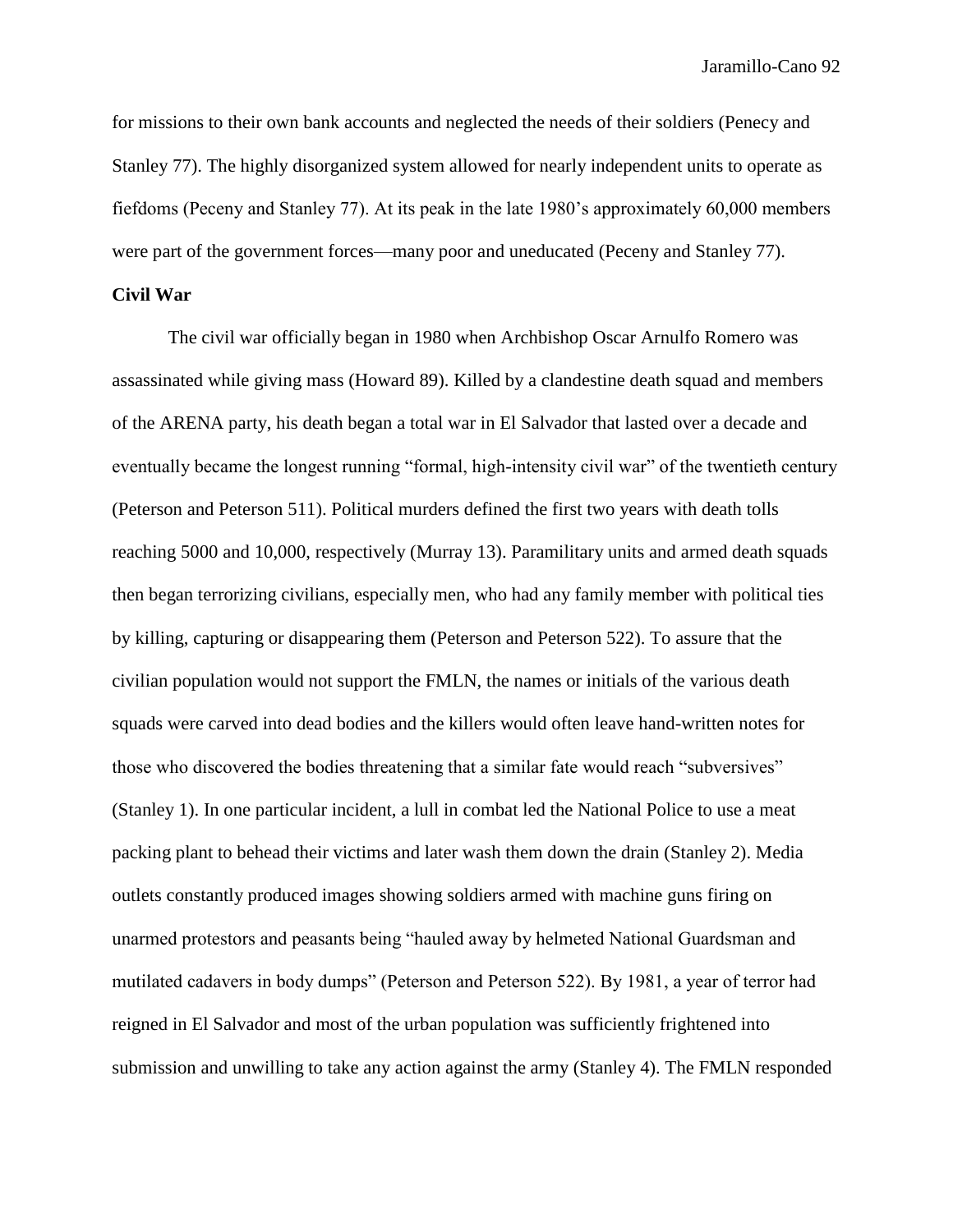for missions to their own bank accounts and neglected the needs of their soldiers (Penecy and Stanley 77). The highly disorganized system allowed for nearly independent units to operate as fiefdoms (Peceny and Stanley 77). At its peak in the late 1980's approximately 60,000 members were part of the government forces—many poor and uneducated (Peceny and Stanley 77).

# **Civil War**

The civil war officially began in 1980 when Archbishop Oscar Arnulfo Romero was assassinated while giving mass (Howard 89). Killed by a clandestine death squad and members of the ARENA party, his death began a total war in El Salvador that lasted over a decade and eventually became the longest running "formal, high-intensity civil war" of the twentieth century (Peterson and Peterson 511). Political murders defined the first two years with death tolls reaching 5000 and 10,000, respectively (Murray 13). Paramilitary units and armed death squads then began terrorizing civilians, especially men, who had any family member with political ties by killing, capturing or disappearing them (Peterson and Peterson 522). To assure that the civilian population would not support the FMLN, the names or initials of the various death squads were carved into dead bodies and the killers would often leave hand-written notes for those who discovered the bodies threatening that a similar fate would reach "subversives" (Stanley 1). In one particular incident, a lull in combat led the National Police to use a meat packing plant to behead their victims and later wash them down the drain (Stanley 2). Media outlets constantly produced images showing soldiers armed with machine guns firing on unarmed protestors and peasants being "hauled away by helmeted National Guardsman and mutilated cadavers in body dumps" (Peterson and Peterson 522). By 1981, a year of terror had reigned in El Salvador and most of the urban population was sufficiently frightened into submission and unwilling to take any action against the army (Stanley 4). The FMLN responded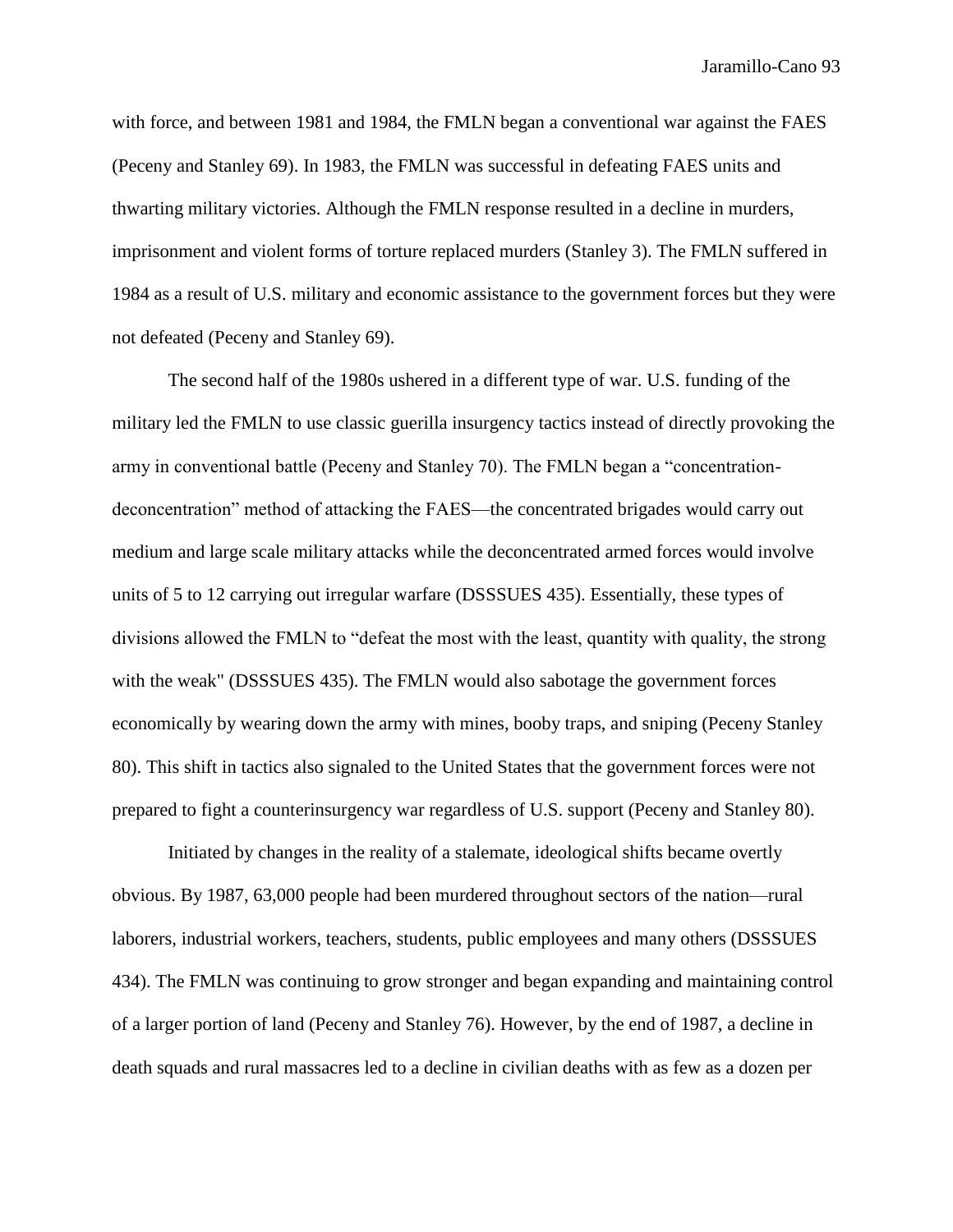with force, and between 1981 and 1984, the FMLN began a conventional war against the FAES (Peceny and Stanley 69). In 1983, the FMLN was successful in defeating FAES units and thwarting military victories. Although the FMLN response resulted in a decline in murders, imprisonment and violent forms of torture replaced murders (Stanley 3). The FMLN suffered in 1984 as a result of U.S. military and economic assistance to the government forces but they were not defeated (Peceny and Stanley 69).

The second half of the 1980s ushered in a different type of war. U.S. funding of the military led the FMLN to use classic guerilla insurgency tactics instead of directly provoking the army in conventional battle (Peceny and Stanley 70). The FMLN began a "concentrationdeconcentration" method of attacking the FAES—the concentrated brigades would carry out medium and large scale military attacks while the deconcentrated armed forces would involve units of 5 to 12 carrying out irregular warfare (DSSSUES 435). Essentially, these types of divisions allowed the FMLN to "defeat the most with the least, quantity with quality, the strong with the weak" (DSSSUES 435). The FMLN would also sabotage the government forces economically by wearing down the army with mines, booby traps, and sniping (Peceny Stanley 80). This shift in tactics also signaled to the United States that the government forces were not prepared to fight a counterinsurgency war regardless of U.S. support (Peceny and Stanley 80).

Initiated by changes in the reality of a stalemate, ideological shifts became overtly obvious. By 1987, 63,000 people had been murdered throughout sectors of the nation—rural laborers, industrial workers, teachers, students, public employees and many others (DSSSUES 434). The FMLN was continuing to grow stronger and began expanding and maintaining control of a larger portion of land (Peceny and Stanley 76). However, by the end of 1987, a decline in death squads and rural massacres led to a decline in civilian deaths with as few as a dozen per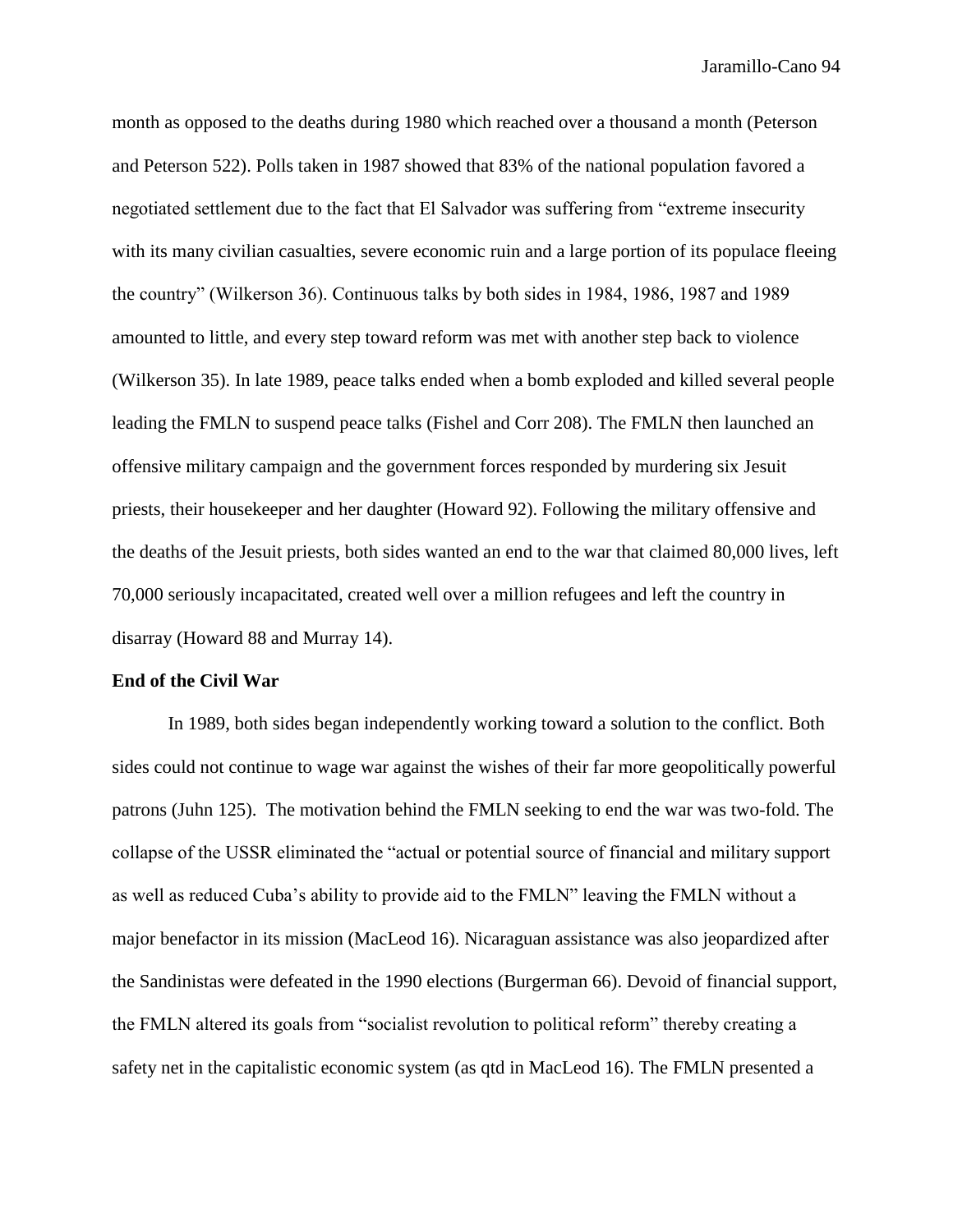month as opposed to the deaths during 1980 which reached over a thousand a month (Peterson and Peterson 522). Polls taken in 1987 showed that 83% of the national population favored a negotiated settlement due to the fact that El Salvador was suffering from "extreme insecurity with its many civilian casualties, severe economic ruin and a large portion of its populace fleeing the country" (Wilkerson 36). Continuous talks by both sides in 1984, 1986, 1987 and 1989 amounted to little, and every step toward reform was met with another step back to violence (Wilkerson 35). In late 1989, peace talks ended when a bomb exploded and killed several people leading the FMLN to suspend peace talks (Fishel and Corr 208). The FMLN then launched an offensive military campaign and the government forces responded by murdering six Jesuit priests, their housekeeper and her daughter (Howard 92). Following the military offensive and the deaths of the Jesuit priests, both sides wanted an end to the war that claimed 80,000 lives, left 70,000 seriously incapacitated, created well over a million refugees and left the country in disarray (Howard 88 and Murray 14).

### **End of the Civil War**

In 1989, both sides began independently working toward a solution to the conflict. Both sides could not continue to wage war against the wishes of their far more geopolitically powerful patrons (Juhn 125). The motivation behind the FMLN seeking to end the war was two-fold. The collapse of the USSR eliminated the "actual or potential source of financial and military support as well as reduced Cuba's ability to provide aid to the FMLN" leaving the FMLN without a major benefactor in its mission (MacLeod 16). Nicaraguan assistance was also jeopardized after the Sandinistas were defeated in the 1990 elections (Burgerman 66). Devoid of financial support, the FMLN altered its goals from "socialist revolution to political reform" thereby creating a safety net in the capitalistic economic system (as qtd in MacLeod 16). The FMLN presented a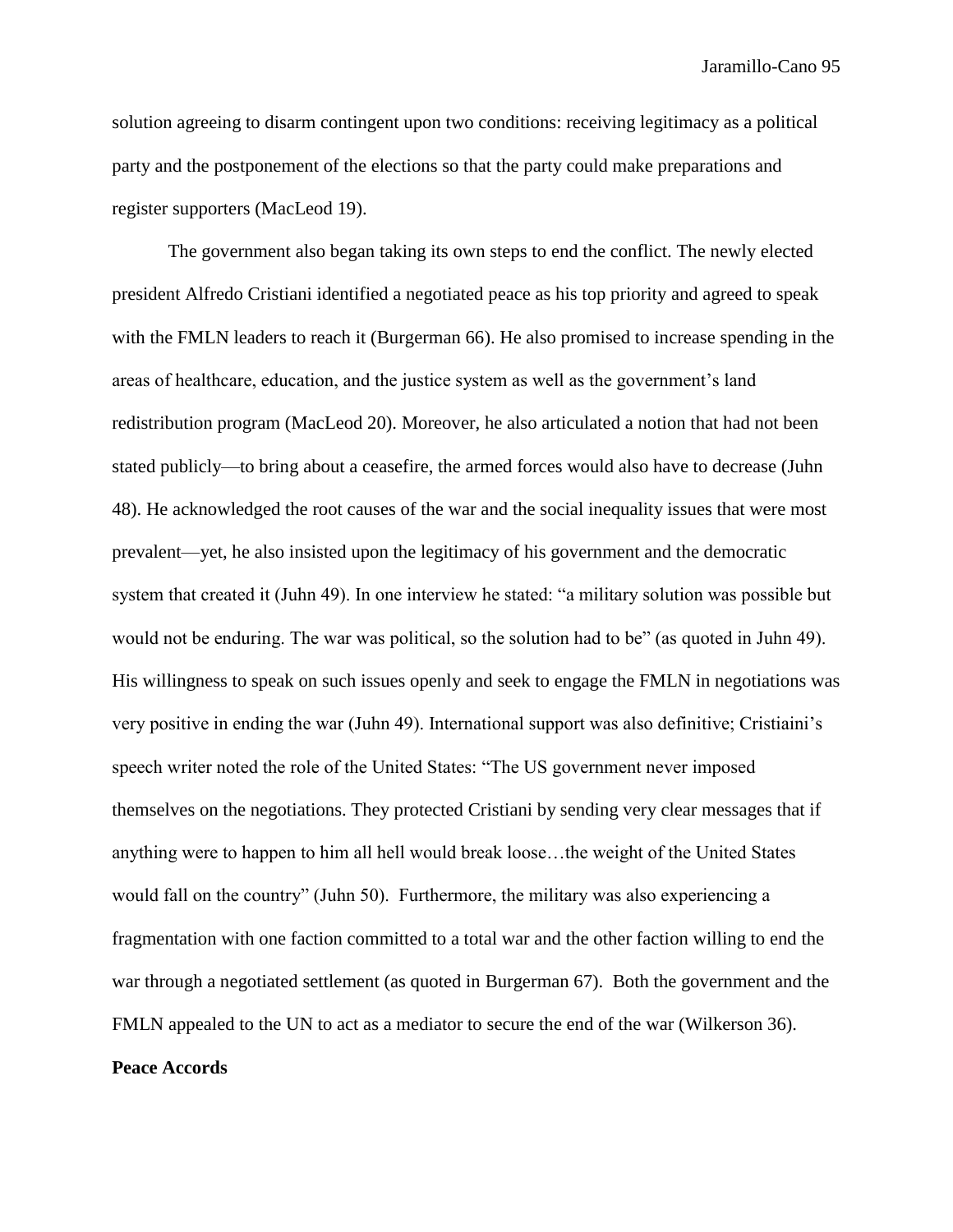solution agreeing to disarm contingent upon two conditions: receiving legitimacy as a political party and the postponement of the elections so that the party could make preparations and register supporters (MacLeod 19).

The government also began taking its own steps to end the conflict. The newly elected president Alfredo Cristiani identified a negotiated peace as his top priority and agreed to speak with the FMLN leaders to reach it (Burgerman 66). He also promised to increase spending in the areas of healthcare, education, and the justice system as well as the government's land redistribution program (MacLeod 20). Moreover, he also articulated a notion that had not been stated publicly—to bring about a ceasefire, the armed forces would also have to decrease (Juhn 48). He acknowledged the root causes of the war and the social inequality issues that were most prevalent—yet, he also insisted upon the legitimacy of his government and the democratic system that created it (Juhn 49). In one interview he stated: "a military solution was possible but would not be enduring. The war was political, so the solution had to be" (as quoted in Juhn 49). His willingness to speak on such issues openly and seek to engage the FMLN in negotiations was very positive in ending the war (Juhn 49). International support was also definitive; Cristiaini's speech writer noted the role of the United States: "The US government never imposed themselves on the negotiations. They protected Cristiani by sending very clear messages that if anything were to happen to him all hell would break loose…the weight of the United States would fall on the country" (Juhn 50). Furthermore, the military was also experiencing a fragmentation with one faction committed to a total war and the other faction willing to end the war through a negotiated settlement (as quoted in Burgerman 67). Both the government and the FMLN appealed to the UN to act as a mediator to secure the end of the war (Wilkerson 36). **Peace Accords**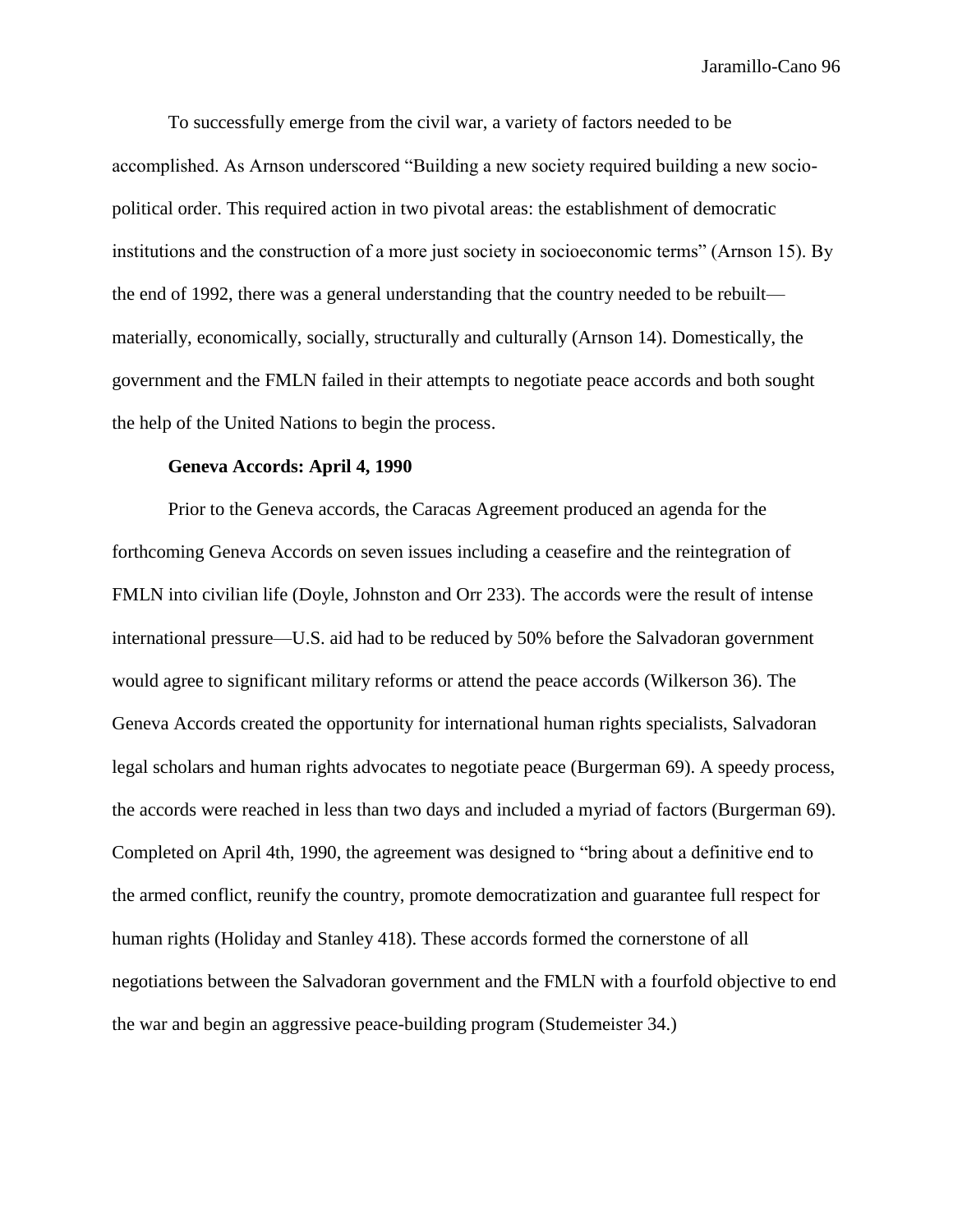To successfully emerge from the civil war, a variety of factors needed to be accomplished. As Arnson underscored "Building a new society required building a new sociopolitical order. This required action in two pivotal areas: the establishment of democratic institutions and the construction of a more just society in socioeconomic terms" (Arnson 15). By the end of 1992, there was a general understanding that the country needed to be rebuilt materially, economically, socially, structurally and culturally (Arnson 14). Domestically, the government and the FMLN failed in their attempts to negotiate peace accords and both sought the help of the United Nations to begin the process.

### **Geneva Accords: April 4, 1990**

Prior to the Geneva accords, the Caracas Agreement produced an agenda for the forthcoming Geneva Accords on seven issues including a ceasefire and the reintegration of FMLN into civilian life (Doyle, Johnston and Orr 233). The accords were the result of intense international pressure—U.S. aid had to be reduced by 50% before the Salvadoran government would agree to significant military reforms or attend the peace accords (Wilkerson 36). The Geneva Accords created the opportunity for international human rights specialists, Salvadoran legal scholars and human rights advocates to negotiate peace (Burgerman 69). A speedy process, the accords were reached in less than two days and included a myriad of factors (Burgerman 69). Completed on April 4th, 1990, the agreement was designed to "bring about a definitive end to the armed conflict, reunify the country, promote democratization and guarantee full respect for human rights (Holiday and Stanley 418). These accords formed the cornerstone of all negotiations between the Salvadoran government and the FMLN with a fourfold objective to end the war and begin an aggressive peace-building program (Studemeister 34.)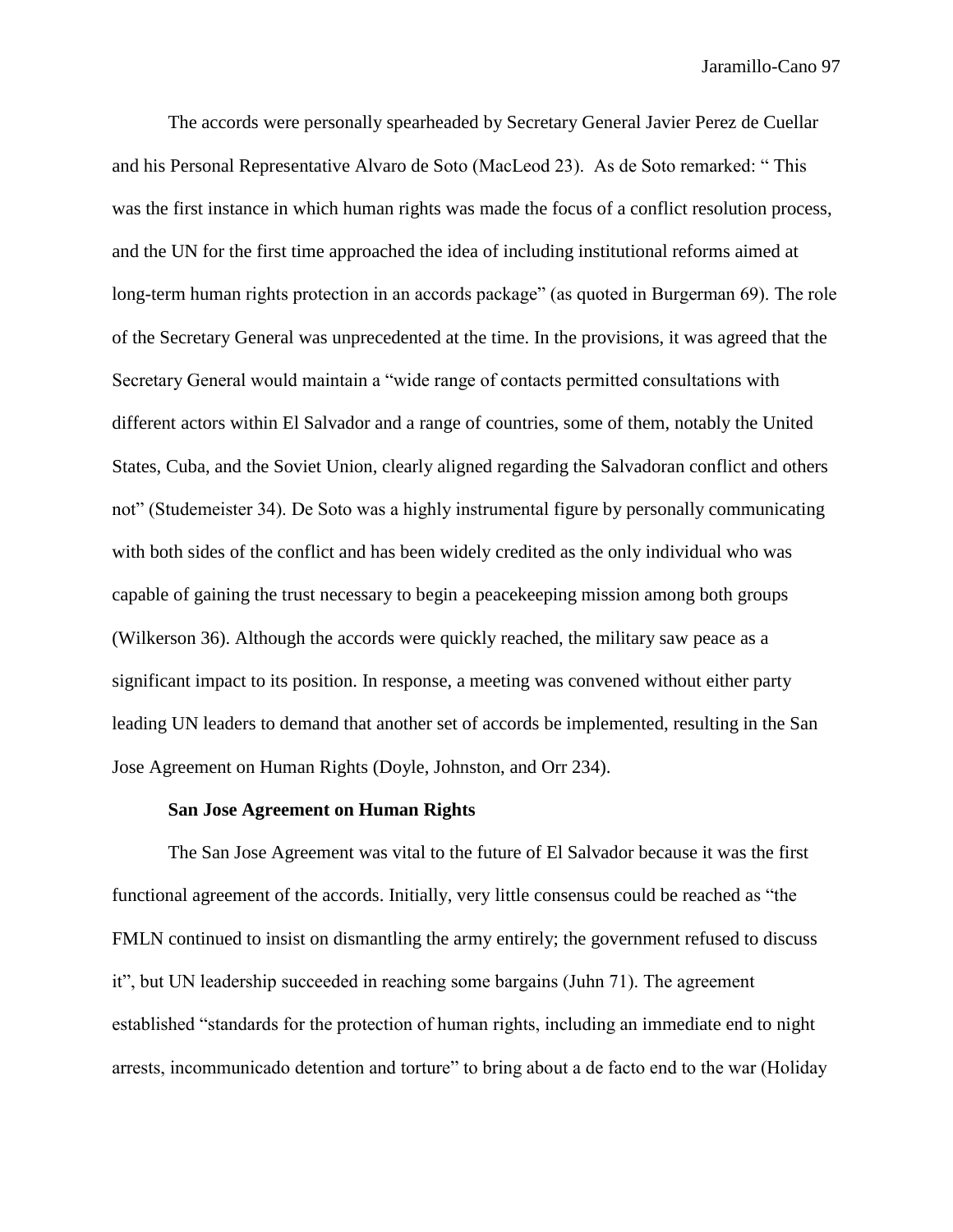The accords were personally spearheaded by Secretary General Javier Perez de Cuellar and his Personal Representative Alvaro de Soto (MacLeod 23). As de Soto remarked: " This was the first instance in which human rights was made the focus of a conflict resolution process, and the UN for the first time approached the idea of including institutional reforms aimed at long-term human rights protection in an accords package" (as quoted in Burgerman 69). The role of the Secretary General was unprecedented at the time. In the provisions, it was agreed that the Secretary General would maintain a "wide range of contacts permitted consultations with different actors within El Salvador and a range of countries, some of them, notably the United States, Cuba, and the Soviet Union, clearly aligned regarding the Salvadoran conflict and others not" (Studemeister 34). De Soto was a highly instrumental figure by personally communicating with both sides of the conflict and has been widely credited as the only individual who was capable of gaining the trust necessary to begin a peacekeeping mission among both groups (Wilkerson 36). Although the accords were quickly reached, the military saw peace as a significant impact to its position. In response, a meeting was convened without either party leading UN leaders to demand that another set of accords be implemented, resulting in the San Jose Agreement on Human Rights (Doyle, Johnston, and Orr 234).

#### **San Jose Agreement on Human Rights**

The San Jose Agreement was vital to the future of El Salvador because it was the first functional agreement of the accords. Initially, very little consensus could be reached as "the FMLN continued to insist on dismantling the army entirely; the government refused to discuss it", but UN leadership succeeded in reaching some bargains (Juhn 71). The agreement established "standards for the protection of human rights, including an immediate end to night arrests, incommunicado detention and torture" to bring about a de facto end to the war (Holiday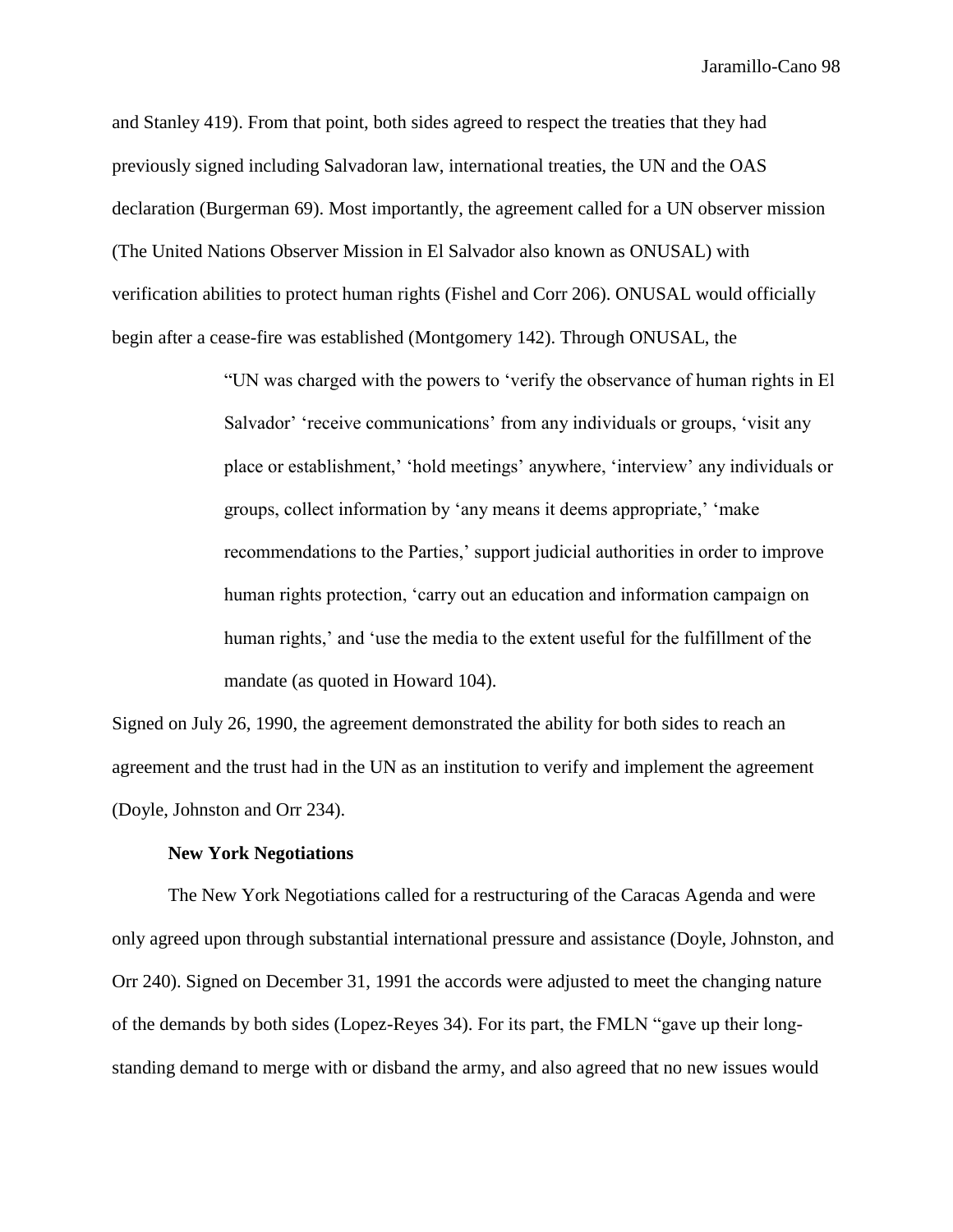and Stanley 419). From that point, both sides agreed to respect the treaties that they had previously signed including Salvadoran law, international treaties, the UN and the OAS declaration (Burgerman 69). Most importantly, the agreement called for a UN observer mission (The United Nations Observer Mission in El Salvador also known as ONUSAL) with verification abilities to protect human rights (Fishel and Corr 206). ONUSAL would officially begin after a cease-fire was established (Montgomery 142). Through ONUSAL, the

> "UN was charged with the powers to 'verify the observance of human rights in El Salvador' 'receive communications' from any individuals or groups, 'visit any place or establishment,' 'hold meetings' anywhere, 'interview' any individuals or groups, collect information by 'any means it deems appropriate,' 'make recommendations to the Parties,' support judicial authorities in order to improve human rights protection, 'carry out an education and information campaign on human rights,' and 'use the media to the extent useful for the fulfillment of the mandate (as quoted in Howard 104).

Signed on July 26, 1990, the agreement demonstrated the ability for both sides to reach an agreement and the trust had in the UN as an institution to verify and implement the agreement (Doyle, Johnston and Orr 234).

# **New York Negotiations**

The New York Negotiations called for a restructuring of the Caracas Agenda and were only agreed upon through substantial international pressure and assistance (Doyle, Johnston, and Orr 240). Signed on December 31, 1991 the accords were adjusted to meet the changing nature of the demands by both sides (Lopez-Reyes 34). For its part, the FMLN "gave up their longstanding demand to merge with or disband the army, and also agreed that no new issues would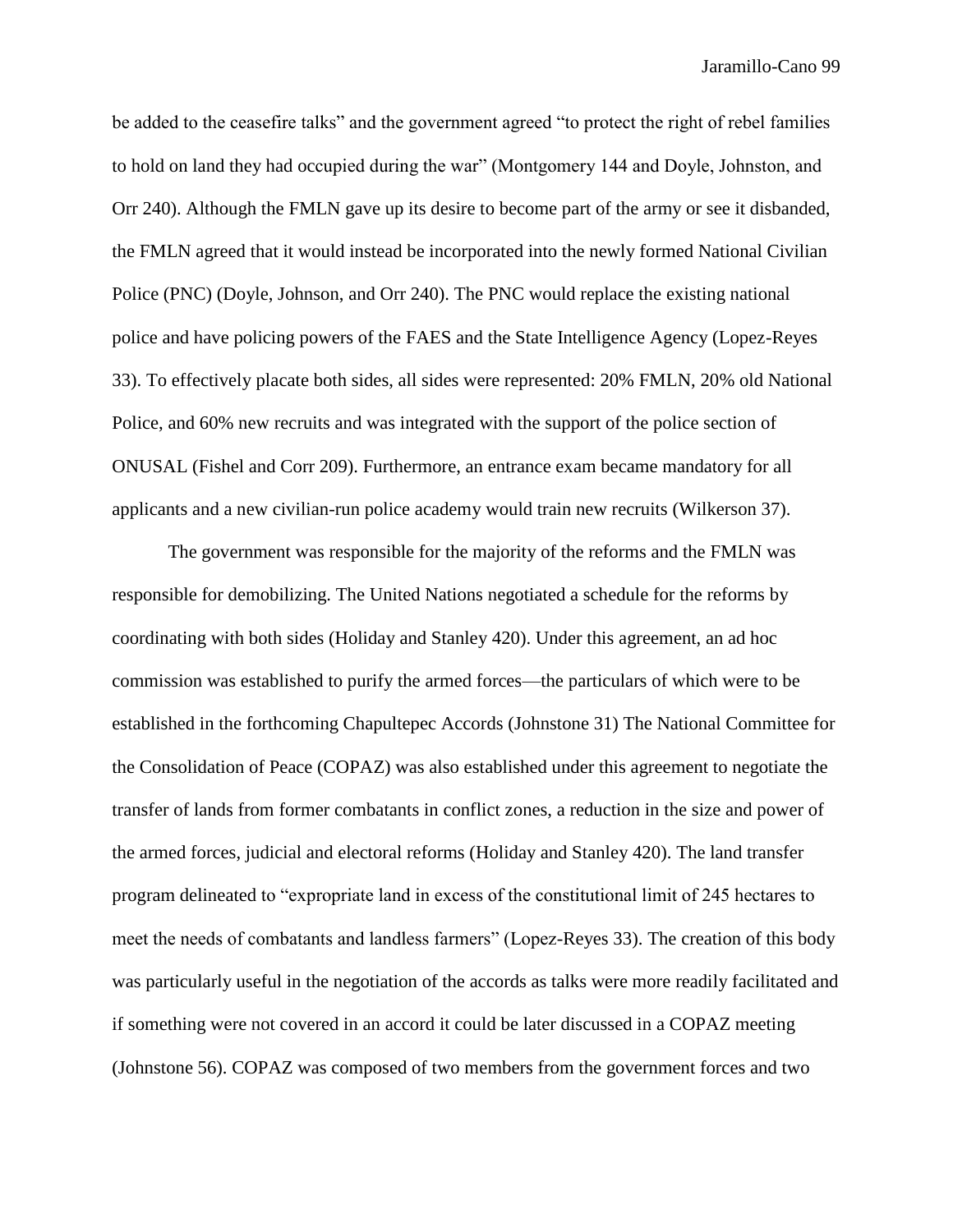be added to the ceasefire talks" and the government agreed "to protect the right of rebel families to hold on land they had occupied during the war" (Montgomery 144 and Doyle, Johnston, and Orr 240). Although the FMLN gave up its desire to become part of the army or see it disbanded, the FMLN agreed that it would instead be incorporated into the newly formed National Civilian Police (PNC) (Doyle, Johnson, and Orr 240). The PNC would replace the existing national police and have policing powers of the FAES and the State Intelligence Agency (Lopez-Reyes 33). To effectively placate both sides, all sides were represented: 20% FMLN, 20% old National Police, and 60% new recruits and was integrated with the support of the police section of ONUSAL (Fishel and Corr 209). Furthermore, an entrance exam became mandatory for all applicants and a new civilian-run police academy would train new recruits (Wilkerson 37).

The government was responsible for the majority of the reforms and the FMLN was responsible for demobilizing. The United Nations negotiated a schedule for the reforms by coordinating with both sides (Holiday and Stanley 420). Under this agreement, an ad hoc commission was established to purify the armed forces—the particulars of which were to be established in the forthcoming Chapultepec Accords (Johnstone 31) The National Committee for the Consolidation of Peace (COPAZ) was also established under this agreement to negotiate the transfer of lands from former combatants in conflict zones, a reduction in the size and power of the armed forces, judicial and electoral reforms (Holiday and Stanley 420). The land transfer program delineated to "expropriate land in excess of the constitutional limit of 245 hectares to meet the needs of combatants and landless farmers" (Lopez-Reyes 33). The creation of this body was particularly useful in the negotiation of the accords as talks were more readily facilitated and if something were not covered in an accord it could be later discussed in a COPAZ meeting (Johnstone 56). COPAZ was composed of two members from the government forces and two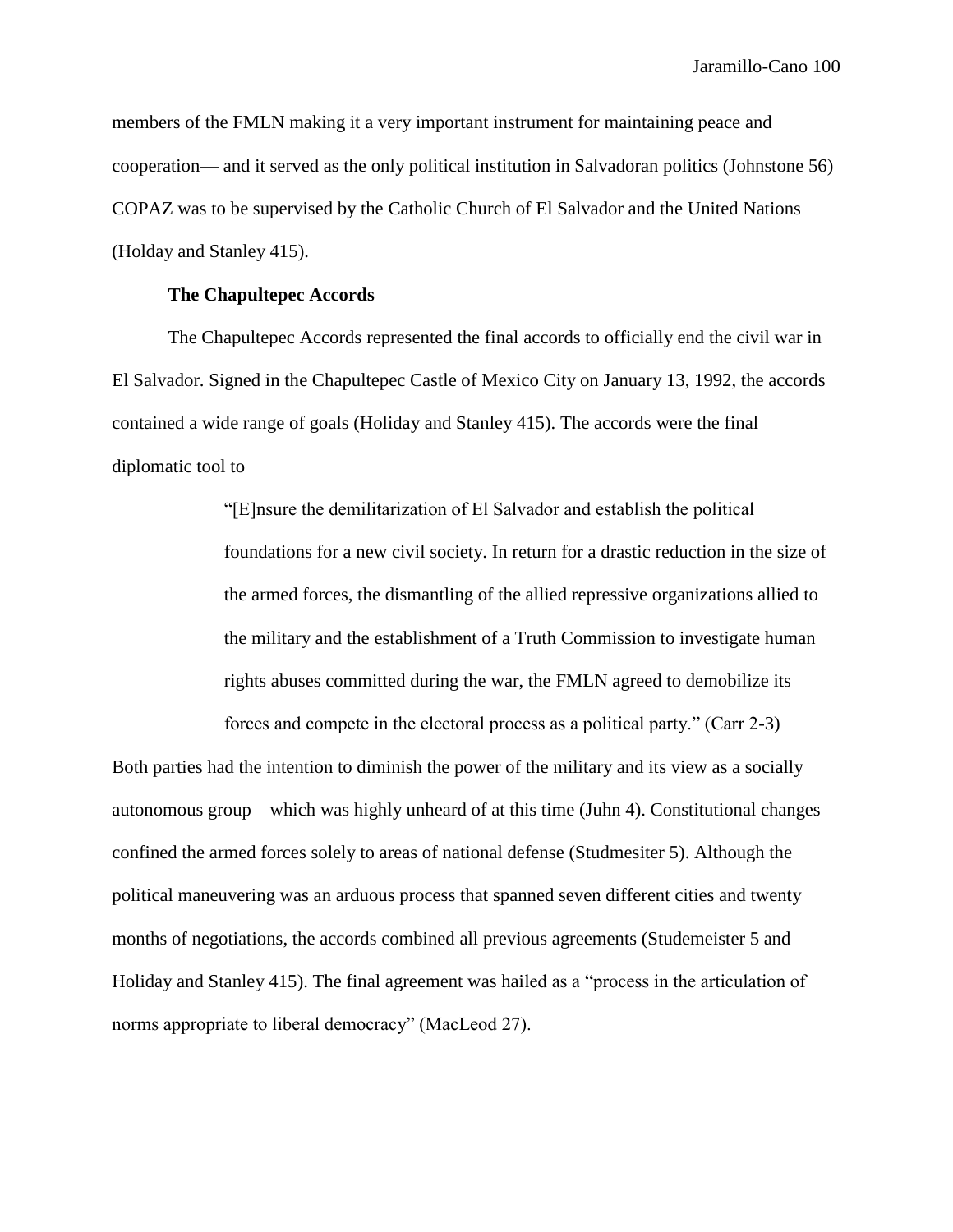members of the FMLN making it a very important instrument for maintaining peace and cooperation— and it served as the only political institution in Salvadoran politics (Johnstone 56) COPAZ was to be supervised by the Catholic Church of El Salvador and the United Nations (Holday and Stanley 415).

# **The Chapultepec Accords**

The Chapultepec Accords represented the final accords to officially end the civil war in El Salvador. Signed in the Chapultepec Castle of Mexico City on January 13, 1992, the accords contained a wide range of goals (Holiday and Stanley 415). The accords were the final diplomatic tool to

> "[E]nsure the demilitarization of El Salvador and establish the political foundations for a new civil society. In return for a drastic reduction in the size of the armed forces, the dismantling of the allied repressive organizations allied to the military and the establishment of a Truth Commission to investigate human rights abuses committed during the war, the FMLN agreed to demobilize its

forces and compete in the electoral process as a political party." (Carr 2-3) Both parties had the intention to diminish the power of the military and its view as a socially autonomous group—which was highly unheard of at this time (Juhn 4). Constitutional changes confined the armed forces solely to areas of national defense (Studmesiter 5). Although the political maneuvering was an arduous process that spanned seven different cities and twenty months of negotiations, the accords combined all previous agreements (Studemeister 5 and Holiday and Stanley 415). The final agreement was hailed as a "process in the articulation of norms appropriate to liberal democracy" (MacLeod 27).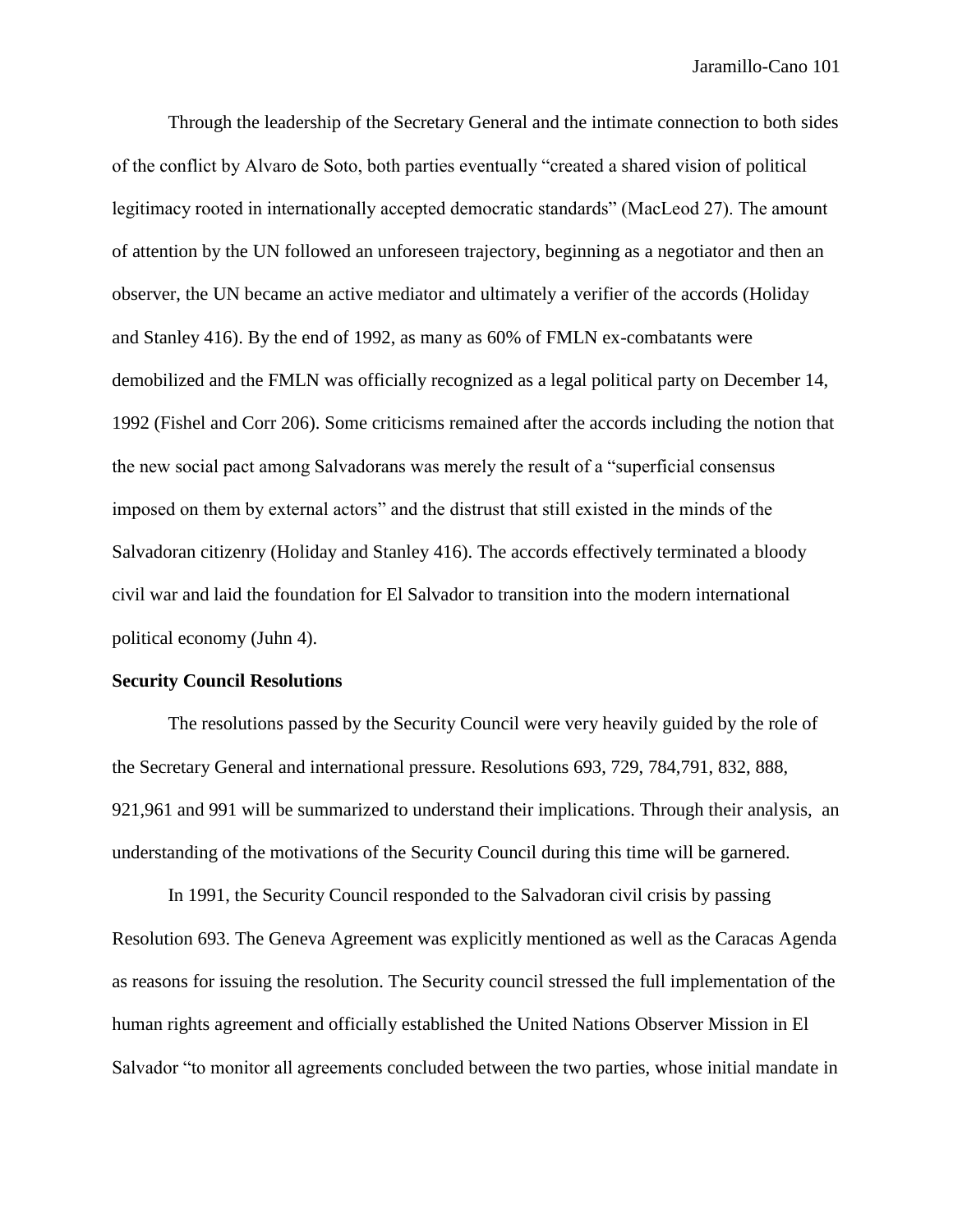Through the leadership of the Secretary General and the intimate connection to both sides of the conflict by Alvaro de Soto, both parties eventually "created a shared vision of political legitimacy rooted in internationally accepted democratic standards" (MacLeod 27). The amount of attention by the UN followed an unforeseen trajectory, beginning as a negotiator and then an observer, the UN became an active mediator and ultimately a verifier of the accords (Holiday and Stanley 416). By the end of 1992, as many as 60% of FMLN ex-combatants were demobilized and the FMLN was officially recognized as a legal political party on December 14, 1992 (Fishel and Corr 206). Some criticisms remained after the accords including the notion that the new social pact among Salvadorans was merely the result of a "superficial consensus imposed on them by external actors" and the distrust that still existed in the minds of the Salvadoran citizenry (Holiday and Stanley 416). The accords effectively terminated a bloody civil war and laid the foundation for El Salvador to transition into the modern international political economy (Juhn 4).

# **Security Council Resolutions**

The resolutions passed by the Security Council were very heavily guided by the role of the Secretary General and international pressure. Resolutions 693, 729, 784,791, 832, 888, 921,961 and 991 will be summarized to understand their implications. Through their analysis, an understanding of the motivations of the Security Council during this time will be garnered.

In 1991, the Security Council responded to the Salvadoran civil crisis by passing Resolution 693. The Geneva Agreement was explicitly mentioned as well as the Caracas Agenda as reasons for issuing the resolution. The Security council stressed the full implementation of the human rights agreement and officially established the United Nations Observer Mission in El Salvador "to monitor all agreements concluded between the two parties, whose initial mandate in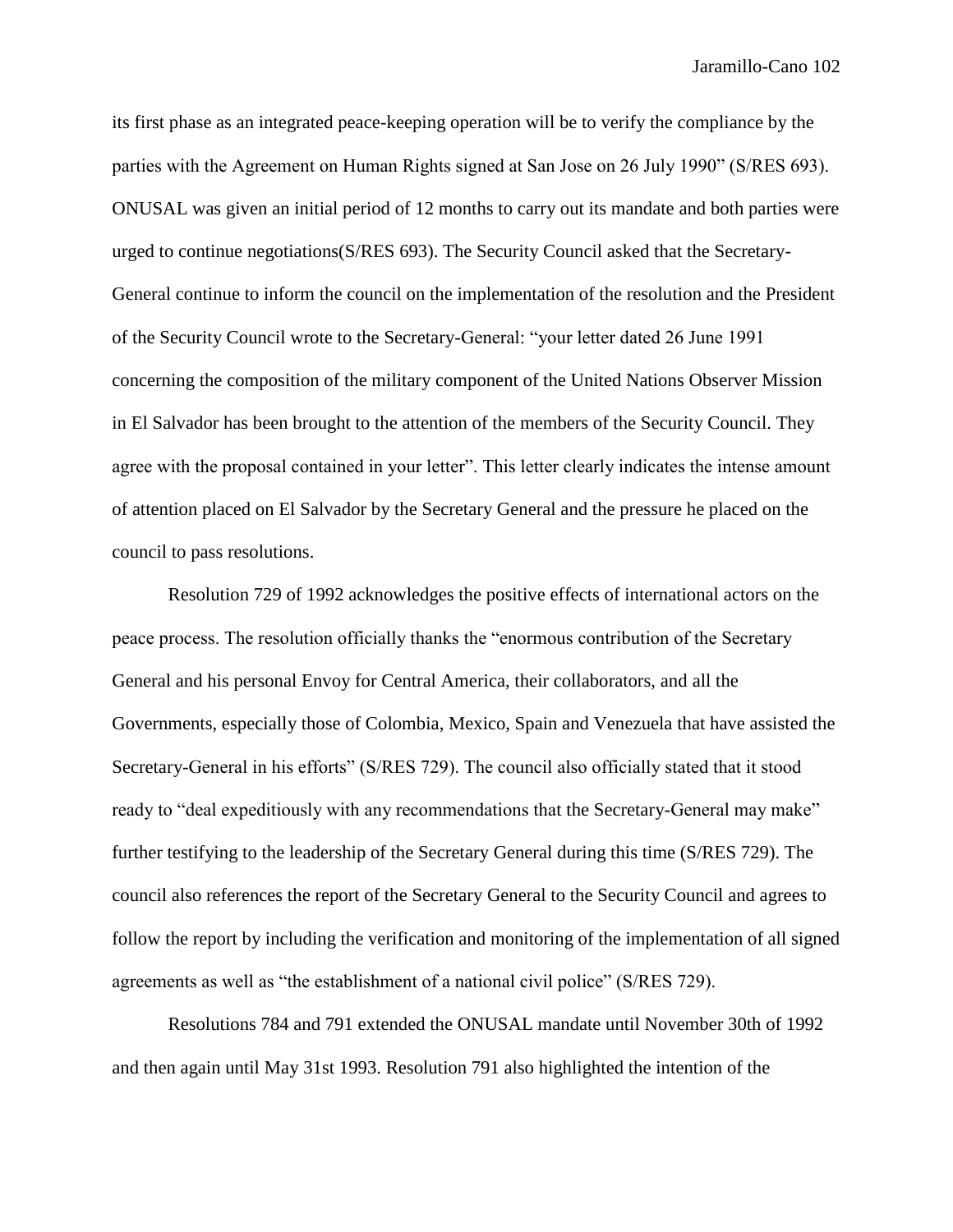its first phase as an integrated peace-keeping operation will be to verify the compliance by the parties with the Agreement on Human Rights signed at San Jose on 26 July 1990" (S/RES 693). ONUSAL was given an initial period of 12 months to carry out its mandate and both parties were urged to continue negotiations(S/RES 693). The Security Council asked that the Secretary-General continue to inform the council on the implementation of the resolution and the President of the Security Council wrote to the Secretary-General: "your letter dated 26 June 1991 concerning the composition of the military component of the United Nations Observer Mission in El Salvador has been brought to the attention of the members of the Security Council. They agree with the proposal contained in your letter". This letter clearly indicates the intense amount of attention placed on El Salvador by the Secretary General and the pressure he placed on the council to pass resolutions.

Resolution 729 of 1992 acknowledges the positive effects of international actors on the peace process. The resolution officially thanks the "enormous contribution of the Secretary General and his personal Envoy for Central America, their collaborators, and all the Governments, especially those of Colombia, Mexico, Spain and Venezuela that have assisted the Secretary-General in his efforts" (S/RES 729). The council also officially stated that it stood ready to "deal expeditiously with any recommendations that the Secretary-General may make" further testifying to the leadership of the Secretary General during this time (S/RES 729). The council also references the report of the Secretary General to the Security Council and agrees to follow the report by including the verification and monitoring of the implementation of all signed agreements as well as "the establishment of a national civil police" (S/RES 729).

Resolutions 784 and 791 extended the ONUSAL mandate until November 30th of 1992 and then again until May 31st 1993. Resolution 791 also highlighted the intention of the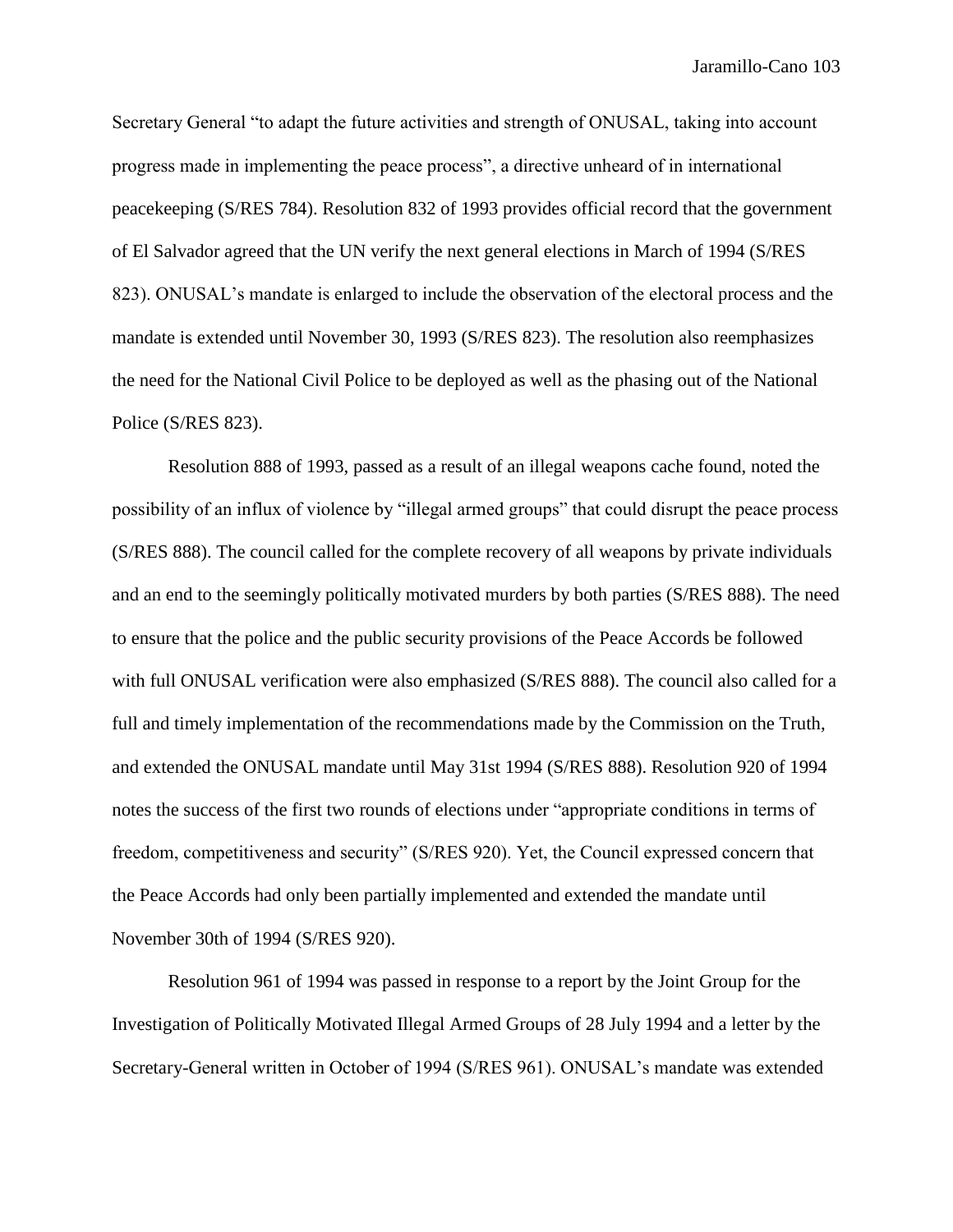Secretary General "to adapt the future activities and strength of ONUSAL, taking into account progress made in implementing the peace process", a directive unheard of in international peacekeeping (S/RES 784). Resolution 832 of 1993 provides official record that the government of El Salvador agreed that the UN verify the next general elections in March of 1994 (S/RES 823). ONUSAL's mandate is enlarged to include the observation of the electoral process and the mandate is extended until November 30, 1993 (S/RES 823). The resolution also reemphasizes the need for the National Civil Police to be deployed as well as the phasing out of the National Police (S/RES 823).

Resolution 888 of 1993, passed as a result of an illegal weapons cache found, noted the possibility of an influx of violence by "illegal armed groups" that could disrupt the peace process (S/RES 888). The council called for the complete recovery of all weapons by private individuals and an end to the seemingly politically motivated murders by both parties (S/RES 888). The need to ensure that the police and the public security provisions of the Peace Accords be followed with full ONUSAL verification were also emphasized (S/RES 888). The council also called for a full and timely implementation of the recommendations made by the Commission on the Truth, and extended the ONUSAL mandate until May 31st 1994 (S/RES 888). Resolution 920 of 1994 notes the success of the first two rounds of elections under "appropriate conditions in terms of freedom, competitiveness and security" (S/RES 920). Yet, the Council expressed concern that the Peace Accords had only been partially implemented and extended the mandate until November 30th of 1994 (S/RES 920).

Resolution 961 of 1994 was passed in response to a report by the Joint Group for the Investigation of Politically Motivated Illegal Armed Groups of 28 July 1994 and a letter by the Secretary-General written in October of 1994 (S/RES 961). ONUSAL's mandate was extended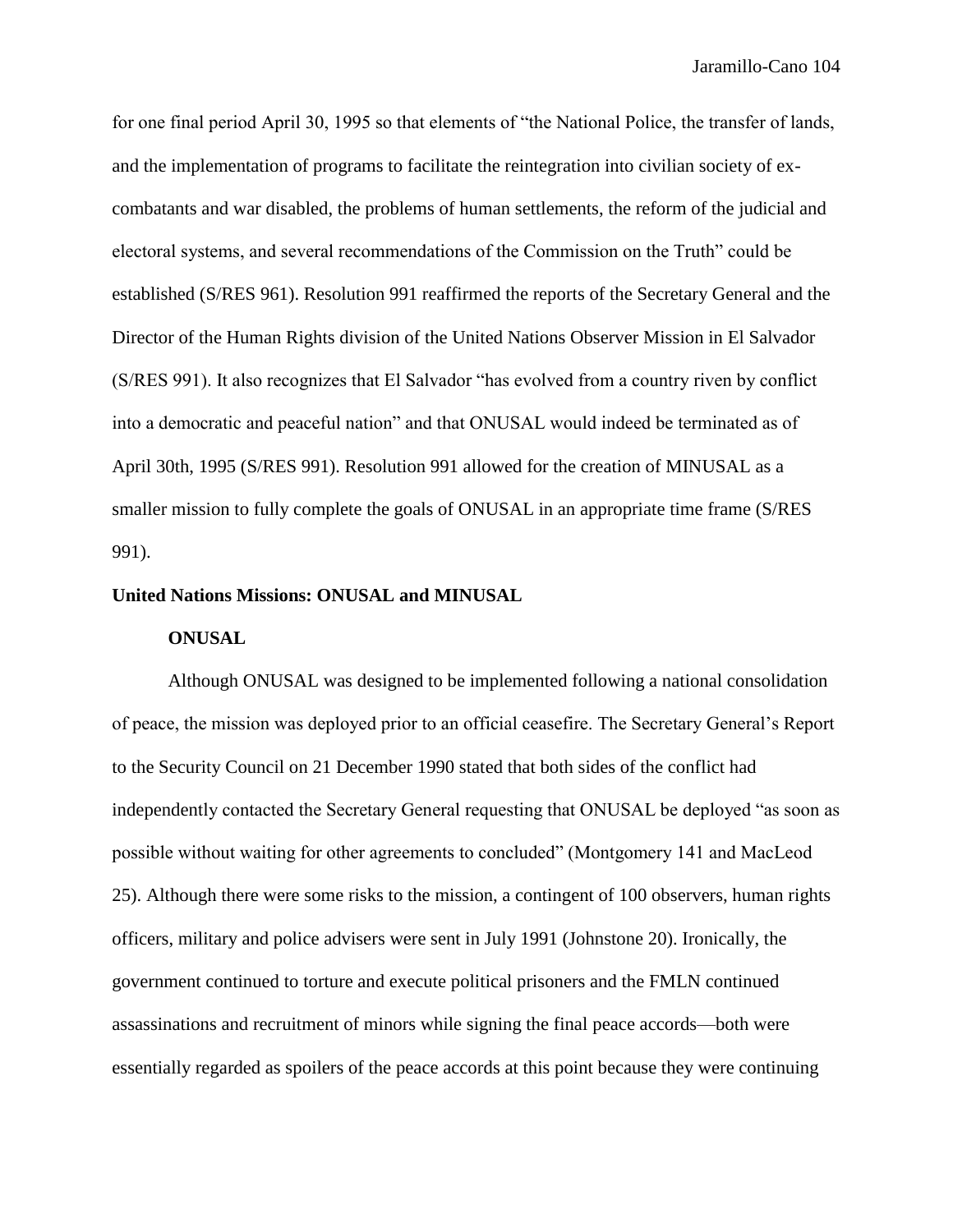for one final period April 30, 1995 so that elements of "the National Police, the transfer of lands, and the implementation of programs to facilitate the reintegration into civilian society of excombatants and war disabled, the problems of human settlements, the reform of the judicial and electoral systems, and several recommendations of the Commission on the Truth" could be established (S/RES 961). Resolution 991 reaffirmed the reports of the Secretary General and the Director of the Human Rights division of the United Nations Observer Mission in El Salvador (S/RES 991). It also recognizes that El Salvador "has evolved from a country riven by conflict into a democratic and peaceful nation" and that ONUSAL would indeed be terminated as of April 30th, 1995 (S/RES 991). Resolution 991 allowed for the creation of MINUSAL as a smaller mission to fully complete the goals of ONUSAL in an appropriate time frame (S/RES 991).

#### **United Nations Missions: ONUSAL and MINUSAL**

#### **ONUSAL**

Although ONUSAL was designed to be implemented following a national consolidation of peace, the mission was deployed prior to an official ceasefire. The Secretary General's Report to the Security Council on 21 December 1990 stated that both sides of the conflict had independently contacted the Secretary General requesting that ONUSAL be deployed "as soon as possible without waiting for other agreements to concluded" (Montgomery 141 and MacLeod 25). Although there were some risks to the mission, a contingent of 100 observers, human rights officers, military and police advisers were sent in July 1991 (Johnstone 20). Ironically, the government continued to torture and execute political prisoners and the FMLN continued assassinations and recruitment of minors while signing the final peace accords—both were essentially regarded as spoilers of the peace accords at this point because they were continuing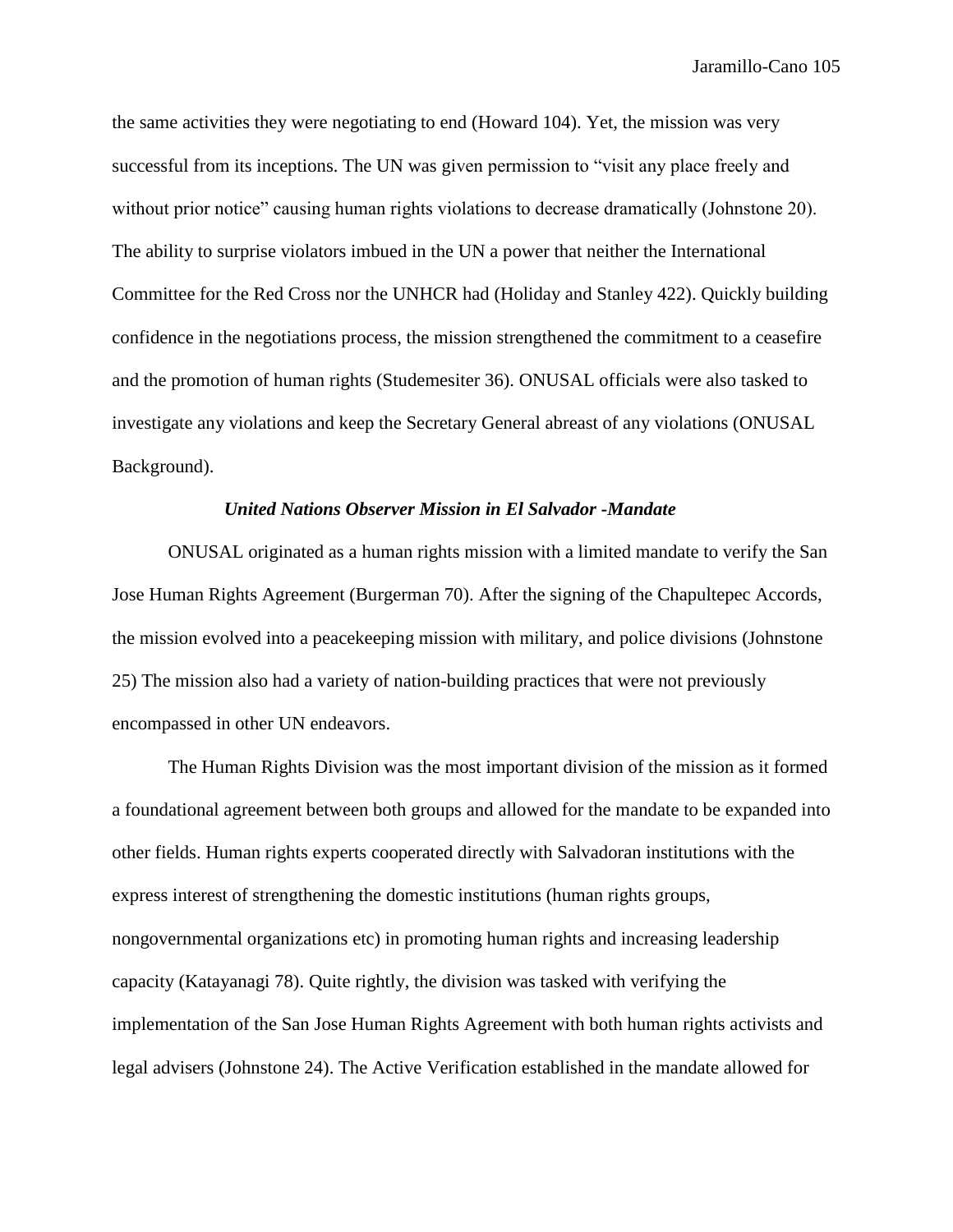the same activities they were negotiating to end (Howard 104). Yet, the mission was very successful from its inceptions. The UN was given permission to "visit any place freely and without prior notice" causing human rights violations to decrease dramatically (Johnstone 20). The ability to surprise violators imbued in the UN a power that neither the International Committee for the Red Cross nor the UNHCR had (Holiday and Stanley 422). Quickly building confidence in the negotiations process, the mission strengthened the commitment to a ceasefire and the promotion of human rights (Studemesiter 36). ONUSAL officials were also tasked to investigate any violations and keep the Secretary General abreast of any violations (ONUSAL Background).

# *United Nations Observer Mission in El Salvador -Mandate*

ONUSAL originated as a human rights mission with a limited mandate to verify the San Jose Human Rights Agreement (Burgerman 70). After the signing of the Chapultepec Accords, the mission evolved into a peacekeeping mission with military, and police divisions (Johnstone 25) The mission also had a variety of nation-building practices that were not previously encompassed in other UN endeavors.

The Human Rights Division was the most important division of the mission as it formed a foundational agreement between both groups and allowed for the mandate to be expanded into other fields. Human rights experts cooperated directly with Salvadoran institutions with the express interest of strengthening the domestic institutions (human rights groups, nongovernmental organizations etc) in promoting human rights and increasing leadership capacity (Katayanagi 78). Quite rightly, the division was tasked with verifying the implementation of the San Jose Human Rights Agreement with both human rights activists and legal advisers (Johnstone 24). The Active Verification established in the mandate allowed for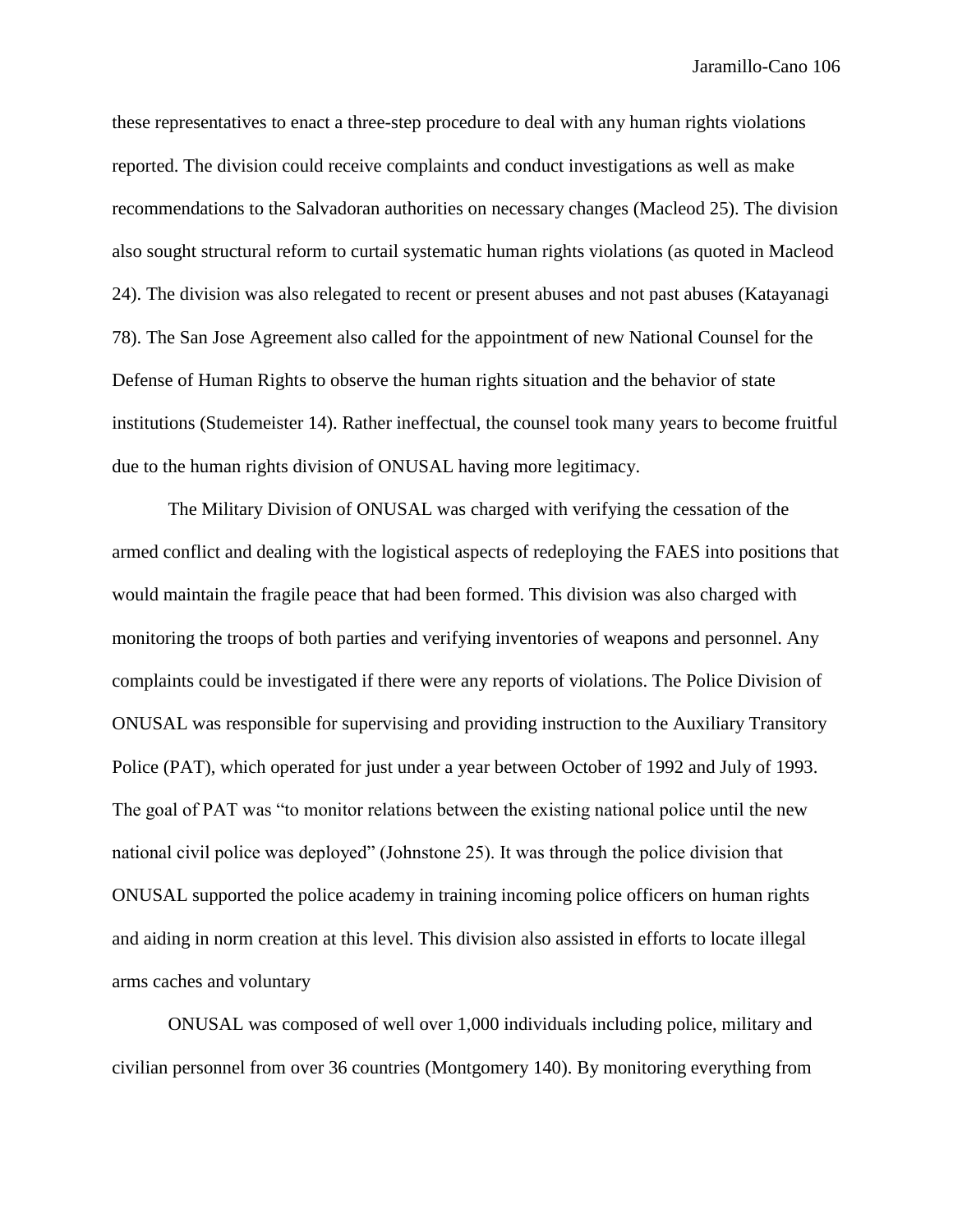these representatives to enact a three-step procedure to deal with any human rights violations reported. The division could receive complaints and conduct investigations as well as make recommendations to the Salvadoran authorities on necessary changes (Macleod 25). The division also sought structural reform to curtail systematic human rights violations (as quoted in Macleod 24). The division was also relegated to recent or present abuses and not past abuses (Katayanagi 78). The San Jose Agreement also called for the appointment of new National Counsel for the Defense of Human Rights to observe the human rights situation and the behavior of state institutions (Studemeister 14). Rather ineffectual, the counsel took many years to become fruitful due to the human rights division of ONUSAL having more legitimacy.

The Military Division of ONUSAL was charged with verifying the cessation of the armed conflict and dealing with the logistical aspects of redeploying the FAES into positions that would maintain the fragile peace that had been formed. This division was also charged with monitoring the troops of both parties and verifying inventories of weapons and personnel. Any complaints could be investigated if there were any reports of violations. The Police Division of ONUSAL was responsible for supervising and providing instruction to the Auxiliary Transitory Police (PAT), which operated for just under a year between October of 1992 and July of 1993. The goal of PAT was "to monitor relations between the existing national police until the new national civil police was deployed" (Johnstone 25). It was through the police division that ONUSAL supported the police academy in training incoming police officers on human rights and aiding in norm creation at this level. This division also assisted in efforts to locate illegal arms caches and voluntary

ONUSAL was composed of well over 1,000 individuals including police, military and civilian personnel from over 36 countries (Montgomery 140). By monitoring everything from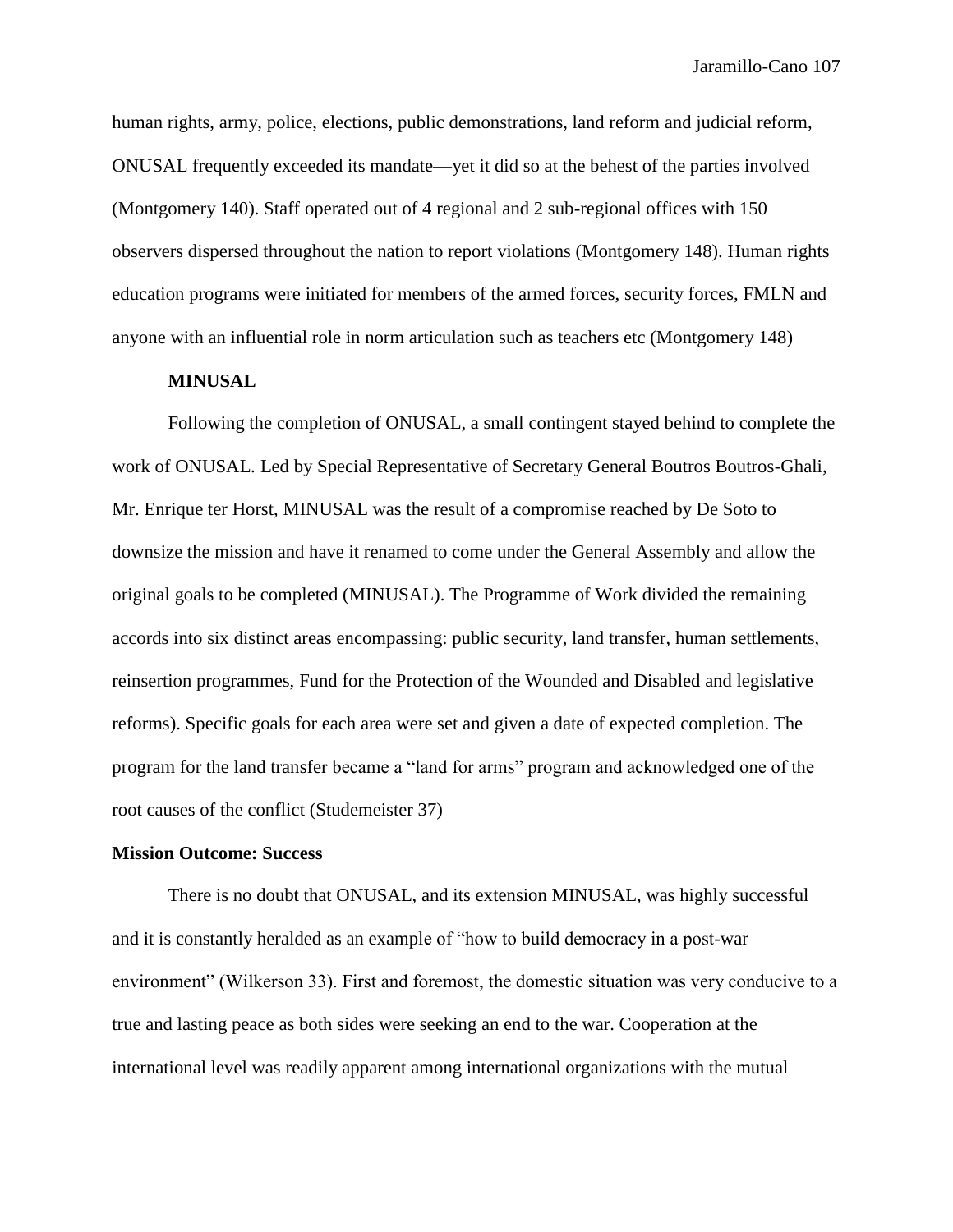human rights, army, police, elections, public demonstrations, land reform and judicial reform, ONUSAL frequently exceeded its mandate—yet it did so at the behest of the parties involved (Montgomery 140). Staff operated out of 4 regional and 2 sub-regional offices with 150 observers dispersed throughout the nation to report violations (Montgomery 148). Human rights education programs were initiated for members of the armed forces, security forces, FMLN and anyone with an influential role in norm articulation such as teachers etc (Montgomery 148)

# **MINUSAL**

Following the completion of ONUSAL, a small contingent stayed behind to complete the work of ONUSAL. Led by Special Representative of Secretary General Boutros Boutros-Ghali, Mr. Enrique ter Horst, MINUSAL was the result of a compromise reached by De Soto to downsize the mission and have it renamed to come under the General Assembly and allow the original goals to be completed (MINUSAL). The Programme of Work divided the remaining accords into six distinct areas encompassing: public security, land transfer, human settlements, reinsertion programmes, Fund for the Protection of the Wounded and Disabled and legislative reforms). Specific goals for each area were set and given a date of expected completion. The program for the land transfer became a "land for arms" program and acknowledged one of the root causes of the conflict (Studemeister 37)

### **Mission Outcome: Success**

There is no doubt that ONUSAL, and its extension MINUSAL, was highly successful and it is constantly heralded as an example of "how to build democracy in a post-war environment" (Wilkerson 33). First and foremost, the domestic situation was very conducive to a true and lasting peace as both sides were seeking an end to the war. Cooperation at the international level was readily apparent among international organizations with the mutual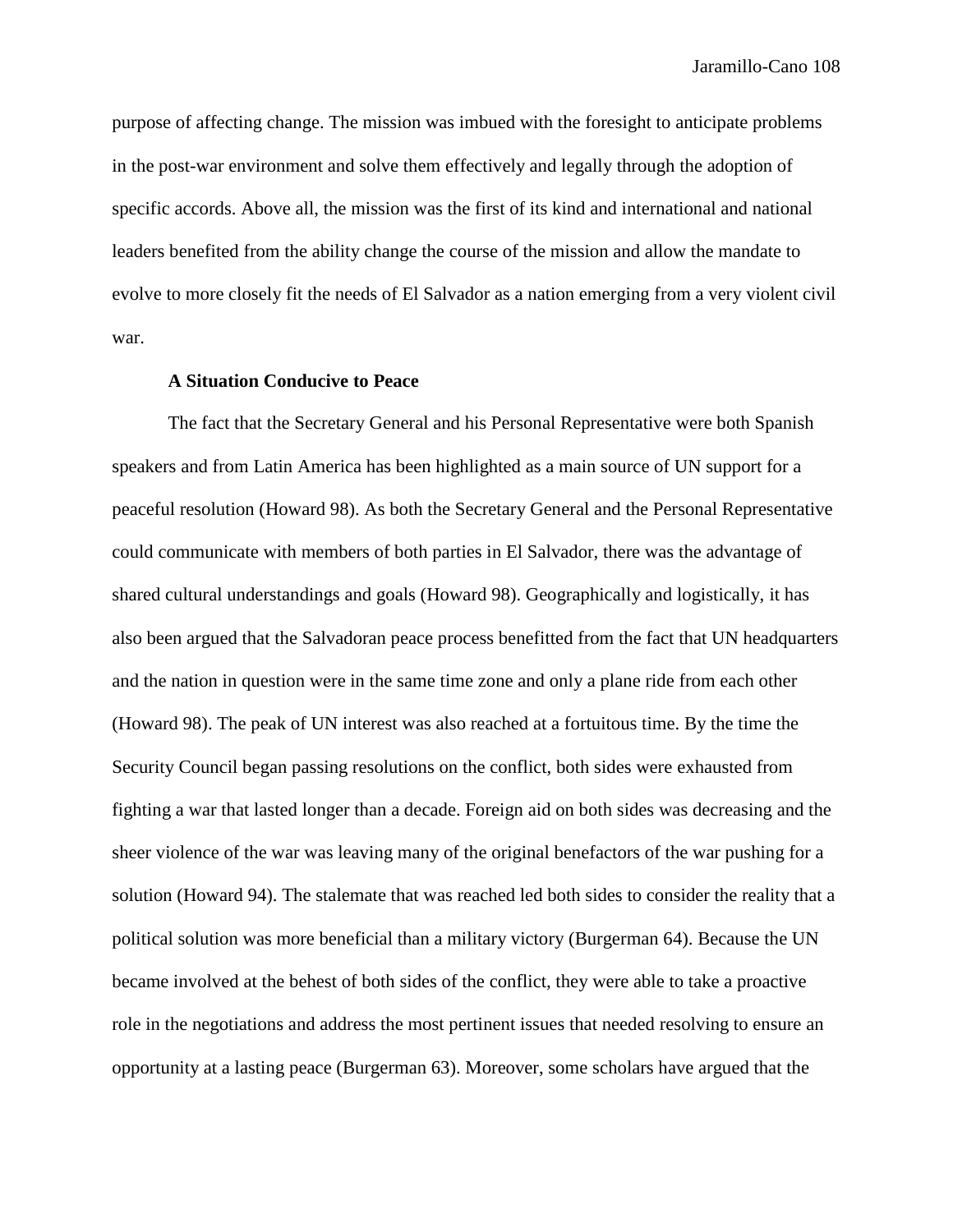purpose of affecting change. The mission was imbued with the foresight to anticipate problems in the post-war environment and solve them effectively and legally through the adoption of specific accords. Above all, the mission was the first of its kind and international and national leaders benefited from the ability change the course of the mission and allow the mandate to evolve to more closely fit the needs of El Salvador as a nation emerging from a very violent civil war.

#### **A Situation Conducive to Peace**

The fact that the Secretary General and his Personal Representative were both Spanish speakers and from Latin America has been highlighted as a main source of UN support for a peaceful resolution (Howard 98). As both the Secretary General and the Personal Representative could communicate with members of both parties in El Salvador, there was the advantage of shared cultural understandings and goals (Howard 98). Geographically and logistically, it has also been argued that the Salvadoran peace process benefitted from the fact that UN headquarters and the nation in question were in the same time zone and only a plane ride from each other (Howard 98). The peak of UN interest was also reached at a fortuitous time. By the time the Security Council began passing resolutions on the conflict, both sides were exhausted from fighting a war that lasted longer than a decade. Foreign aid on both sides was decreasing and the sheer violence of the war was leaving many of the original benefactors of the war pushing for a solution (Howard 94). The stalemate that was reached led both sides to consider the reality that a political solution was more beneficial than a military victory (Burgerman 64). Because the UN became involved at the behest of both sides of the conflict, they were able to take a proactive role in the negotiations and address the most pertinent issues that needed resolving to ensure an opportunity at a lasting peace (Burgerman 63). Moreover, some scholars have argued that the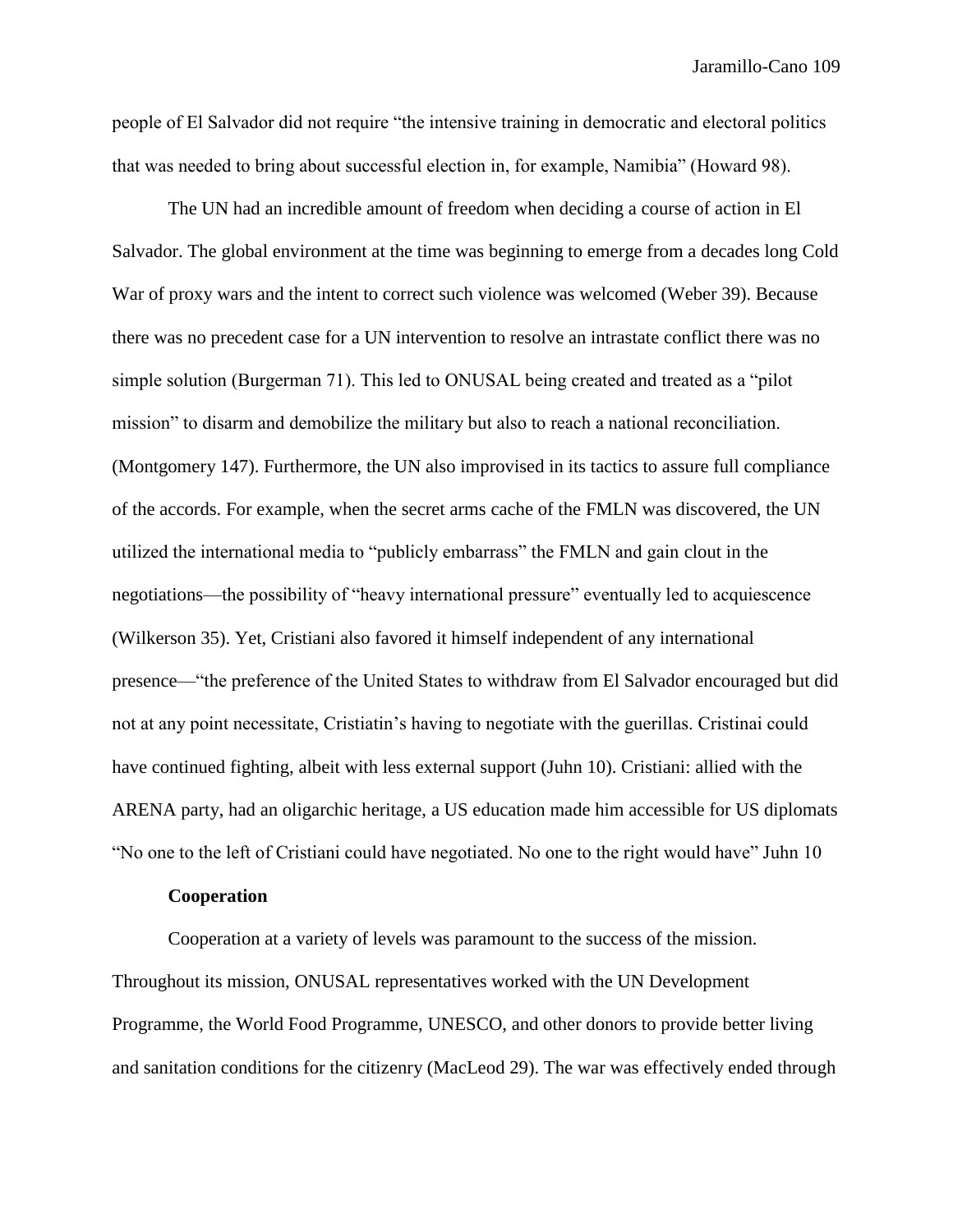people of El Salvador did not require "the intensive training in democratic and electoral politics that was needed to bring about successful election in, for example, Namibia" (Howard 98).

The UN had an incredible amount of freedom when deciding a course of action in El Salvador. The global environment at the time was beginning to emerge from a decades long Cold War of proxy wars and the intent to correct such violence was welcomed (Weber 39). Because there was no precedent case for a UN intervention to resolve an intrastate conflict there was no simple solution (Burgerman 71). This led to ONUSAL being created and treated as a "pilot mission" to disarm and demobilize the military but also to reach a national reconciliation. (Montgomery 147). Furthermore, the UN also improvised in its tactics to assure full compliance of the accords. For example, when the secret arms cache of the FMLN was discovered, the UN utilized the international media to "publicly embarrass" the FMLN and gain clout in the negotiations—the possibility of "heavy international pressure" eventually led to acquiescence (Wilkerson 35). Yet, Cristiani also favored it himself independent of any international presence—"the preference of the United States to withdraw from El Salvador encouraged but did not at any point necessitate, Cristiatin's having to negotiate with the guerillas. Cristinai could have continued fighting, albeit with less external support (Juhn 10). Cristiani: allied with the ARENA party, had an oligarchic heritage, a US education made him accessible for US diplomats "No one to the left of Cristiani could have negotiated. No one to the right would have" Juhn 10

## **Cooperation**

Cooperation at a variety of levels was paramount to the success of the mission. Throughout its mission, ONUSAL representatives worked with the UN Development Programme, the World Food Programme, UNESCO, and other donors to provide better living and sanitation conditions for the citizenry (MacLeod 29). The war was effectively ended through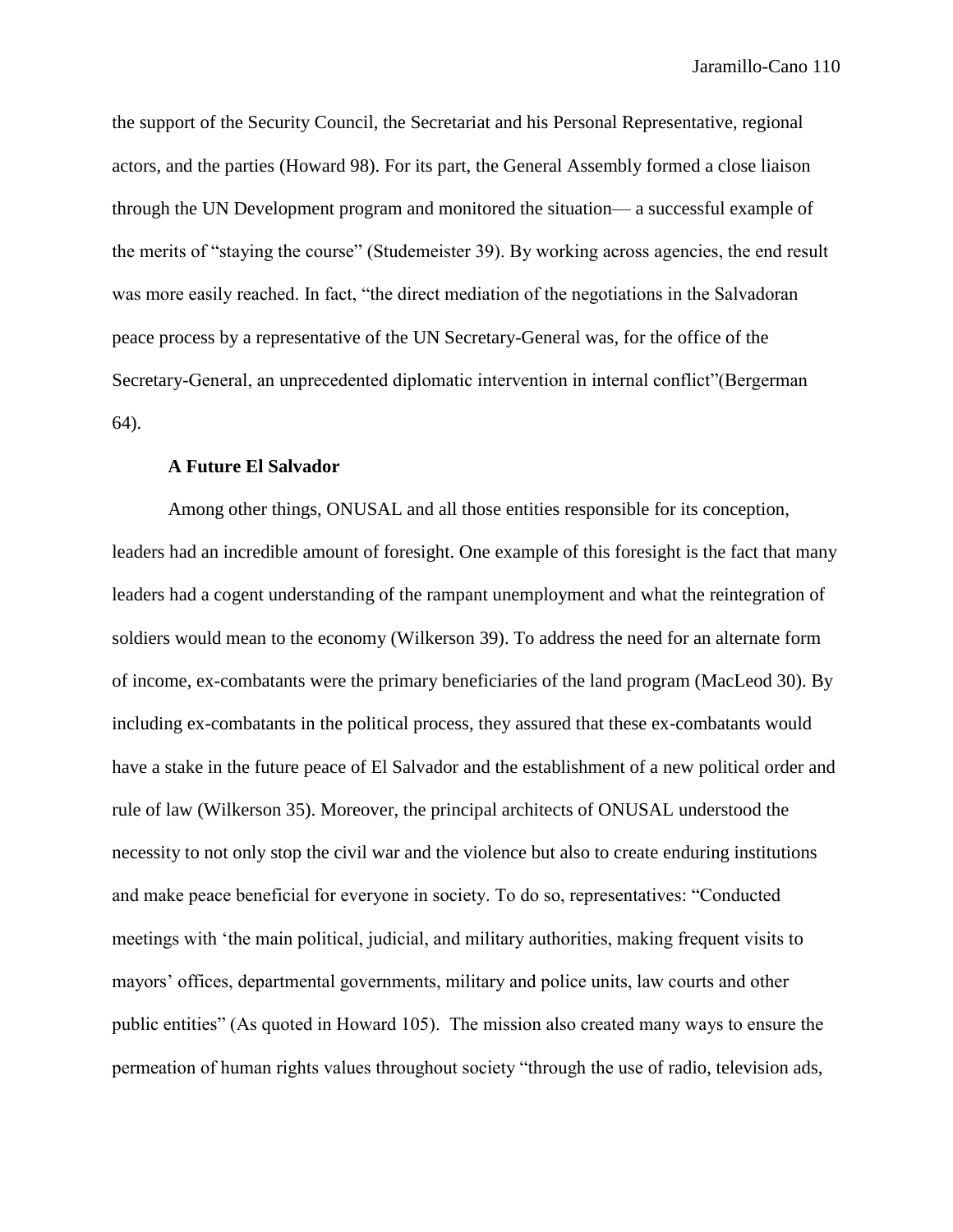the support of the Security Council, the Secretariat and his Personal Representative, regional actors, and the parties (Howard 98). For its part, the General Assembly formed a close liaison through the UN Development program and monitored the situation— a successful example of the merits of "staying the course" (Studemeister 39). By working across agencies, the end result was more easily reached. In fact, "the direct mediation of the negotiations in the Salvadoran peace process by a representative of the UN Secretary-General was, for the office of the Secretary-General, an unprecedented diplomatic intervention in internal conflict"(Bergerman 64).

# **A Future El Salvador**

Among other things, ONUSAL and all those entities responsible for its conception, leaders had an incredible amount of foresight. One example of this foresight is the fact that many leaders had a cogent understanding of the rampant unemployment and what the reintegration of soldiers would mean to the economy (Wilkerson 39). To address the need for an alternate form of income, ex-combatants were the primary beneficiaries of the land program (MacLeod 30). By including ex-combatants in the political process, they assured that these ex-combatants would have a stake in the future peace of El Salvador and the establishment of a new political order and rule of law (Wilkerson 35). Moreover, the principal architects of ONUSAL understood the necessity to not only stop the civil war and the violence but also to create enduring institutions and make peace beneficial for everyone in society. To do so, representatives: "Conducted meetings with 'the main political, judicial, and military authorities, making frequent visits to mayors' offices, departmental governments, military and police units, law courts and other public entities" (As quoted in Howard 105). The mission also created many ways to ensure the permeation of human rights values throughout society "through the use of radio, television ads,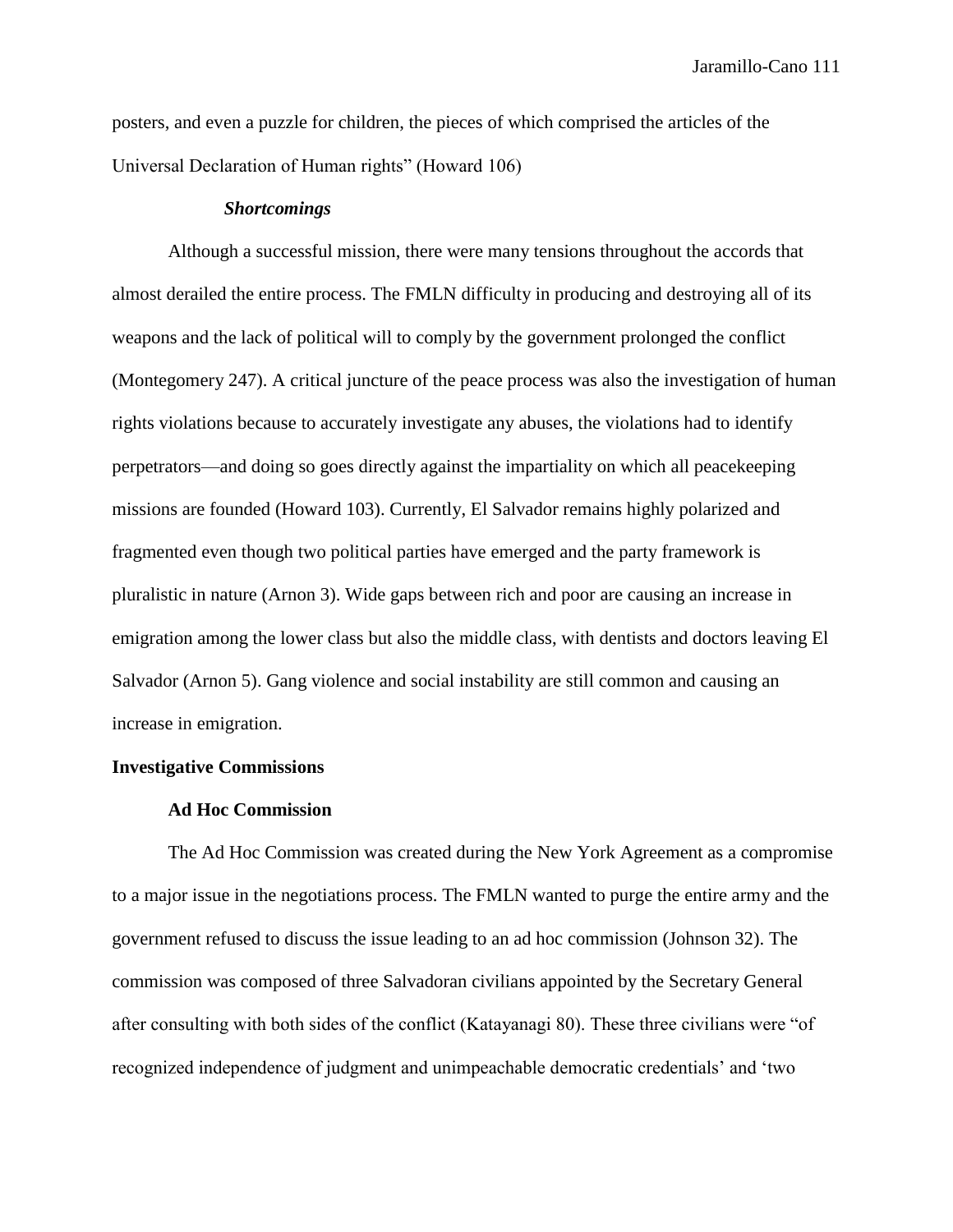posters, and even a puzzle for children, the pieces of which comprised the articles of the Universal Declaration of Human rights" (Howard 106)

#### *Shortcomings*

Although a successful mission, there were many tensions throughout the accords that almost derailed the entire process. The FMLN difficulty in producing and destroying all of its weapons and the lack of political will to comply by the government prolonged the conflict (Montegomery 247). A critical juncture of the peace process was also the investigation of human rights violations because to accurately investigate any abuses, the violations had to identify perpetrators—and doing so goes directly against the impartiality on which all peacekeeping missions are founded (Howard 103). Currently, El Salvador remains highly polarized and fragmented even though two political parties have emerged and the party framework is pluralistic in nature (Arnon 3). Wide gaps between rich and poor are causing an increase in emigration among the lower class but also the middle class, with dentists and doctors leaving El Salvador (Arnon 5). Gang violence and social instability are still common and causing an increase in emigration.

# **Investigative Commissions**

## **Ad Hoc Commission**

The Ad Hoc Commission was created during the New York Agreement as a compromise to a major issue in the negotiations process. The FMLN wanted to purge the entire army and the government refused to discuss the issue leading to an ad hoc commission (Johnson 32). The commission was composed of three Salvadoran civilians appointed by the Secretary General after consulting with both sides of the conflict (Katayanagi 80). These three civilians were "of recognized independence of judgment and unimpeachable democratic credentials' and 'two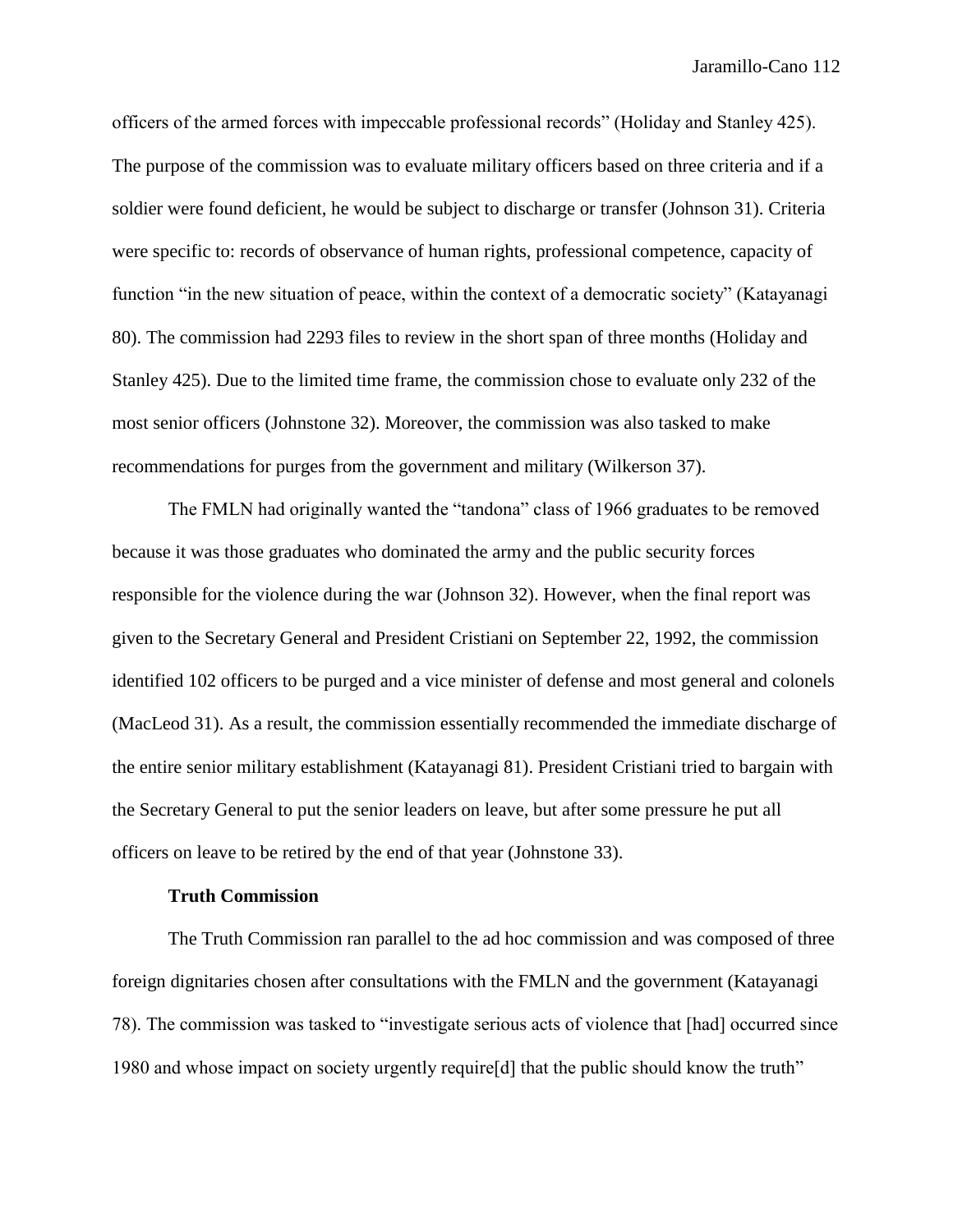officers of the armed forces with impeccable professional records" (Holiday and Stanley 425). The purpose of the commission was to evaluate military officers based on three criteria and if a soldier were found deficient, he would be subject to discharge or transfer (Johnson 31). Criteria were specific to: records of observance of human rights, professional competence, capacity of function "in the new situation of peace, within the context of a democratic society" (Katayanagi 80). The commission had 2293 files to review in the short span of three months (Holiday and Stanley 425). Due to the limited time frame, the commission chose to evaluate only 232 of the most senior officers (Johnstone 32). Moreover, the commission was also tasked to make recommendations for purges from the government and military (Wilkerson 37).

The FMLN had originally wanted the "tandona" class of 1966 graduates to be removed because it was those graduates who dominated the army and the public security forces responsible for the violence during the war (Johnson 32). However, when the final report was given to the Secretary General and President Cristiani on September 22, 1992, the commission identified 102 officers to be purged and a vice minister of defense and most general and colonels (MacLeod 31). As a result, the commission essentially recommended the immediate discharge of the entire senior military establishment (Katayanagi 81). President Cristiani tried to bargain with the Secretary General to put the senior leaders on leave, but after some pressure he put all officers on leave to be retired by the end of that year (Johnstone 33).

## **Truth Commission**

The Truth Commission ran parallel to the ad hoc commission and was composed of three foreign dignitaries chosen after consultations with the FMLN and the government (Katayanagi 78). The commission was tasked to "investigate serious acts of violence that [had] occurred since 1980 and whose impact on society urgently require[d] that the public should know the truth"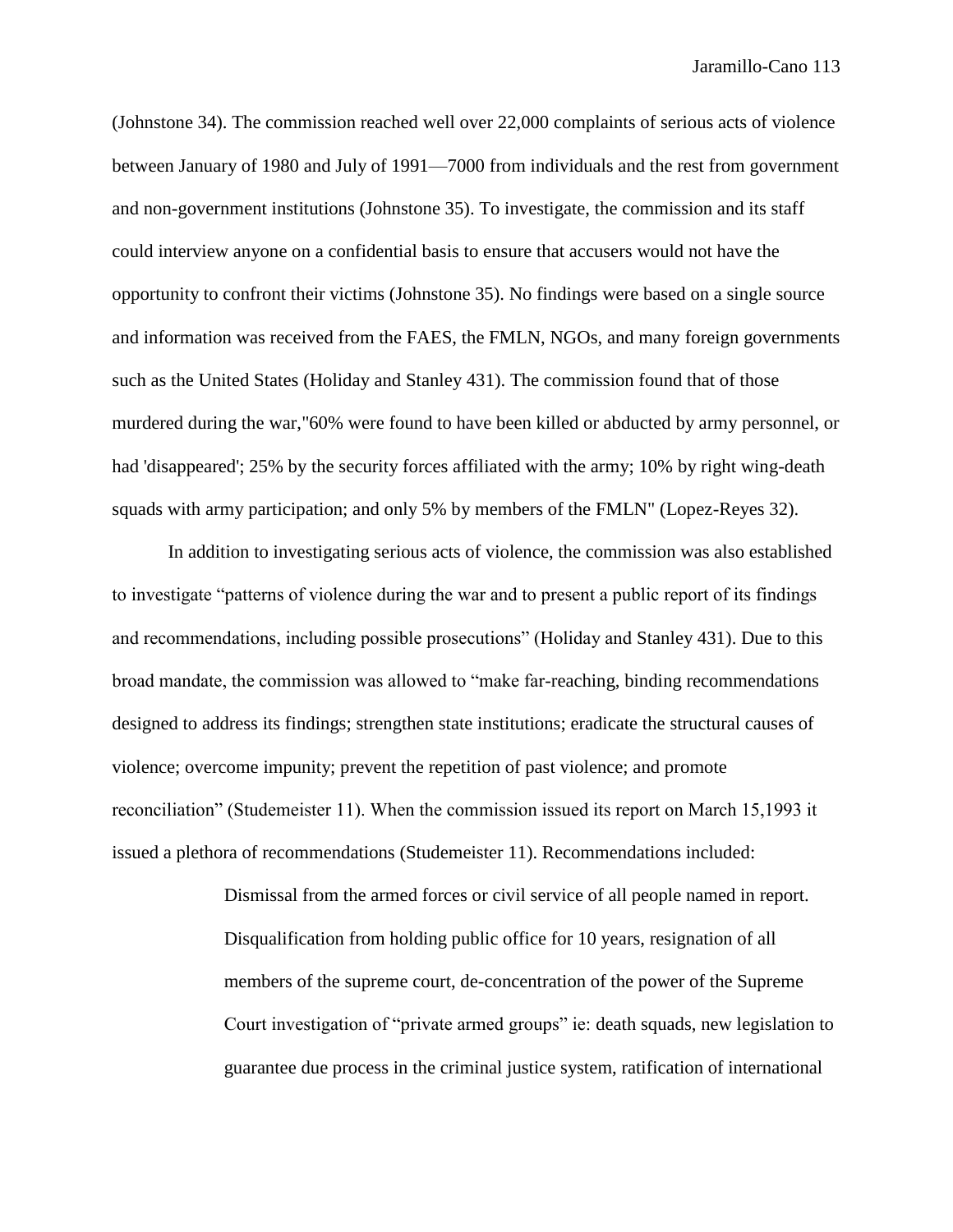(Johnstone 34). The commission reached well over 22,000 complaints of serious acts of violence between January of 1980 and July of 1991—7000 from individuals and the rest from government and non-government institutions (Johnstone 35). To investigate, the commission and its staff could interview anyone on a confidential basis to ensure that accusers would not have the opportunity to confront their victims (Johnstone 35). No findings were based on a single source and information was received from the FAES, the FMLN, NGOs, and many foreign governments such as the United States (Holiday and Stanley 431). The commission found that of those murdered during the war,"60% were found to have been killed or abducted by army personnel, or had 'disappeared'; 25% by the security forces affiliated with the army; 10% by right wing-death squads with army participation; and only 5% by members of the FMLN" (Lopez-Reyes 32).

In addition to investigating serious acts of violence, the commission was also established to investigate "patterns of violence during the war and to present a public report of its findings and recommendations, including possible prosecutions" (Holiday and Stanley 431). Due to this broad mandate, the commission was allowed to "make far-reaching, binding recommendations designed to address its findings; strengthen state institutions; eradicate the structural causes of violence; overcome impunity; prevent the repetition of past violence; and promote reconciliation" (Studemeister 11). When the commission issued its report on March 15,1993 it issued a plethora of recommendations (Studemeister 11). Recommendations included:

> Dismissal from the armed forces or civil service of all people named in report. Disqualification from holding public office for 10 years, resignation of all members of the supreme court, de-concentration of the power of the Supreme Court investigation of "private armed groups" ie: death squads, new legislation to guarantee due process in the criminal justice system, ratification of international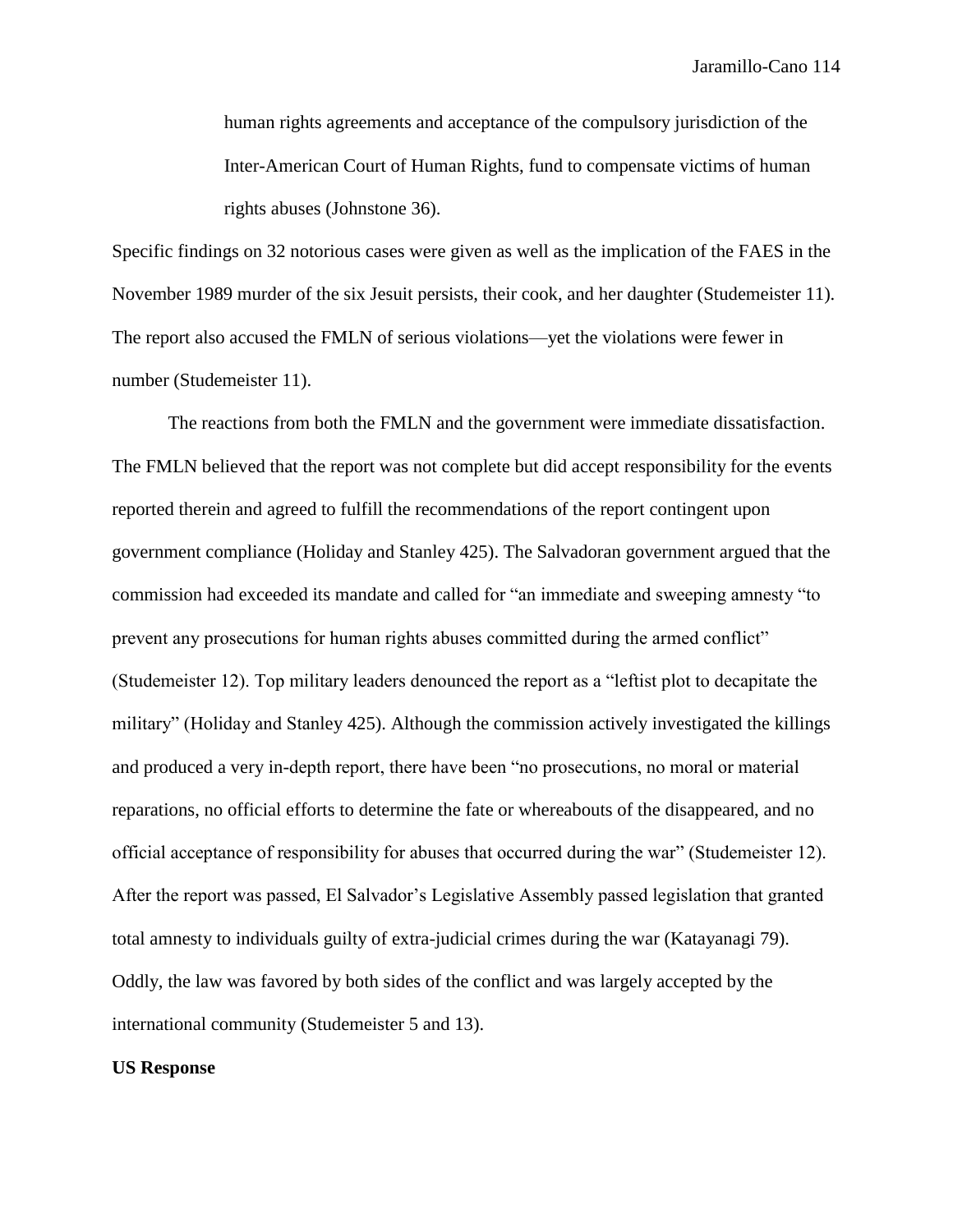human rights agreements and acceptance of the compulsory jurisdiction of the Inter-American Court of Human Rights, fund to compensate victims of human rights abuses (Johnstone 36).

Specific findings on 32 notorious cases were given as well as the implication of the FAES in the November 1989 murder of the six Jesuit persists, their cook, and her daughter (Studemeister 11). The report also accused the FMLN of serious violations—yet the violations were fewer in number (Studemeister 11).

The reactions from both the FMLN and the government were immediate dissatisfaction. The FMLN believed that the report was not complete but did accept responsibility for the events reported therein and agreed to fulfill the recommendations of the report contingent upon government compliance (Holiday and Stanley 425). The Salvadoran government argued that the commission had exceeded its mandate and called for "an immediate and sweeping amnesty "to prevent any prosecutions for human rights abuses committed during the armed conflict" (Studemeister 12). Top military leaders denounced the report as a "leftist plot to decapitate the military" (Holiday and Stanley 425). Although the commission actively investigated the killings and produced a very in-depth report, there have been "no prosecutions, no moral or material reparations, no official efforts to determine the fate or whereabouts of the disappeared, and no official acceptance of responsibility for abuses that occurred during the war" (Studemeister 12). After the report was passed, El Salvador's Legislative Assembly passed legislation that granted total amnesty to individuals guilty of extra-judicial crimes during the war (Katayanagi 79). Oddly, the law was favored by both sides of the conflict and was largely accepted by the international community (Studemeister 5 and 13).

#### **US Response**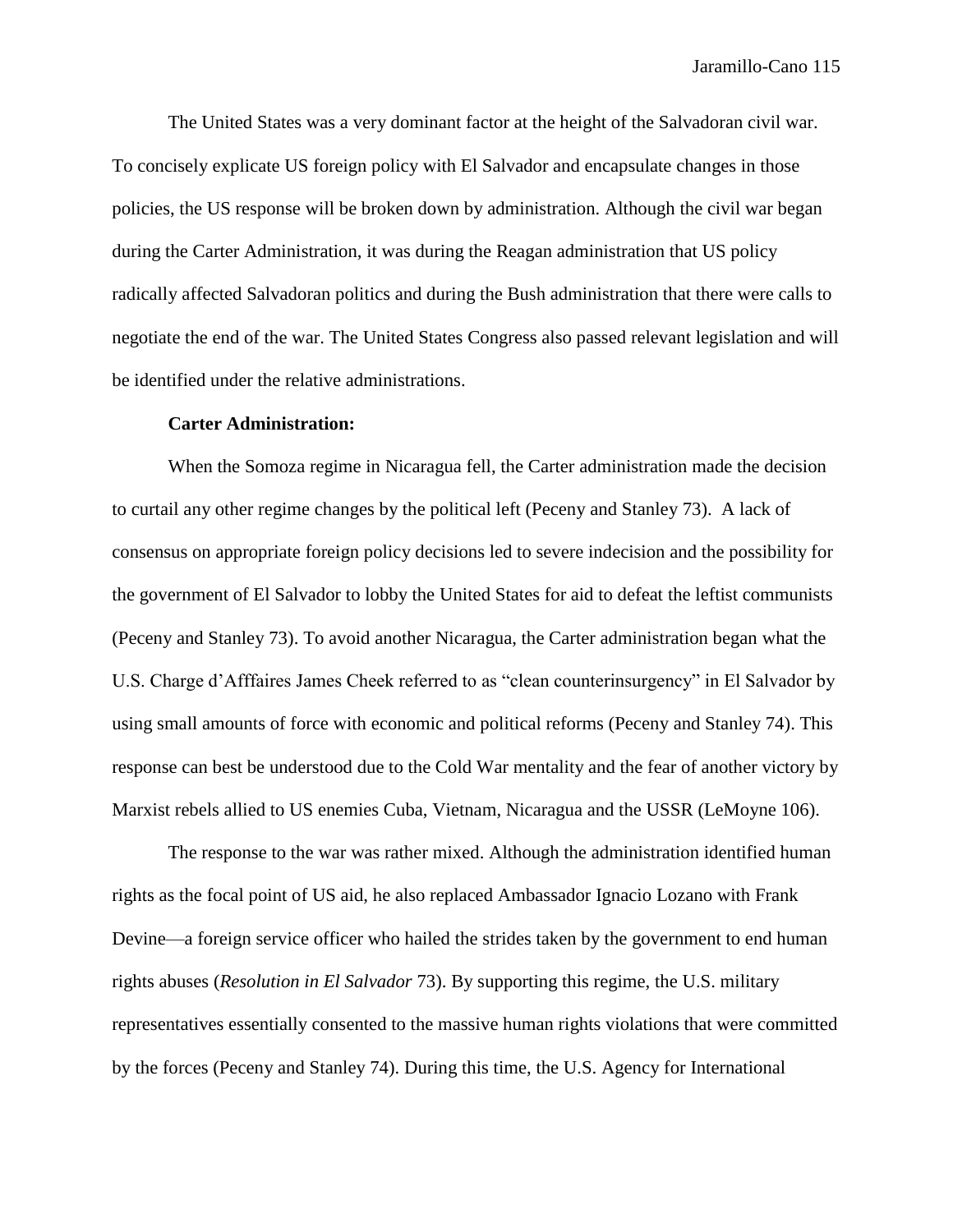The United States was a very dominant factor at the height of the Salvadoran civil war. To concisely explicate US foreign policy with El Salvador and encapsulate changes in those policies, the US response will be broken down by administration. Although the civil war began during the Carter Administration, it was during the Reagan administration that US policy radically affected Salvadoran politics and during the Bush administration that there were calls to negotiate the end of the war. The United States Congress also passed relevant legislation and will be identified under the relative administrations.

#### **Carter Administration:**

When the Somoza regime in Nicaragua fell, the Carter administration made the decision to curtail any other regime changes by the political left (Peceny and Stanley 73). A lack of consensus on appropriate foreign policy decisions led to severe indecision and the possibility for the government of El Salvador to lobby the United States for aid to defeat the leftist communists (Peceny and Stanley 73). To avoid another Nicaragua, the Carter administration began what the U.S. Charge d'Afffaires James Cheek referred to as "clean counterinsurgency" in El Salvador by using small amounts of force with economic and political reforms (Peceny and Stanley 74). This response can best be understood due to the Cold War mentality and the fear of another victory by Marxist rebels allied to US enemies Cuba, Vietnam, Nicaragua and the USSR (LeMoyne 106).

The response to the war was rather mixed. Although the administration identified human rights as the focal point of US aid, he also replaced Ambassador Ignacio Lozano with Frank Devine—a foreign service officer who hailed the strides taken by the government to end human rights abuses (*Resolution in El Salvador* 73). By supporting this regime, the U.S. military representatives essentially consented to the massive human rights violations that were committed by the forces (Peceny and Stanley 74). During this time, the U.S. Agency for International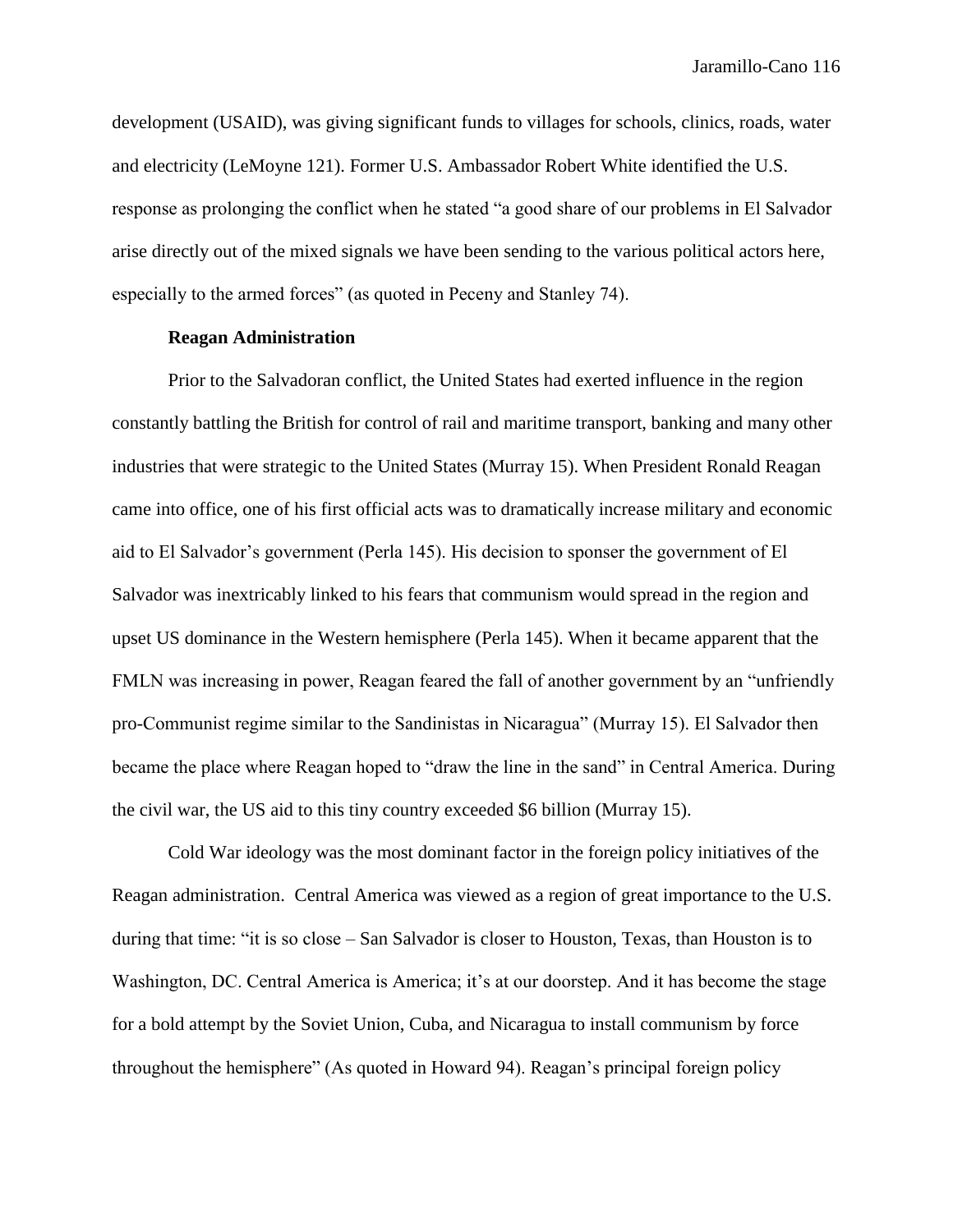development (USAID), was giving significant funds to villages for schools, clinics, roads, water and electricity (LeMoyne 121). Former U.S. Ambassador Robert White identified the U.S. response as prolonging the conflict when he stated "a good share of our problems in El Salvador arise directly out of the mixed signals we have been sending to the various political actors here, especially to the armed forces" (as quoted in Peceny and Stanley 74).

# **Reagan Administration**

Prior to the Salvadoran conflict, the United States had exerted influence in the region constantly battling the British for control of rail and maritime transport, banking and many other industries that were strategic to the United States (Murray 15). When President Ronald Reagan came into office, one of his first official acts was to dramatically increase military and economic aid to El Salvador's government (Perla 145). His decision to sponser the government of El Salvador was inextricably linked to his fears that communism would spread in the region and upset US dominance in the Western hemisphere (Perla 145). When it became apparent that the FMLN was increasing in power, Reagan feared the fall of another government by an "unfriendly pro-Communist regime similar to the Sandinistas in Nicaragua" (Murray 15). El Salvador then became the place where Reagan hoped to "draw the line in the sand" in Central America. During the civil war, the US aid to this tiny country exceeded \$6 billion (Murray 15).

Cold War ideology was the most dominant factor in the foreign policy initiatives of the Reagan administration. Central America was viewed as a region of great importance to the U.S. during that time: "it is so close – San Salvador is closer to Houston, Texas, than Houston is to Washington, DC. Central America is America; it's at our doorstep. And it has become the stage for a bold attempt by the Soviet Union, Cuba, and Nicaragua to install communism by force throughout the hemisphere" (As quoted in Howard 94). Reagan's principal foreign policy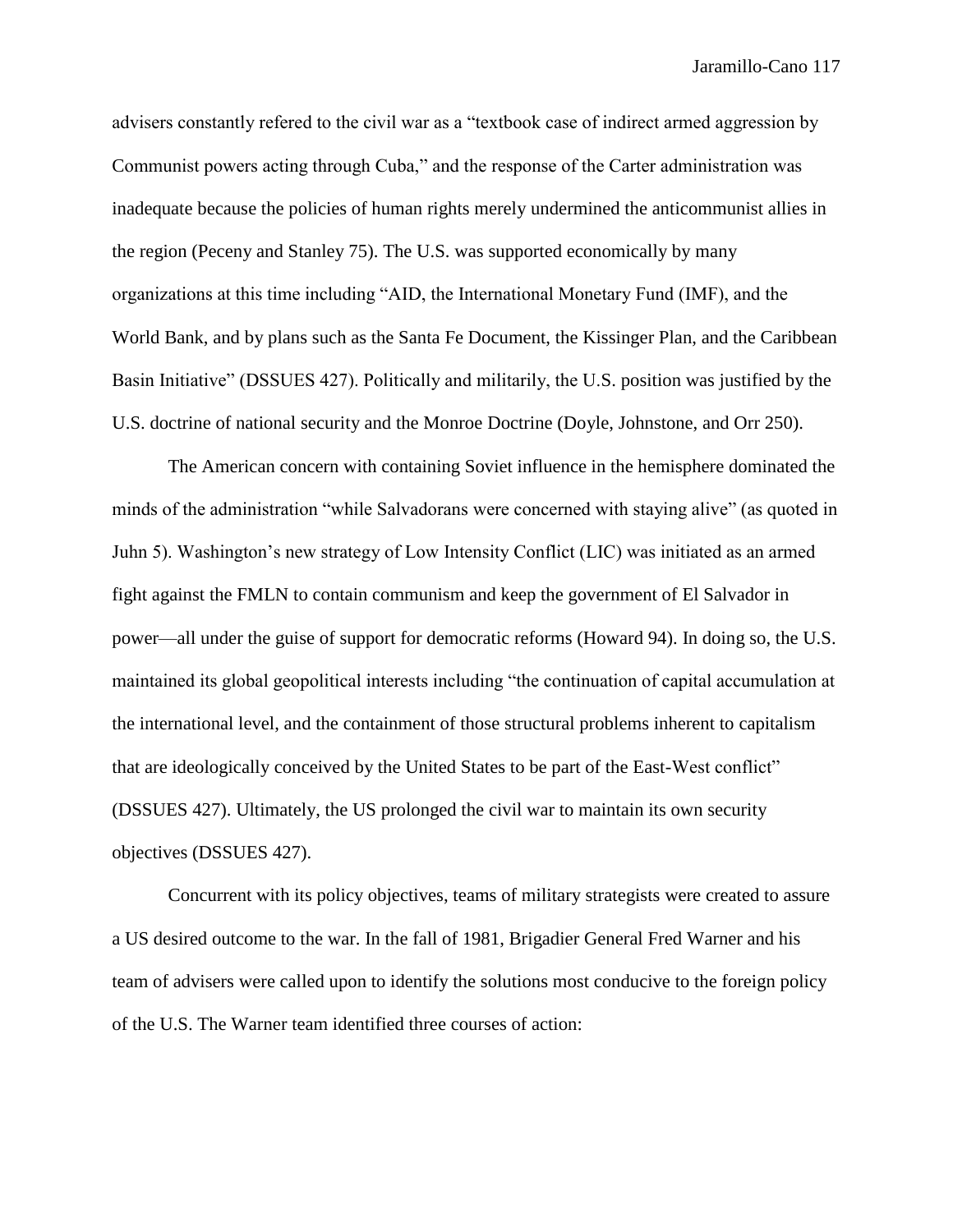advisers constantly refered to the civil war as a "textbook case of indirect armed aggression by Communist powers acting through Cuba," and the response of the Carter administration was inadequate because the policies of human rights merely undermined the anticommunist allies in the region (Peceny and Stanley 75). The U.S. was supported economically by many organizations at this time including "AID, the International Monetary Fund (IMF), and the World Bank, and by plans such as the Santa Fe Document, the Kissinger Plan, and the Caribbean Basin Initiative" (DSSUES 427). Politically and militarily, the U.S. position was justified by the U.S. doctrine of national security and the Monroe Doctrine (Doyle, Johnstone, and Orr 250).

The American concern with containing Soviet influence in the hemisphere dominated the minds of the administration "while Salvadorans were concerned with staying alive" (as quoted in Juhn 5). Washington's new strategy of Low Intensity Conflict (LIC) was initiated as an armed fight against the FMLN to contain communism and keep the government of El Salvador in power—all under the guise of support for democratic reforms (Howard 94). In doing so, the U.S. maintained its global geopolitical interests including "the continuation of capital accumulation at the international level, and the containment of those structural problems inherent to capitalism that are ideologically conceived by the United States to be part of the East-West conflict" (DSSUES 427). Ultimately, the US prolonged the civil war to maintain its own security objectives (DSSUES 427).

Concurrent with its policy objectives, teams of military strategists were created to assure a US desired outcome to the war. In the fall of 1981, Brigadier General Fred Warner and his team of advisers were called upon to identify the solutions most conducive to the foreign policy of the U.S. The Warner team identified three courses of action: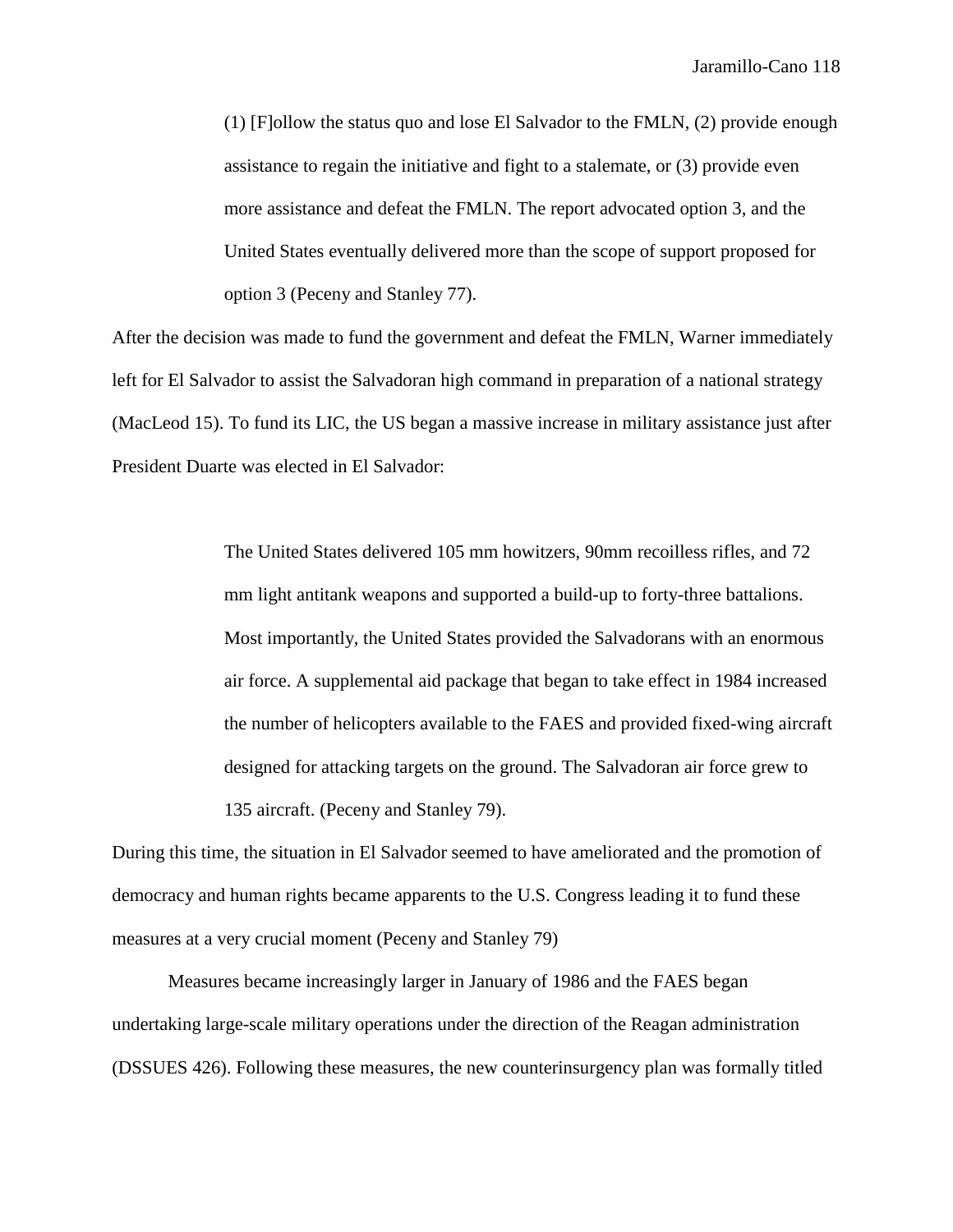(1) [F]ollow the status quo and lose El Salvador to the FMLN, (2) provide enough assistance to regain the initiative and fight to a stalemate, or (3) provide even more assistance and defeat the FMLN. The report advocated option 3, and the United States eventually delivered more than the scope of support proposed for option 3 (Peceny and Stanley 77).

After the decision was made to fund the government and defeat the FMLN, Warner immediately left for El Salvador to assist the Salvadoran high command in preparation of a national strategy (MacLeod 15). To fund its LIC, the US began a massive increase in military assistance just after President Duarte was elected in El Salvador:

> The United States delivered 105 mm howitzers, 90mm recoilless rifles, and 72 mm light antitank weapons and supported a build-up to forty-three battalions. Most importantly, the United States provided the Salvadorans with an enormous air force. A supplemental aid package that began to take effect in 1984 increased the number of helicopters available to the FAES and provided fixed-wing aircraft designed for attacking targets on the ground. The Salvadoran air force grew to 135 aircraft. (Peceny and Stanley 79).

During this time, the situation in El Salvador seemed to have ameliorated and the promotion of democracy and human rights became apparents to the U.S. Congress leading it to fund these measures at a very crucial moment (Peceny and Stanley 79)

Measures became increasingly larger in January of 1986 and the FAES began undertaking large-scale military operations under the direction of the Reagan administration (DSSUES 426). Following these measures, the new counterinsurgency plan was formally titled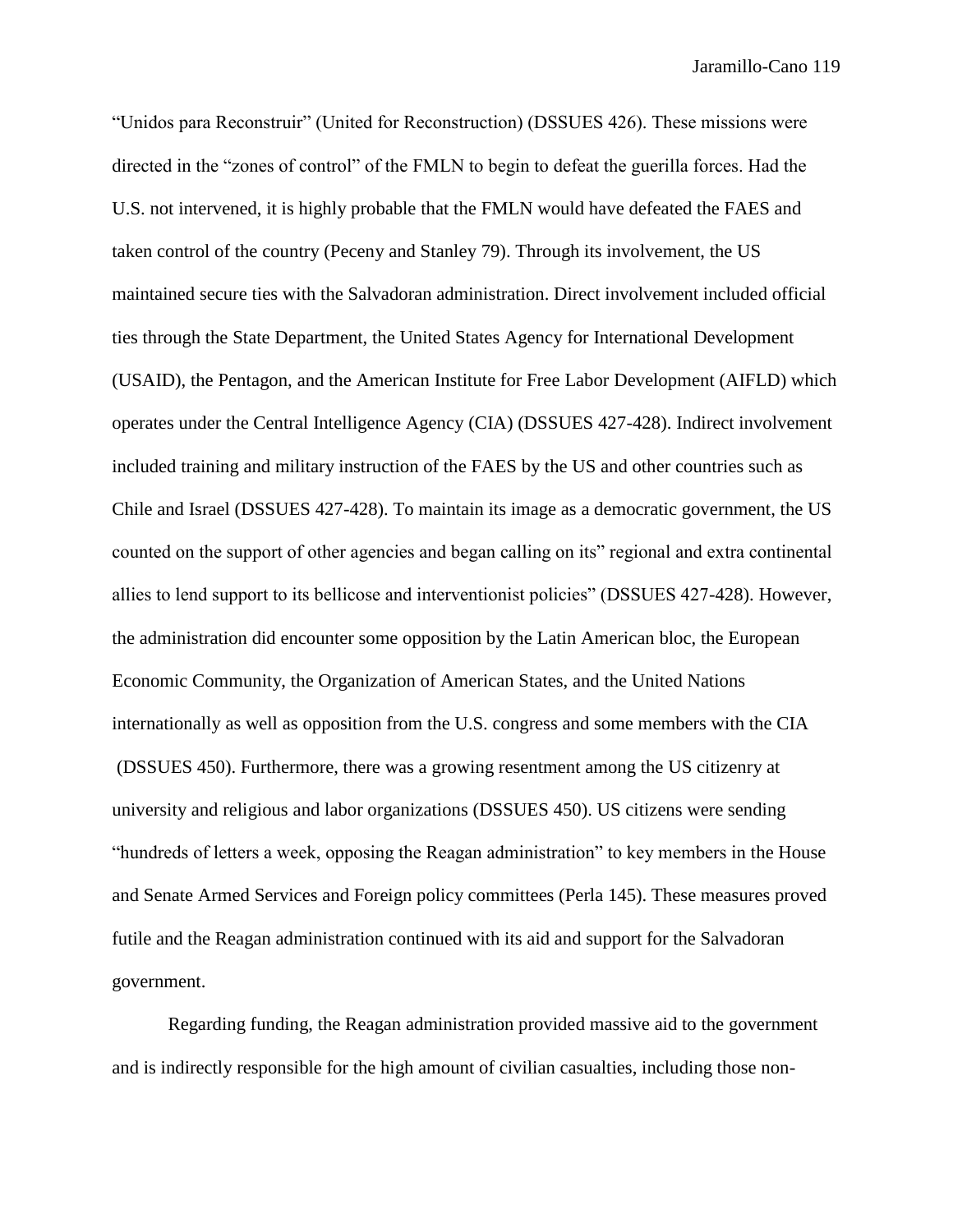"Unidos para Reconstruir" (United for Reconstruction) (DSSUES 426). These missions were directed in the "zones of control" of the FMLN to begin to defeat the guerilla forces. Had the U.S. not intervened, it is highly probable that the FMLN would have defeated the FAES and taken control of the country (Peceny and Stanley 79). Through its involvement, the US maintained secure ties with the Salvadoran administration. Direct involvement included official ties through the State Department, the United States Agency for International Development (USAID), the Pentagon, and the American Institute for Free Labor Development (AIFLD) which operates under the Central Intelligence Agency (CIA) (DSSUES 427-428). Indirect involvement included training and military instruction of the FAES by the US and other countries such as Chile and Israel (DSSUES 427-428). To maintain its image as a democratic government, the US counted on the support of other agencies and began calling on its" regional and extra continental allies to lend support to its bellicose and interventionist policies" (DSSUES 427-428). However, the administration did encounter some opposition by the Latin American bloc, the European Economic Community, the Organization of American States, and the United Nations internationally as well as opposition from the U.S. congress and some members with the CIA (DSSUES 450). Furthermore, there was a growing resentment among the US citizenry at university and religious and labor organizations (DSSUES 450). US citizens were sending "hundreds of letters a week, opposing the Reagan administration" to key members in the House and Senate Armed Services and Foreign policy committees (Perla 145). These measures proved futile and the Reagan administration continued with its aid and support for the Salvadoran government.

Regarding funding, the Reagan administration provided massive aid to the government and is indirectly responsible for the high amount of civilian casualties, including those non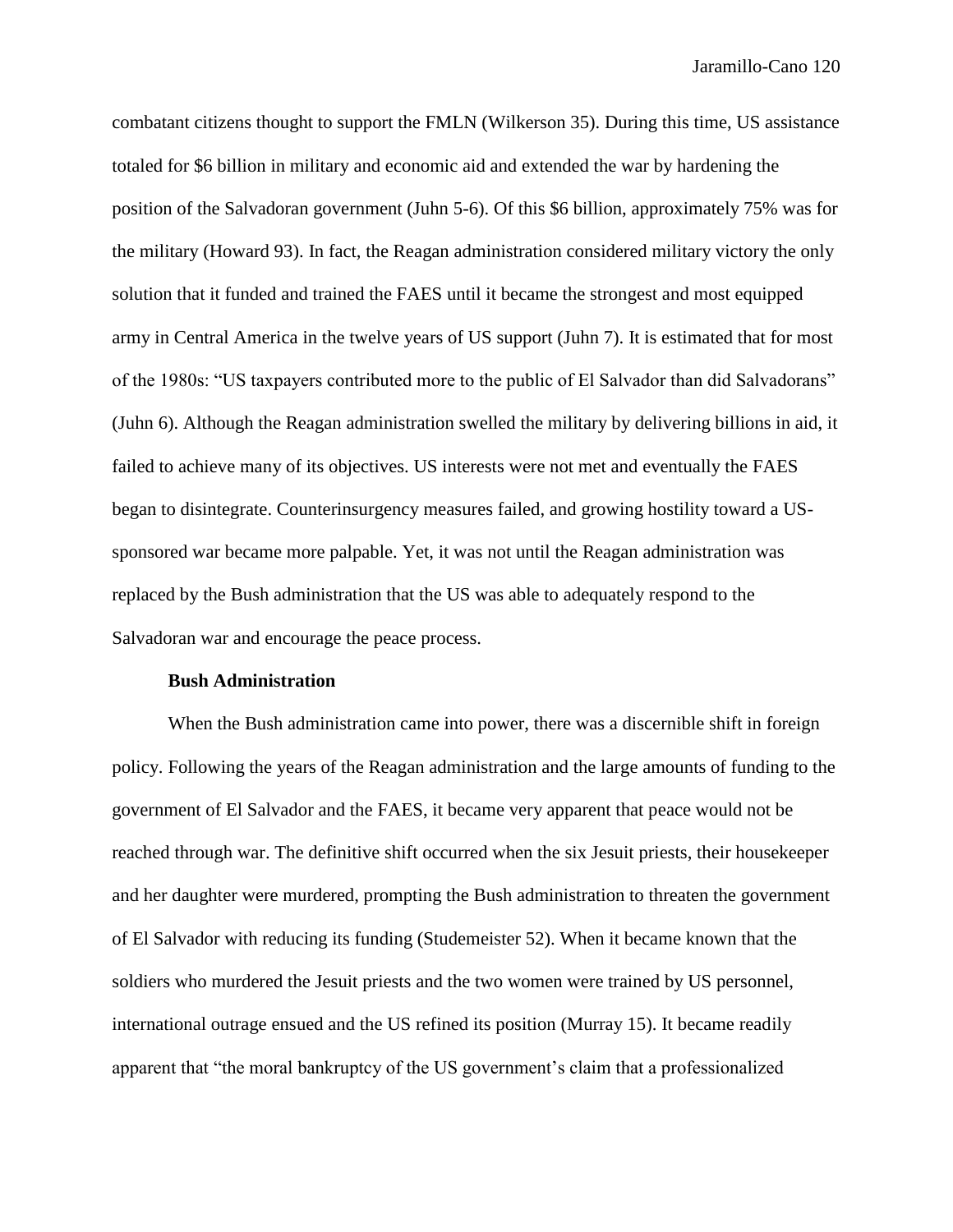combatant citizens thought to support the FMLN (Wilkerson 35). During this time, US assistance totaled for \$6 billion in military and economic aid and extended the war by hardening the position of the Salvadoran government (Juhn 5-6). Of this \$6 billion, approximately 75% was for the military (Howard 93). In fact, the Reagan administration considered military victory the only solution that it funded and trained the FAES until it became the strongest and most equipped army in Central America in the twelve years of US support (Juhn 7). It is estimated that for most of the 1980s: "US taxpayers contributed more to the public of El Salvador than did Salvadorans" (Juhn 6). Although the Reagan administration swelled the military by delivering billions in aid, it failed to achieve many of its objectives. US interests were not met and eventually the FAES began to disintegrate. Counterinsurgency measures failed, and growing hostility toward a USsponsored war became more palpable. Yet, it was not until the Reagan administration was replaced by the Bush administration that the US was able to adequately respond to the Salvadoran war and encourage the peace process.

### **Bush Administration**

When the Bush administration came into power, there was a discernible shift in foreign policy. Following the years of the Reagan administration and the large amounts of funding to the government of El Salvador and the FAES, it became very apparent that peace would not be reached through war. The definitive shift occurred when the six Jesuit priests, their housekeeper and her daughter were murdered, prompting the Bush administration to threaten the government of El Salvador with reducing its funding (Studemeister 52). When it became known that the soldiers who murdered the Jesuit priests and the two women were trained by US personnel, international outrage ensued and the US refined its position (Murray 15). It became readily apparent that "the moral bankruptcy of the US government's claim that a professionalized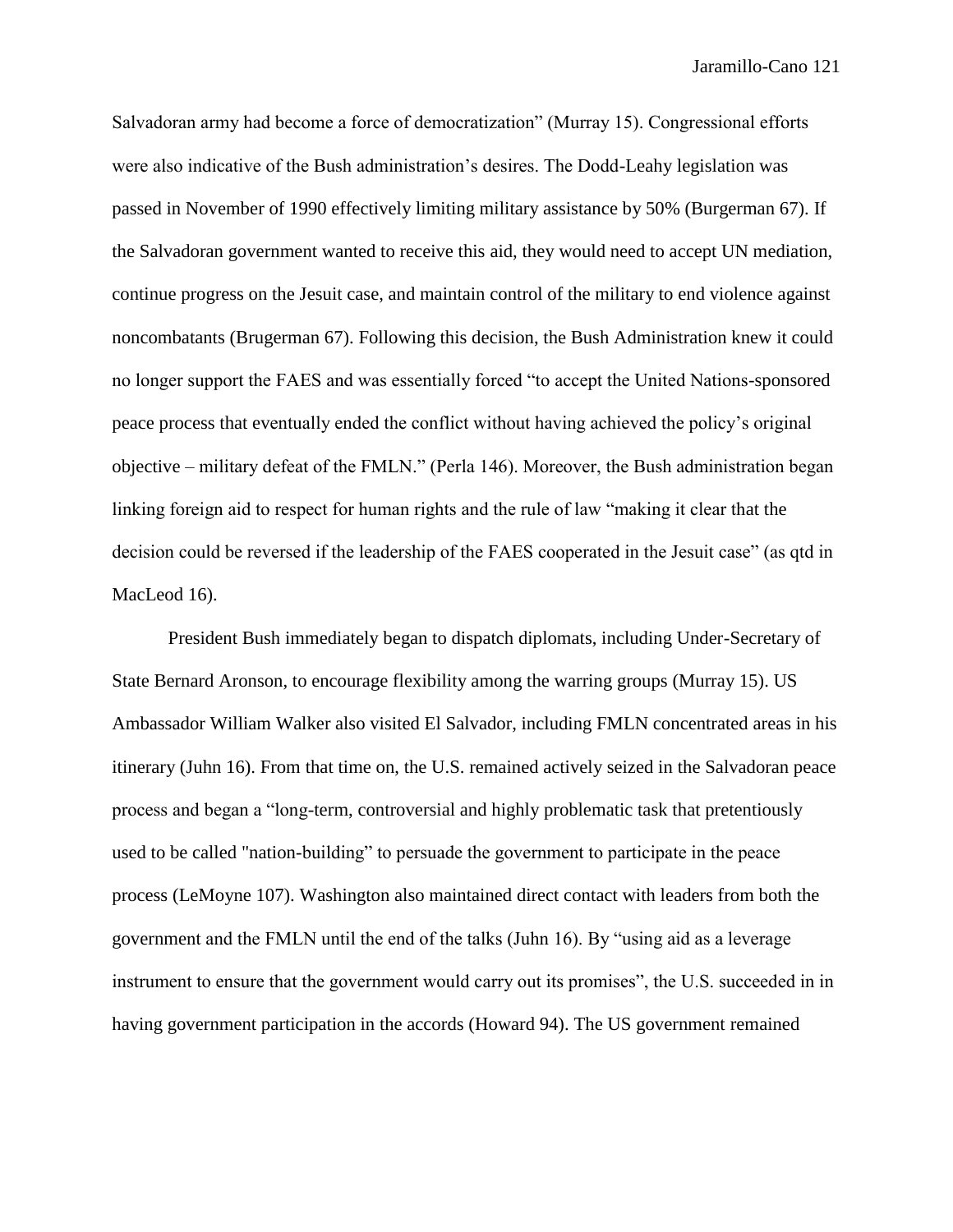Salvadoran army had become a force of democratization" (Murray 15). Congressional efforts were also indicative of the Bush administration's desires. The Dodd-Leahy legislation was passed in November of 1990 effectively limiting military assistance by 50% (Burgerman 67). If the Salvadoran government wanted to receive this aid, they would need to accept UN mediation, continue progress on the Jesuit case, and maintain control of the military to end violence against noncombatants (Brugerman 67). Following this decision, the Bush Administration knew it could no longer support the FAES and was essentially forced "to accept the United Nations-sponsored peace process that eventually ended the conflict without having achieved the policy's original objective – military defeat of the FMLN." (Perla 146). Moreover, the Bush administration began linking foreign aid to respect for human rights and the rule of law "making it clear that the decision could be reversed if the leadership of the FAES cooperated in the Jesuit case" (as qtd in MacLeod 16).

President Bush immediately began to dispatch diplomats, including Under-Secretary of State Bernard Aronson, to encourage flexibility among the warring groups (Murray 15). US Ambassador William Walker also visited El Salvador, including FMLN concentrated areas in his itinerary (Juhn 16). From that time on, the U.S. remained actively seized in the Salvadoran peace process and began a "long-term, controversial and highly problematic task that pretentiously used to be called "nation-building" to persuade the government to participate in the peace process (LeMoyne 107). Washington also maintained direct contact with leaders from both the government and the FMLN until the end of the talks (Juhn 16). By "using aid as a leverage instrument to ensure that the government would carry out its promises", the U.S. succeeded in in having government participation in the accords (Howard 94). The US government remained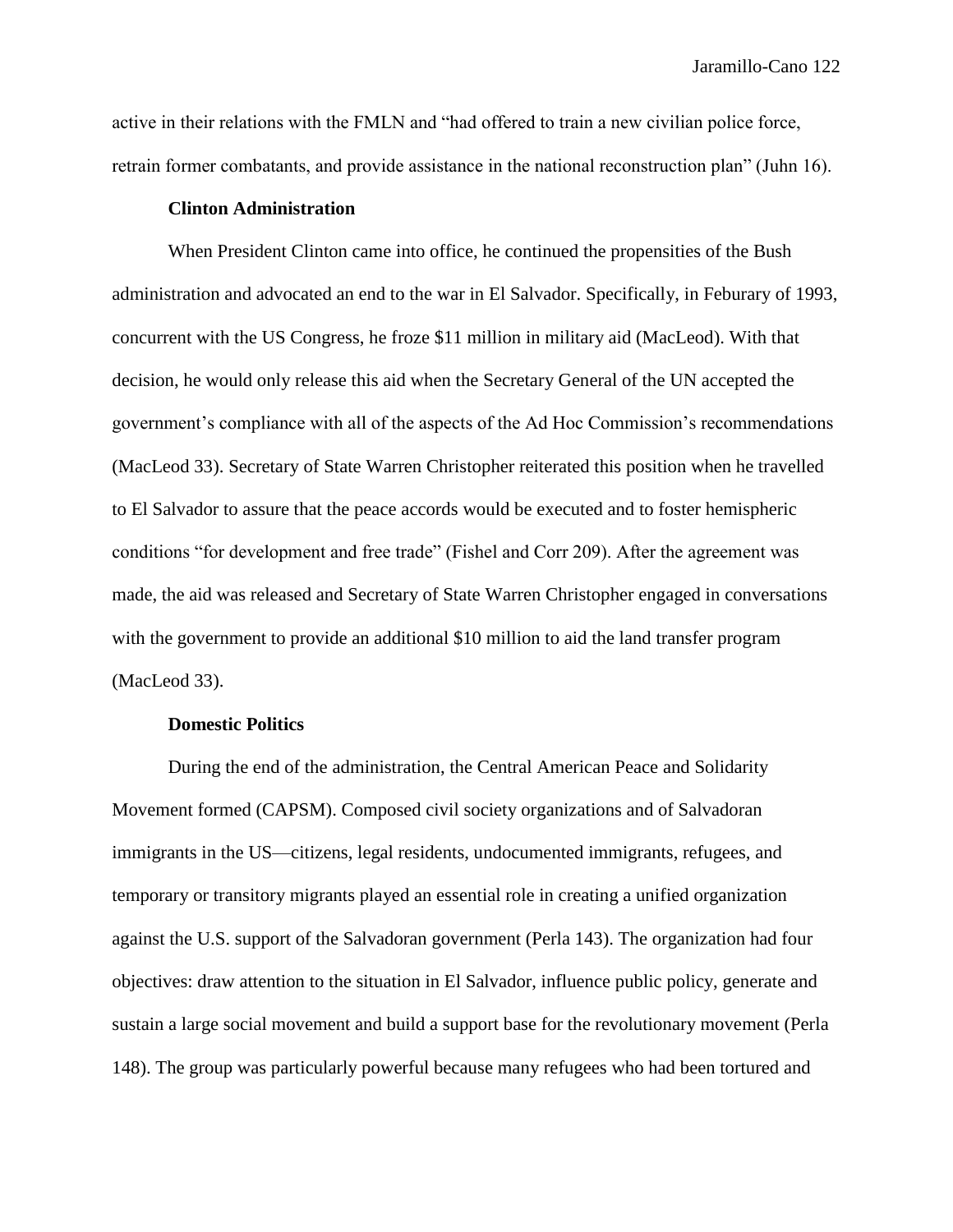active in their relations with the FMLN and "had offered to train a new civilian police force, retrain former combatants, and provide assistance in the national reconstruction plan" (Juhn 16).

## **Clinton Administration**

When President Clinton came into office, he continued the propensities of the Bush administration and advocated an end to the war in El Salvador. Specifically, in Feburary of 1993, concurrent with the US Congress, he froze \$11 million in military aid (MacLeod). With that decision, he would only release this aid when the Secretary General of the UN accepted the government's compliance with all of the aspects of the Ad Hoc Commission's recommendations (MacLeod 33). Secretary of State Warren Christopher reiterated this position when he travelled to El Salvador to assure that the peace accords would be executed and to foster hemispheric conditions "for development and free trade" (Fishel and Corr 209). After the agreement was made, the aid was released and Secretary of State Warren Christopher engaged in conversations with the government to provide an additional \$10 million to aid the land transfer program (MacLeod 33).

#### **Domestic Politics**

During the end of the administration, the Central American Peace and Solidarity Movement formed (CAPSM). Composed civil society organizations and of Salvadoran immigrants in the US—citizens, legal residents, undocumented immigrants, refugees, and temporary or transitory migrants played an essential role in creating a unified organization against the U.S. support of the Salvadoran government (Perla 143). The organization had four objectives: draw attention to the situation in El Salvador, influence public policy, generate and sustain a large social movement and build a support base for the revolutionary movement (Perla 148). The group was particularly powerful because many refugees who had been tortured and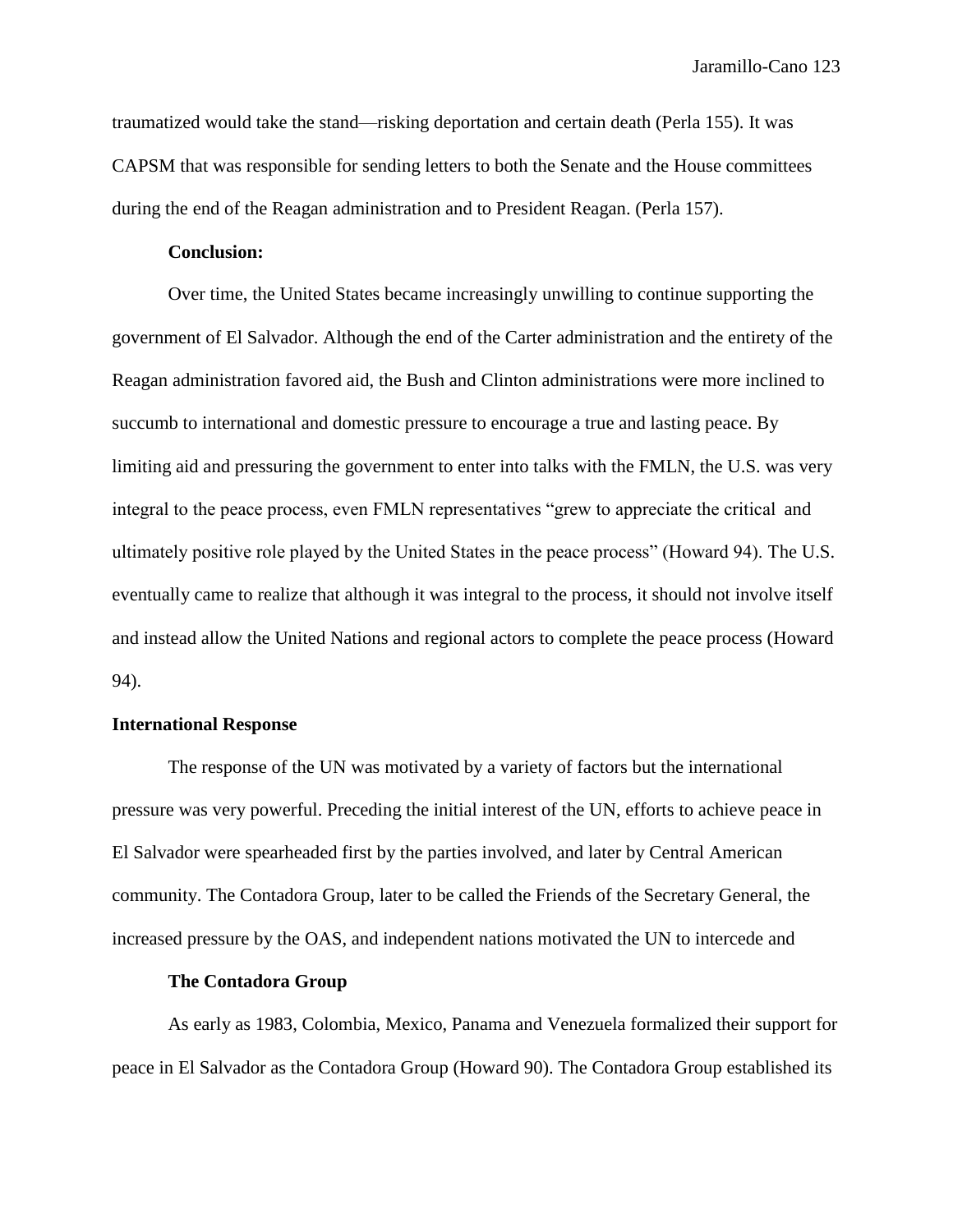traumatized would take the stand—risking deportation and certain death (Perla 155). It was CAPSM that was responsible for sending letters to both the Senate and the House committees during the end of the Reagan administration and to President Reagan. (Perla 157).

# **Conclusion:**

Over time, the United States became increasingly unwilling to continue supporting the government of El Salvador. Although the end of the Carter administration and the entirety of the Reagan administration favored aid, the Bush and Clinton administrations were more inclined to succumb to international and domestic pressure to encourage a true and lasting peace. By limiting aid and pressuring the government to enter into talks with the FMLN, the U.S. was very integral to the peace process, even FMLN representatives "grew to appreciate the critical and ultimately positive role played by the United States in the peace process" (Howard 94). The U.S. eventually came to realize that although it was integral to the process, it should not involve itself and instead allow the United Nations and regional actors to complete the peace process (Howard 94).

# **International Response**

The response of the UN was motivated by a variety of factors but the international pressure was very powerful. Preceding the initial interest of the UN, efforts to achieve peace in El Salvador were spearheaded first by the parties involved, and later by Central American community. The Contadora Group, later to be called the Friends of the Secretary General, the increased pressure by the OAS, and independent nations motivated the UN to intercede and

# **The Contadora Group**

As early as 1983, Colombia, Mexico, Panama and Venezuela formalized their support for peace in El Salvador as the Contadora Group (Howard 90). The Contadora Group established its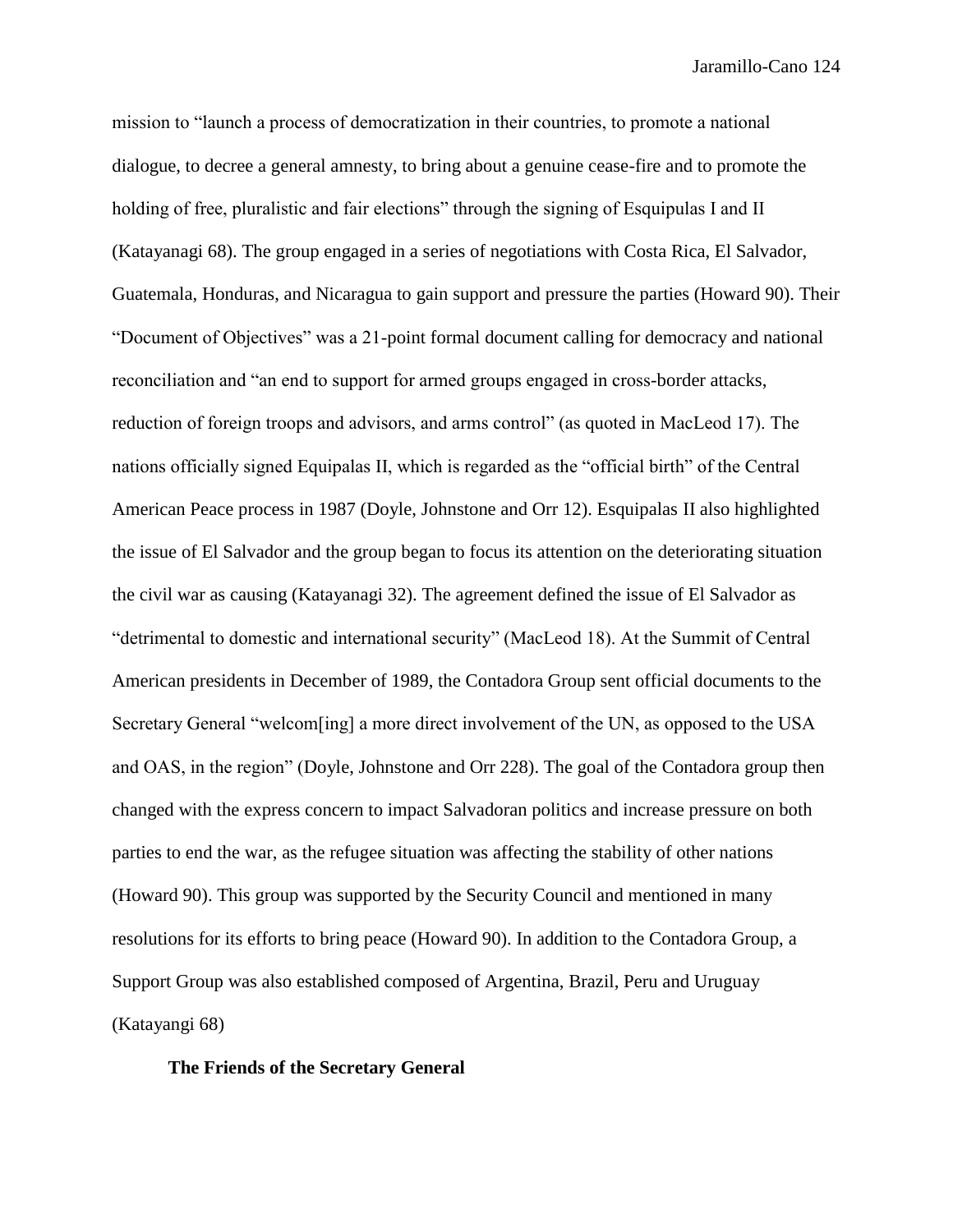mission to "launch a process of democratization in their countries, to promote a national dialogue, to decree a general amnesty, to bring about a genuine cease-fire and to promote the holding of free, pluralistic and fair elections" through the signing of Esquipulas I and II (Katayanagi 68). The group engaged in a series of negotiations with Costa Rica, El Salvador, Guatemala, Honduras, and Nicaragua to gain support and pressure the parties (Howard 90). Their "Document of Objectives" was a 21-point formal document calling for democracy and national reconciliation and "an end to support for armed groups engaged in cross-border attacks, reduction of foreign troops and advisors, and arms control" (as quoted in MacLeod 17). The nations officially signed Equipalas II, which is regarded as the "official birth" of the Central American Peace process in 1987 (Doyle, Johnstone and Orr 12). Esquipalas II also highlighted the issue of El Salvador and the group began to focus its attention on the deteriorating situation the civil war as causing (Katayanagi 32). The agreement defined the issue of El Salvador as "detrimental to domestic and international security" (MacLeod 18). At the Summit of Central American presidents in December of 1989, the Contadora Group sent official documents to the Secretary General "welcom[ing] a more direct involvement of the UN, as opposed to the USA and OAS, in the region" (Doyle, Johnstone and Orr 228). The goal of the Contadora group then changed with the express concern to impact Salvadoran politics and increase pressure on both parties to end the war, as the refugee situation was affecting the stability of other nations (Howard 90). This group was supported by the Security Council and mentioned in many resolutions for its efforts to bring peace (Howard 90). In addition to the Contadora Group, a Support Group was also established composed of Argentina, Brazil, Peru and Uruguay (Katayangi 68)

# **The Friends of the Secretary General**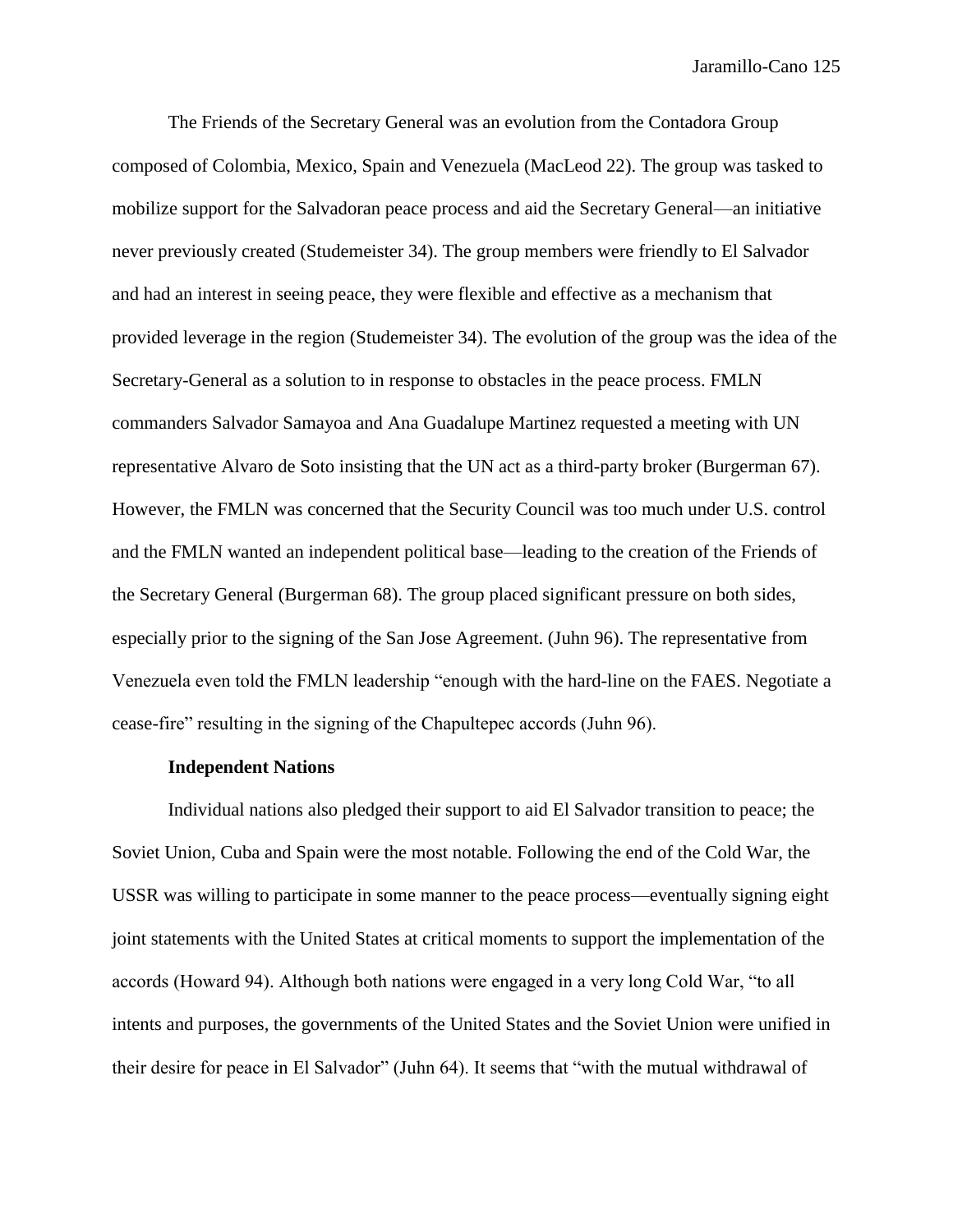The Friends of the Secretary General was an evolution from the Contadora Group composed of Colombia, Mexico, Spain and Venezuela (MacLeod 22). The group was tasked to mobilize support for the Salvadoran peace process and aid the Secretary General—an initiative never previously created (Studemeister 34). The group members were friendly to El Salvador and had an interest in seeing peace, they were flexible and effective as a mechanism that provided leverage in the region (Studemeister 34). The evolution of the group was the idea of the Secretary-General as a solution to in response to obstacles in the peace process. FMLN commanders Salvador Samayoa and Ana Guadalupe Martinez requested a meeting with UN representative Alvaro de Soto insisting that the UN act as a third-party broker (Burgerman 67). However, the FMLN was concerned that the Security Council was too much under U.S. control and the FMLN wanted an independent political base—leading to the creation of the Friends of the Secretary General (Burgerman 68). The group placed significant pressure on both sides, especially prior to the signing of the San Jose Agreement. (Juhn 96). The representative from Venezuela even told the FMLN leadership "enough with the hard-line on the FAES. Negotiate a cease-fire" resulting in the signing of the Chapultepec accords (Juhn 96).

#### **Independent Nations**

Individual nations also pledged their support to aid El Salvador transition to peace; the Soviet Union, Cuba and Spain were the most notable. Following the end of the Cold War, the USSR was willing to participate in some manner to the peace process—eventually signing eight joint statements with the United States at critical moments to support the implementation of the accords (Howard 94). Although both nations were engaged in a very long Cold War, "to all intents and purposes, the governments of the United States and the Soviet Union were unified in their desire for peace in El Salvador" (Juhn 64). It seems that "with the mutual withdrawal of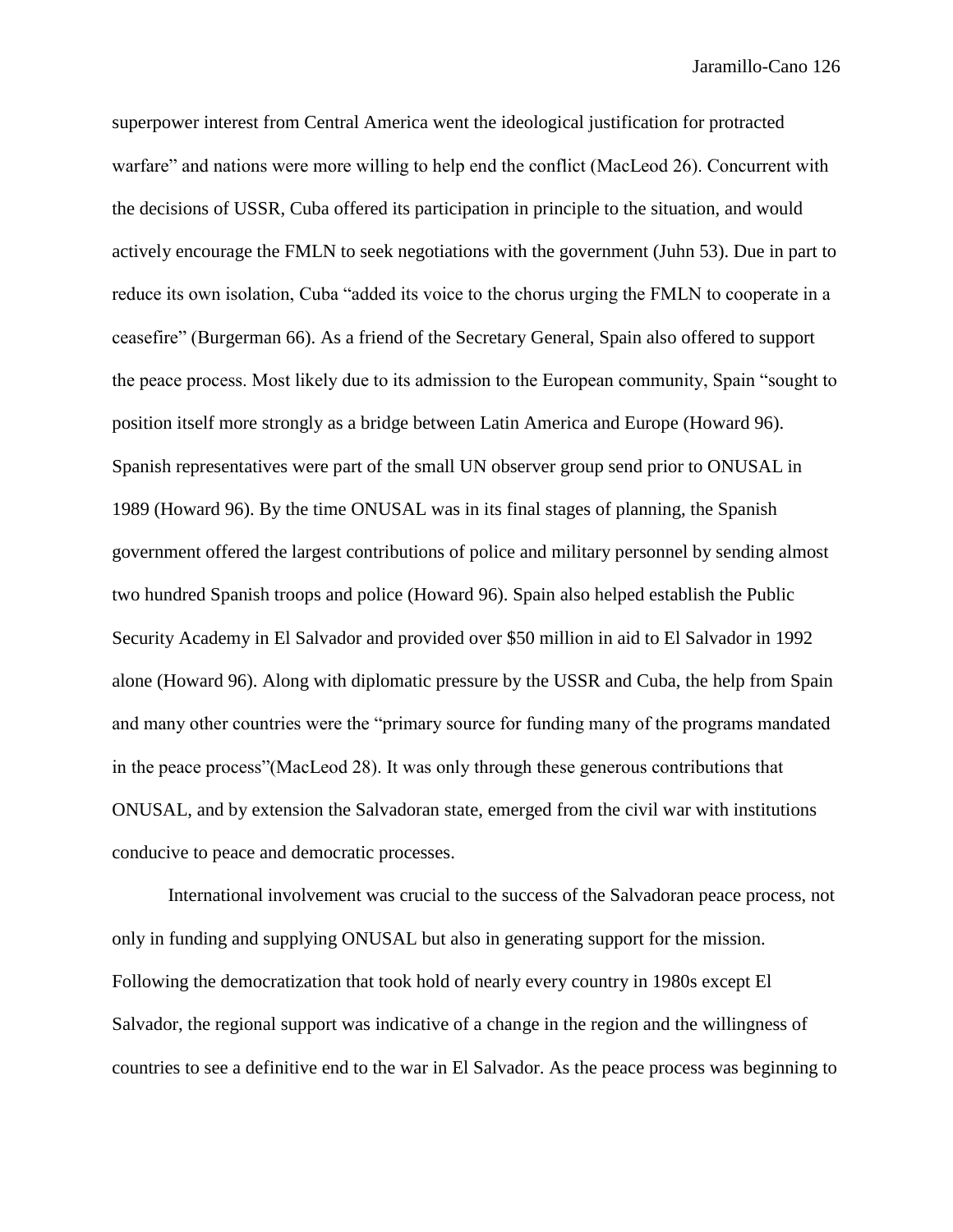superpower interest from Central America went the ideological justification for protracted warfare" and nations were more willing to help end the conflict (MacLeod 26). Concurrent with the decisions of USSR, Cuba offered its participation in principle to the situation, and would actively encourage the FMLN to seek negotiations with the government (Juhn 53). Due in part to reduce its own isolation, Cuba "added its voice to the chorus urging the FMLN to cooperate in a ceasefire" (Burgerman 66). As a friend of the Secretary General, Spain also offered to support the peace process. Most likely due to its admission to the European community, Spain "sought to position itself more strongly as a bridge between Latin America and Europe (Howard 96). Spanish representatives were part of the small UN observer group send prior to ONUSAL in 1989 (Howard 96). By the time ONUSAL was in its final stages of planning, the Spanish government offered the largest contributions of police and military personnel by sending almost two hundred Spanish troops and police (Howard 96). Spain also helped establish the Public Security Academy in El Salvador and provided over \$50 million in aid to El Salvador in 1992 alone (Howard 96). Along with diplomatic pressure by the USSR and Cuba, the help from Spain and many other countries were the "primary source for funding many of the programs mandated in the peace process"(MacLeod 28). It was only through these generous contributions that ONUSAL, and by extension the Salvadoran state, emerged from the civil war with institutions conducive to peace and democratic processes.

International involvement was crucial to the success of the Salvadoran peace process, not only in funding and supplying ONUSAL but also in generating support for the mission. Following the democratization that took hold of nearly every country in 1980s except El Salvador, the regional support was indicative of a change in the region and the willingness of countries to see a definitive end to the war in El Salvador. As the peace process was beginning to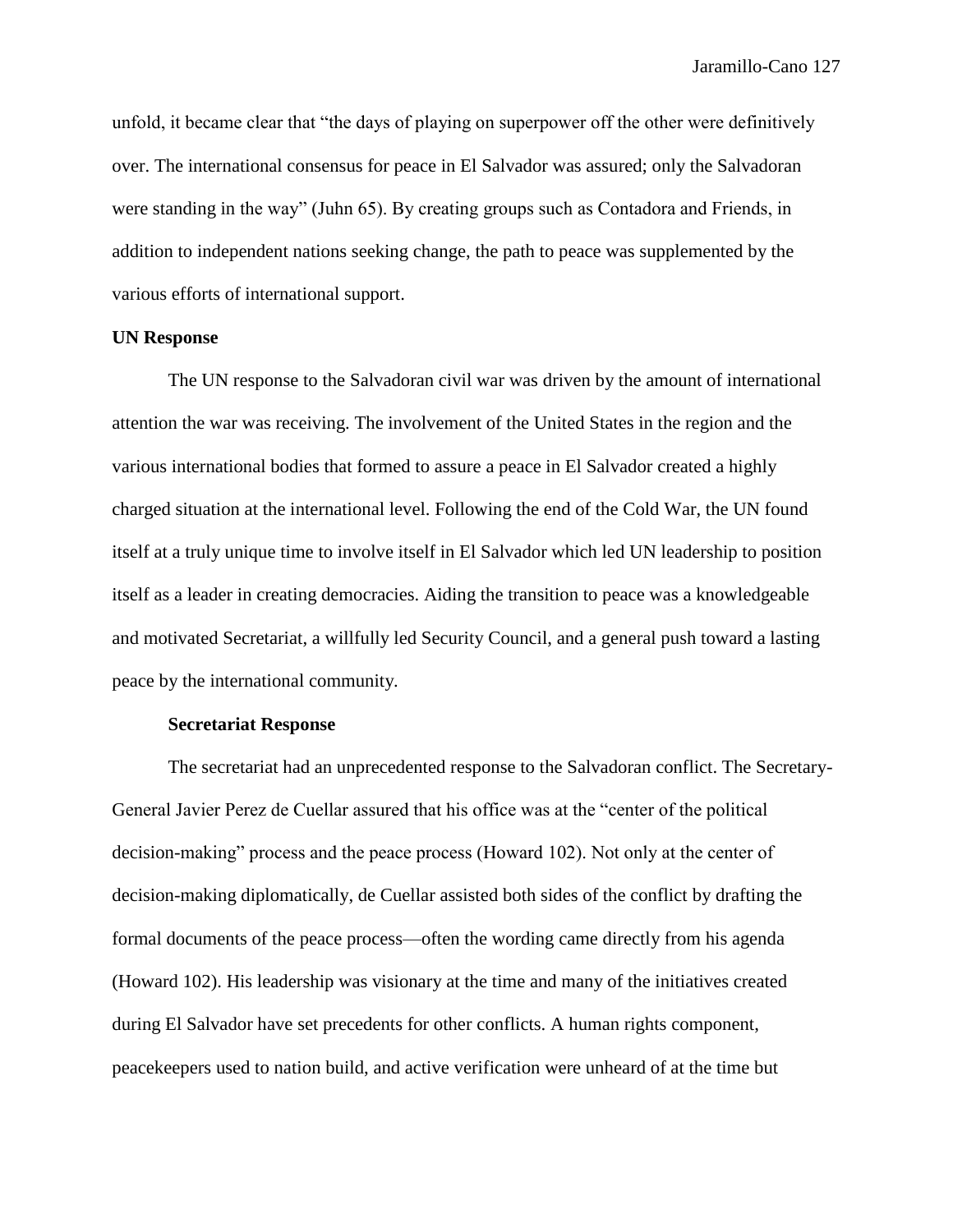unfold, it became clear that "the days of playing on superpower off the other were definitively over. The international consensus for peace in El Salvador was assured; only the Salvadoran were standing in the way" (Juhn 65). By creating groups such as Contadora and Friends, in addition to independent nations seeking change, the path to peace was supplemented by the various efforts of international support.

#### **UN Response**

The UN response to the Salvadoran civil war was driven by the amount of international attention the war was receiving. The involvement of the United States in the region and the various international bodies that formed to assure a peace in El Salvador created a highly charged situation at the international level. Following the end of the Cold War, the UN found itself at a truly unique time to involve itself in El Salvador which led UN leadership to position itself as a leader in creating democracies. Aiding the transition to peace was a knowledgeable and motivated Secretariat, a willfully led Security Council, and a general push toward a lasting peace by the international community.

## **Secretariat Response**

The secretariat had an unprecedented response to the Salvadoran conflict. The Secretary-General Javier Perez de Cuellar assured that his office was at the "center of the political decision-making" process and the peace process (Howard 102). Not only at the center of decision-making diplomatically, de Cuellar assisted both sides of the conflict by drafting the formal documents of the peace process—often the wording came directly from his agenda (Howard 102). His leadership was visionary at the time and many of the initiatives created during El Salvador have set precedents for other conflicts. A human rights component, peacekeepers used to nation build, and active verification were unheard of at the time but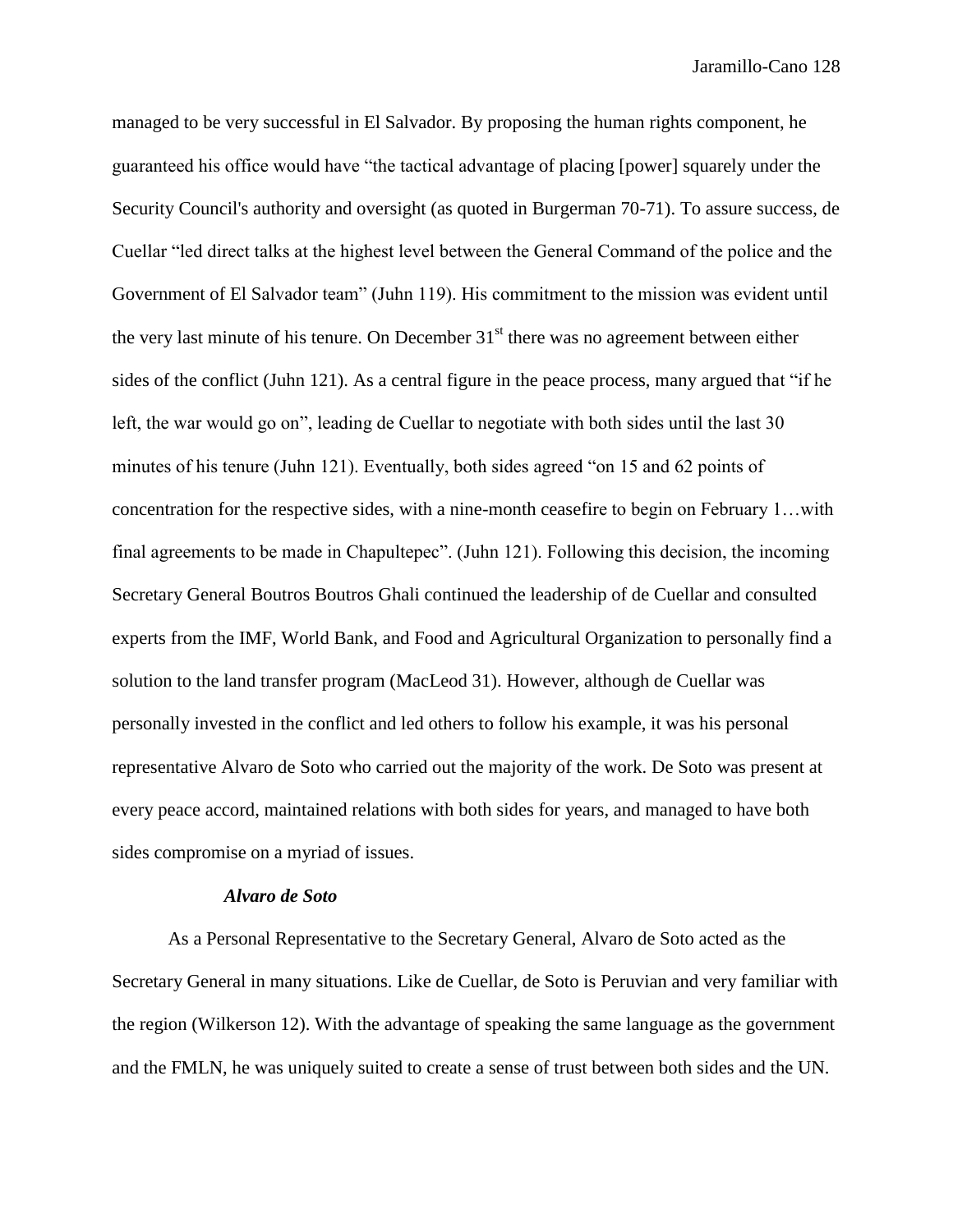managed to be very successful in El Salvador. By proposing the human rights component, he guaranteed his office would have "the tactical advantage of placing [power] squarely under the Security Council's authority and oversight (as quoted in Burgerman 70-71). To assure success, de Cuellar "led direct talks at the highest level between the General Command of the police and the Government of El Salvador team" (Juhn 119). His commitment to the mission was evident until the very last minute of his tenure. On December  $31<sup>st</sup>$  there was no agreement between either sides of the conflict (Juhn 121). As a central figure in the peace process, many argued that "if he left, the war would go on", leading de Cuellar to negotiate with both sides until the last 30 minutes of his tenure (Juhn 121). Eventually, both sides agreed "on 15 and 62 points of concentration for the respective sides, with a nine-month ceasefire to begin on February 1…with final agreements to be made in Chapultepec". (Juhn 121). Following this decision, the incoming Secretary General Boutros Boutros Ghali continued the leadership of de Cuellar and consulted experts from the IMF, World Bank, and Food and Agricultural Organization to personally find a solution to the land transfer program (MacLeod 31). However, although de Cuellar was personally invested in the conflict and led others to follow his example, it was his personal representative Alvaro de Soto who carried out the majority of the work. De Soto was present at every peace accord, maintained relations with both sides for years, and managed to have both sides compromise on a myriad of issues.

## *Alvaro de Soto*

As a Personal Representative to the Secretary General, Alvaro de Soto acted as the Secretary General in many situations. Like de Cuellar, de Soto is Peruvian and very familiar with the region (Wilkerson 12). With the advantage of speaking the same language as the government and the FMLN, he was uniquely suited to create a sense of trust between both sides and the UN.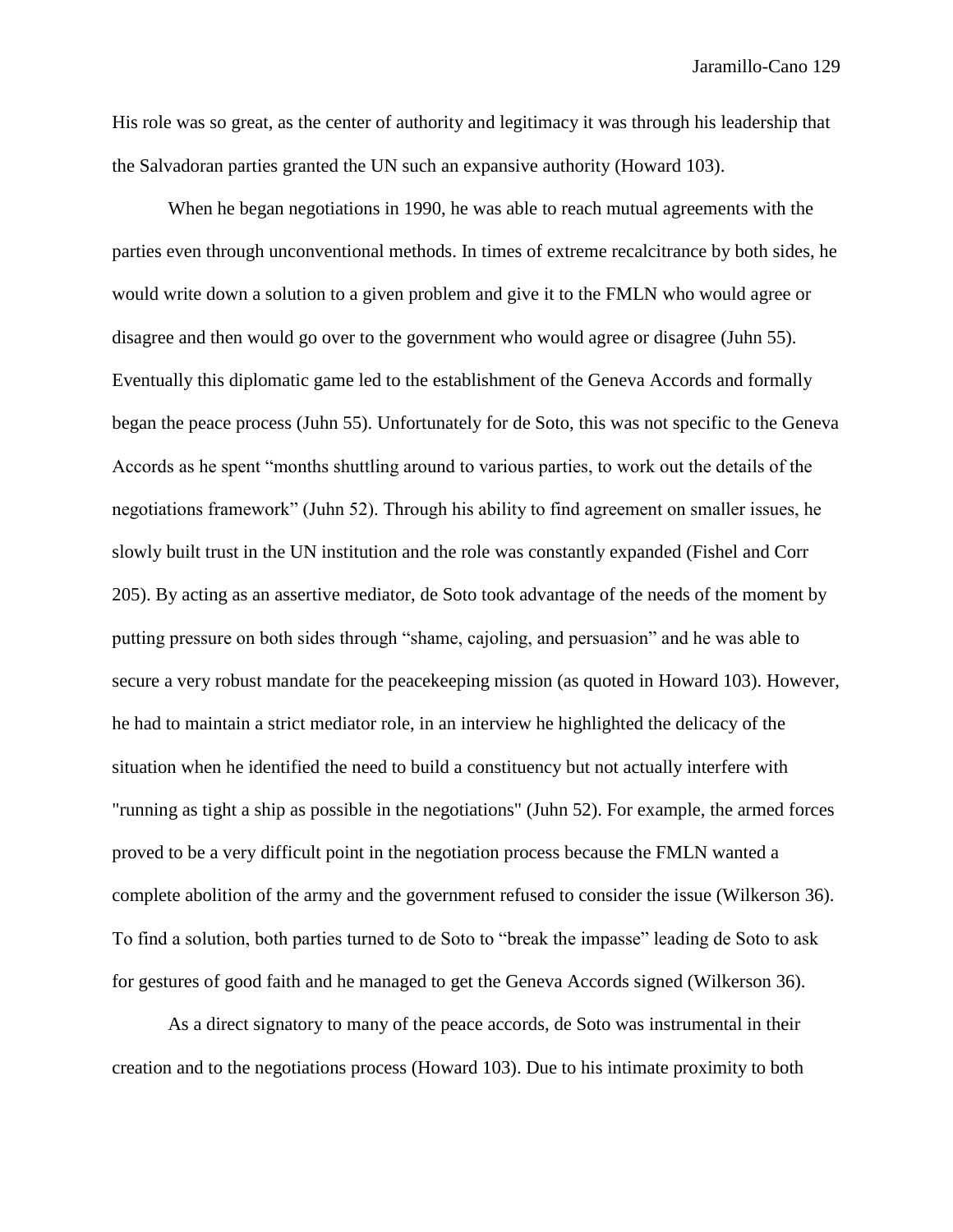His role was so great, as the center of authority and legitimacy it was through his leadership that the Salvadoran parties granted the UN such an expansive authority (Howard 103).

When he began negotiations in 1990, he was able to reach mutual agreements with the parties even through unconventional methods. In times of extreme recalcitrance by both sides, he would write down a solution to a given problem and give it to the FMLN who would agree or disagree and then would go over to the government who would agree or disagree (Juhn 55). Eventually this diplomatic game led to the establishment of the Geneva Accords and formally began the peace process (Juhn 55). Unfortunately for de Soto, this was not specific to the Geneva Accords as he spent "months shuttling around to various parties, to work out the details of the negotiations framework" (Juhn 52). Through his ability to find agreement on smaller issues, he slowly built trust in the UN institution and the role was constantly expanded (Fishel and Corr 205). By acting as an assertive mediator, de Soto took advantage of the needs of the moment by putting pressure on both sides through "shame, cajoling, and persuasion" and he was able to secure a very robust mandate for the peacekeeping mission (as quoted in Howard 103). However, he had to maintain a strict mediator role, in an interview he highlighted the delicacy of the situation when he identified the need to build a constituency but not actually interfere with "running as tight a ship as possible in the negotiations" (Juhn 52). For example, the armed forces proved to be a very difficult point in the negotiation process because the FMLN wanted a complete abolition of the army and the government refused to consider the issue (Wilkerson 36). To find a solution, both parties turned to de Soto to "break the impasse" leading de Soto to ask for gestures of good faith and he managed to get the Geneva Accords signed (Wilkerson 36).

As a direct signatory to many of the peace accords, de Soto was instrumental in their creation and to the negotiations process (Howard 103). Due to his intimate proximity to both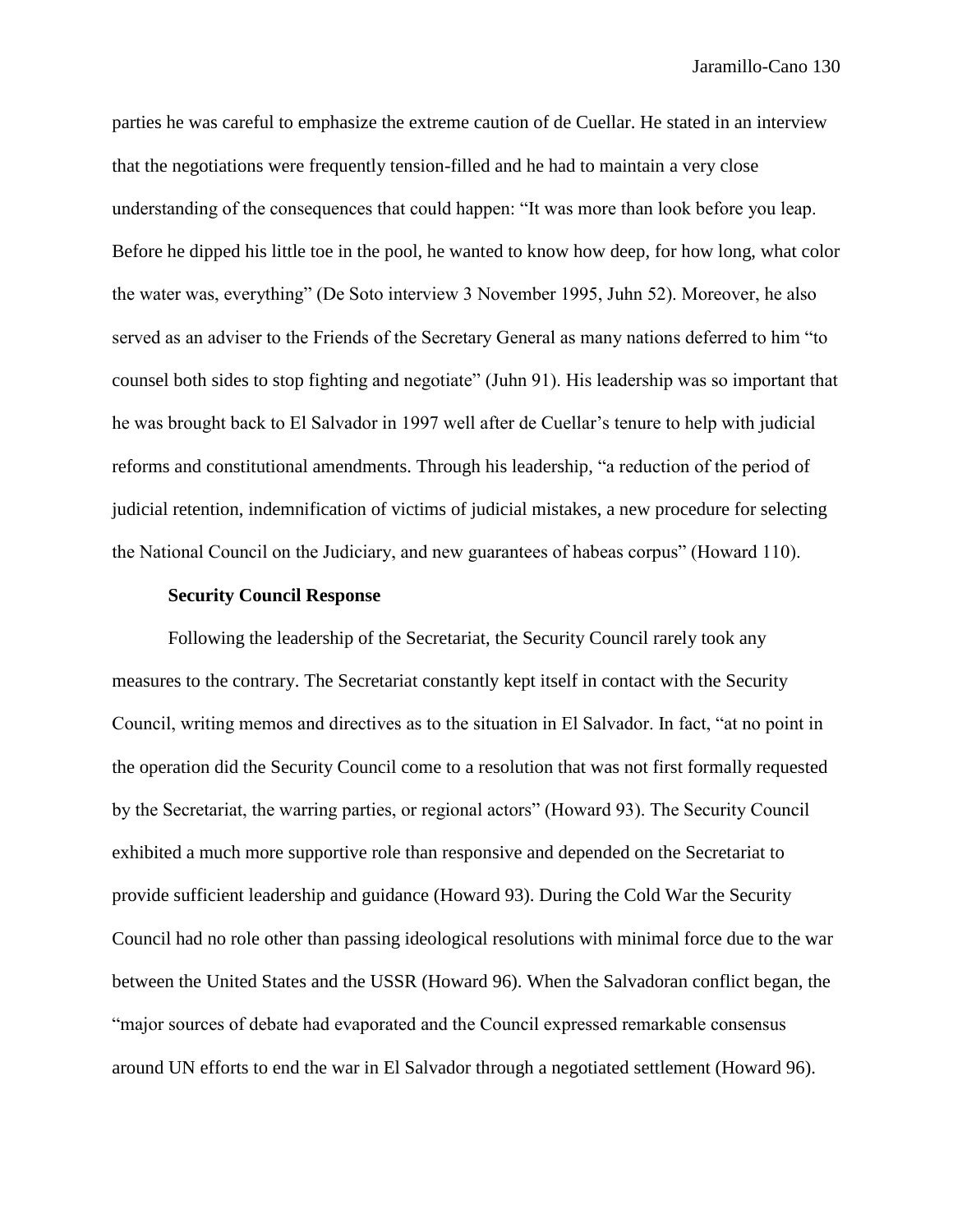parties he was careful to emphasize the extreme caution of de Cuellar. He stated in an interview that the negotiations were frequently tension-filled and he had to maintain a very close understanding of the consequences that could happen: "It was more than look before you leap. Before he dipped his little toe in the pool, he wanted to know how deep, for how long, what color the water was, everything" (De Soto interview 3 November 1995, Juhn 52). Moreover, he also served as an adviser to the Friends of the Secretary General as many nations deferred to him "to counsel both sides to stop fighting and negotiate" (Juhn 91). His leadership was so important that he was brought back to El Salvador in 1997 well after de Cuellar's tenure to help with judicial reforms and constitutional amendments. Through his leadership, "a reduction of the period of judicial retention, indemnification of victims of judicial mistakes, a new procedure for selecting the National Council on the Judiciary, and new guarantees of habeas corpus" (Howard 110).

## **Security Council Response**

Following the leadership of the Secretariat, the Security Council rarely took any measures to the contrary. The Secretariat constantly kept itself in contact with the Security Council, writing memos and directives as to the situation in El Salvador. In fact, "at no point in the operation did the Security Council come to a resolution that was not first formally requested by the Secretariat, the warring parties, or regional actors" (Howard 93). The Security Council exhibited a much more supportive role than responsive and depended on the Secretariat to provide sufficient leadership and guidance (Howard 93). During the Cold War the Security Council had no role other than passing ideological resolutions with minimal force due to the war between the United States and the USSR (Howard 96). When the Salvadoran conflict began, the "major sources of debate had evaporated and the Council expressed remarkable consensus around UN efforts to end the war in El Salvador through a negotiated settlement (Howard 96).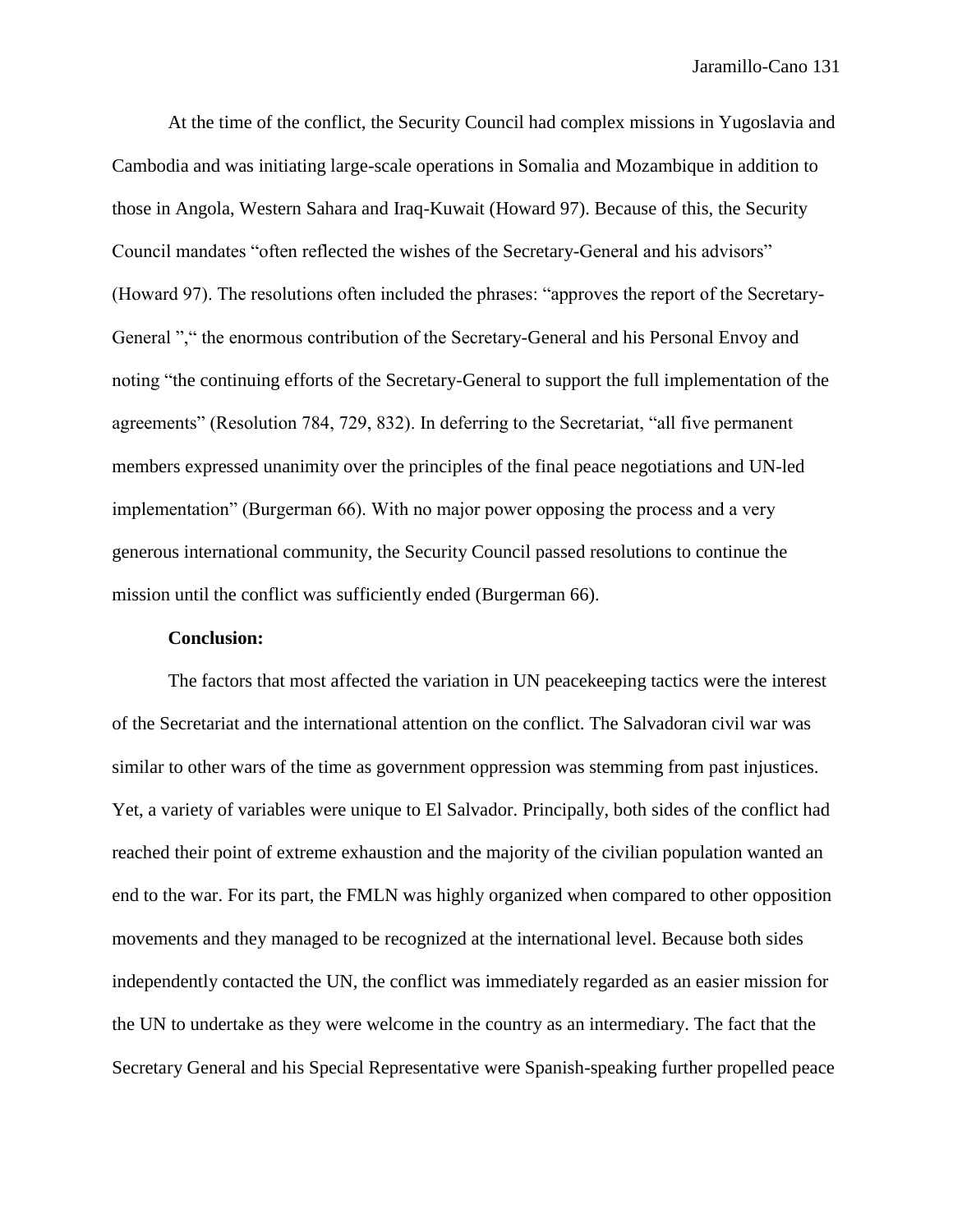At the time of the conflict, the Security Council had complex missions in Yugoslavia and Cambodia and was initiating large-scale operations in Somalia and Mozambique in addition to those in Angola, Western Sahara and Iraq-Kuwait (Howard 97). Because of this, the Security Council mandates "often reflected the wishes of the Secretary-General and his advisors" (Howard 97). The resolutions often included the phrases: "approves the report of the Secretary-General "," the enormous contribution of the Secretary-General and his Personal Envoy and noting "the continuing efforts of the Secretary-General to support the full implementation of the agreements" (Resolution 784, 729, 832). In deferring to the Secretariat, "all five permanent members expressed unanimity over the principles of the final peace negotiations and UN-led implementation" (Burgerman 66). With no major power opposing the process and a very generous international community, the Security Council passed resolutions to continue the mission until the conflict was sufficiently ended (Burgerman 66).

#### **Conclusion:**

The factors that most affected the variation in UN peacekeeping tactics were the interest of the Secretariat and the international attention on the conflict. The Salvadoran civil war was similar to other wars of the time as government oppression was stemming from past injustices. Yet, a variety of variables were unique to El Salvador. Principally, both sides of the conflict had reached their point of extreme exhaustion and the majority of the civilian population wanted an end to the war. For its part, the FMLN was highly organized when compared to other opposition movements and they managed to be recognized at the international level. Because both sides independently contacted the UN, the conflict was immediately regarded as an easier mission for the UN to undertake as they were welcome in the country as an intermediary. The fact that the Secretary General and his Special Representative were Spanish-speaking further propelled peace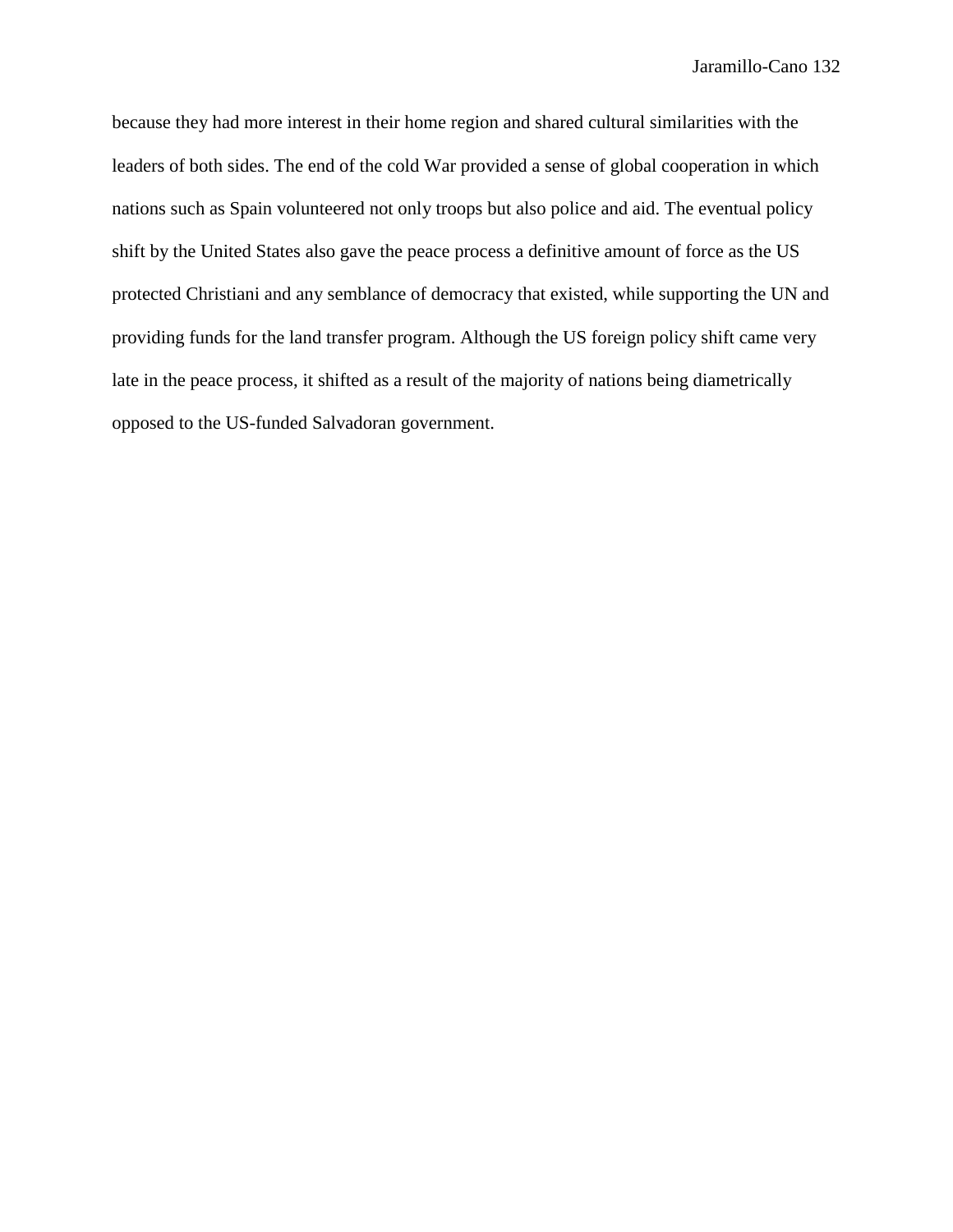because they had more interest in their home region and shared cultural similarities with the leaders of both sides. The end of the cold War provided a sense of global cooperation in which nations such as Spain volunteered not only troops but also police and aid. The eventual policy shift by the United States also gave the peace process a definitive amount of force as the US protected Christiani and any semblance of democracy that existed, while supporting the UN and providing funds for the land transfer program. Although the US foreign policy shift came very late in the peace process, it shifted as a result of the majority of nations being diametrically opposed to the US-funded Salvadoran government.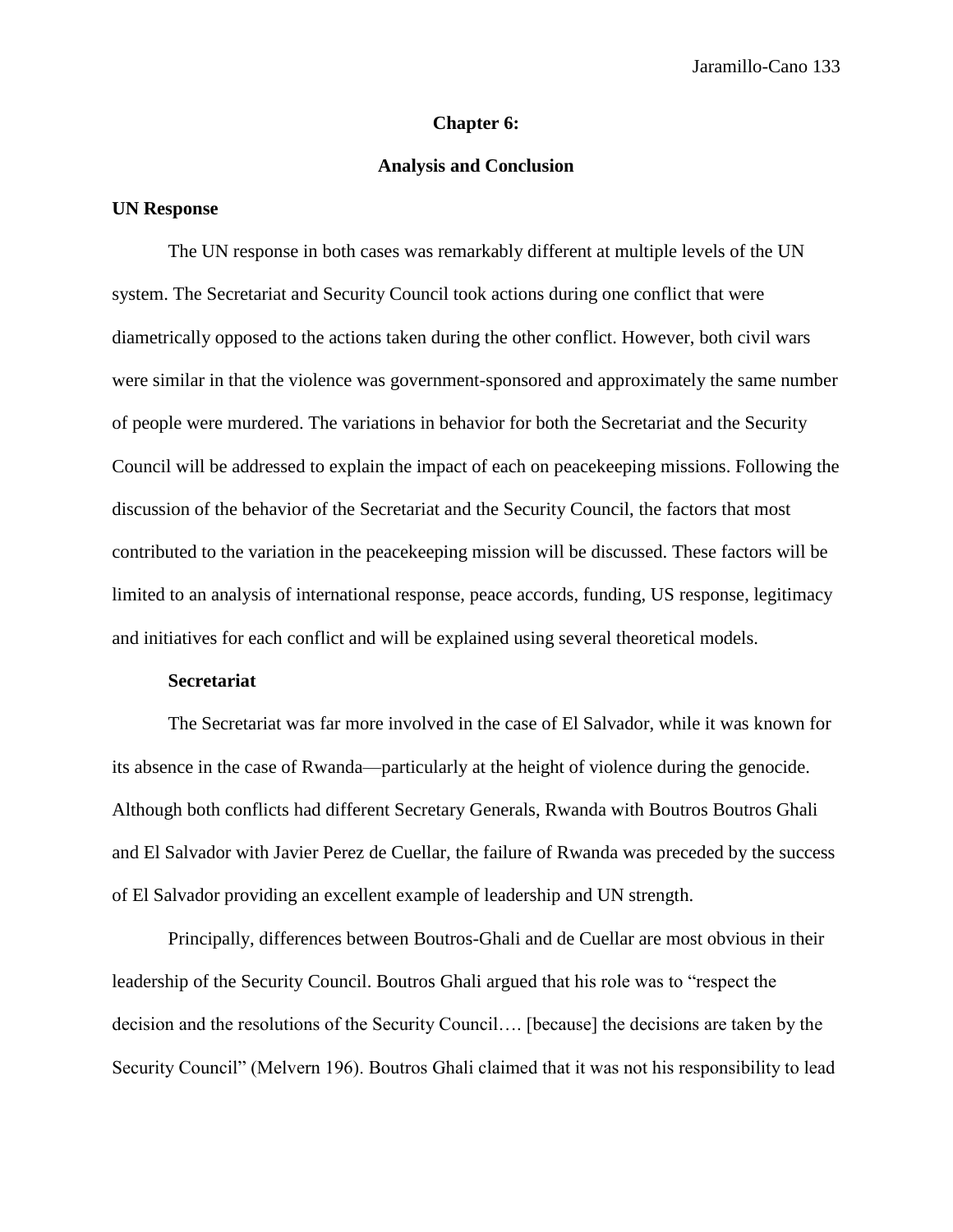#### **Chapter 6:**

# **Analysis and Conclusion**

## **UN Response**

The UN response in both cases was remarkably different at multiple levels of the UN system. The Secretariat and Security Council took actions during one conflict that were diametrically opposed to the actions taken during the other conflict. However, both civil wars were similar in that the violence was government-sponsored and approximately the same number of people were murdered. The variations in behavior for both the Secretariat and the Security Council will be addressed to explain the impact of each on peacekeeping missions. Following the discussion of the behavior of the Secretariat and the Security Council, the factors that most contributed to the variation in the peacekeeping mission will be discussed. These factors will be limited to an analysis of international response, peace accords, funding, US response, legitimacy and initiatives for each conflict and will be explained using several theoretical models.

#### **Secretariat**

The Secretariat was far more involved in the case of El Salvador, while it was known for its absence in the case of Rwanda—particularly at the height of violence during the genocide. Although both conflicts had different Secretary Generals, Rwanda with Boutros Boutros Ghali and El Salvador with Javier Perez de Cuellar, the failure of Rwanda was preceded by the success of El Salvador providing an excellent example of leadership and UN strength.

Principally, differences between Boutros-Ghali and de Cuellar are most obvious in their leadership of the Security Council. Boutros Ghali argued that his role was to "respect the decision and the resolutions of the Security Council…. [because] the decisions are taken by the Security Council" (Melvern 196). Boutros Ghali claimed that it was not his responsibility to lead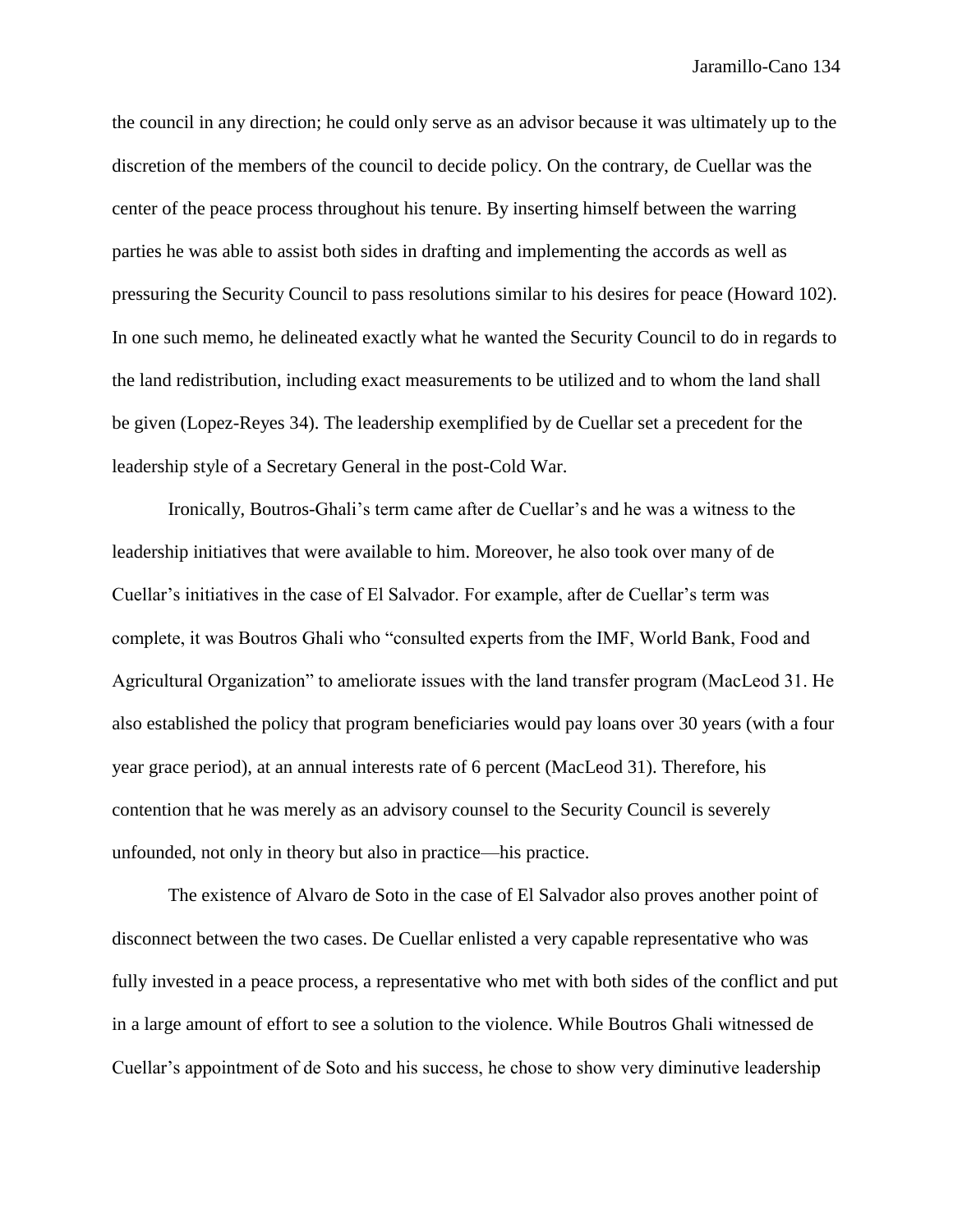the council in any direction; he could only serve as an advisor because it was ultimately up to the discretion of the members of the council to decide policy. On the contrary, de Cuellar was the center of the peace process throughout his tenure. By inserting himself between the warring parties he was able to assist both sides in drafting and implementing the accords as well as pressuring the Security Council to pass resolutions similar to his desires for peace (Howard 102). In one such memo, he delineated exactly what he wanted the Security Council to do in regards to the land redistribution, including exact measurements to be utilized and to whom the land shall be given (Lopez-Reyes 34). The leadership exemplified by de Cuellar set a precedent for the leadership style of a Secretary General in the post-Cold War.

Ironically, Boutros-Ghali's term came after de Cuellar's and he was a witness to the leadership initiatives that were available to him. Moreover, he also took over many of de Cuellar's initiatives in the case of El Salvador. For example, after de Cuellar's term was complete, it was Boutros Ghali who "consulted experts from the IMF, World Bank, Food and Agricultural Organization" to ameliorate issues with the land transfer program (MacLeod 31. He also established the policy that program beneficiaries would pay loans over 30 years (with a four year grace period), at an annual interests rate of 6 percent (MacLeod 31). Therefore, his contention that he was merely as an advisory counsel to the Security Council is severely unfounded, not only in theory but also in practice—his practice.

The existence of Alvaro de Soto in the case of El Salvador also proves another point of disconnect between the two cases. De Cuellar enlisted a very capable representative who was fully invested in a peace process, a representative who met with both sides of the conflict and put in a large amount of effort to see a solution to the violence. While Boutros Ghali witnessed de Cuellar's appointment of de Soto and his success, he chose to show very diminutive leadership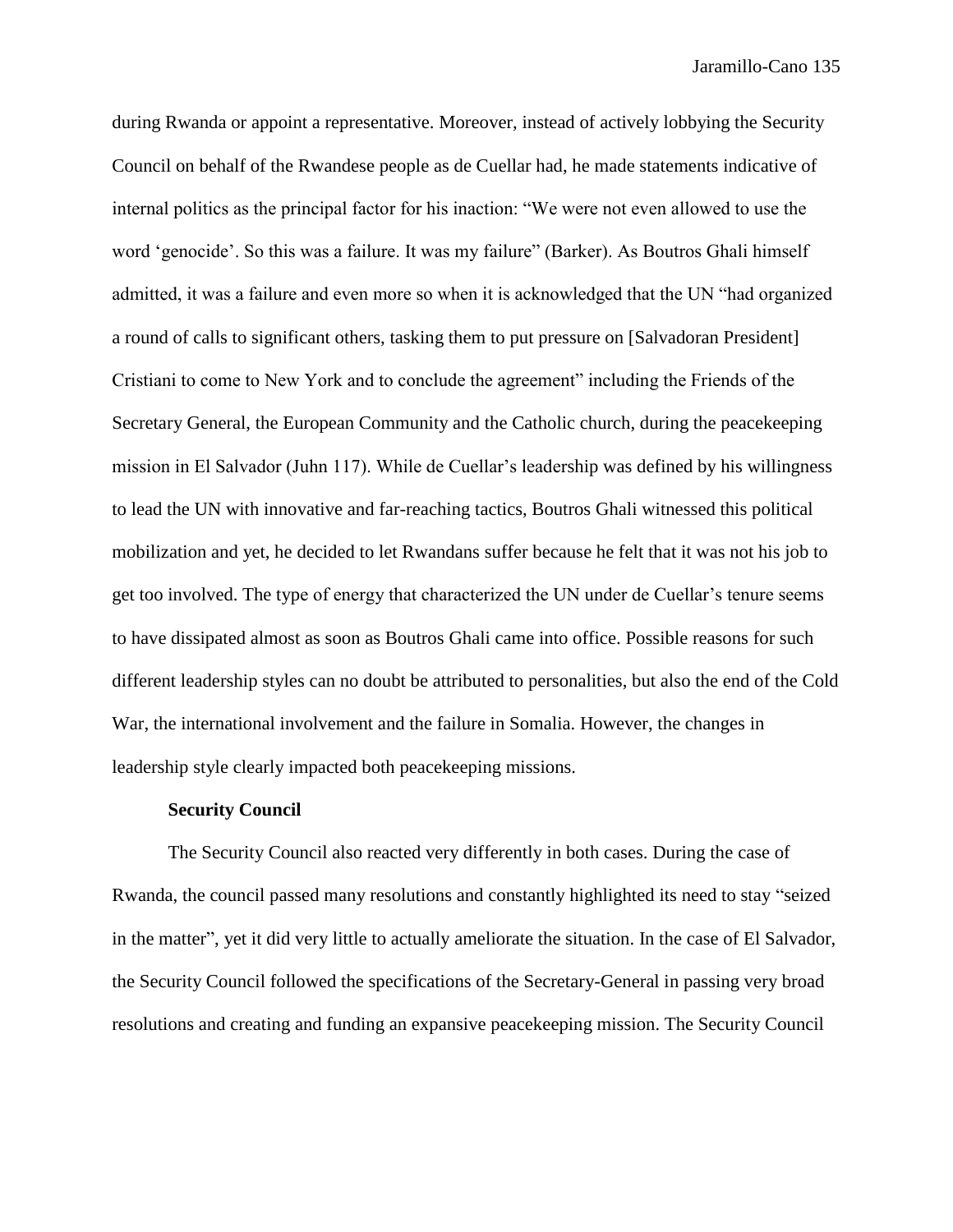during Rwanda or appoint a representative. Moreover, instead of actively lobbying the Security Council on behalf of the Rwandese people as de Cuellar had, he made statements indicative of internal politics as the principal factor for his inaction: "We were not even allowed to use the word 'genocide'. So this was a failure. It was my failure" (Barker). As Boutros Ghali himself admitted, it was a failure and even more so when it is acknowledged that the UN "had organized a round of calls to significant others, tasking them to put pressure on [Salvadoran President] Cristiani to come to New York and to conclude the agreement" including the Friends of the Secretary General, the European Community and the Catholic church, during the peacekeeping mission in El Salvador (Juhn 117). While de Cuellar's leadership was defined by his willingness to lead the UN with innovative and far-reaching tactics, Boutros Ghali witnessed this political mobilization and yet, he decided to let Rwandans suffer because he felt that it was not his job to get too involved. The type of energy that characterized the UN under de Cuellar's tenure seems to have dissipated almost as soon as Boutros Ghali came into office. Possible reasons for such different leadership styles can no doubt be attributed to personalities, but also the end of the Cold War, the international involvement and the failure in Somalia. However, the changes in leadership style clearly impacted both peacekeeping missions.

#### **Security Council**

The Security Council also reacted very differently in both cases. During the case of Rwanda, the council passed many resolutions and constantly highlighted its need to stay "seized in the matter", yet it did very little to actually ameliorate the situation. In the case of El Salvador, the Security Council followed the specifications of the Secretary-General in passing very broad resolutions and creating and funding an expansive peacekeeping mission. The Security Council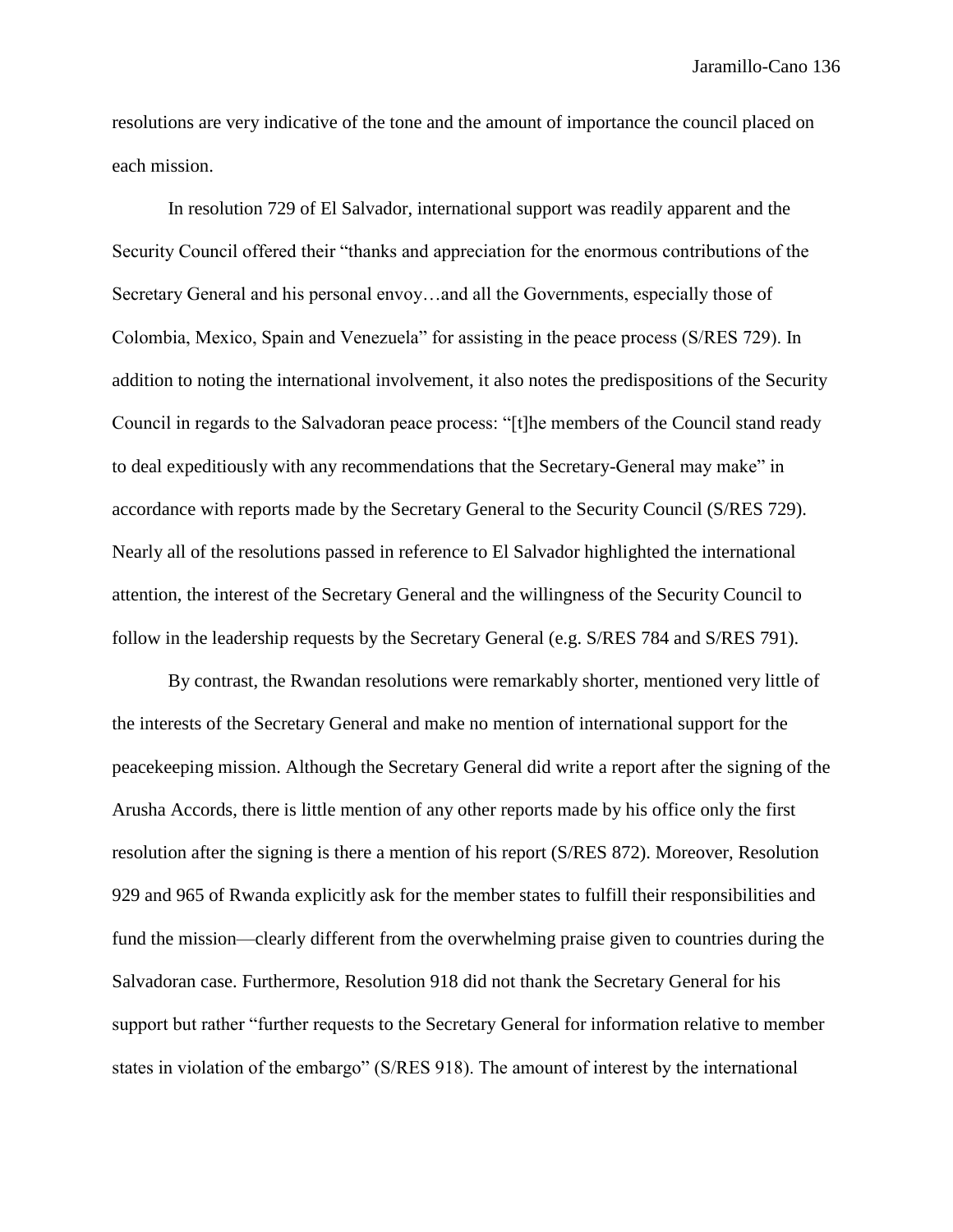resolutions are very indicative of the tone and the amount of importance the council placed on each mission.

In resolution 729 of El Salvador, international support was readily apparent and the Security Council offered their "thanks and appreciation for the enormous contributions of the Secretary General and his personal envoy…and all the Governments, especially those of Colombia, Mexico, Spain and Venezuela" for assisting in the peace process (S/RES 729). In addition to noting the international involvement, it also notes the predispositions of the Security Council in regards to the Salvadoran peace process: "[t]he members of the Council stand ready to deal expeditiously with any recommendations that the Secretary-General may make" in accordance with reports made by the Secretary General to the Security Council (S/RES 729). Nearly all of the resolutions passed in reference to El Salvador highlighted the international attention, the interest of the Secretary General and the willingness of the Security Council to follow in the leadership requests by the Secretary General (e.g. S/RES 784 and S/RES 791).

By contrast, the Rwandan resolutions were remarkably shorter, mentioned very little of the interests of the Secretary General and make no mention of international support for the peacekeeping mission. Although the Secretary General did write a report after the signing of the Arusha Accords, there is little mention of any other reports made by his office only the first resolution after the signing is there a mention of his report (S/RES 872). Moreover, Resolution 929 and 965 of Rwanda explicitly ask for the member states to fulfill their responsibilities and fund the mission—clearly different from the overwhelming praise given to countries during the Salvadoran case. Furthermore, Resolution 918 did not thank the Secretary General for his support but rather "further requests to the Secretary General for information relative to member states in violation of the embargo" (S/RES 918). The amount of interest by the international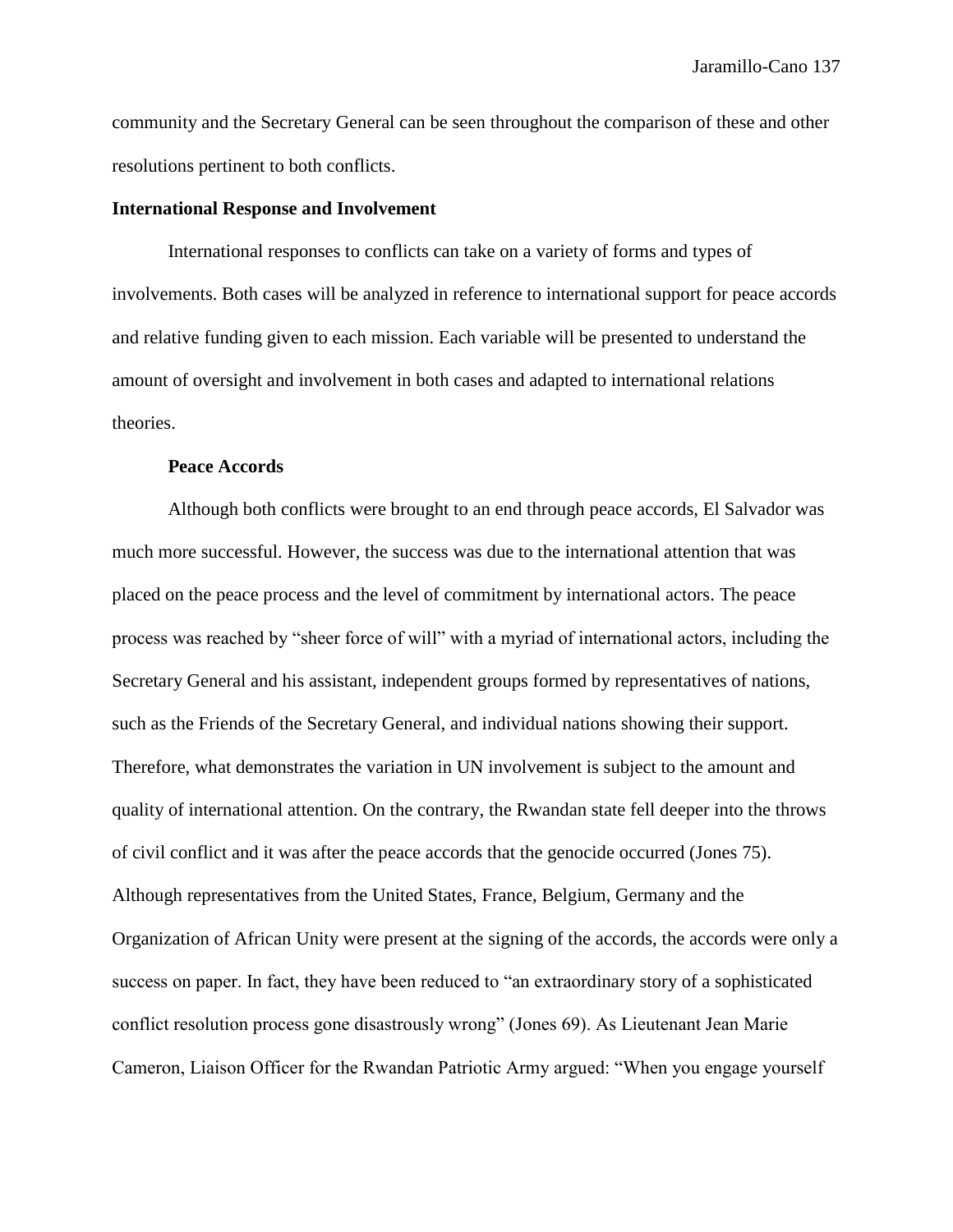community and the Secretary General can be seen throughout the comparison of these and other resolutions pertinent to both conflicts.

## **International Response and Involvement**

International responses to conflicts can take on a variety of forms and types of involvements. Both cases will be analyzed in reference to international support for peace accords and relative funding given to each mission. Each variable will be presented to understand the amount of oversight and involvement in both cases and adapted to international relations theories.

## **Peace Accords**

Although both conflicts were brought to an end through peace accords, El Salvador was much more successful. However, the success was due to the international attention that was placed on the peace process and the level of commitment by international actors. The peace process was reached by "sheer force of will" with a myriad of international actors, including the Secretary General and his assistant, independent groups formed by representatives of nations, such as the Friends of the Secretary General, and individual nations showing their support. Therefore, what demonstrates the variation in UN involvement is subject to the amount and quality of international attention. On the contrary, the Rwandan state fell deeper into the throws of civil conflict and it was after the peace accords that the genocide occurred (Jones 75). Although representatives from the United States, France, Belgium, Germany and the Organization of African Unity were present at the signing of the accords, the accords were only a success on paper. In fact, they have been reduced to "an extraordinary story of a sophisticated conflict resolution process gone disastrously wrong" (Jones 69). As Lieutenant Jean Marie Cameron, Liaison Officer for the Rwandan Patriotic Army argued: "When you engage yourself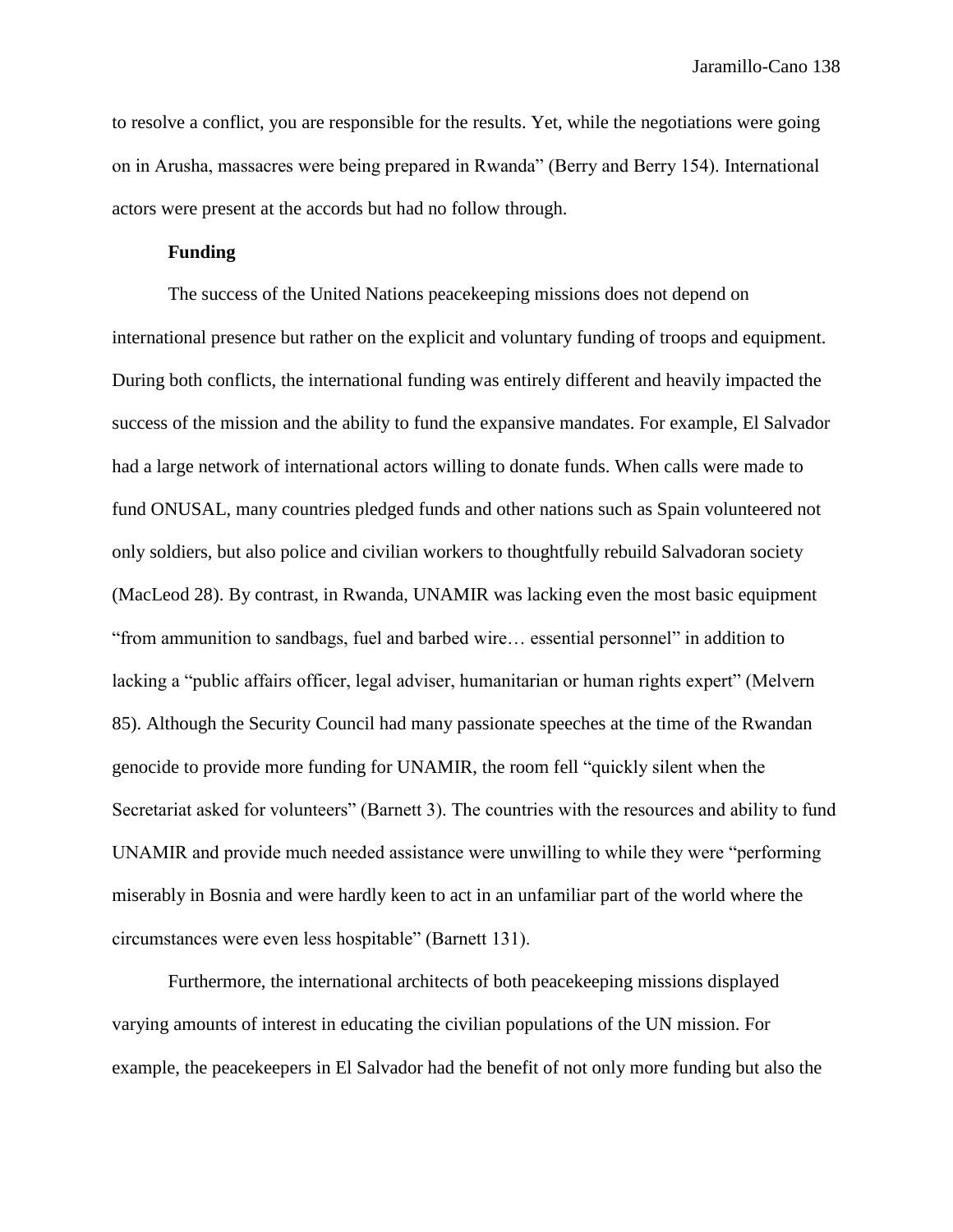to resolve a conflict, you are responsible for the results. Yet, while the negotiations were going on in Arusha, massacres were being prepared in Rwanda" (Berry and Berry 154). International actors were present at the accords but had no follow through.

# **Funding**

The success of the United Nations peacekeeping missions does not depend on international presence but rather on the explicit and voluntary funding of troops and equipment. During both conflicts, the international funding was entirely different and heavily impacted the success of the mission and the ability to fund the expansive mandates. For example, El Salvador had a large network of international actors willing to donate funds. When calls were made to fund ONUSAL, many countries pledged funds and other nations such as Spain volunteered not only soldiers, but also police and civilian workers to thoughtfully rebuild Salvadoran society (MacLeod 28). By contrast, in Rwanda, UNAMIR was lacking even the most basic equipment "from ammunition to sandbags, fuel and barbed wire… essential personnel" in addition to lacking a "public affairs officer, legal adviser, humanitarian or human rights expert" (Melvern 85). Although the Security Council had many passionate speeches at the time of the Rwandan genocide to provide more funding for UNAMIR, the room fell "quickly silent when the Secretariat asked for volunteers" (Barnett 3). The countries with the resources and ability to fund UNAMIR and provide much needed assistance were unwilling to while they were "performing miserably in Bosnia and were hardly keen to act in an unfamiliar part of the world where the circumstances were even less hospitable" (Barnett 131).

Furthermore, the international architects of both peacekeeping missions displayed varying amounts of interest in educating the civilian populations of the UN mission. For example, the peacekeepers in El Salvador had the benefit of not only more funding but also the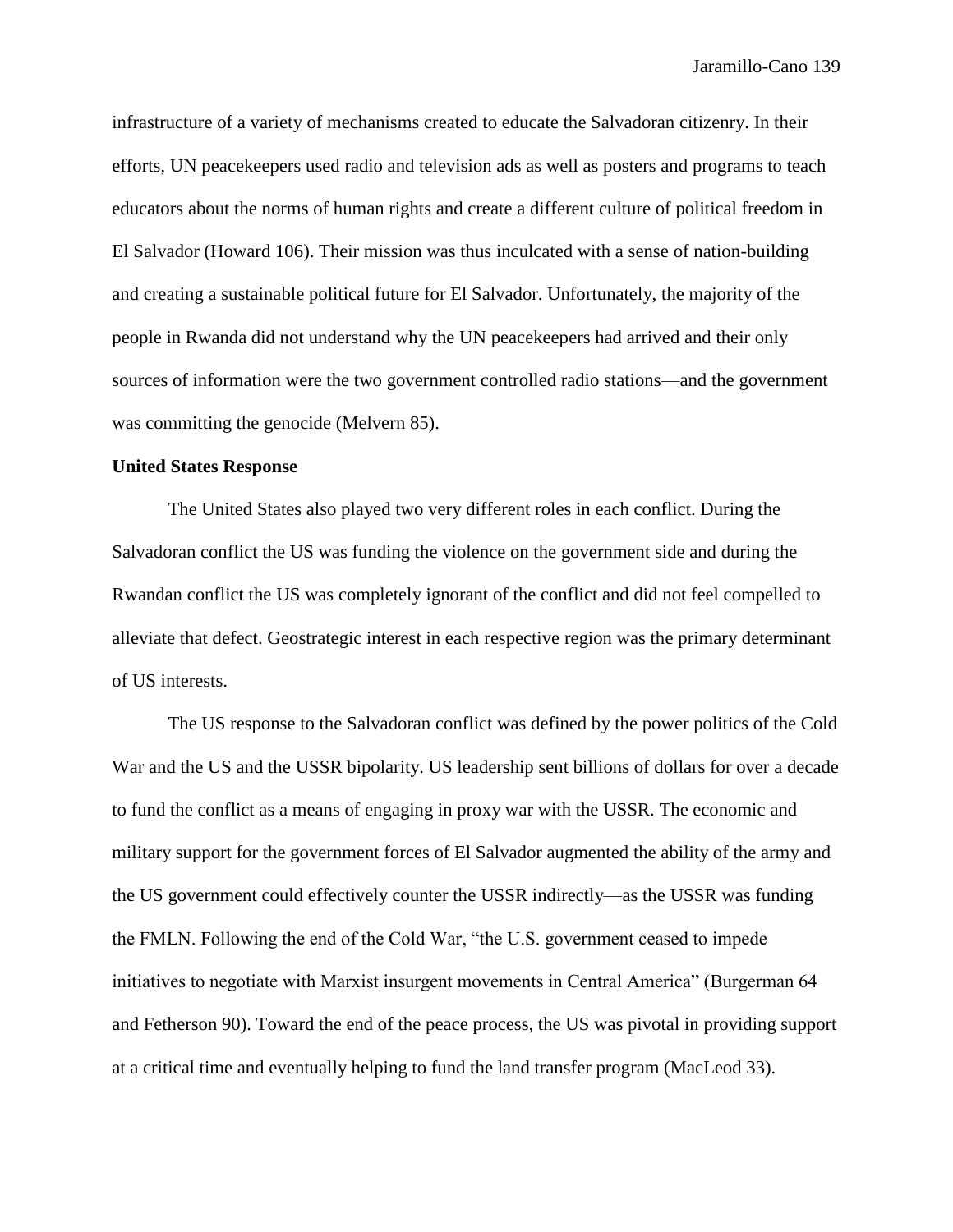infrastructure of a variety of mechanisms created to educate the Salvadoran citizenry. In their efforts, UN peacekeepers used radio and television ads as well as posters and programs to teach educators about the norms of human rights and create a different culture of political freedom in El Salvador (Howard 106). Their mission was thus inculcated with a sense of nation-building and creating a sustainable political future for El Salvador. Unfortunately, the majority of the people in Rwanda did not understand why the UN peacekeepers had arrived and their only sources of information were the two government controlled radio stations—and the government was committing the genocide (Melvern 85).

## **United States Response**

The United States also played two very different roles in each conflict. During the Salvadoran conflict the US was funding the violence on the government side and during the Rwandan conflict the US was completely ignorant of the conflict and did not feel compelled to alleviate that defect. Geostrategic interest in each respective region was the primary determinant of US interests.

The US response to the Salvadoran conflict was defined by the power politics of the Cold War and the US and the USSR bipolarity. US leadership sent billions of dollars for over a decade to fund the conflict as a means of engaging in proxy war with the USSR. The economic and military support for the government forces of El Salvador augmented the ability of the army and the US government could effectively counter the USSR indirectly—as the USSR was funding the FMLN. Following the end of the Cold War, "the U.S. government ceased to impede initiatives to negotiate with Marxist insurgent movements in Central America" (Burgerman 64 and Fetherson 90). Toward the end of the peace process, the US was pivotal in providing support at a critical time and eventually helping to fund the land transfer program (MacLeod 33).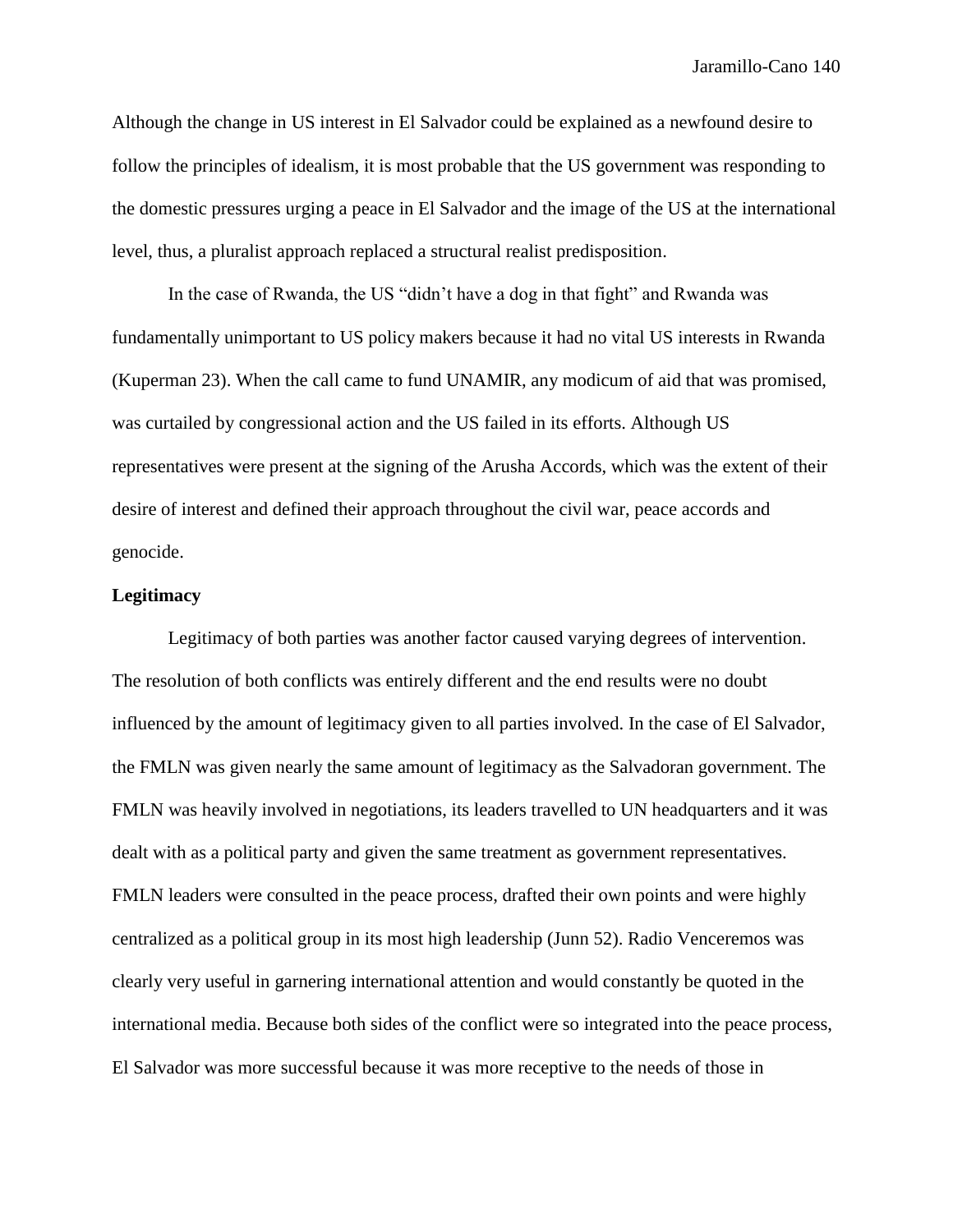Although the change in US interest in El Salvador could be explained as a newfound desire to follow the principles of idealism, it is most probable that the US government was responding to the domestic pressures urging a peace in El Salvador and the image of the US at the international level, thus, a pluralist approach replaced a structural realist predisposition.

In the case of Rwanda, the US "didn't have a dog in that fight" and Rwanda was fundamentally unimportant to US policy makers because it had no vital US interests in Rwanda (Kuperman 23). When the call came to fund UNAMIR, any modicum of aid that was promised, was curtailed by congressional action and the US failed in its efforts. Although US representatives were present at the signing of the Arusha Accords, which was the extent of their desire of interest and defined their approach throughout the civil war, peace accords and genocide.

# **Legitimacy**

Legitimacy of both parties was another factor caused varying degrees of intervention. The resolution of both conflicts was entirely different and the end results were no doubt influenced by the amount of legitimacy given to all parties involved. In the case of El Salvador, the FMLN was given nearly the same amount of legitimacy as the Salvadoran government. The FMLN was heavily involved in negotiations, its leaders travelled to UN headquarters and it was dealt with as a political party and given the same treatment as government representatives. FMLN leaders were consulted in the peace process, drafted their own points and were highly centralized as a political group in its most high leadership (Junn 52). Radio Venceremos was clearly very useful in garnering international attention and would constantly be quoted in the international media. Because both sides of the conflict were so integrated into the peace process, El Salvador was more successful because it was more receptive to the needs of those in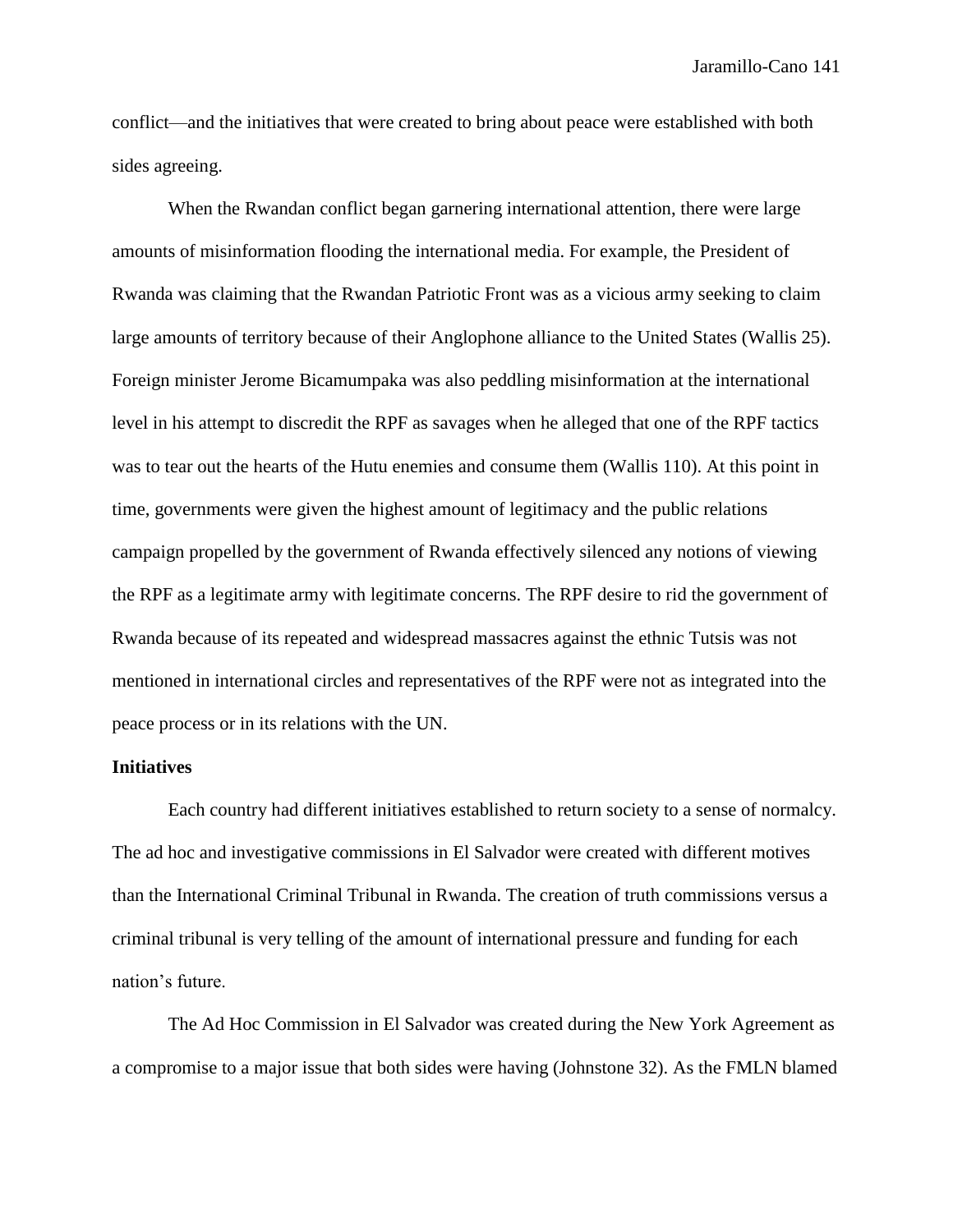conflict—and the initiatives that were created to bring about peace were established with both sides agreeing.

When the Rwandan conflict began garnering international attention, there were large amounts of misinformation flooding the international media. For example, the President of Rwanda was claiming that the Rwandan Patriotic Front was as a vicious army seeking to claim large amounts of territory because of their Anglophone alliance to the United States (Wallis 25). Foreign minister Jerome Bicamumpaka was also peddling misinformation at the international level in his attempt to discredit the RPF as savages when he alleged that one of the RPF tactics was to tear out the hearts of the Hutu enemies and consume them (Wallis 110). At this point in time, governments were given the highest amount of legitimacy and the public relations campaign propelled by the government of Rwanda effectively silenced any notions of viewing the RPF as a legitimate army with legitimate concerns. The RPF desire to rid the government of Rwanda because of its repeated and widespread massacres against the ethnic Tutsis was not mentioned in international circles and representatives of the RPF were not as integrated into the peace process or in its relations with the UN.

## **Initiatives**

Each country had different initiatives established to return society to a sense of normalcy. The ad hoc and investigative commissions in El Salvador were created with different motives than the International Criminal Tribunal in Rwanda. The creation of truth commissions versus a criminal tribunal is very telling of the amount of international pressure and funding for each nation's future.

The Ad Hoc Commission in El Salvador was created during the New York Agreement as a compromise to a major issue that both sides were having (Johnstone 32). As the FMLN blamed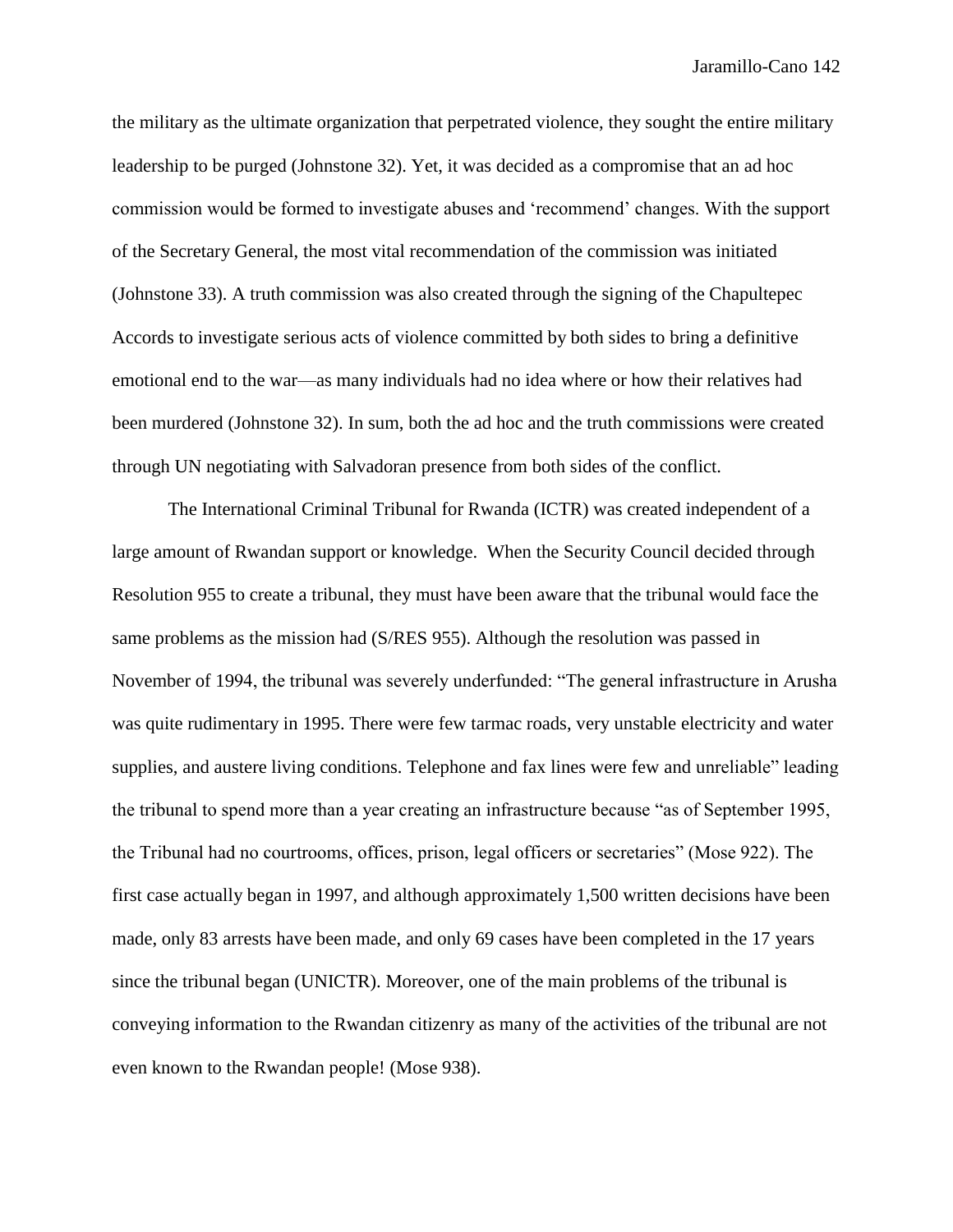the military as the ultimate organization that perpetrated violence, they sought the entire military leadership to be purged (Johnstone 32). Yet, it was decided as a compromise that an ad hoc commission would be formed to investigate abuses and 'recommend' changes. With the support of the Secretary General, the most vital recommendation of the commission was initiated (Johnstone 33). A truth commission was also created through the signing of the Chapultepec Accords to investigate serious acts of violence committed by both sides to bring a definitive emotional end to the war—as many individuals had no idea where or how their relatives had been murdered (Johnstone 32). In sum, both the ad hoc and the truth commissions were created through UN negotiating with Salvadoran presence from both sides of the conflict.

The International Criminal Tribunal for Rwanda (ICTR) was created independent of a large amount of Rwandan support or knowledge. When the Security Council decided through Resolution 955 to create a tribunal, they must have been aware that the tribunal would face the same problems as the mission had (S/RES 955). Although the resolution was passed in November of 1994, the tribunal was severely underfunded: "The general infrastructure in Arusha was quite rudimentary in 1995. There were few tarmac roads, very unstable electricity and water supplies, and austere living conditions. Telephone and fax lines were few and unreliable" leading the tribunal to spend more than a year creating an infrastructure because "as of September 1995, the Tribunal had no courtrooms, offices, prison, legal officers or secretaries" (Mose 922). The first case actually began in 1997, and although approximately 1,500 written decisions have been made, only 83 arrests have been made, and only 69 cases have been completed in the 17 years since the tribunal began (UNICTR). Moreover, one of the main problems of the tribunal is conveying information to the Rwandan citizenry as many of the activities of the tribunal are not even known to the Rwandan people! (Mose 938).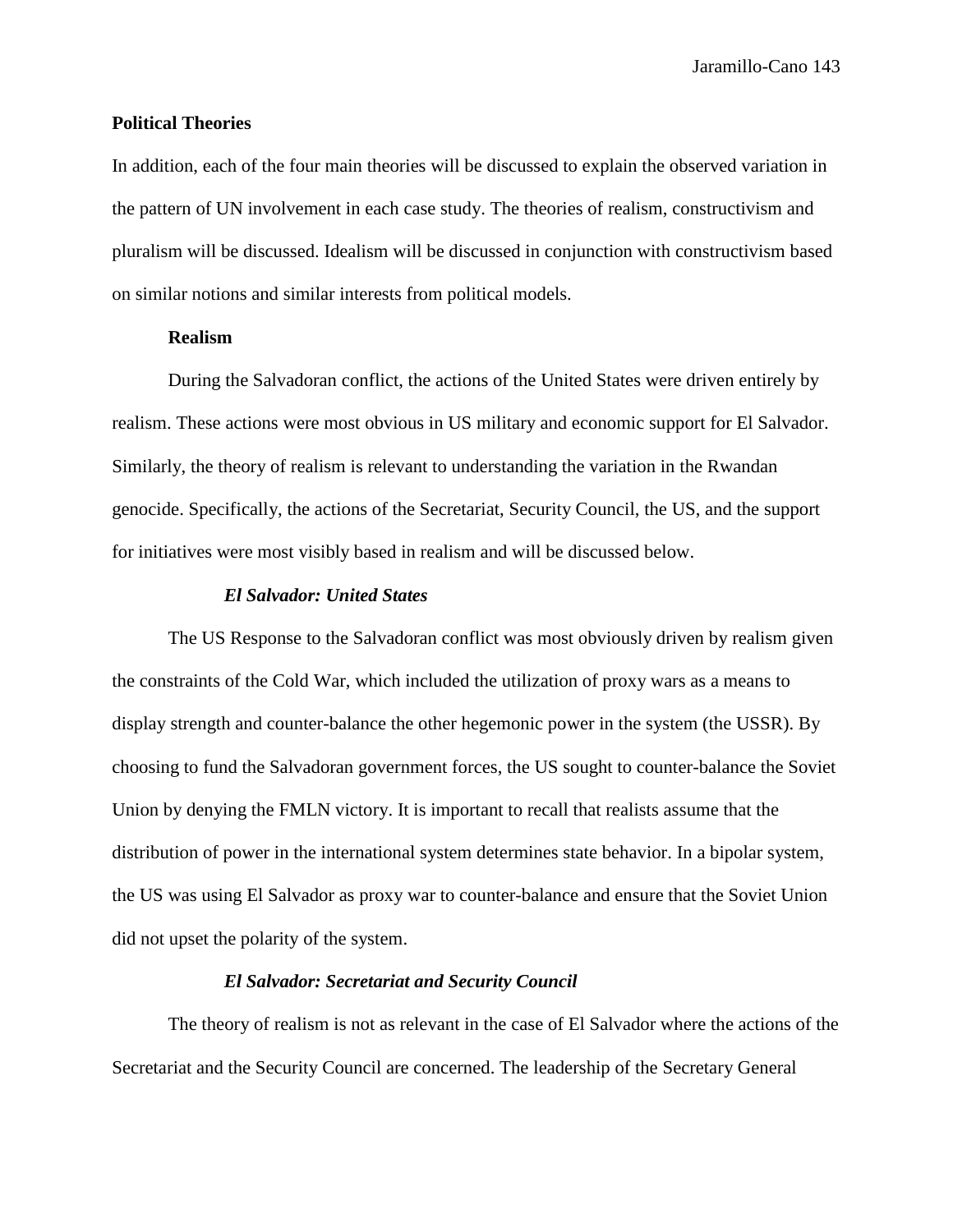# **Political Theories**

In addition, each of the four main theories will be discussed to explain the observed variation in the pattern of UN involvement in each case study. The theories of realism, constructivism and pluralism will be discussed. Idealism will be discussed in conjunction with constructivism based on similar notions and similar interests from political models.

## **Realism**

During the Salvadoran conflict, the actions of the United States were driven entirely by realism. These actions were most obvious in US military and economic support for El Salvador. Similarly, the theory of realism is relevant to understanding the variation in the Rwandan genocide. Specifically, the actions of the Secretariat, Security Council, the US, and the support for initiatives were most visibly based in realism and will be discussed below.

## *El Salvador: United States*

The US Response to the Salvadoran conflict was most obviously driven by realism given the constraints of the Cold War, which included the utilization of proxy wars as a means to display strength and counter-balance the other hegemonic power in the system (the USSR). By choosing to fund the Salvadoran government forces, the US sought to counter-balance the Soviet Union by denying the FMLN victory. It is important to recall that realists assume that the distribution of power in the international system determines state behavior. In a bipolar system, the US was using El Salvador as proxy war to counter-balance and ensure that the Soviet Union did not upset the polarity of the system.

## *El Salvador: Secretariat and Security Council*

The theory of realism is not as relevant in the case of El Salvador where the actions of the Secretariat and the Security Council are concerned. The leadership of the Secretary General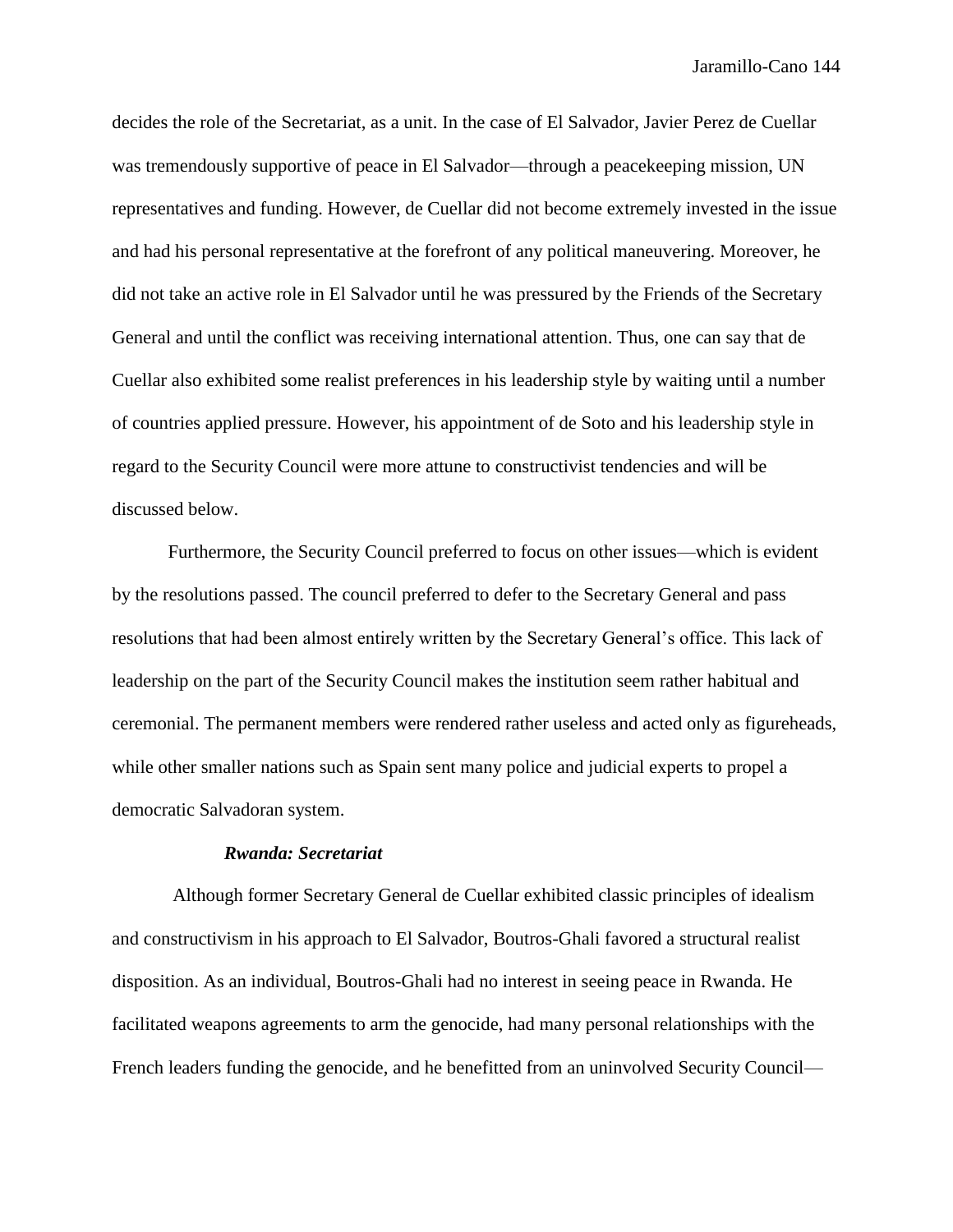decides the role of the Secretariat, as a unit. In the case of El Salvador, Javier Perez de Cuellar was tremendously supportive of peace in El Salvador—through a peacekeeping mission, UN representatives and funding. However, de Cuellar did not become extremely invested in the issue and had his personal representative at the forefront of any political maneuvering. Moreover, he did not take an active role in El Salvador until he was pressured by the Friends of the Secretary General and until the conflict was receiving international attention. Thus, one can say that de Cuellar also exhibited some realist preferences in his leadership style by waiting until a number of countries applied pressure. However, his appointment of de Soto and his leadership style in regard to the Security Council were more attune to constructivist tendencies and will be discussed below.

Furthermore, the Security Council preferred to focus on other issues—which is evident by the resolutions passed. The council preferred to defer to the Secretary General and pass resolutions that had been almost entirely written by the Secretary General's office. This lack of leadership on the part of the Security Council makes the institution seem rather habitual and ceremonial. The permanent members were rendered rather useless and acted only as figureheads, while other smaller nations such as Spain sent many police and judicial experts to propel a democratic Salvadoran system.

## *Rwanda: Secretariat*

Although former Secretary General de Cuellar exhibited classic principles of idealism and constructivism in his approach to El Salvador, Boutros-Ghali favored a structural realist disposition. As an individual, Boutros-Ghali had no interest in seeing peace in Rwanda. He facilitated weapons agreements to arm the genocide, had many personal relationships with the French leaders funding the genocide, and he benefitted from an uninvolved Security Council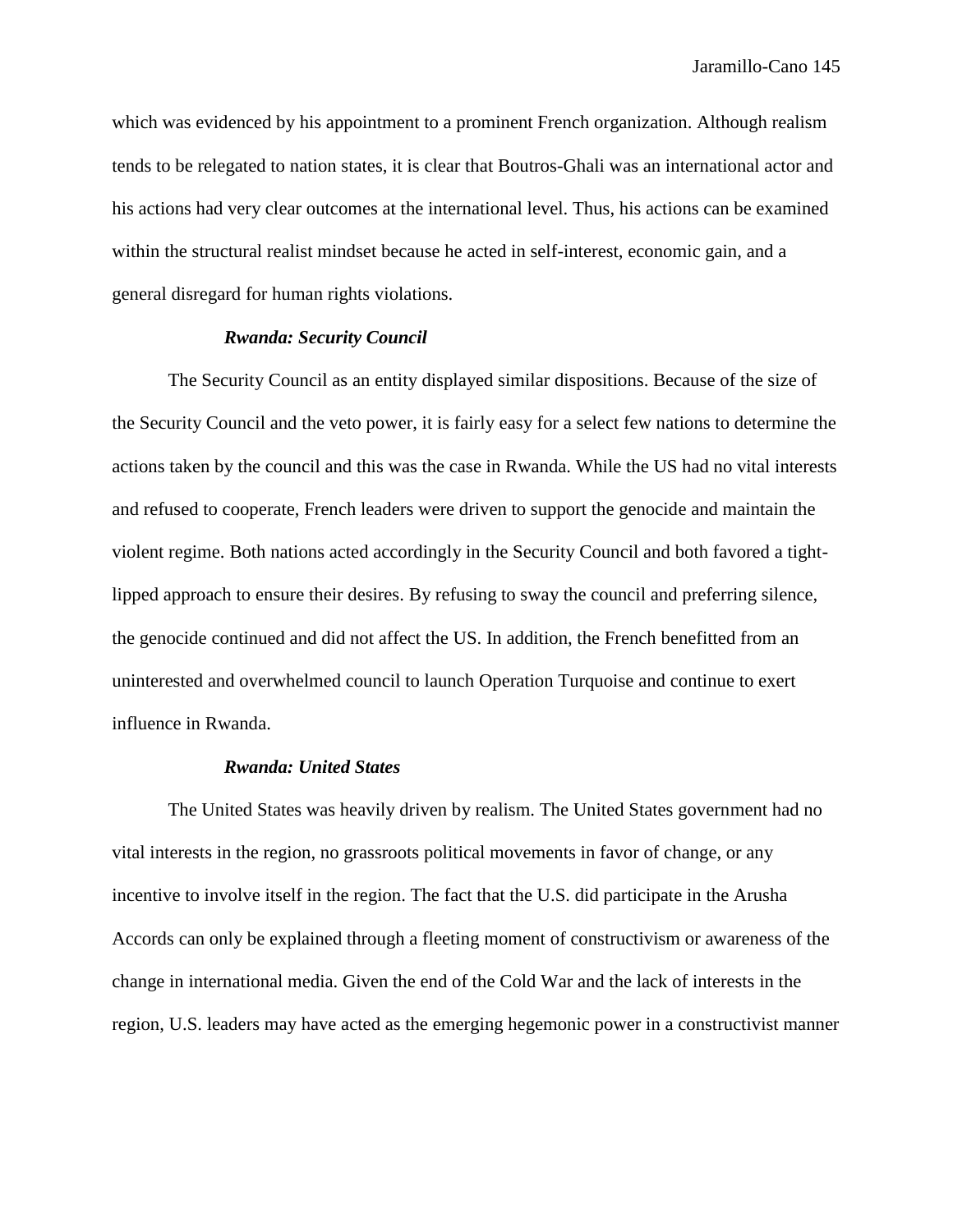which was evidenced by his appointment to a prominent French organization. Although realism tends to be relegated to nation states, it is clear that Boutros-Ghali was an international actor and his actions had very clear outcomes at the international level. Thus, his actions can be examined within the structural realist mindset because he acted in self-interest, economic gain, and a general disregard for human rights violations.

#### *Rwanda: Security Council*

The Security Council as an entity displayed similar dispositions. Because of the size of the Security Council and the veto power, it is fairly easy for a select few nations to determine the actions taken by the council and this was the case in Rwanda. While the US had no vital interests and refused to cooperate, French leaders were driven to support the genocide and maintain the violent regime. Both nations acted accordingly in the Security Council and both favored a tightlipped approach to ensure their desires. By refusing to sway the council and preferring silence, the genocide continued and did not affect the US. In addition, the French benefitted from an uninterested and overwhelmed council to launch Operation Turquoise and continue to exert influence in Rwanda.

#### *Rwanda: United States*

The United States was heavily driven by realism. The United States government had no vital interests in the region, no grassroots political movements in favor of change, or any incentive to involve itself in the region. The fact that the U.S. did participate in the Arusha Accords can only be explained through a fleeting moment of constructivism or awareness of the change in international media. Given the end of the Cold War and the lack of interests in the region, U.S. leaders may have acted as the emerging hegemonic power in a constructivist manner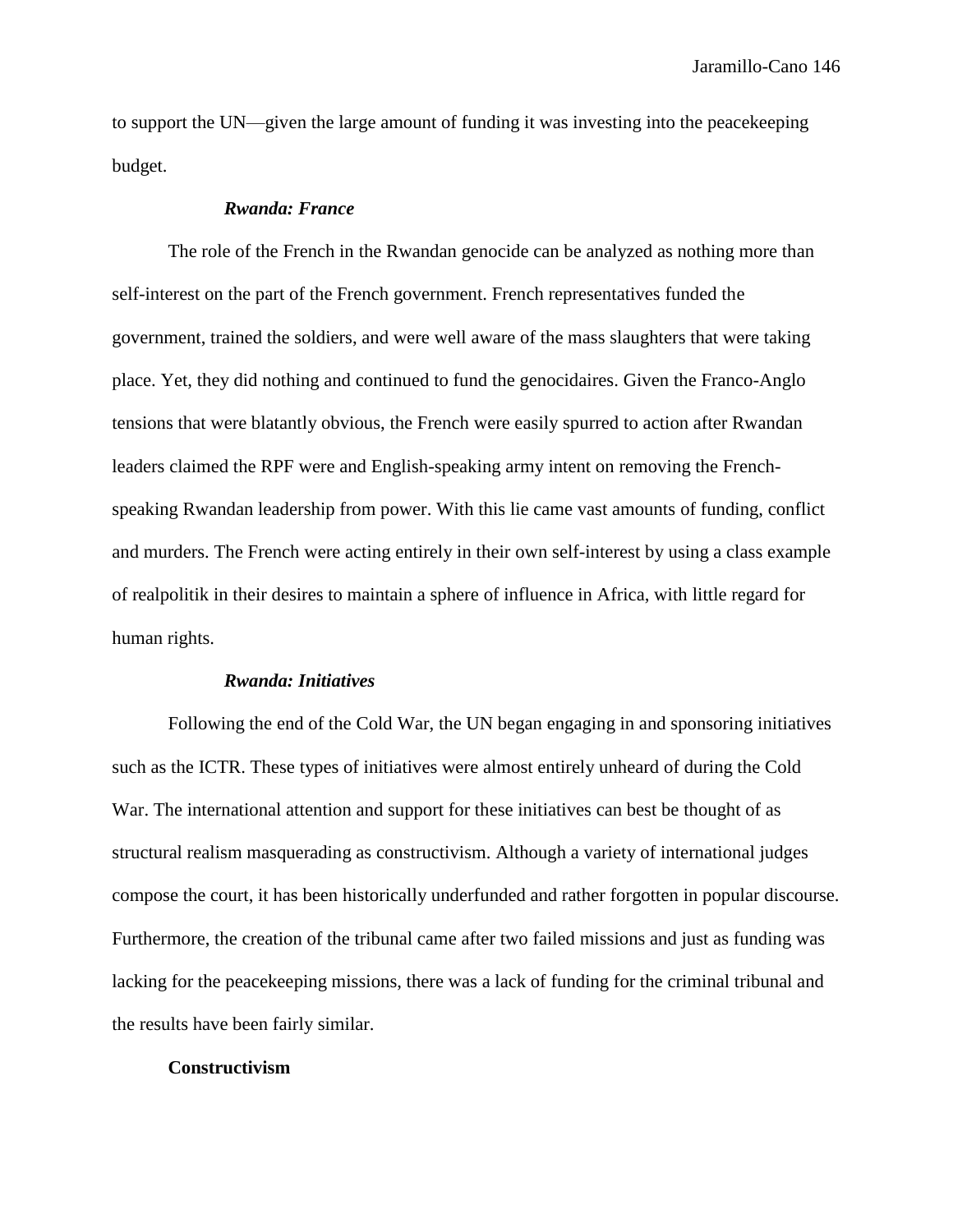to support the UN—given the large amount of funding it was investing into the peacekeeping budget.

# *Rwanda: France*

The role of the French in the Rwandan genocide can be analyzed as nothing more than self-interest on the part of the French government. French representatives funded the government, trained the soldiers, and were well aware of the mass slaughters that were taking place. Yet, they did nothing and continued to fund the genocidaires. Given the Franco-Anglo tensions that were blatantly obvious, the French were easily spurred to action after Rwandan leaders claimed the RPF were and English-speaking army intent on removing the Frenchspeaking Rwandan leadership from power. With this lie came vast amounts of funding, conflict and murders. The French were acting entirely in their own self-interest by using a class example of realpolitik in their desires to maintain a sphere of influence in Africa, with little regard for human rights.

#### *Rwanda: Initiatives*

Following the end of the Cold War, the UN began engaging in and sponsoring initiatives such as the ICTR. These types of initiatives were almost entirely unheard of during the Cold War. The international attention and support for these initiatives can best be thought of as structural realism masquerading as constructivism. Although a variety of international judges compose the court, it has been historically underfunded and rather forgotten in popular discourse. Furthermore, the creation of the tribunal came after two failed missions and just as funding was lacking for the peacekeeping missions, there was a lack of funding for the criminal tribunal and the results have been fairly similar.

#### **Constructivism**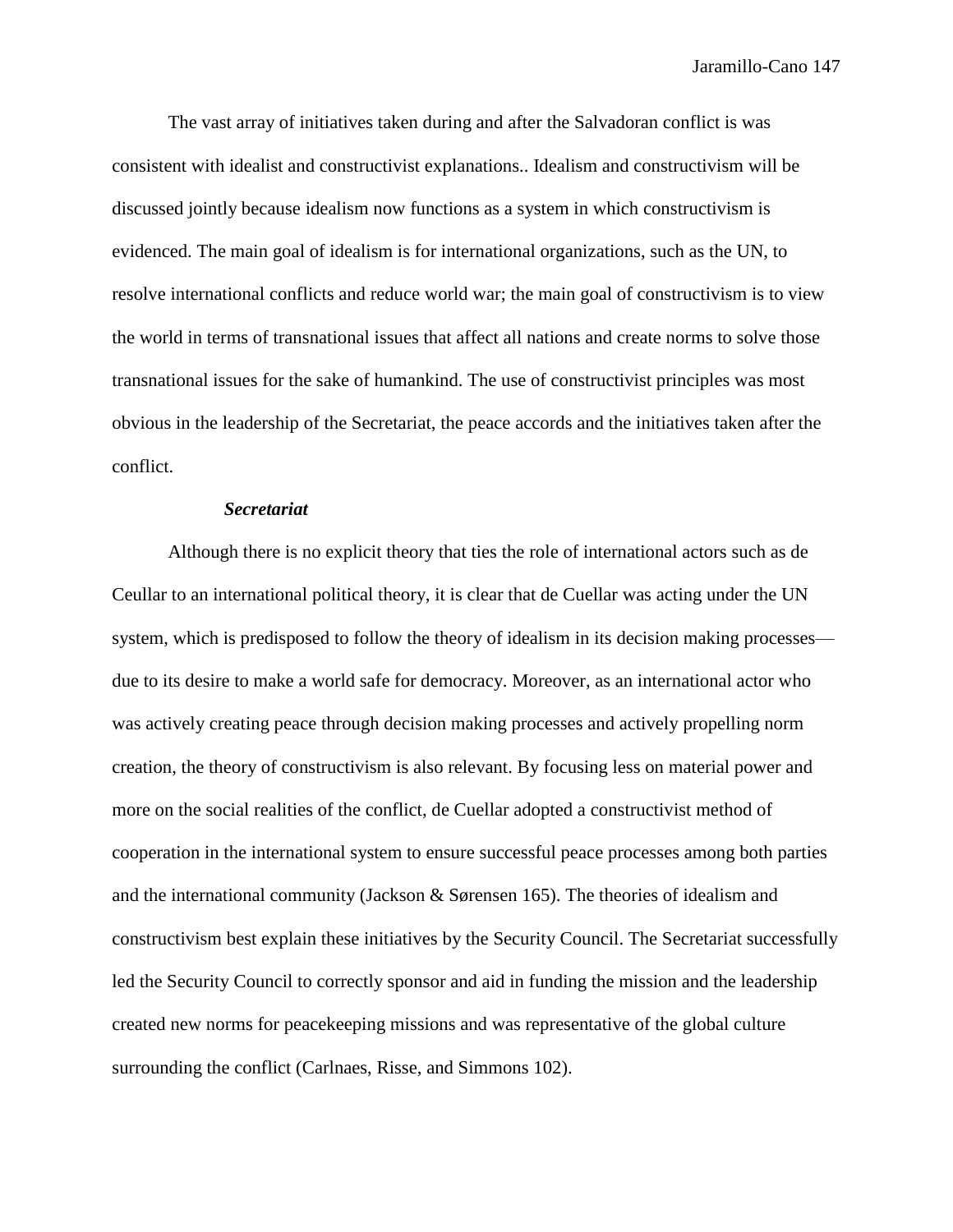The vast array of initiatives taken during and after the Salvadoran conflict is was consistent with idealist and constructivist explanations.. Idealism and constructivism will be discussed jointly because idealism now functions as a system in which constructivism is evidenced. The main goal of idealism is for international organizations, such as the UN, to resolve international conflicts and reduce world war; the main goal of constructivism is to view the world in terms of transnational issues that affect all nations and create norms to solve those transnational issues for the sake of humankind. The use of constructivist principles was most obvious in the leadership of the Secretariat, the peace accords and the initiatives taken after the conflict.

## *Secretariat*

Although there is no explicit theory that ties the role of international actors such as de Ceullar to an international political theory, it is clear that de Cuellar was acting under the UN system, which is predisposed to follow the theory of idealism in its decision making processes due to its desire to make a world safe for democracy. Moreover, as an international actor who was actively creating peace through decision making processes and actively propelling norm creation, the theory of constructivism is also relevant. By focusing less on material power and more on the social realities of the conflict, de Cuellar adopted a constructivist method of cooperation in the international system to ensure successful peace processes among both parties and the international community (Jackson & Sørensen 165). The theories of idealism and constructivism best explain these initiatives by the Security Council. The Secretariat successfully led the Security Council to correctly sponsor and aid in funding the mission and the leadership created new norms for peacekeeping missions and was representative of the global culture surrounding the conflict (Carlnaes, Risse, and Simmons 102).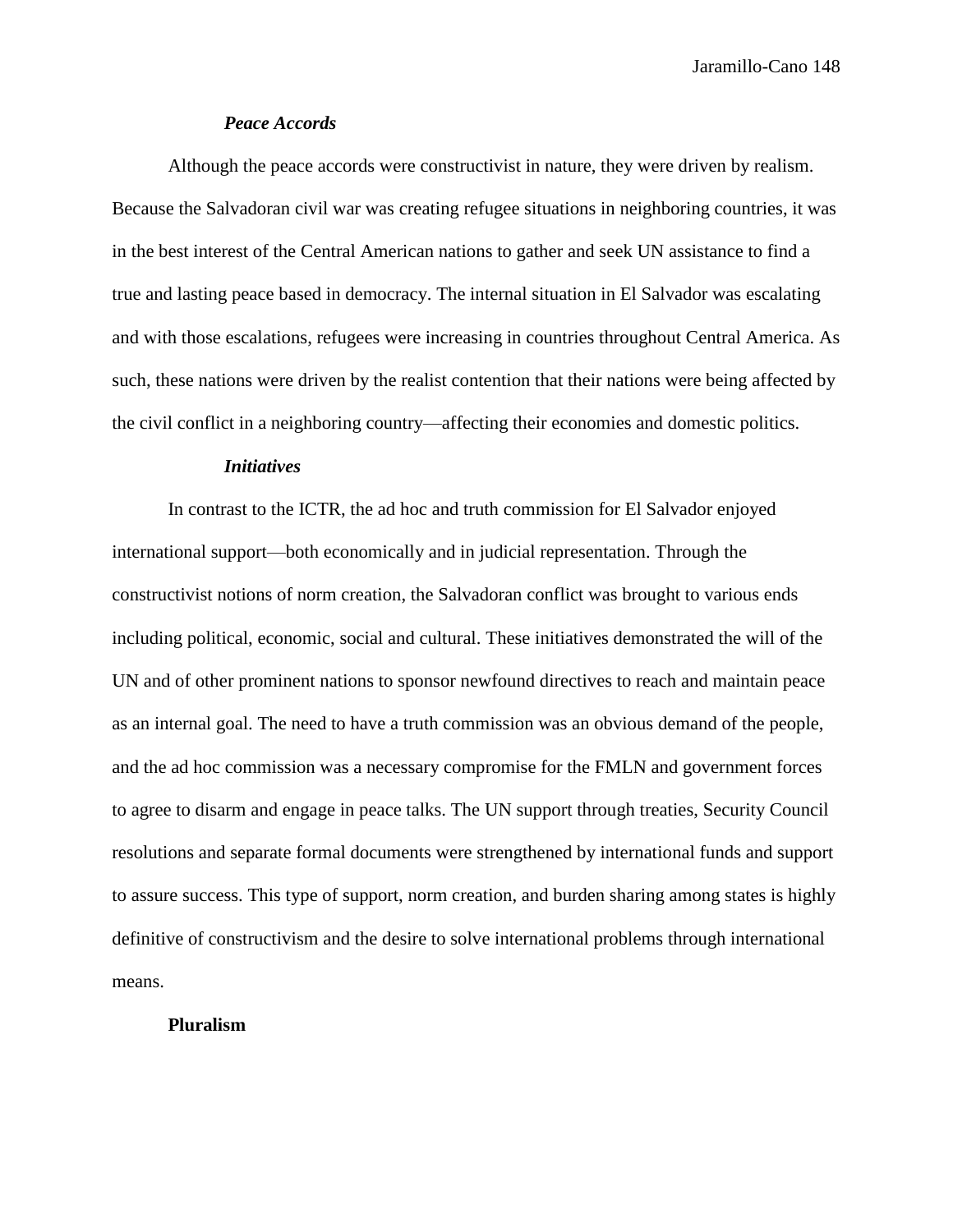## *Peace Accords*

Although the peace accords were constructivist in nature, they were driven by realism. Because the Salvadoran civil war was creating refugee situations in neighboring countries, it was in the best interest of the Central American nations to gather and seek UN assistance to find a true and lasting peace based in democracy. The internal situation in El Salvador was escalating and with those escalations, refugees were increasing in countries throughout Central America. As such, these nations were driven by the realist contention that their nations were being affected by the civil conflict in a neighboring country—affecting their economies and domestic politics.

## *Initiatives*

In contrast to the ICTR, the ad hoc and truth commission for El Salvador enjoyed international support—both economically and in judicial representation. Through the constructivist notions of norm creation, the Salvadoran conflict was brought to various ends including political, economic, social and cultural. These initiatives demonstrated the will of the UN and of other prominent nations to sponsor newfound directives to reach and maintain peace as an internal goal. The need to have a truth commission was an obvious demand of the people, and the ad hoc commission was a necessary compromise for the FMLN and government forces to agree to disarm and engage in peace talks. The UN support through treaties, Security Council resolutions and separate formal documents were strengthened by international funds and support to assure success. This type of support, norm creation, and burden sharing among states is highly definitive of constructivism and the desire to solve international problems through international means.

## **Pluralism**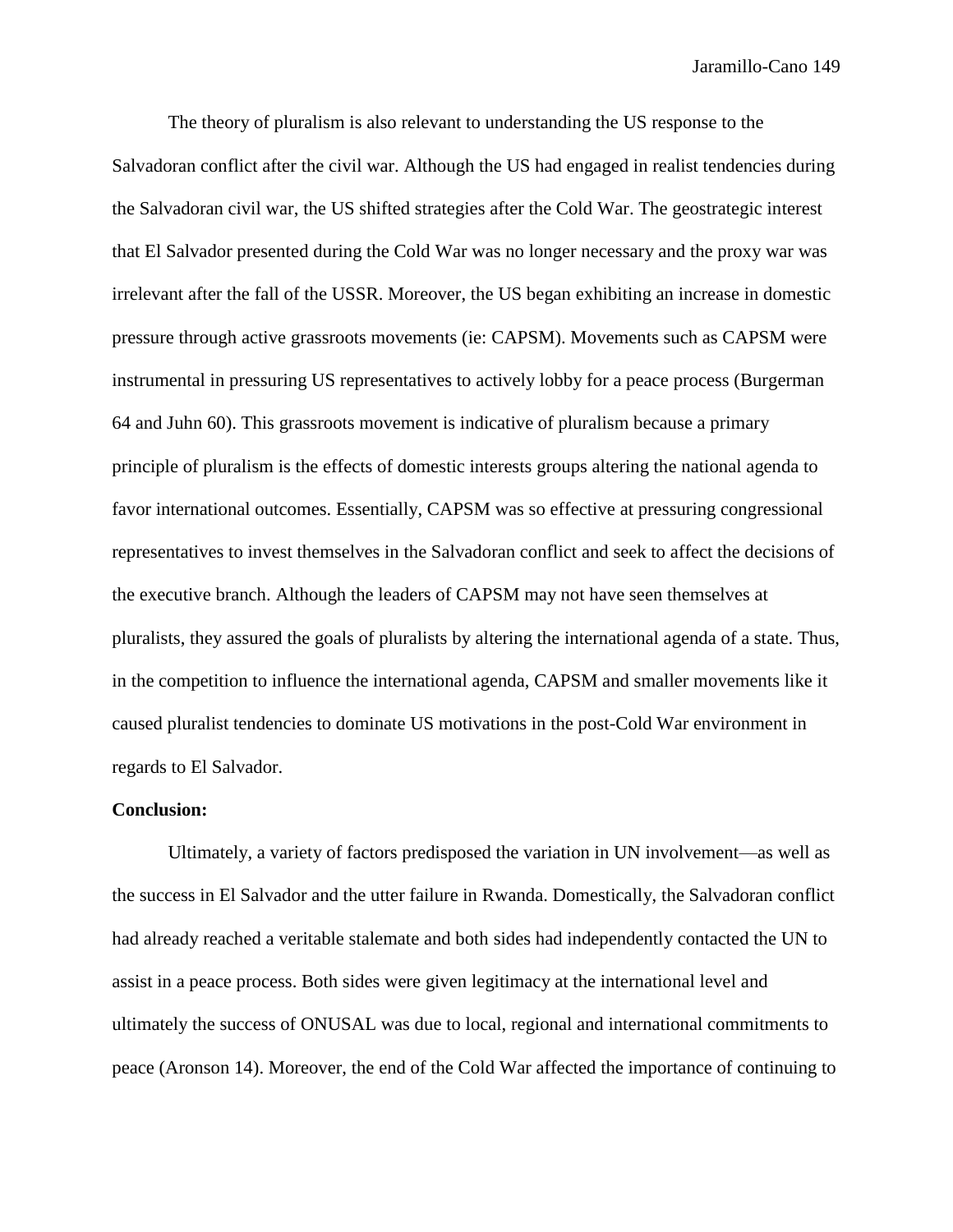The theory of pluralism is also relevant to understanding the US response to the Salvadoran conflict after the civil war. Although the US had engaged in realist tendencies during the Salvadoran civil war, the US shifted strategies after the Cold War. The geostrategic interest that El Salvador presented during the Cold War was no longer necessary and the proxy war was irrelevant after the fall of the USSR. Moreover, the US began exhibiting an increase in domestic pressure through active grassroots movements (ie: CAPSM). Movements such as CAPSM were instrumental in pressuring US representatives to actively lobby for a peace process (Burgerman 64 and Juhn 60). This grassroots movement is indicative of pluralism because a primary principle of pluralism is the effects of domestic interests groups altering the national agenda to favor international outcomes. Essentially, CAPSM was so effective at pressuring congressional representatives to invest themselves in the Salvadoran conflict and seek to affect the decisions of the executive branch. Although the leaders of CAPSM may not have seen themselves at pluralists, they assured the goals of pluralists by altering the international agenda of a state. Thus, in the competition to influence the international agenda, CAPSM and smaller movements like it caused pluralist tendencies to dominate US motivations in the post-Cold War environment in regards to El Salvador.

## **Conclusion:**

Ultimately, a variety of factors predisposed the variation in UN involvement—as well as the success in El Salvador and the utter failure in Rwanda. Domestically, the Salvadoran conflict had already reached a veritable stalemate and both sides had independently contacted the UN to assist in a peace process. Both sides were given legitimacy at the international level and ultimately the success of ONUSAL was due to local, regional and international commitments to peace (Aronson 14). Moreover, the end of the Cold War affected the importance of continuing to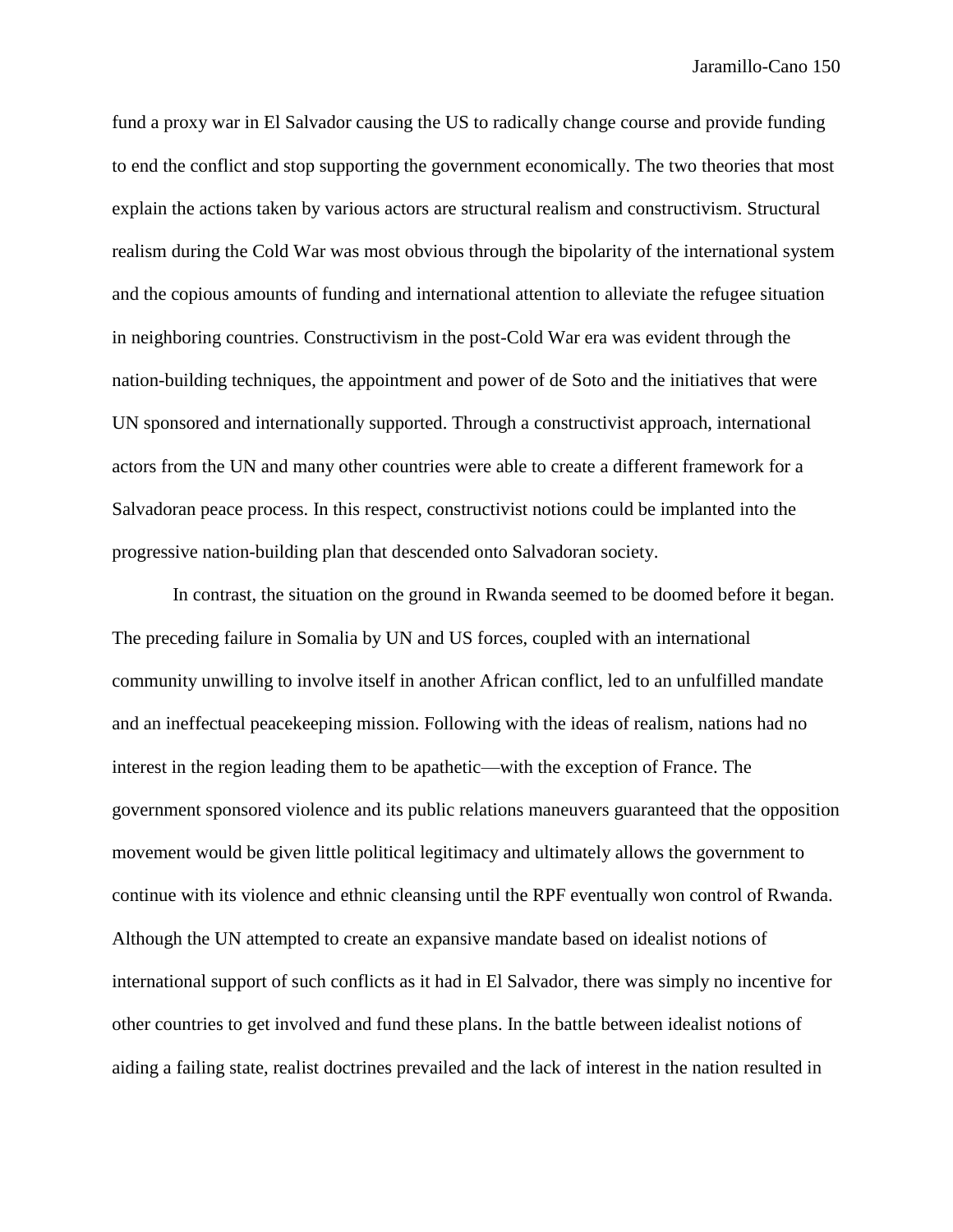fund a proxy war in El Salvador causing the US to radically change course and provide funding to end the conflict and stop supporting the government economically. The two theories that most explain the actions taken by various actors are structural realism and constructivism. Structural realism during the Cold War was most obvious through the bipolarity of the international system and the copious amounts of funding and international attention to alleviate the refugee situation in neighboring countries. Constructivism in the post-Cold War era was evident through the nation-building techniques, the appointment and power of de Soto and the initiatives that were UN sponsored and internationally supported. Through a constructivist approach, international actors from the UN and many other countries were able to create a different framework for a Salvadoran peace process. In this respect, constructivist notions could be implanted into the progressive nation-building plan that descended onto Salvadoran society.

In contrast, the situation on the ground in Rwanda seemed to be doomed before it began. The preceding failure in Somalia by UN and US forces, coupled with an international community unwilling to involve itself in another African conflict, led to an unfulfilled mandate and an ineffectual peacekeeping mission. Following with the ideas of realism, nations had no interest in the region leading them to be apathetic—with the exception of France. The government sponsored violence and its public relations maneuvers guaranteed that the opposition movement would be given little political legitimacy and ultimately allows the government to continue with its violence and ethnic cleansing until the RPF eventually won control of Rwanda. Although the UN attempted to create an expansive mandate based on idealist notions of international support of such conflicts as it had in El Salvador, there was simply no incentive for other countries to get involved and fund these plans. In the battle between idealist notions of aiding a failing state, realist doctrines prevailed and the lack of interest in the nation resulted in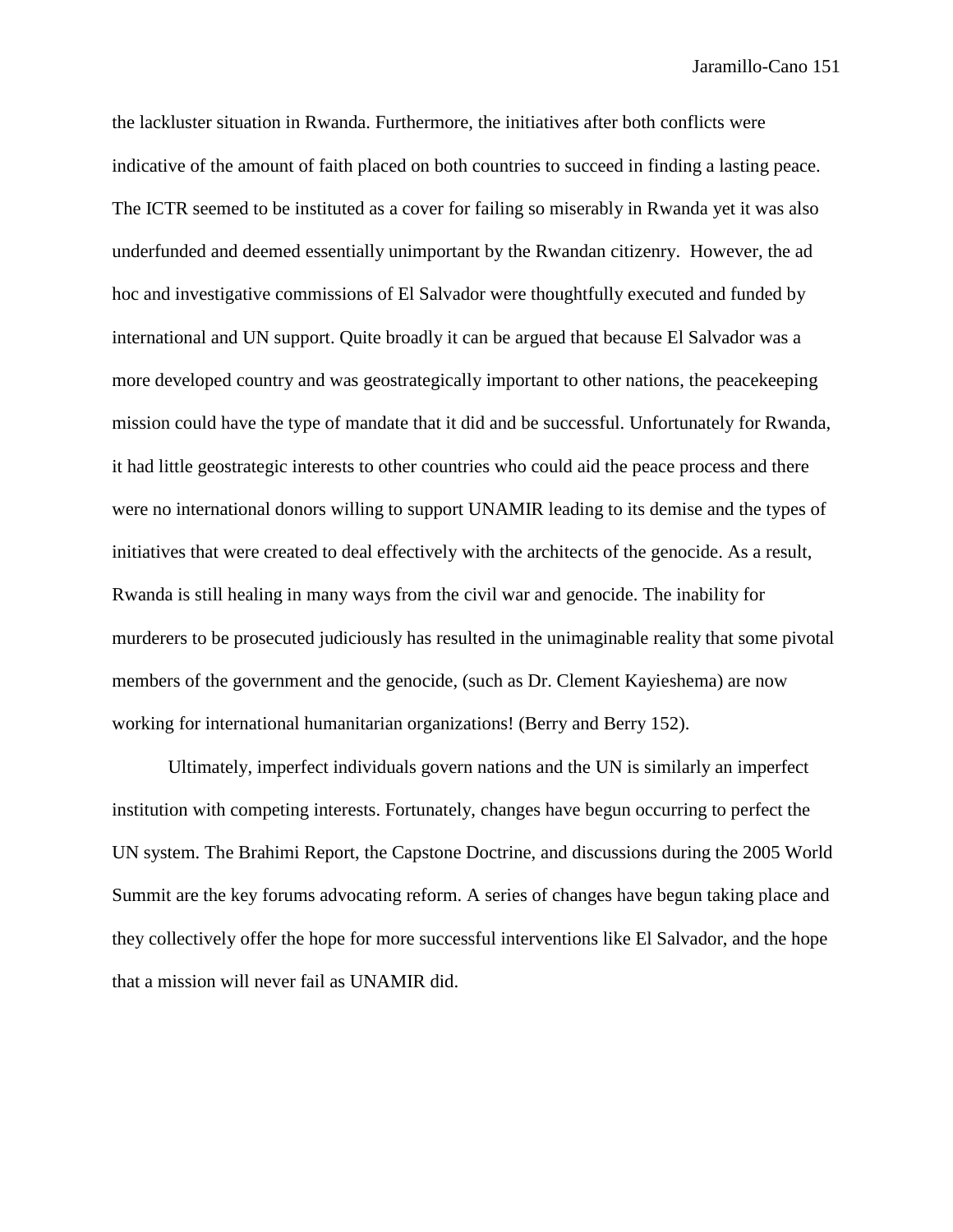the lackluster situation in Rwanda. Furthermore, the initiatives after both conflicts were indicative of the amount of faith placed on both countries to succeed in finding a lasting peace. The ICTR seemed to be instituted as a cover for failing so miserably in Rwanda yet it was also underfunded and deemed essentially unimportant by the Rwandan citizenry. However, the ad hoc and investigative commissions of El Salvador were thoughtfully executed and funded by international and UN support. Quite broadly it can be argued that because El Salvador was a more developed country and was geostrategically important to other nations, the peacekeeping mission could have the type of mandate that it did and be successful. Unfortunately for Rwanda, it had little geostrategic interests to other countries who could aid the peace process and there were no international donors willing to support UNAMIR leading to its demise and the types of initiatives that were created to deal effectively with the architects of the genocide. As a result, Rwanda is still healing in many ways from the civil war and genocide. The inability for murderers to be prosecuted judiciously has resulted in the unimaginable reality that some pivotal members of the government and the genocide, (such as Dr. Clement Kayieshema) are now working for international humanitarian organizations! (Berry and Berry 152).

Ultimately, imperfect individuals govern nations and the UN is similarly an imperfect institution with competing interests. Fortunately, changes have begun occurring to perfect the UN system. The Brahimi Report, the Capstone Doctrine, and discussions during the 2005 World Summit are the key forums advocating reform. A series of changes have begun taking place and they collectively offer the hope for more successful interventions like El Salvador, and the hope that a mission will never fail as UNAMIR did.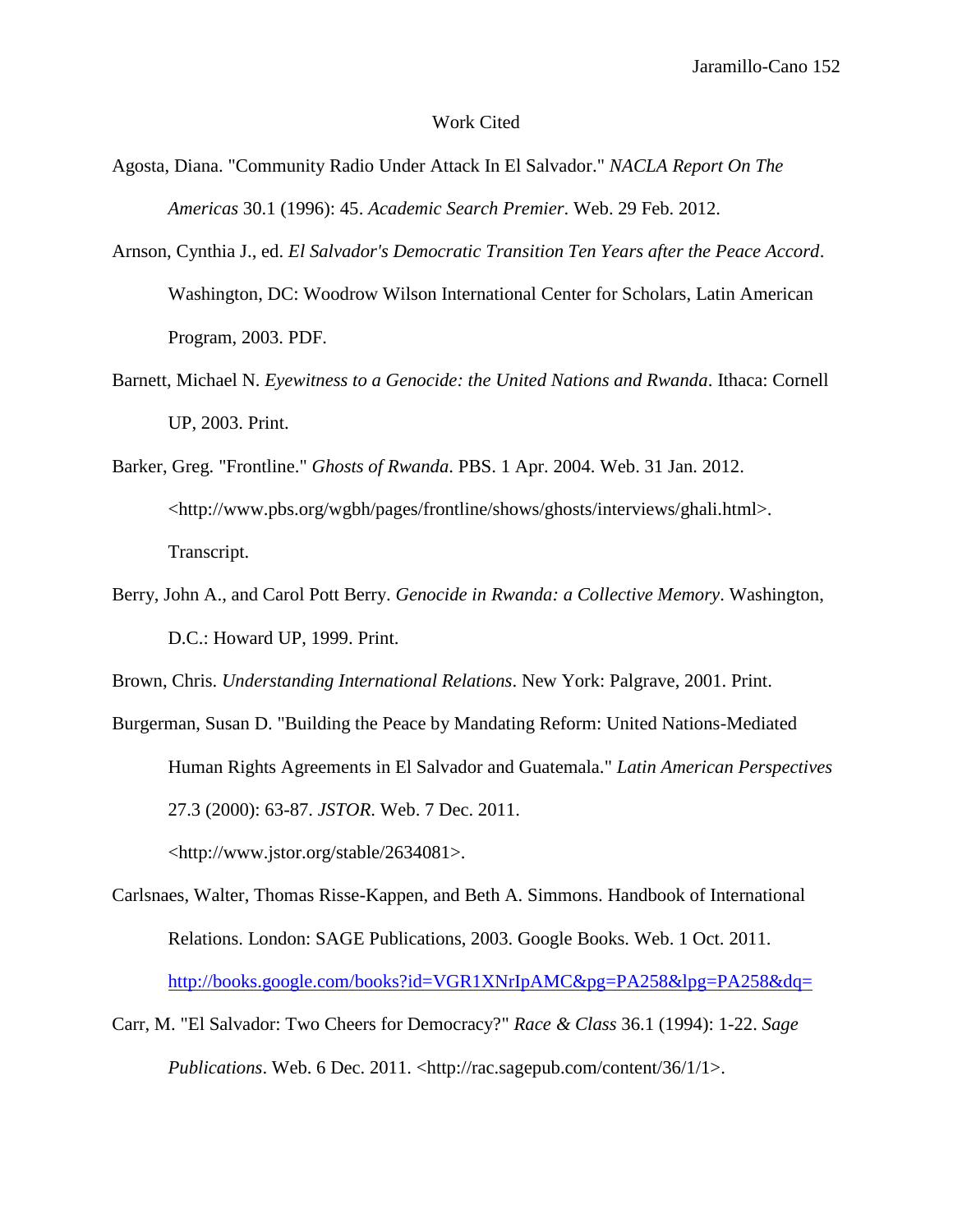#### Work Cited

- Agosta, Diana. "Community Radio Under Attack In El Salvador." *NACLA Report On The Americas* 30.1 (1996): 45. *Academic Search Premier*. Web. 29 Feb. 2012.
- Arnson, Cynthia J., ed. *El Salvador's Democratic Transition Ten Years after the Peace Accord*. Washington, DC: Woodrow Wilson International Center for Scholars, Latin American Program, 2003. PDF.
- Barnett, Michael N. *Eyewitness to a Genocide: the United Nations and Rwanda*. Ithaca: Cornell UP, 2003. Print.
- Barker, Greg. "Frontline." *Ghosts of Rwanda*. PBS. 1 Apr. 2004. Web. 31 Jan. 2012. <http://www.pbs.org/wgbh/pages/frontline/shows/ghosts/interviews/ghali.html>. Transcript.
- Berry, John A., and Carol Pott Berry. *Genocide in Rwanda: a Collective Memory*. Washington, D.C.: Howard UP, 1999. Print.

Brown, Chris. *Understanding International Relations*. New York: Palgrave, 2001. Print.

Burgerman, Susan D. "Building the Peace by Mandating Reform: United Nations-Mediated Human Rights Agreements in El Salvador and Guatemala." *Latin American Perspectives* 27.3 (2000): 63-87. *JSTOR*. Web. 7 Dec. 2011.

<http://www.jstor.org/stable/2634081>.

- Carlsnaes, Walter, Thomas Risse-Kappen, and Beth A. Simmons. Handbook of International Relations. London: SAGE Publications, 2003. Google Books. Web. 1 Oct. 2011. <http://books.google.com/books?id=VGR1XNrIpAMC&pg=PA258&lpg=PA258&dq=>
- Carr, M. "El Salvador: Two Cheers for Democracy?" *Race & Class* 36.1 (1994): 1-22. *Sage Publications*. Web. 6 Dec. 2011. <http://rac.sagepub.com/content/36/1/1>.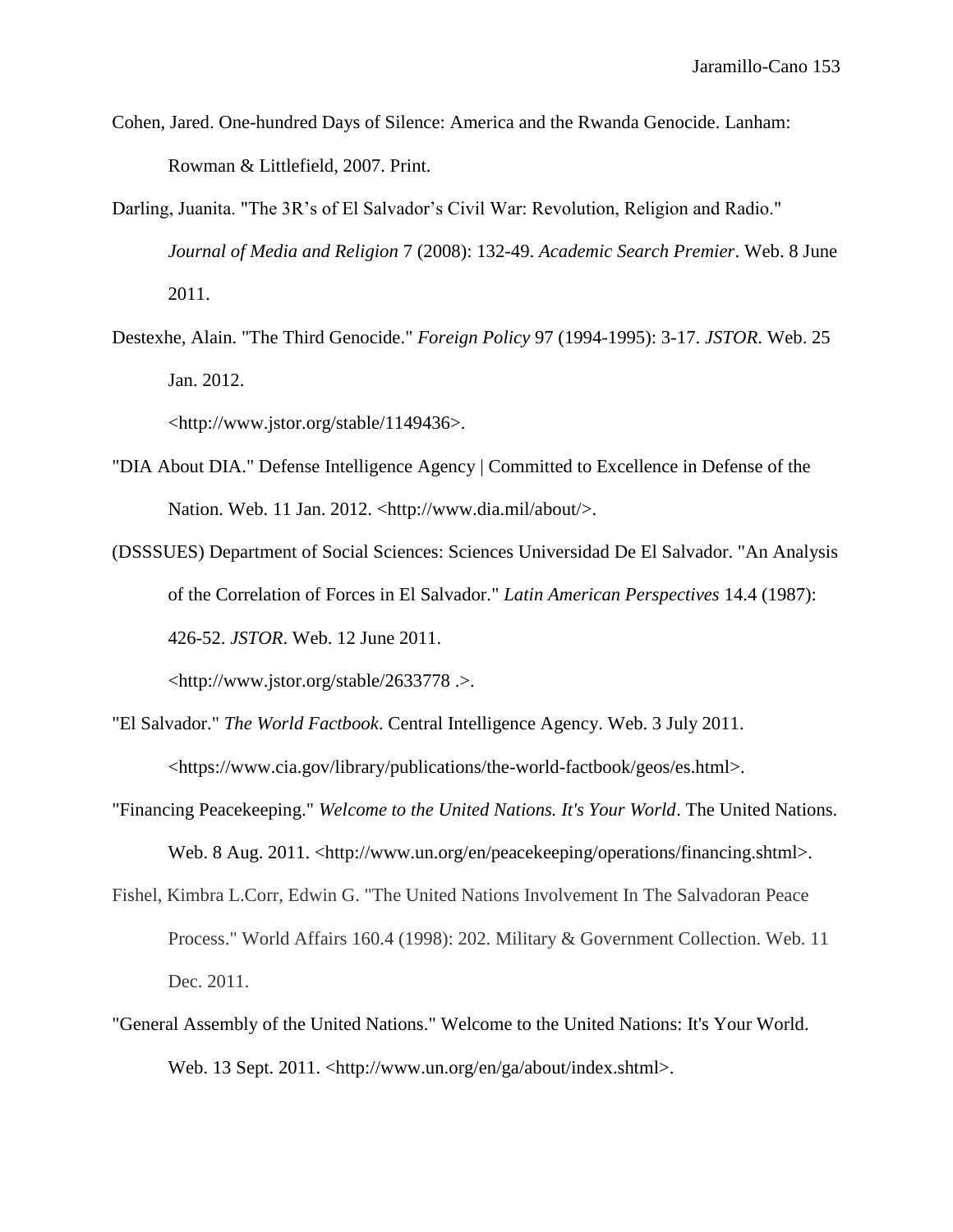- Cohen, Jared. One-hundred Days of Silence: America and the Rwanda Genocide. Lanham: Rowman & Littlefield, 2007. Print.
- Darling, Juanita. "The 3R's of El Salvador's Civil War: Revolution, Religion and Radio." *Journal of Media and Religion* 7 (2008): 132-49. *Academic Search Premier*. Web. 8 June 2011.
- Destexhe, Alain. "The Third Genocide." *Foreign Policy* 97 (1994-1995): 3-17. *JSTOR*. Web. 25 Jan. 2012.

<http://www.jstor.org/stable/1149436>.

- "DIA About DIA." Defense Intelligence Agency | Committed to Excellence in Defense of the Nation. Web. 11 Jan. 2012. <http://www.dia.mil/about/>.
- (DSSSUES) Department of Social Sciences: Sciences Universidad De El Salvador. "An Analysis of the Correlation of Forces in El Salvador." *Latin American Perspectives* 14.4 (1987): 426-52. *JSTOR*. Web. 12 June 2011.

<http://www.jstor.org/stable/2633778 .>.

- "El Salvador." *The World Factbook*. Central Intelligence Agency. Web. 3 July 2011. <https://www.cia.gov/library/publications/the-world-factbook/geos/es.html>.
- "Financing Peacekeeping." *Welcome to the United Nations. It's Your World*. The United Nations. Web. 8 Aug. 2011. <http://www.un.org/en/peacekeeping/operations/financing.shtml>.
- Fishel, Kimbra L.Corr, Edwin G. "The United Nations Involvement In The Salvadoran Peace Process." World Affairs 160.4 (1998): 202. Military & Government Collection. Web. 11 Dec. 2011.
- "General Assembly of the United Nations." Welcome to the United Nations: It's Your World. Web. 13 Sept. 2011. <http://www.un.org/en/ga/about/index.shtml>.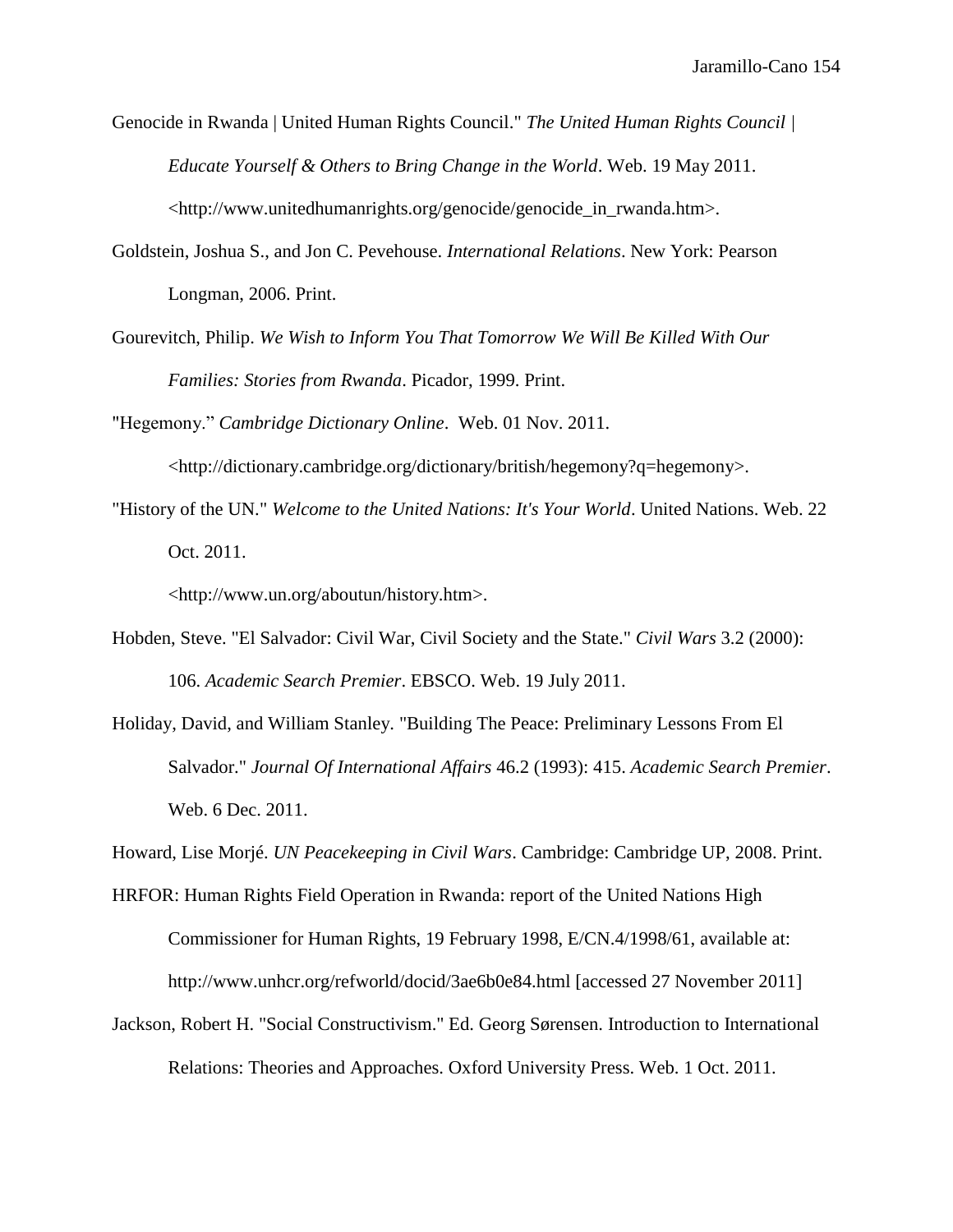Genocide in Rwanda | United Human Rights Council." *The United Human Rights Council | Educate Yourself & Others to Bring Change in the World*. Web. 19 May 2011. <http://www.unitedhumanrights.org/genocide/genocide\_in\_rwanda.htm>.

- Goldstein, Joshua S., and Jon C. Pevehouse. *International Relations*. New York: Pearson Longman, 2006. Print.
- Gourevitch, Philip. *We Wish to Inform You That Tomorrow We Will Be Killed With Our Families: Stories from Rwanda*. Picador, 1999. Print.

"Hegemony." *Cambridge Dictionary Online*. Web. 01 Nov. 2011.

<http://dictionary.cambridge.org/dictionary/british/hegemony?q=hegemony>.

"History of the UN." *Welcome to the United Nations: It's Your World*. United Nations. Web. 22 Oct. 2011.

<http://www.un.org/aboutun/history.htm>.

- Hobden, Steve. "El Salvador: Civil War, Civil Society and the State." *Civil Wars* 3.2 (2000): 106. *Academic Search Premier*. EBSCO. Web. 19 July 2011.
- Holiday, David, and William Stanley. "Building The Peace: Preliminary Lessons From El Salvador." *Journal Of International Affairs* 46.2 (1993): 415. *Academic Search Premier*. Web. 6 Dec. 2011.

Howard, Lise Morjé. *UN Peacekeeping in Civil Wars*. Cambridge: Cambridge UP, 2008. Print.

- HRFOR: Human Rights Field Operation in Rwanda: report of the United Nations High Commissioner for Human Rights, 19 February 1998, E/CN.4/1998/61, available at: http://www.unhcr.org/refworld/docid/3ae6b0e84.html [accessed 27 November 2011]
- Jackson, Robert H. "Social Constructivism." Ed. Georg Sørensen. Introduction to International Relations: Theories and Approaches. Oxford University Press. Web. 1 Oct. 2011.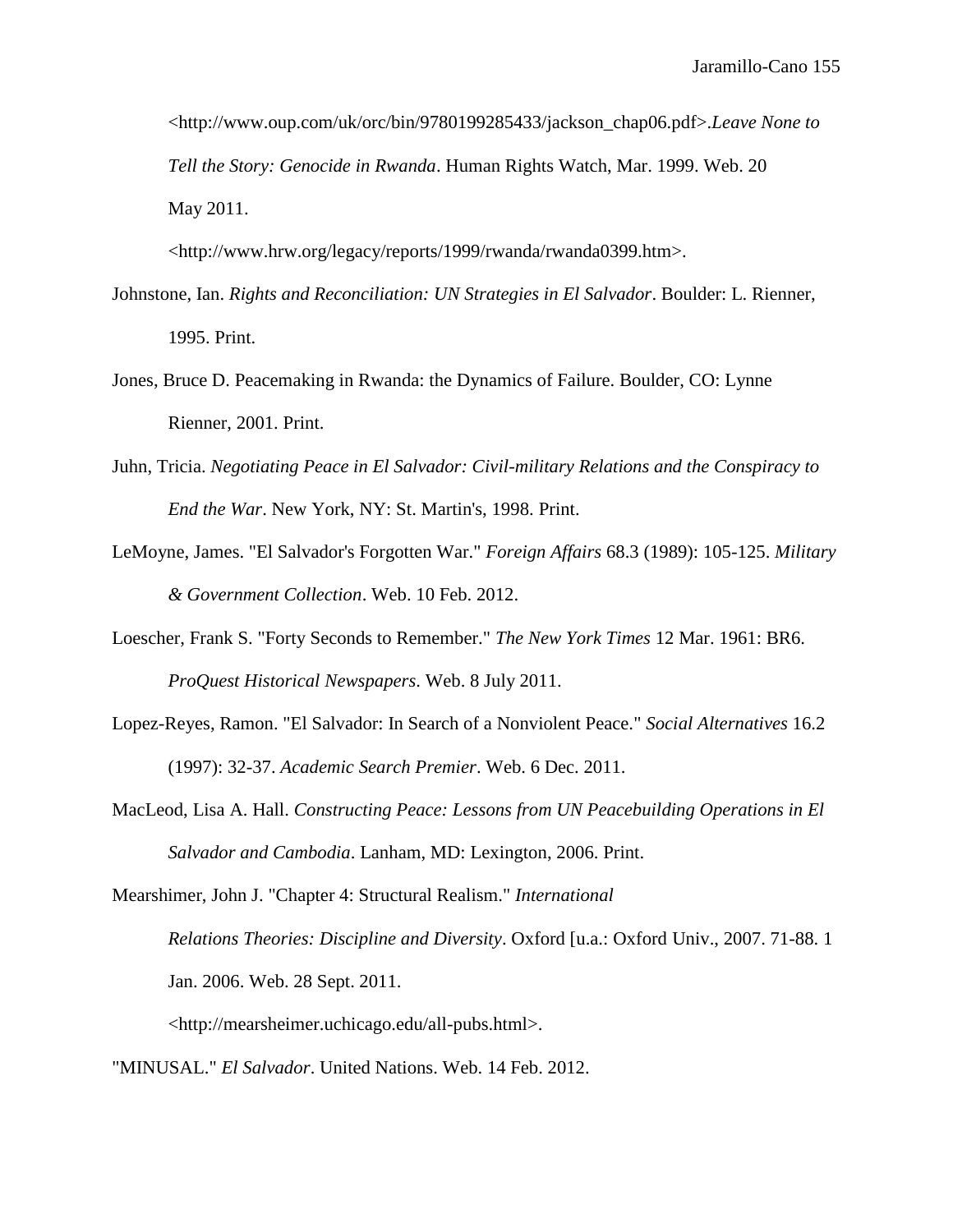<http://www.oup.com/uk/orc/bin/9780199285433/jackson\_chap06.pdf>.*Leave None to Tell the Story: Genocide in Rwanda*. Human Rights Watch, Mar. 1999. Web. 20 May 2011.

<http://www.hrw.org/legacy/reports/1999/rwanda/rwanda0399.htm>.

- Johnstone, Ian. *Rights and Reconciliation: UN Strategies in El Salvador*. Boulder: L. Rienner, 1995. Print.
- Jones, Bruce D. Peacemaking in Rwanda: the Dynamics of Failure. Boulder, CO: Lynne Rienner, 2001. Print.
- Juhn, Tricia. *Negotiating Peace in El Salvador: Civil-military Relations and the Conspiracy to End the War*. New York, NY: St. Martin's, 1998. Print.
- LeMoyne, James. "El Salvador's Forgotten War." *Foreign Affairs* 68.3 (1989): 105-125. *Military & Government Collection*. Web. 10 Feb. 2012.
- Loescher, Frank S. "Forty Seconds to Remember." *The New York Times* 12 Mar. 1961: BR6. *ProQuest Historical Newspapers*. Web. 8 July 2011.
- Lopez-Reyes, Ramon. "El Salvador: In Search of a Nonviolent Peace." *Social Alternatives* 16.2 (1997): 32-37. *Academic Search Premier*. Web. 6 Dec. 2011.
- MacLeod, Lisa A. Hall. *Constructing Peace: Lessons from UN Peacebuilding Operations in El Salvador and Cambodia*. Lanham, MD: Lexington, 2006. Print.

Mearshimer, John J. "Chapter 4: Structural Realism." *International Relations Theories: Discipline and Diversity*. Oxford [u.a.: Oxford Univ., 2007. 71-88. 1 Jan. 2006. Web. 28 Sept. 2011.

<http://mearsheimer.uchicago.edu/all-pubs.html>.

"MINUSAL." *El Salvador*. United Nations. Web. 14 Feb. 2012.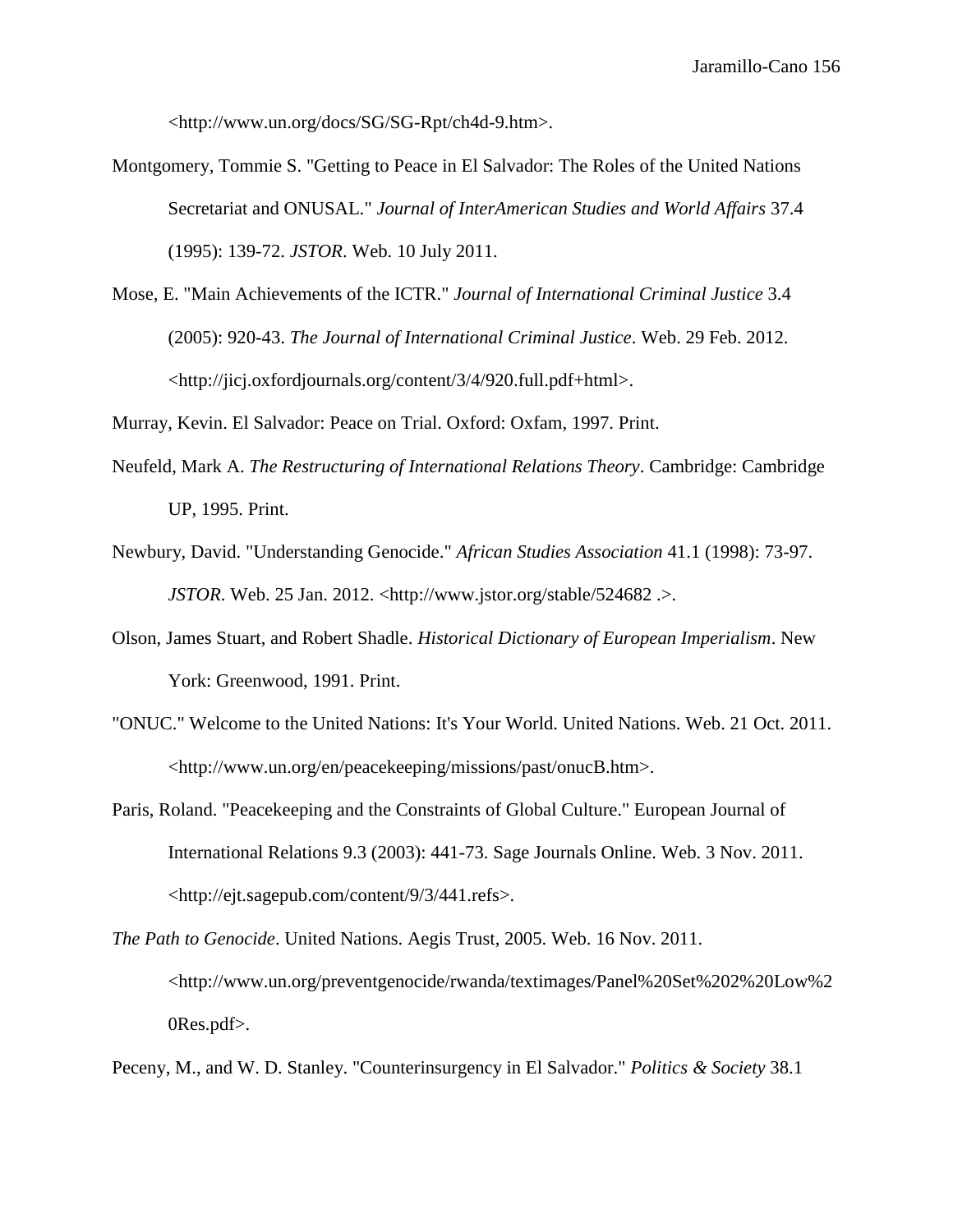<http://www.un.org/docs/SG/SG-Rpt/ch4d-9.htm>.

- Montgomery, Tommie S. "Getting to Peace in El Salvador: The Roles of the United Nations Secretariat and ONUSAL." *Journal of InterAmerican Studies and World Affairs* 37.4 (1995): 139-72. *JSTOR*. Web. 10 July 2011.
- Mose, E. "Main Achievements of the ICTR." *Journal of International Criminal Justice* 3.4 (2005): 920-43. *The Journal of International Criminal Justice*. Web. 29 Feb. 2012. <http://jicj.oxfordjournals.org/content/3/4/920.full.pdf+html>.

Murray, Kevin. El Salvador: Peace on Trial. Oxford: Oxfam, 1997. Print.

- Neufeld, Mark A. *The Restructuring of International Relations Theory*. Cambridge: Cambridge UP, 1995. Print.
- Newbury, David. "Understanding Genocide." *African Studies Association* 41.1 (1998): 73-97. *JSTOR*. Web. 25 Jan. 2012. <http://www.jstor.org/stable/524682 .>.
- Olson, James Stuart, and Robert Shadle. *Historical Dictionary of European Imperialism*. New York: Greenwood, 1991. Print.
- "ONUC." Welcome to the United Nations: It's Your World. United Nations. Web. 21 Oct. 2011. <http://www.un.org/en/peacekeeping/missions/past/onucB.htm>.
- Paris, Roland. "Peacekeeping and the Constraints of Global Culture." European Journal of International Relations 9.3 (2003): 441-73. Sage Journals Online. Web. 3 Nov. 2011. <http://ejt.sagepub.com/content/9/3/441.refs>.
- *The Path to Genocide*. United Nations. Aegis Trust, 2005. Web. 16 Nov. 2011. <http://www.un.org/preventgenocide/rwanda/textimages/Panel%20Set%202%20Low%2 0Res.pdf>.

Peceny, M., and W. D. Stanley. "Counterinsurgency in El Salvador." *Politics & Society* 38.1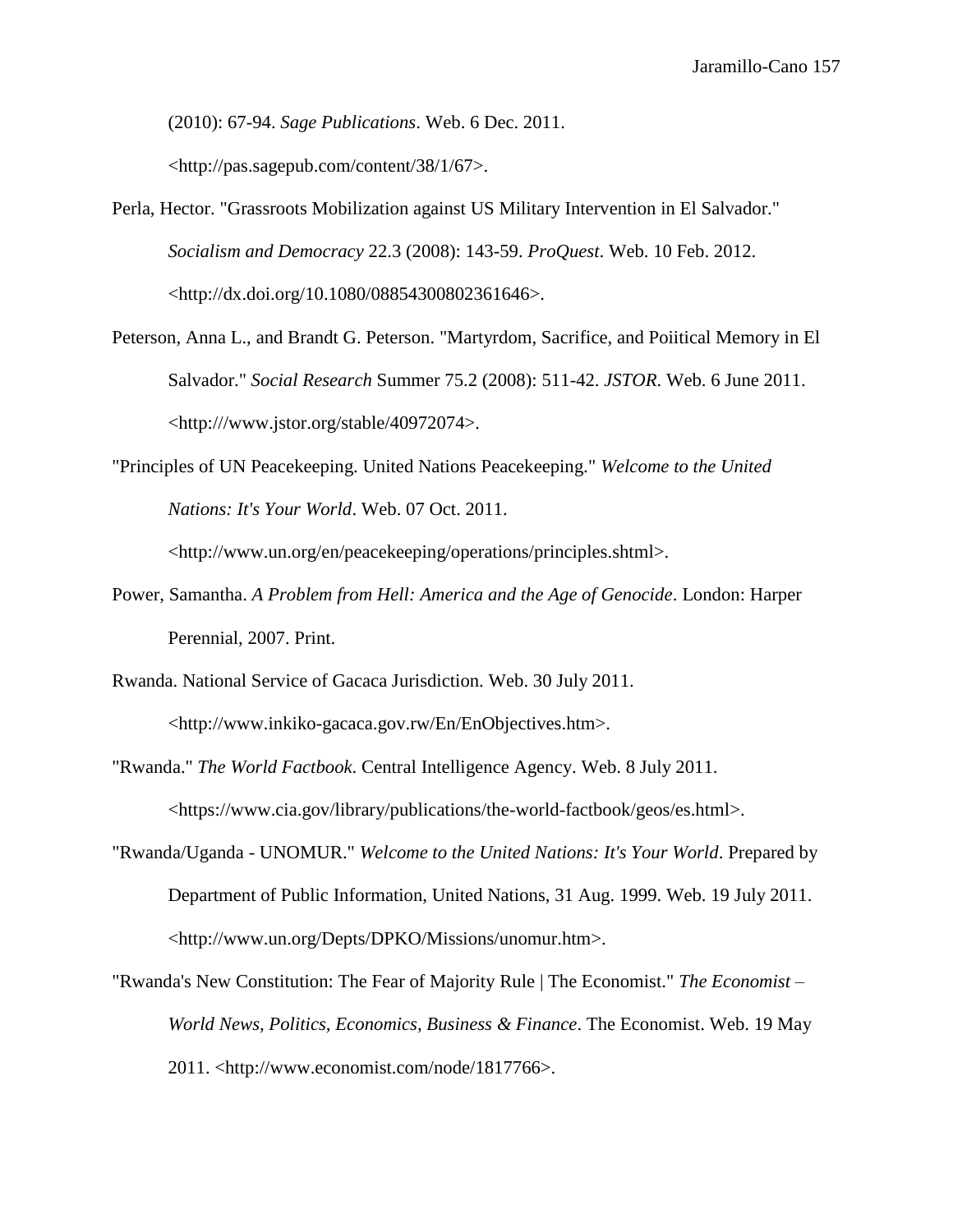(2010): 67-94. *Sage Publications*. Web. 6 Dec. 2011.

<http://pas.sagepub.com/content/38/1/67>.

- Perla, Hector. "Grassroots Mobilization against US Military Intervention in El Salvador." *Socialism and Democracy* 22.3 (2008): 143-59. *ProQuest*. Web. 10 Feb. 2012. <http://dx.doi.org/10.1080/08854300802361646>.
- Peterson, Anna L., and Brandt G. Peterson. "Martyrdom, Sacrifice, and Poiitical Memory in El Salvador." *Social Research* Summer 75.2 (2008): 511-42. *JSTOR*. Web. 6 June 2011. <http:///www.jstor.org/stable/40972074>.
- "Principles of UN Peacekeeping. United Nations Peacekeeping." *Welcome to the United Nations: It's Your World*. Web. 07 Oct. 2011.

<http://www.un.org/en/peacekeeping/operations/principles.shtml>.

- Power, Samantha. *A Problem from Hell: America and the Age of Genocide*. London: Harper Perennial, 2007. Print.
- Rwanda. National Service of Gacaca Jurisdiction. Web. 30 July 2011.

<http://www.inkiko-gacaca.gov.rw/En/EnObjectives.htm>.

"Rwanda." *The World Factbook*. Central Intelligence Agency. Web. 8 July 2011. <https://www.cia.gov/library/publications/the-world-factbook/geos/es.html>.

- "Rwanda/Uganda UNOMUR." *Welcome to the United Nations: It's Your World*. Prepared by Department of Public Information, United Nations, 31 Aug. 1999. Web. 19 July 2011. <http://www.un.org/Depts/DPKO/Missions/unomur.htm>.
- "Rwanda's New Constitution: The Fear of Majority Rule | The Economist." *The Economist – World News, Politics, Economics, Business & Finance*. The Economist. Web. 19 May 2011. <http://www.economist.com/node/1817766>.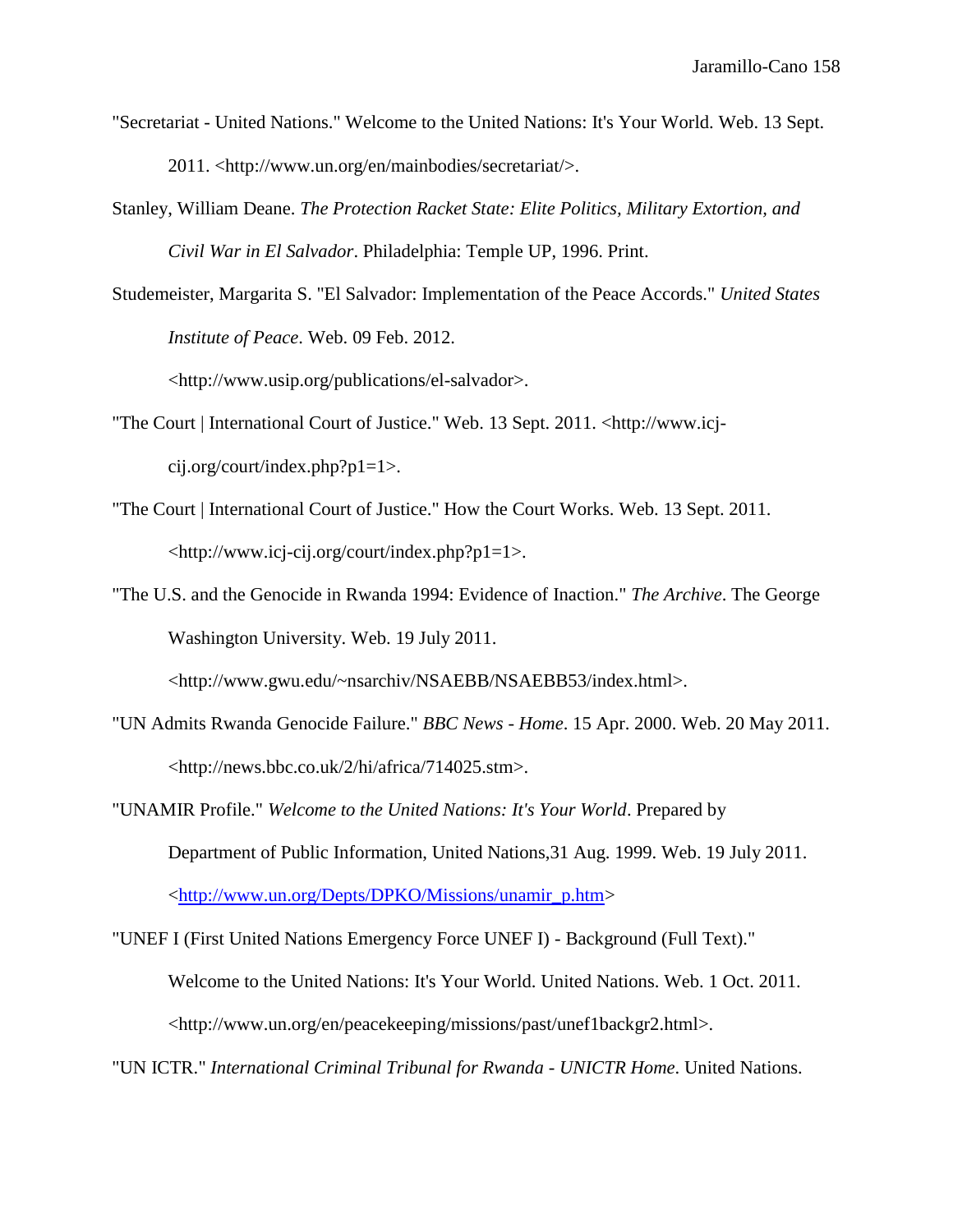- "Secretariat United Nations." Welcome to the United Nations: It's Your World. Web. 13 Sept. 2011. <http://www.un.org/en/mainbodies/secretariat/>.
- Stanley, William Deane. *The Protection Racket State: Elite Politics, Military Extortion, and Civil War in El Salvador*. Philadelphia: Temple UP, 1996. Print.
- Studemeister, Margarita S. "El Salvador: Implementation of the Peace Accords." *United States Institute of Peace*. Web. 09 Feb. 2012.

<http://www.usip.org/publications/el-salvador>.

- "The Court | International Court of Justice." Web. 13 Sept. 2011. <http://www.icjcij.org/court/index.php?p1=1>.
- "The Court | International Court of Justice." How the Court Works. Web. 13 Sept. 2011. <http://www.icj-cij.org/court/index.php?p1=1>.
- "The U.S. and the Genocide in Rwanda 1994: Evidence of Inaction." *The Archive*. The George Washington University. Web. 19 July 2011.

<http://www.gwu.edu/~nsarchiv/NSAEBB/NSAEBB53/index.html>.

- "UN Admits Rwanda Genocide Failure." *BBC News - Home*. 15 Apr. 2000. Web. 20 May 2011. <http://news.bbc.co.uk/2/hi/africa/714025.stm>.
- "UNAMIR Profile." *Welcome to the United Nations: It's Your World*. Prepared by Department of Public Information, United Nations,31 Aug. 1999. Web. 19 July 2011. [<http://www.un.org/Depts/DPKO/Missions/unamir\\_p.htm>](http://www.un.org/Depts/DPKO/Missions/unamir_p.htm)
- "UNEF I (First United Nations Emergency Force UNEF I) Background (Full Text)." Welcome to the United Nations: It's Your World. United Nations. Web. 1 Oct. 2011. <http://www.un.org/en/peacekeeping/missions/past/unef1backgr2.html>.

"UN ICTR." *International Criminal Tribunal for Rwanda - UNICTR Home*. United Nations.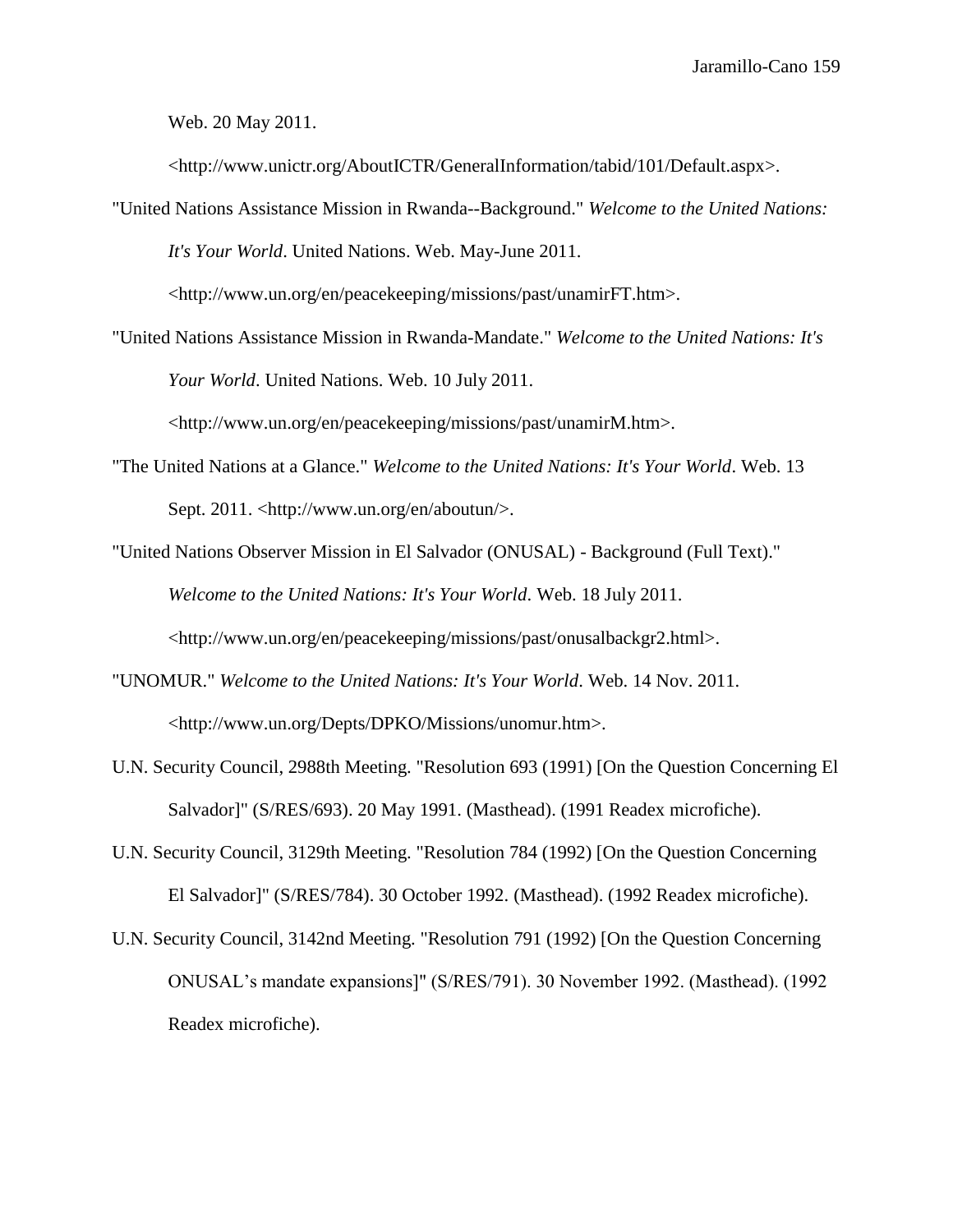Web. 20 May 2011.

<http://www.unictr.org/AboutICTR/GeneralInformation/tabid/101/Default.aspx>.

"United Nations Assistance Mission in Rwanda--Background." *Welcome to the United Nations: It's Your World*. United Nations. Web. May-June 2011.

<http://www.un.org/en/peacekeeping/missions/past/unamirFT.htm>.

"United Nations Assistance Mission in Rwanda-Mandate." *Welcome to the United Nations: It's Your World*. United Nations. Web. 10 July 2011.

<http://www.un.org/en/peacekeeping/missions/past/unamirM.htm>.

- "The United Nations at a Glance." *Welcome to the United Nations: It's Your World*. Web. 13 Sept. 2011. <http://www.un.org/en/aboutun/>.
- "United Nations Observer Mission in El Salvador (ONUSAL) Background (Full Text)." *Welcome to the United Nations: It's Your World*. Web. 18 July 2011.

<http://www.un.org/en/peacekeeping/missions/past/onusalbackgr2.html>.

- "UNOMUR." *Welcome to the United Nations: It's Your World*. Web. 14 Nov. 2011. <http://www.un.org/Depts/DPKO/Missions/unomur.htm>.
- U.N. Security Council, 2988th Meeting. "Resolution 693 (1991) [On the Question Concerning El Salvador]" (S/RES/693). 20 May 1991. (Masthead). (1991 Readex microfiche).
- U.N. Security Council, 3129th Meeting. "Resolution 784 (1992) [On the Question Concerning El Salvador]" (S/RES/784). 30 October 1992. (Masthead). (1992 Readex microfiche).
- U.N. Security Council, 3142nd Meeting. "Resolution 791 (1992) [On the Question Concerning ONUSAL's mandate expansions]" (S/RES/791). 30 November 1992. (Masthead). (1992 Readex microfiche).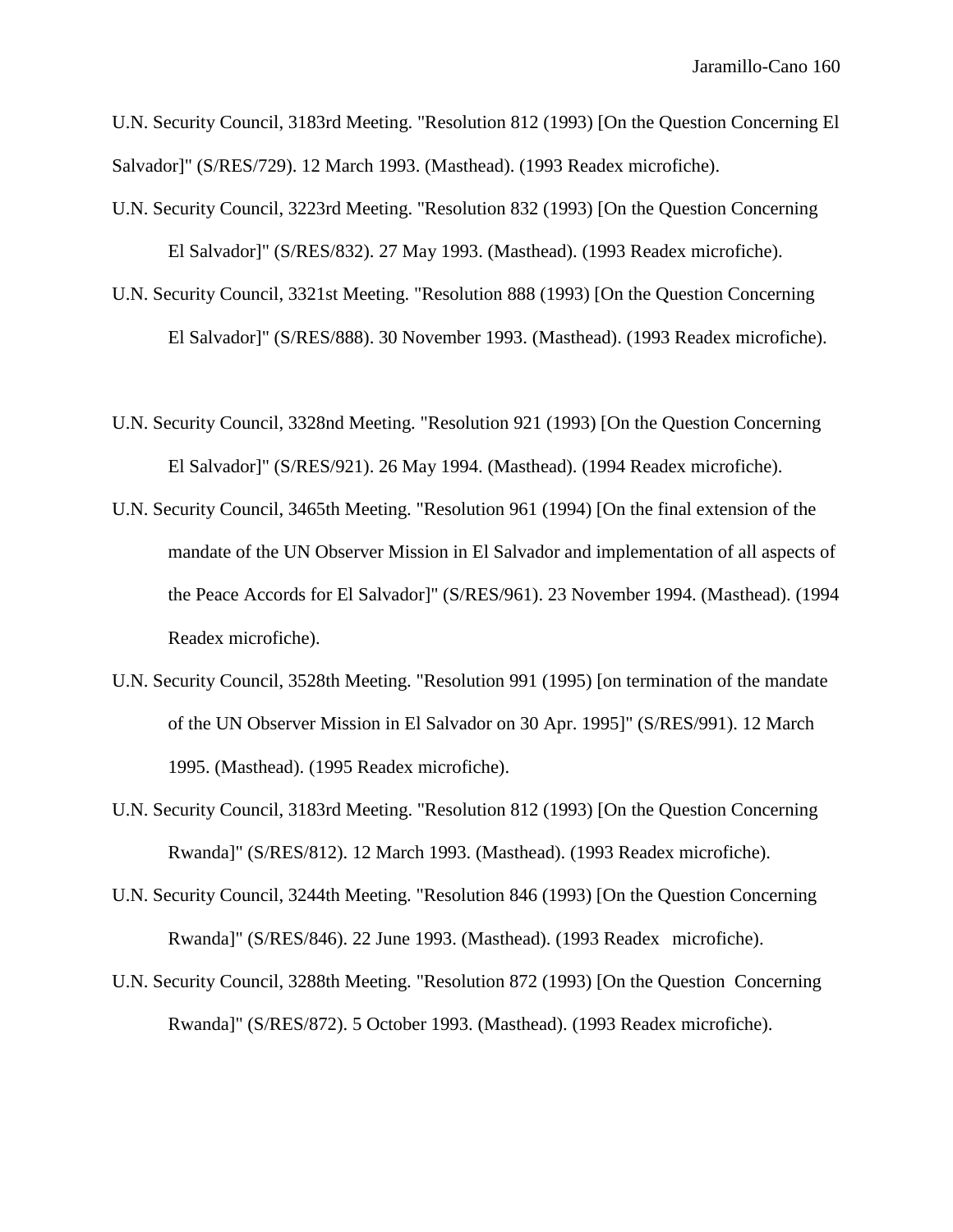U.N. Security Council, 3183rd Meeting. "Resolution 812 (1993) [On the Question Concerning El Salvador]" (S/RES/729). 12 March 1993. (Masthead). (1993 Readex microfiche).

- U.N. Security Council, 3223rd Meeting. "Resolution 832 (1993) [On the Question Concerning El Salvador]" (S/RES/832). 27 May 1993. (Masthead). (1993 Readex microfiche).
- U.N. Security Council, 3321st Meeting. "Resolution 888 (1993) [On the Question Concerning El Salvador]" (S/RES/888). 30 November 1993. (Masthead). (1993 Readex microfiche).
- U.N. Security Council, 3328nd Meeting. "Resolution 921 (1993) [On the Question Concerning El Salvador]" (S/RES/921). 26 May 1994. (Masthead). (1994 Readex microfiche).
- U.N. Security Council, 3465th Meeting. "Resolution 961 (1994) [On the final extension of the mandate of the UN Observer Mission in El Salvador and implementation of all aspects of the Peace Accords for El Salvador]" (S/RES/961). 23 November 1994. (Masthead). (1994 Readex microfiche).
- U.N. Security Council, 3528th Meeting. "Resolution 991 (1995) [on termination of the mandate of the UN Observer Mission in El Salvador on 30 Apr. 1995]" (S/RES/991). 12 March 1995. (Masthead). (1995 Readex microfiche).
- U.N. Security Council, 3183rd Meeting. "Resolution 812 (1993) [On the Question Concerning Rwanda]" (S/RES/812). 12 March 1993. (Masthead). (1993 Readex microfiche).
- U.N. Security Council, 3244th Meeting. "Resolution 846 (1993) [On the Question Concerning Rwanda]" (S/RES/846). 22 June 1993. (Masthead). (1993 Readex microfiche).
- U.N. Security Council, 3288th Meeting. "Resolution 872 (1993) [On the Question Concerning Rwanda]" (S/RES/872). 5 October 1993. (Masthead). (1993 Readex microfiche).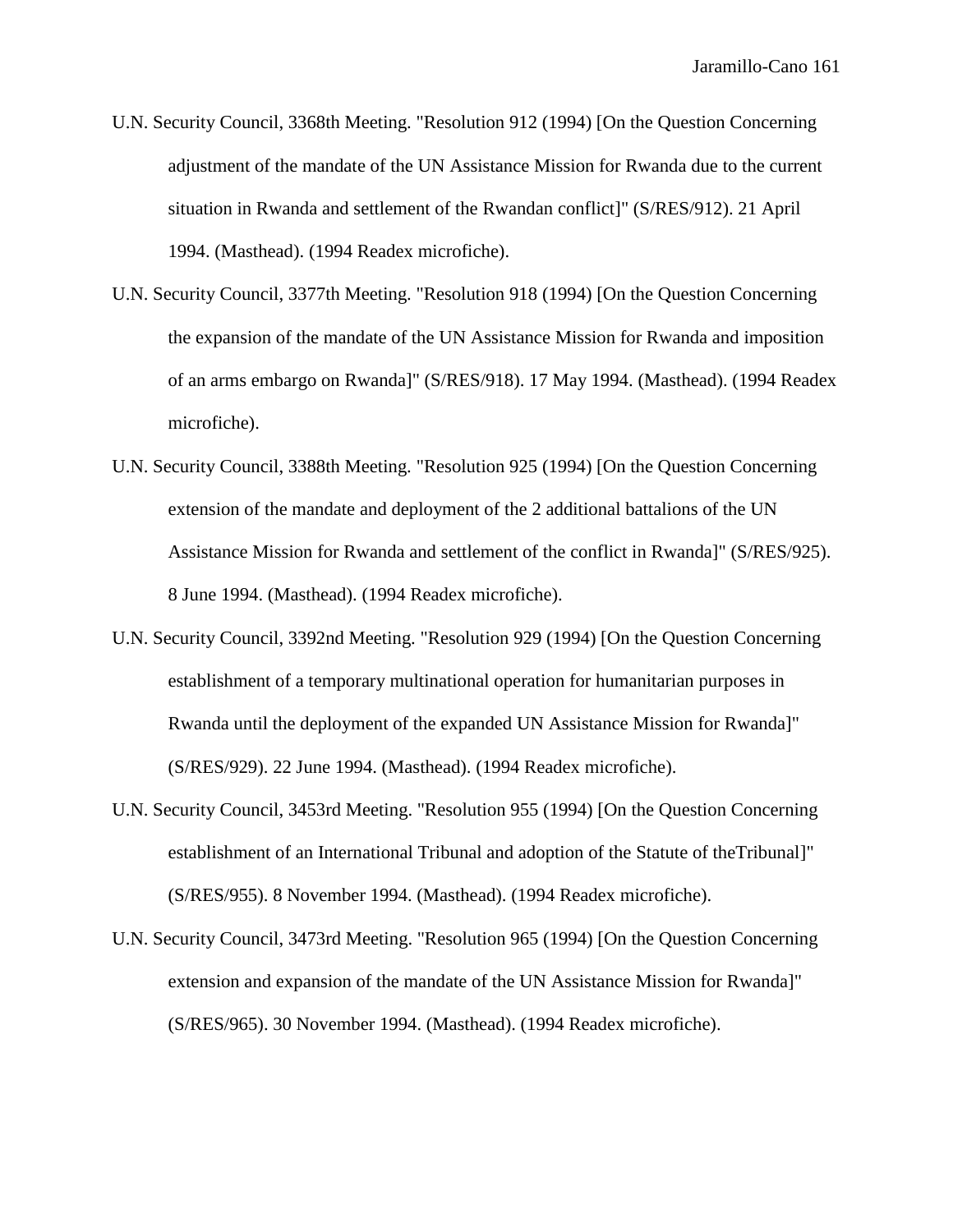- U.N. Security Council, 3368th Meeting. "Resolution 912 (1994) [On the Question Concerning adjustment of the mandate of the UN Assistance Mission for Rwanda due to the current situation in Rwanda and settlement of the Rwandan conflict]" (S/RES/912). 21 April 1994. (Masthead). (1994 Readex microfiche).
- U.N. Security Council, 3377th Meeting. "Resolution 918 (1994) [On the Question Concerning the expansion of the mandate of the UN Assistance Mission for Rwanda and imposition of an arms embargo on Rwanda]" (S/RES/918). 17 May 1994. (Masthead). (1994 Readex microfiche).
- U.N. Security Council, 3388th Meeting. "Resolution 925 (1994) [On the Question Concerning extension of the mandate and deployment of the 2 additional battalions of the UN Assistance Mission for Rwanda and settlement of the conflict in Rwanda]" (S/RES/925). 8 June 1994. (Masthead). (1994 Readex microfiche).
- U.N. Security Council, 3392nd Meeting. "Resolution 929 (1994) [On the Question Concerning establishment of a temporary multinational operation for humanitarian purposes in Rwanda until the deployment of the expanded UN Assistance Mission for Rwanda]" (S/RES/929). 22 June 1994. (Masthead). (1994 Readex microfiche).
- U.N. Security Council, 3453rd Meeting. "Resolution 955 (1994) [On the Question Concerning establishment of an International Tribunal and adoption of the Statute of theTribunal]" (S/RES/955). 8 November 1994. (Masthead). (1994 Readex microfiche).
- U.N. Security Council, 3473rd Meeting. "Resolution 965 (1994) [On the Question Concerning extension and expansion of the mandate of the UN Assistance Mission for Rwanda]" (S/RES/965). 30 November 1994. (Masthead). (1994 Readex microfiche).